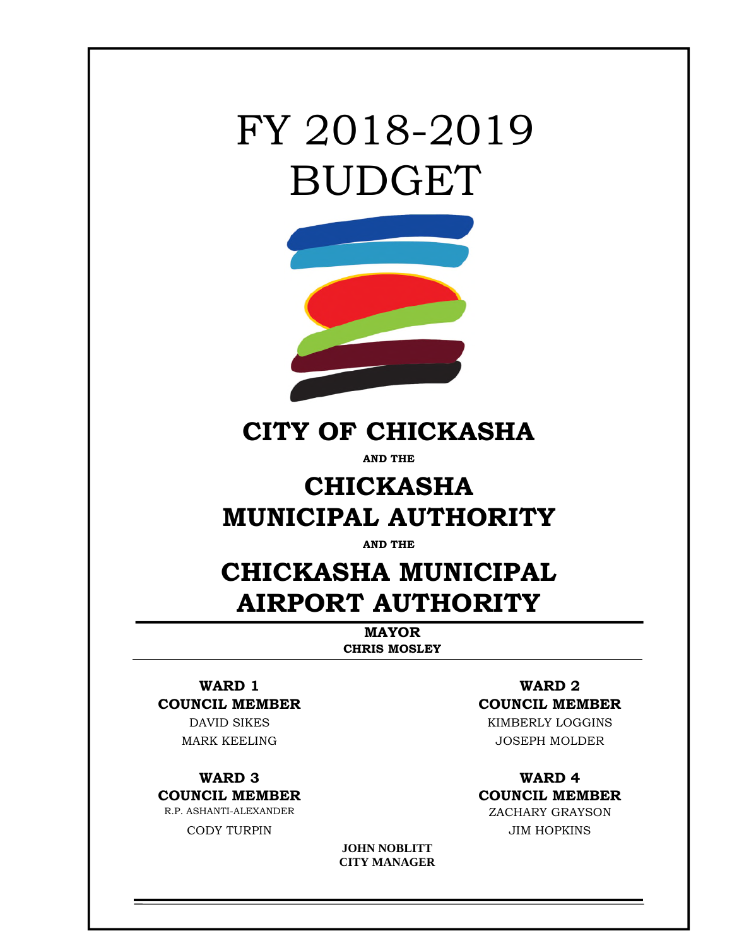# FY 2018-2019 BUDGET



## **CITY OF CHICKASHA**

**AND THE** 

## **CHICKASHA MUNICIPAL AUTHORITY**

**AND THE** 

## **CHICKASHA MUNICIPAL AIRPORT AUTHORITY**

**MAYOR CHRIS MOSLEY**

# **WARD 1 WARD 2**

CODY TURPIN JIM HOPKINS

## **COUNCIL MEMBER COUNCIL MEMBER**

DAVID SIKES KIMBERLY LOGGINS MARK KEELING JOSEPH MOLDER

### **WARD 3 WARD 4 COUNCIL MEMBER COUNCIL MEMBER**  R.P. ASHANTI-ALEXANDER ZACHARY GRAYSON

**JOHN NOBLITT CITY MANAGER**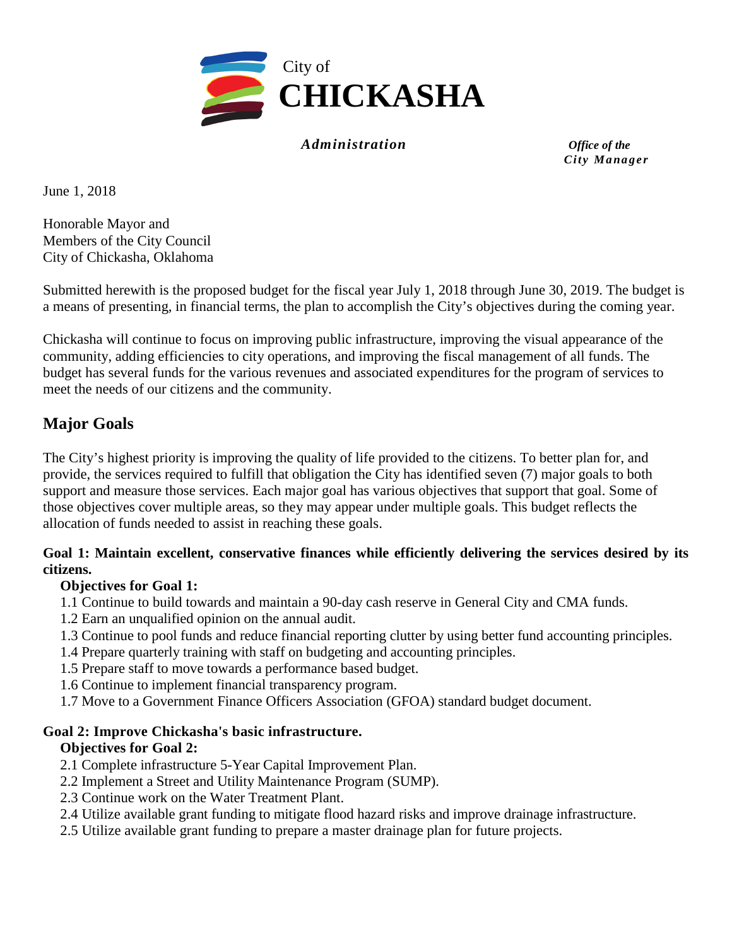

*Administration Office of the*

*City Ma na g er* 

June 1, 2018

Honorable Mayor and Members of the City Council City of Chickasha, Oklahoma

Submitted herewith is the proposed budget for the fiscal year July 1, 2018 through June 30, 2019. The budget is a means of presenting, in financial terms, the plan to accomplish the City's objectives during the coming year.

Chickasha will continue to focus on improving public infrastructure, improving the visual appearance of the community, adding efficiencies to city operations, and improving the fiscal management of all funds. The budget has several funds for the various revenues and associated expenditures for the program of services to meet the needs of our citizens and the community.

#### **Major Goals**

The City's highest priority is improving the quality of life provided to the citizens. To better plan for, and provide, the services required to fulfill that obligation the City has identified seven (7) major goals to both support and measure those services. Each major goal has various objectives that support that goal. Some of those objectives cover multiple areas, so they may appear under multiple goals. This budget reflects the allocation of funds needed to assist in reaching these goals.

#### **Goal 1: Maintain excellent, conservative finances while efficiently delivering the services desired by its citizens.**

#### **Objectives for Goal 1:**

- 1.1 Continue to build towards and maintain a 90-day cash reserve in General City and CMA funds.
- 1.2 Earn an unqualified opinion on the annual audit.
- 1.3 Continue to pool funds and reduce financial reporting clutter by using better fund accounting principles.
- 1.4 Prepare quarterly training with staff on budgeting and accounting principles.
- 1.5 Prepare staff to move towards a performance based budget.
- 1.6 Continue to implement financial transparency program.
- 1.7 Move to a Government Finance Officers Association (GFOA) standard budget document.

#### **Goal 2: Improve Chickasha's basic infrastructure.**

#### **Objectives for Goal 2:**

- 2.1 Complete infrastructure 5-Year Capital Improvement Plan.
- 2.2 Implement a Street and Utility Maintenance Program (SUMP).
- 2.3 Continue work on the Water Treatment Plant.
- 2.4 Utilize available grant funding to mitigate flood hazard risks and improve drainage infrastructure.
- 2.5 Utilize available grant funding to prepare a master drainage plan for future projects.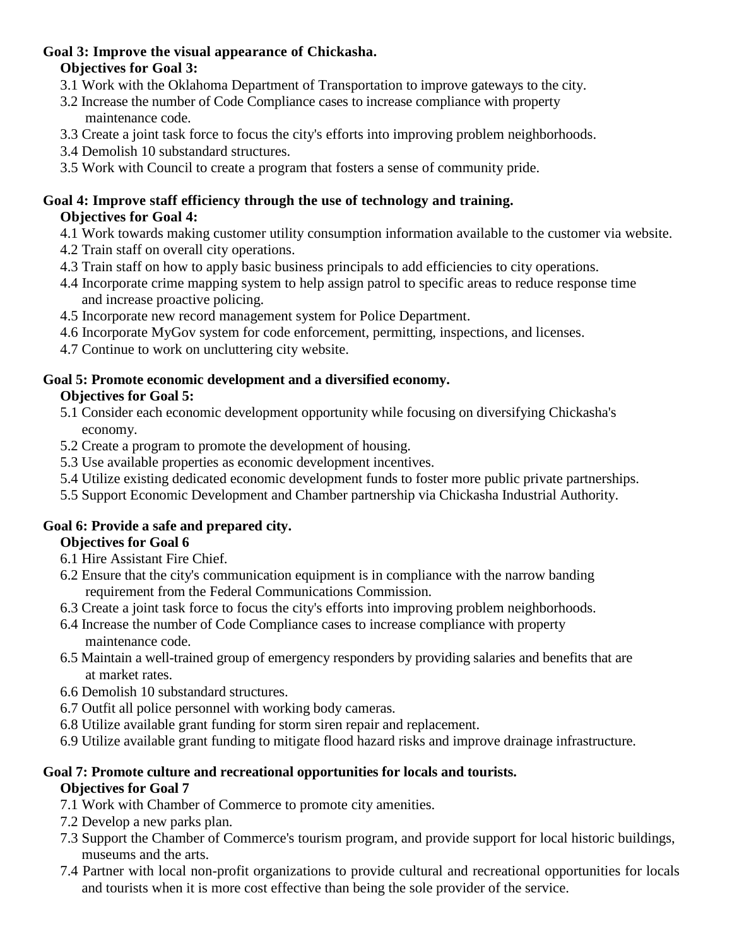#### **Goal 3: Improve the visual appearance of Chickasha. Objectives for Goal 3:**

- 3.1 Work with the Oklahoma Department of Transportation to improve gateways to the city.
- 3.2 Increase the number of Code Compliance cases to increase compliance with property maintenance code.
- 3.3 Create a joint task force to focus the city's efforts into improving problem neighborhoods.
- 3.4 Demolish 10 substandard structures.
- 3.5 Work with Council to create a program that fosters a sense of community pride.

#### **Goal 4: Improve staff efficiency through the use of technology and training. Objectives for Goal 4:**

- 4.1 Work towards making customer utility consumption information available to the customer via website.
- 4.2 Train staff on overall city operations.
- 4.3 Train staff on how to apply basic business principals to add efficiencies to city operations.
- 4.4 Incorporate crime mapping system to help assign patrol to specific areas to reduce response time and increase proactive policing.
- 4.5 Incorporate new record management system for Police Department.
- 4.6 Incorporate MyGov system for code enforcement, permitting, inspections, and licenses.
- 4.7 Continue to work on uncluttering city website.

## **Goal 5: Promote economic development and a diversified economy.**

#### **Objectives for Goal 5:**

- 5.1 Consider each economic development opportunity while focusing on diversifying Chickasha's economy.
- 5.2 Create a program to promote the development of housing.
- 5.3 Use available properties as economic development incentives.
- 5.4 Utilize existing dedicated economic development funds to foster more public private partnerships.
- 5.5 Support Economic Development and Chamber partnership via Chickasha Industrial Authority.

#### **Goal 6: Provide a safe and prepared city.**

#### **Objectives for Goal 6**

- 6.1 Hire Assistant Fire Chief.
- 6.2 Ensure that the city's communication equipment is in compliance with the narrow banding requirement from the Federal Communications Commission.
- 6.3 Create a joint task force to focus the city's efforts into improving problem neighborhoods.
- 6.4 Increase the number of Code Compliance cases to increase compliance with property maintenance code.
- 6.5 Maintain a well-trained group of emergency responders by providing salaries and benefits that are at market rates.
- 6.6 Demolish 10 substandard structures.
- 6.7 Outfit all police personnel with working body cameras.
- 6.8 Utilize available grant funding for storm siren repair and replacement.
- 6.9 Utilize available grant funding to mitigate flood hazard risks and improve drainage infrastructure.

#### **Goal 7: Promote culture and recreational opportunities for locals and tourists. Objectives for Goal 7**

- 7.1 Work with Chamber of Commerce to promote city amenities.
- 7.2 Develop a new parks plan.
- 7.3 Support the Chamber of Commerce's tourism program, and provide support for local historic buildings, museums and the arts.
- 7.4 Partner with local non-profit organizations to provide cultural and recreational opportunities for locals and tourists when it is more cost effective than being the sole provider of the service.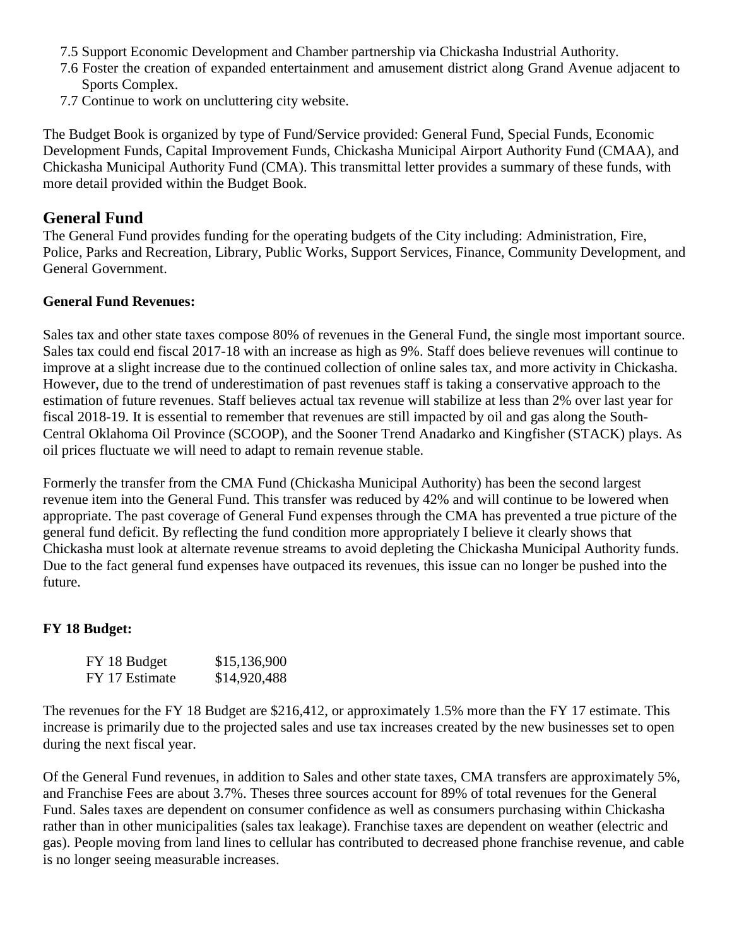- 7.5 Support Economic Development and Chamber partnership via Chickasha Industrial Authority.
- 7.6 Foster the creation of expanded entertainment and amusement district along Grand Avenue adjacent to Sports Complex.
- 7.7 Continue to work on uncluttering city website.

The Budget Book is organized by type of Fund/Service provided: General Fund, Special Funds, Economic Development Funds, Capital Improvement Funds, Chickasha Municipal Airport Authority Fund (CMAA), and Chickasha Municipal Authority Fund (CMA). This transmittal letter provides a summary of these funds, with more detail provided within the Budget Book.

#### **General Fund**

The General Fund provides funding for the operating budgets of the City including: Administration, Fire, Police, Parks and Recreation, Library, Public Works, Support Services, Finance, Community Development, and General Government.

#### **General Fund Revenues:**

Sales tax and other state taxes compose 80% of revenues in the General Fund, the single most important source. Sales tax could end fiscal 2017-18 with an increase as high as 9%. Staff does believe revenues will continue to improve at a slight increase due to the continued collection of online sales tax, and more activity in Chickasha. However, due to the trend of underestimation of past revenues staff is taking a conservative approach to the estimation of future revenues. Staff believes actual tax revenue will stabilize at less than 2% over last year for fiscal 2018-19. It is essential to remember that revenues are still impacted by oil and gas along the South-Central Oklahoma Oil Province (SCOOP), and the Sooner Trend Anadarko and Kingfisher (STACK) plays. As oil prices fluctuate we will need to adapt to remain revenue stable.

Formerly the transfer from the CMA Fund (Chickasha Municipal Authority) has been the second largest revenue item into the General Fund. This transfer was reduced by 42% and will continue to be lowered when appropriate. The past coverage of General Fund expenses through the CMA has prevented a true picture of the general fund deficit. By reflecting the fund condition more appropriately I believe it clearly shows that Chickasha must look at alternate revenue streams to avoid depleting the Chickasha Municipal Authority funds. Due to the fact general fund expenses have outpaced its revenues, this issue can no longer be pushed into the future.

#### **FY 18 Budget:**

| FY 18 Budget   | \$15,136,900 |
|----------------|--------------|
| FY 17 Estimate | \$14,920,488 |

The revenues for the FY 18 Budget are \$216,412, or approximately 1.5% more than the FY 17 estimate. This increase is primarily due to the projected sales and use tax increases created by the new businesses set to open during the next fiscal year.

Of the General Fund revenues, in addition to Sales and other state taxes, CMA transfers are approximately 5%, and Franchise Fees are about 3.7%. Theses three sources account for 89% of total revenues for the General Fund. Sales taxes are dependent on consumer confidence as well as consumers purchasing within Chickasha rather than in other municipalities (sales tax leakage). Franchise taxes are dependent on weather (electric and gas). People moving from land lines to cellular has contributed to decreased phone franchise revenue, and cable is no longer seeing measurable increases.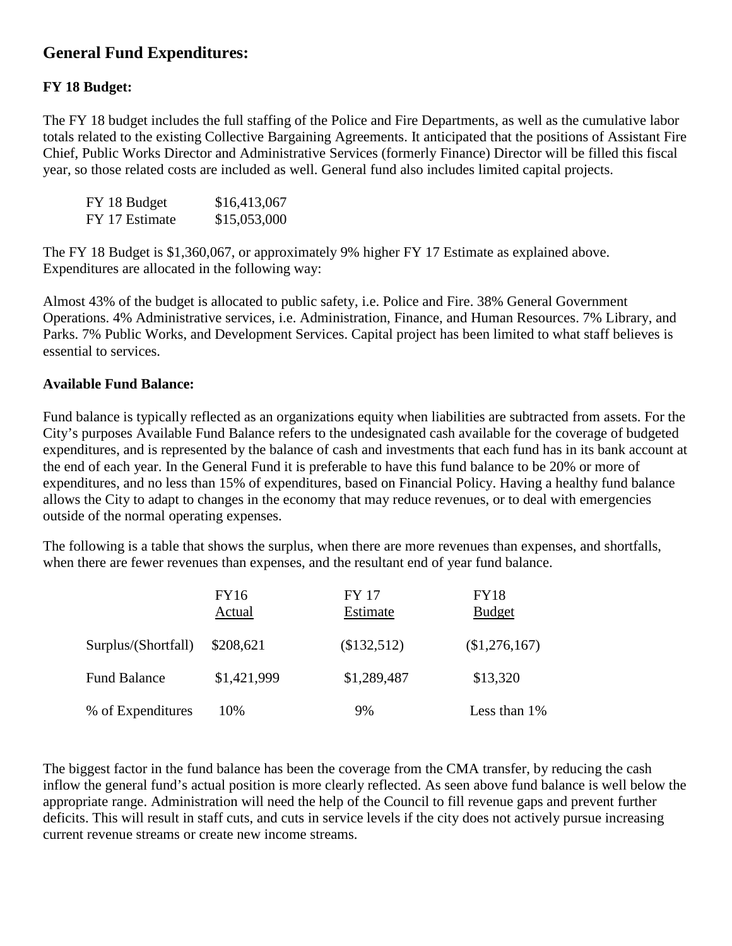### **General Fund Expenditures:**

#### **FY 18 Budget:**

The FY 18 budget includes the full staffing of the Police and Fire Departments, as well as the cumulative labor totals related to the existing Collective Bargaining Agreements. It anticipated that the positions of Assistant Fire Chief, Public Works Director and Administrative Services (formerly Finance) Director will be filled this fiscal year, so those related costs are included as well. General fund also includes limited capital projects.

| FY 18 Budget   | \$16,413,067 |
|----------------|--------------|
| FY 17 Estimate | \$15,053,000 |

The FY 18 Budget is \$1,360,067, or approximately 9% higher FY 17 Estimate as explained above. Expenditures are allocated in the following way:

Almost 43% of the budget is allocated to public safety, i.e. Police and Fire. 38% General Government Operations. 4% Administrative services, i.e. Administration, Finance, and Human Resources. 7% Library, and Parks. 7% Public Works, and Development Services. Capital project has been limited to what staff believes is essential to services.

#### **Available Fund Balance:**

Fund balance is typically reflected as an organizations equity when liabilities are subtracted from assets. For the City's purposes Available Fund Balance refers to the undesignated cash available for the coverage of budgeted expenditures, and is represented by the balance of cash and investments that each fund has in its bank account at the end of each year. In the General Fund it is preferable to have this fund balance to be 20% or more of expenditures, and no less than 15% of expenditures, based on Financial Policy. Having a healthy fund balance allows the City to adapt to changes in the economy that may reduce revenues, or to deal with emergencies outside of the normal operating expenses.

The following is a table that shows the surplus, when there are more revenues than expenses, and shortfalls, when there are fewer revenues than expenses, and the resultant end of year fund balance.

|                     | <b>FY16</b> | <b>FY 17</b> | <b>FY18</b>   |
|---------------------|-------------|--------------|---------------|
|                     | Actual      | Estimate     | <b>Budget</b> |
| Surplus/(Shortfall) | \$208,621   | (\$132,512)  | \$1,276,167   |
| <b>Fund Balance</b> | \$1,421,999 | \$1,289,487  | \$13,320      |
| % of Expenditures   | 10%         | 9%           | Less than 1%  |

The biggest factor in the fund balance has been the coverage from the CMA transfer, by reducing the cash inflow the general fund's actual position is more clearly reflected. As seen above fund balance is well below the appropriate range. Administration will need the help of the Council to fill revenue gaps and prevent further deficits. This will result in staff cuts, and cuts in service levels if the city does not actively pursue increasing current revenue streams or create new income streams.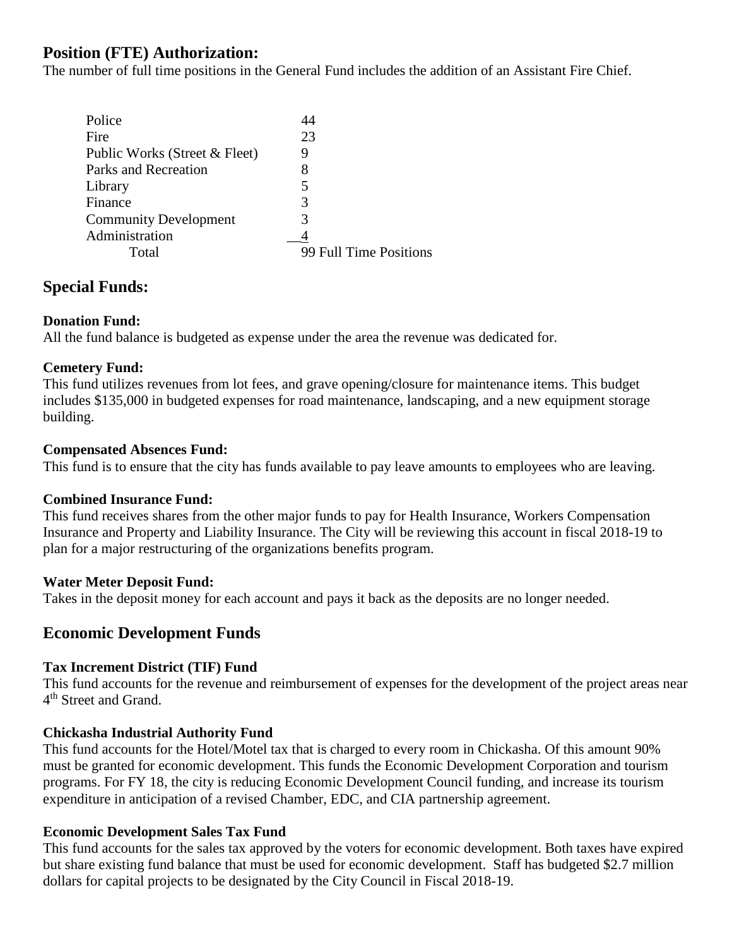#### **Position (FTE) Authorization:**

The number of full time positions in the General Fund includes the addition of an Assistant Fire Chief.

| Police                        |                        |
|-------------------------------|------------------------|
| Fire                          | 23                     |
| Public Works (Street & Fleet) | Ÿ                      |
| Parks and Recreation          | 8                      |
| Library                       |                        |
| Finance                       | 3                      |
| <b>Community Development</b>  |                        |
| Administration                |                        |
| Total                         | 99 Full Time Positions |
|                               |                        |

#### **Special Funds:**

#### **Donation Fund:**

All the fund balance is budgeted as expense under the area the revenue was dedicated for.

#### **Cemetery Fund:**

This fund utilizes revenues from lot fees, and grave opening/closure for maintenance items. This budget includes \$135,000 in budgeted expenses for road maintenance, landscaping, and a new equipment storage building.

#### **Compensated Absences Fund:**

This fund is to ensure that the city has funds available to pay leave amounts to employees who are leaving.

#### **Combined Insurance Fund:**

This fund receives shares from the other major funds to pay for Health Insurance, Workers Compensation Insurance and Property and Liability Insurance. The City will be reviewing this account in fiscal 2018-19 to plan for a major restructuring of the organizations benefits program.

#### **Water Meter Deposit Fund:**

Takes in the deposit money for each account and pays it back as the deposits are no longer needed.

#### **Economic Development Funds**

#### **Tax Increment District (TIF) Fund**

This fund accounts for the revenue and reimbursement of expenses for the development of the project areas near 4<sup>th</sup> Street and Grand.

#### **Chickasha Industrial Authority Fund**

This fund accounts for the Hotel/Motel tax that is charged to every room in Chickasha. Of this amount 90% must be granted for economic development. This funds the Economic Development Corporation and tourism programs. For FY 18, the city is reducing Economic Development Council funding, and increase its tourism expenditure in anticipation of a revised Chamber, EDC, and CIA partnership agreement.

#### **Economic Development Sales Tax Fund**

This fund accounts for the sales tax approved by the voters for economic development. Both taxes have expired but share existing fund balance that must be used for economic development. Staff has budgeted \$2.7 million dollars for capital projects to be designated by the City Council in Fiscal 2018-19.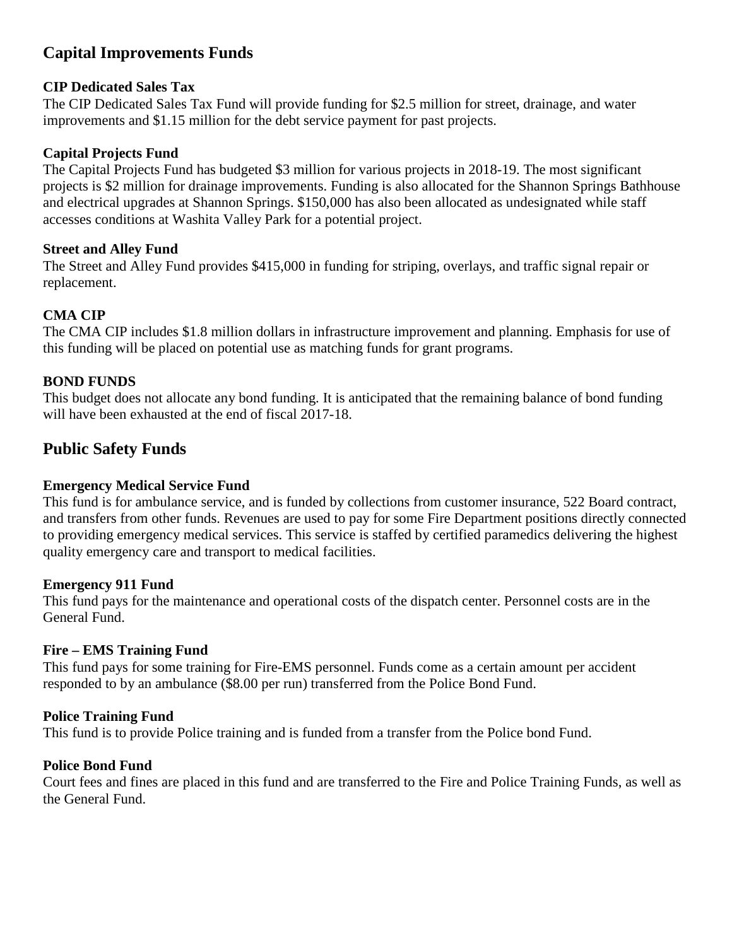### **Capital Improvements Funds**

#### **CIP Dedicated Sales Tax**

The CIP Dedicated Sales Tax Fund will provide funding for \$2.5 million for street, drainage, and water improvements and \$1.15 million for the debt service payment for past projects.

#### **Capital Projects Fund**

The Capital Projects Fund has budgeted \$3 million for various projects in 2018-19. The most significant projects is \$2 million for drainage improvements. Funding is also allocated for the Shannon Springs Bathhouse and electrical upgrades at Shannon Springs. \$150,000 has also been allocated as undesignated while staff accesses conditions at Washita Valley Park for a potential project.

#### **Street and Alley Fund**

The Street and Alley Fund provides \$415,000 in funding for striping, overlays, and traffic signal repair or replacement.

#### **CMA CIP**

The CMA CIP includes \$1.8 million dollars in infrastructure improvement and planning. Emphasis for use of this funding will be placed on potential use as matching funds for grant programs.

#### **BOND FUNDS**

This budget does not allocate any bond funding. It is anticipated that the remaining balance of bond funding will have been exhausted at the end of fiscal 2017-18.

#### **Public Safety Funds**

#### **Emergency Medical Service Fund**

This fund is for ambulance service, and is funded by collections from customer insurance, 522 Board contract, and transfers from other funds. Revenues are used to pay for some Fire Department positions directly connected to providing emergency medical services. This service is staffed by certified paramedics delivering the highest quality emergency care and transport to medical facilities.

#### **Emergency 911 Fund**

This fund pays for the maintenance and operational costs of the dispatch center. Personnel costs are in the General Fund.

#### **Fire – EMS Training Fund**

This fund pays for some training for Fire-EMS personnel. Funds come as a certain amount per accident responded to by an ambulance (\$8.00 per run) transferred from the Police Bond Fund.

#### **Police Training Fund**

This fund is to provide Police training and is funded from a transfer from the Police bond Fund.

#### **Police Bond Fund**

Court fees and fines are placed in this fund and are transferred to the Fire and Police Training Funds, as well as the General Fund.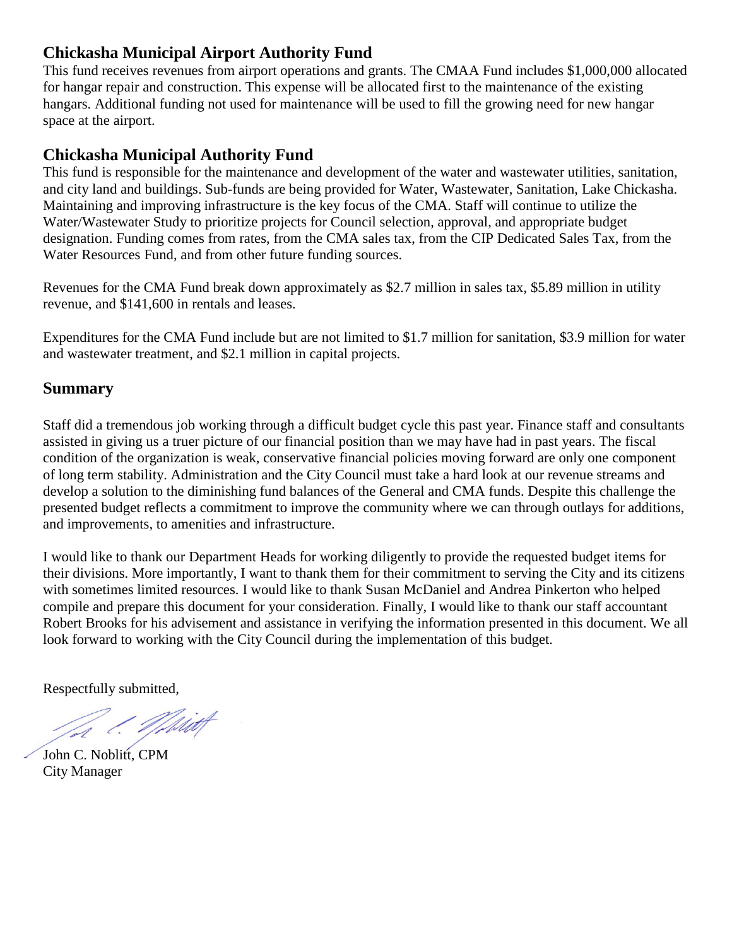#### **Chickasha Municipal Airport Authority Fund**

This fund receives revenues from airport operations and grants. The CMAA Fund includes \$1,000,000 allocated for hangar repair and construction. This expense will be allocated first to the maintenance of the existing hangars. Additional funding not used for maintenance will be used to fill the growing need for new hangar space at the airport.

#### **Chickasha Municipal Authority Fund**

This fund is responsible for the maintenance and development of the water and wastewater utilities, sanitation, and city land and buildings. Sub-funds are being provided for Water, Wastewater, Sanitation, Lake Chickasha. Maintaining and improving infrastructure is the key focus of the CMA. Staff will continue to utilize the Water/Wastewater Study to prioritize projects for Council selection, approval, and appropriate budget designation. Funding comes from rates, from the CMA sales tax, from the CIP Dedicated Sales Tax, from the Water Resources Fund, and from other future funding sources.

Revenues for the CMA Fund break down approximately as \$2.7 million in sales tax, \$5.89 million in utility revenue, and \$141,600 in rentals and leases.

Expenditures for the CMA Fund include but are not limited to \$1.7 million for sanitation, \$3.9 million for water and wastewater treatment, and \$2.1 million in capital projects.

#### **Summary**

Staff did a tremendous job working through a difficult budget cycle this past year. Finance staff and consultants assisted in giving us a truer picture of our financial position than we may have had in past years. The fiscal condition of the organization is weak, conservative financial policies moving forward are only one component of long term stability. Administration and the City Council must take a hard look at our revenue streams and develop a solution to the diminishing fund balances of the General and CMA funds. Despite this challenge the presented budget reflects a commitment to improve the community where we can through outlays for additions, and improvements, to amenities and infrastructure.

I would like to thank our Department Heads for working diligently to provide the requested budget items for their divisions. More importantly, I want to thank them for their commitment to serving the City and its citizens with sometimes limited resources. I would like to thank Susan McDaniel and Andrea Pinkerton who helped compile and prepare this document for your consideration. Finally, I would like to thank our staff accountant Robert Brooks for his advisement and assistance in verifying the information presented in this document. We all look forward to working with the City Council during the implementation of this budget.

Respectfully submitted,

John C. Noblitt, CPM City Manager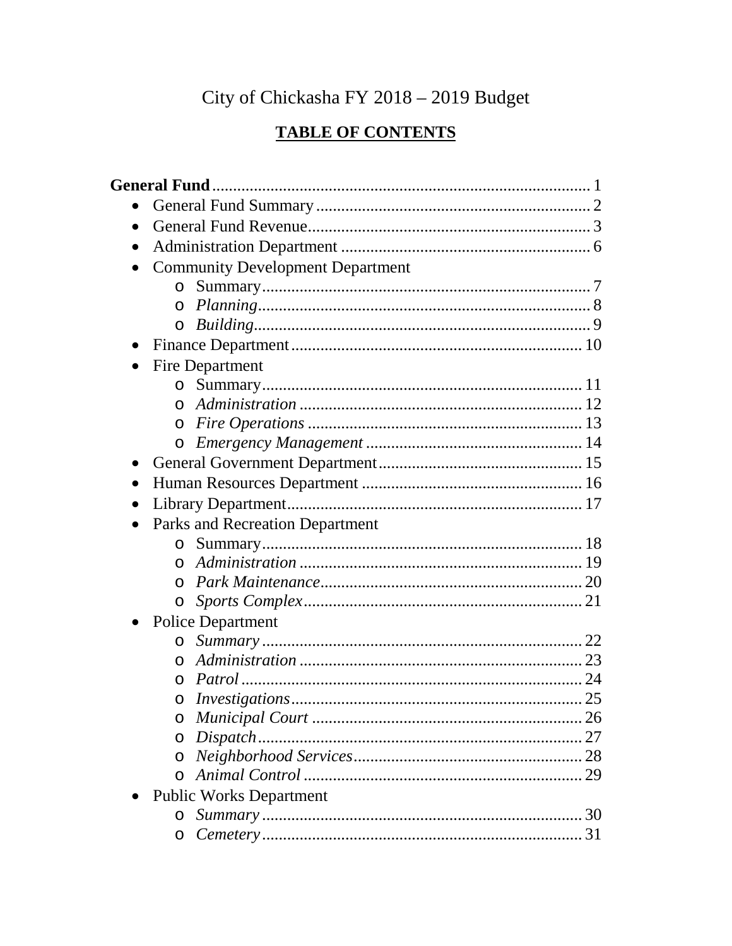## City of Chickasha FY 2018 - 2019 Budget

## **TABLE OF CONTENTS**

| $\bullet$ |                                         |  |
|-----------|-----------------------------------------|--|
| $\bullet$ |                                         |  |
| $\bullet$ | <b>Community Development Department</b> |  |
|           | $\circ$                                 |  |
|           |                                         |  |
|           | $\circ$                                 |  |
| $\bullet$ |                                         |  |
| $\bullet$ | Fire Department                         |  |
|           | $\circ$                                 |  |
|           | $\Omega$                                |  |
|           | $\circ$                                 |  |
|           |                                         |  |
| $\bullet$ |                                         |  |
| $\bullet$ |                                         |  |
| $\bullet$ |                                         |  |
| $\bullet$ | Parks and Recreation Department         |  |
|           | $\Omega$                                |  |
|           | $\Omega$                                |  |
|           |                                         |  |
|           | $\circ$                                 |  |
|           | <b>Police Department</b>                |  |
|           |                                         |  |
|           | $\Omega$                                |  |
|           | $\circ$                                 |  |
|           | $\circ$                                 |  |
|           | $\circ$                                 |  |
|           | $\circ$                                 |  |
|           | $\circ$                                 |  |
|           |                                         |  |
|           | <b>Public Works Department</b>          |  |
|           | $\circ$                                 |  |
|           | $\circ$                                 |  |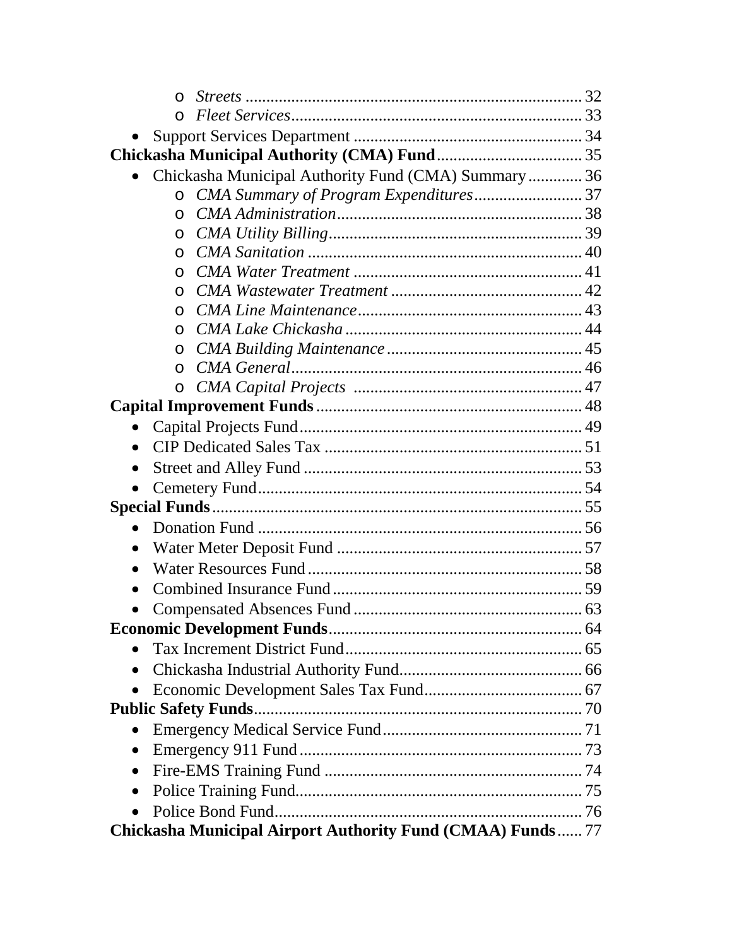| $\Omega$                                                         |
|------------------------------------------------------------------|
| $\Omega$                                                         |
|                                                                  |
|                                                                  |
| Chickasha Municipal Authority Fund (CMA) Summary 36<br>$\bullet$ |
| CMA Summary of Program Expenditures37<br>$\circ$                 |
| $\Omega$                                                         |
| $\Omega$                                                         |
| $\Omega$                                                         |
| $\Omega$                                                         |
| $\Omega$                                                         |
| $\Omega$                                                         |
| $\Omega$                                                         |
| $\Omega$                                                         |
| $\circ$                                                          |
| $\circ$                                                          |
|                                                                  |
| $\bullet$                                                        |
| $\bullet$                                                        |
| $\bullet$                                                        |
| $\bullet$                                                        |
|                                                                  |
|                                                                  |
| $\bullet$                                                        |
| $\bullet$                                                        |
| $\bullet$                                                        |
|                                                                  |
|                                                                  |
|                                                                  |
| $\bullet$                                                        |
| $\bullet$                                                        |
|                                                                  |
| $\bullet$                                                        |
| $\bullet$                                                        |
| $\bullet$                                                        |
| $\bullet$                                                        |
| $\bullet$                                                        |
| Chickasha Municipal Airport Authority Fund (CMAA) Funds 77       |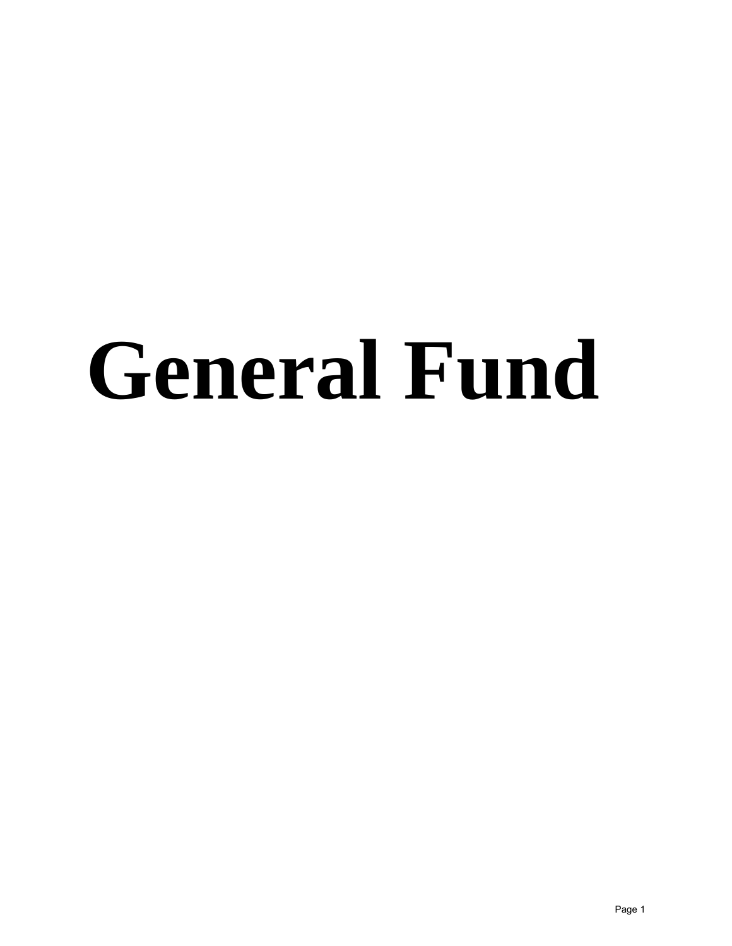# **General Fund**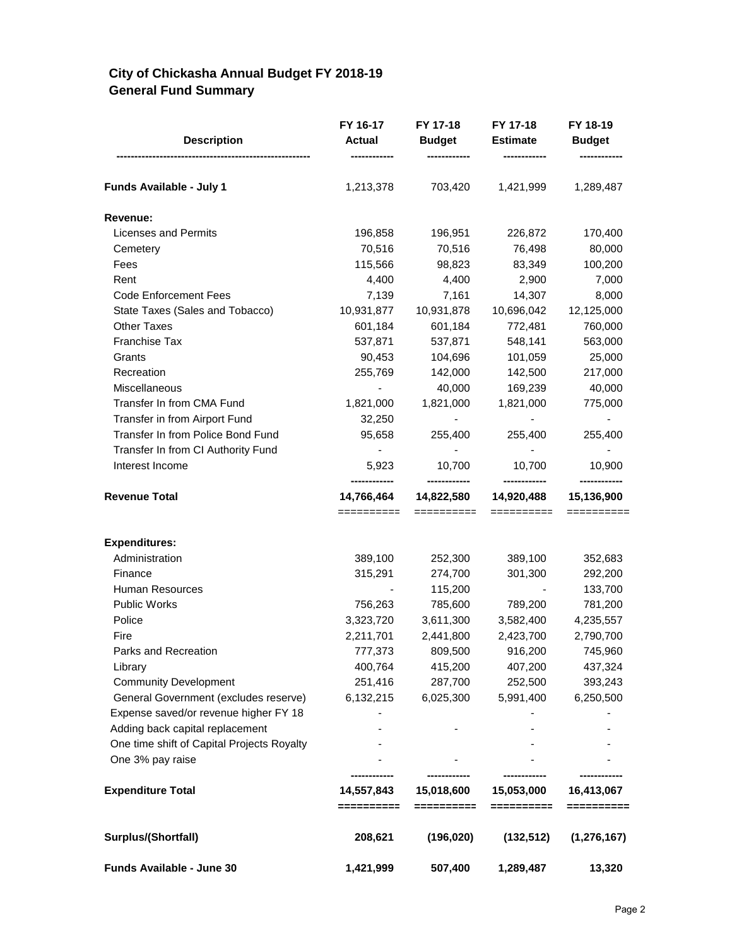#### **City of Chickasha Annual Budget FY 2018-19 General Fund Summary**

| <b>Description</b>                         | FY 16-17<br><b>Actual</b> | FY 17-18<br><b>Budget</b> | FY 17-18<br><b>Estimate</b> | FY 18-19<br><b>Budget</b> |
|--------------------------------------------|---------------------------|---------------------------|-----------------------------|---------------------------|
| Funds Available - July 1                   | 1,213,378                 | 703,420                   | 1,421,999                   | 1,289,487                 |
| <b>Revenue:</b>                            |                           |                           |                             |                           |
| Licenses and Permits                       | 196,858                   | 196,951                   | 226,872                     | 170,400                   |
| Cemetery                                   | 70,516                    | 70,516                    | 76,498                      | 80,000                    |
| Fees                                       | 115,566                   | 98,823                    | 83,349                      | 100,200                   |
| Rent                                       | 4,400                     | 4,400                     | 2,900                       | 7,000                     |
| <b>Code Enforcement Fees</b>               | 7,139                     | 7,161                     | 14,307                      | 8,000                     |
| State Taxes (Sales and Tobacco)            | 10,931,877                | 10,931,878                | 10,696,042                  | 12,125,000                |
| <b>Other Taxes</b>                         | 601,184                   | 601,184                   | 772,481                     | 760,000                   |
| <b>Franchise Tax</b>                       | 537,871                   | 537,871                   | 548,141                     | 563,000                   |
| Grants                                     | 90,453                    | 104,696                   | 101,059                     | 25,000                    |
| Recreation                                 | 255,769                   | 142,000                   | 142,500                     | 217,000                   |
| Miscellaneous                              | $\overline{\phantom{a}}$  | 40,000                    | 169,239                     | 40,000                    |
| Transfer In from CMA Fund                  | 1,821,000                 | 1,821,000                 | 1,821,000                   | 775,000                   |
| Transfer in from Airport Fund              | 32,250                    |                           |                             |                           |
| Transfer In from Police Bond Fund          | 95,658                    | 255,400                   | 255,400                     | 255,400                   |
| Transfer In from CI Authority Fund         | $\overline{\phantom{a}}$  | ÷,                        |                             |                           |
| Interest Income                            | 5,923<br>------------     | 10,700                    | 10,700                      | 10,900                    |
| <b>Revenue Total</b>                       | 14,766,464<br>==========  | 14,822,580<br>==========  | 14,920,488<br>==========    | 15,136,900<br>==========  |
|                                            |                           |                           |                             |                           |
| <b>Expenditures:</b>                       |                           |                           |                             |                           |
| Administration                             | 389,100                   | 252,300                   | 389,100                     | 352,683                   |
| Finance                                    | 315,291                   | 274,700                   | 301,300                     | 292,200                   |
| Human Resources                            |                           | 115,200                   |                             | 133,700                   |
| Public Works                               | 756,263                   | 785,600                   | 789,200                     | 781,200                   |
| Police                                     | 3,323,720                 | 3,611,300                 | 3,582,400                   | 4,235,557                 |
| Fire                                       | 2,211,701                 | 2,441,800                 | 2,423,700                   | 2,790,700                 |
| Parks and Recreation                       | 777,373                   | 809,500                   | 916,200                     | 745,960                   |
| Library                                    | 400,764                   | 415,200                   | 407,200                     | 437,324                   |
| <b>Community Development</b>               | 251,416                   | 287,700                   | 252,500                     | 393,243                   |
| General Government (excludes reserve)      | 6,132,215                 | 6,025,300                 | 5,991,400                   | 6,250,500                 |
| Expense saved/or revenue higher FY 18      |                           |                           |                             |                           |
| Adding back capital replacement            |                           |                           |                             |                           |
| One time shift of Capital Projects Royalty |                           |                           |                             |                           |
| One 3% pay raise                           |                           |                           |                             |                           |
| <b>Expenditure Total</b>                   | 14,557,843<br>==========  | 15,018,600<br>==========  | 15,053,000                  | 16,413,067                |
| Surplus/(Shortfall)                        | 208,621                   | (196, 020)                | (132, 512)                  | (1, 276, 167)             |
| Funds Available - June 30                  | 1,421,999                 | 507,400                   | 1,289,487                   | 13,320                    |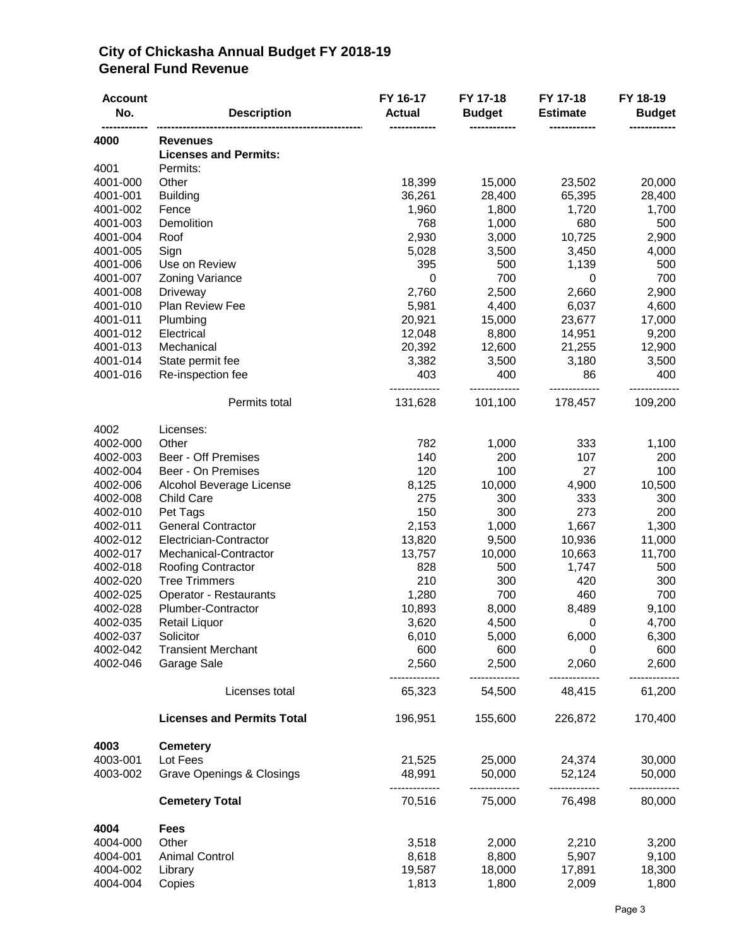#### **City of Chickasha Annual Budget FY 2018-19 General Fund Revenue**

| <b>Account</b><br>No. | <b>Description</b>                              | FY 16-17<br><b>Actual</b> | FY 17-18<br><b>Budget</b> | FY 17-18<br><b>Estimate</b> | FY 18-19<br><b>Budget</b> |
|-----------------------|-------------------------------------------------|---------------------------|---------------------------|-----------------------------|---------------------------|
| 4000                  | <b>Revenues</b><br><b>Licenses and Permits:</b> |                           |                           |                             |                           |
| 4001                  | Permits:                                        |                           |                           |                             |                           |
| 4001-000              | Other                                           | 18,399                    | 15,000                    | 23,502                      | 20,000                    |
| 4001-001              | <b>Building</b>                                 | 36,261                    | 28,400                    | 65,395                      | 28,400                    |
| 4001-002              | Fence                                           | 1,960                     | 1,800                     | 1,720                       | 1,700                     |
| 4001-003              | Demolition                                      | 768                       | 1,000                     | 680                         | 500                       |
| 4001-004              | Roof                                            | 2,930                     | 3,000                     | 10,725                      | 2,900                     |
| 4001-005              | Sign                                            | 5,028                     | 3,500                     | 3,450                       | 4,000                     |
| 4001-006              | Use on Review                                   | 395                       | 500                       | 1,139                       | 500                       |
| 4001-007              | Zoning Variance                                 | 0                         | 700                       | 0                           | 700                       |
| 4001-008              | Driveway                                        | 2,760                     | 2,500                     | 2,660                       | 2,900                     |
| 4001-010              | Plan Review Fee                                 | 5,981                     | 4,400                     | 6,037                       | 4,600                     |
| 4001-011              | Plumbing                                        | 20,921                    | 15,000                    | 23,677                      | 17,000                    |
| 4001-012              | Electrical                                      | 12,048                    | 8,800                     | 14,951                      | 9,200                     |
| 4001-013              | Mechanical                                      | 20,392                    | 12,600                    | 21,255                      | 12,900                    |
| 4001-014              | State permit fee                                | 3,382                     | 3,500                     | 3,180                       | 3,500                     |
| 4001-016              | Re-inspection fee                               | 403                       | 400                       | 86                          | 400                       |
|                       | Permits total                                   | 131,628                   | 101,100                   | 178,457                     | 109,200                   |
| 4002                  | Licenses:                                       |                           |                           |                             |                           |
| 4002-000              | Other                                           | 782                       | 1,000                     | 333                         | 1,100                     |
| 4002-003              | <b>Beer - Off Premises</b>                      | 140                       | 200                       | 107                         | 200                       |
| 4002-004              | Beer - On Premises                              | 120                       | 100                       | 27                          | 100                       |
| 4002-006              | Alcohol Beverage License                        | 8,125                     | 10,000                    | 4,900                       | 10,500                    |
| 4002-008              | Child Care                                      | 275                       | 300                       | 333                         | 300                       |
| 4002-010              | Pet Tags                                        | 150                       | 300                       | 273                         | 200                       |
| 4002-011              | <b>General Contractor</b>                       | 2,153                     | 1,000                     | 1,667                       | 1,300                     |
| 4002-012              | Electrician-Contractor                          | 13,820                    | 9,500                     | 10,936                      | 11,000                    |
| 4002-017              | Mechanical-Contractor                           | 13,757                    | 10,000                    | 10,663                      | 11,700                    |
| 4002-018              | <b>Roofing Contractor</b>                       | 828                       | 500                       | 1,747                       | 500                       |
| 4002-020              | <b>Tree Trimmers</b>                            | 210                       | 300                       | 420                         | 300                       |
| 4002-025              | Operator - Restaurants                          | 1,280                     | 700                       | 460                         | 700                       |
| 4002-028              | Plumber-Contractor                              | 10,893                    | 8,000                     | 8,489                       | 9,100                     |
| 4002-035              | Retail Liquor                                   | 3,620                     | 4,500                     | 0                           | 4,700                     |
| 4002-037              | Solicitor                                       | 6,010                     | 5,000                     | 6,000                       | 6,300                     |
| 4002-042              | <b>Transient Merchant</b>                       | 600                       | 600                       | 0                           | 600                       |
| 4002-046              | Garage Sale                                     | 2,560<br>----------       | 2,500<br>-------------    | 2,060<br>-------------      | 2,600<br>                 |
|                       | Licenses total                                  | 65,323                    | 54,500                    | 48,415                      | 61,200                    |
|                       | <b>Licenses and Permits Total</b>               | 196,951                   | 155,600                   | 226,872                     | 170,400                   |
| 4003                  | <b>Cemetery</b>                                 |                           |                           |                             |                           |
| 4003-001              | Lot Fees                                        | 21,525                    | 25,000                    | 24,374                      | 30,000                    |
| 4003-002              | Grave Openings & Closings                       | 48,991<br>-----------     | 50,000<br>-------------   | 52,124<br>-------------     | 50,000<br>------------    |
|                       | <b>Cemetery Total</b>                           | 70,516                    | 75,000                    | 76,498                      | 80,000                    |
| 4004                  | <b>Fees</b>                                     |                           |                           |                             |                           |
| 4004-000              | Other                                           | 3,518                     | 2,000                     | 2,210                       | 3,200                     |
| 4004-001              | <b>Animal Control</b>                           | 8,618                     | 8,800                     | 5,907                       | 9,100                     |
| 4004-002              | Library                                         | 19,587                    | 18,000                    | 17,891                      | 18,300                    |
| 4004-004              | Copies                                          | 1,813                     | 1,800                     | 2,009                       | 1,800                     |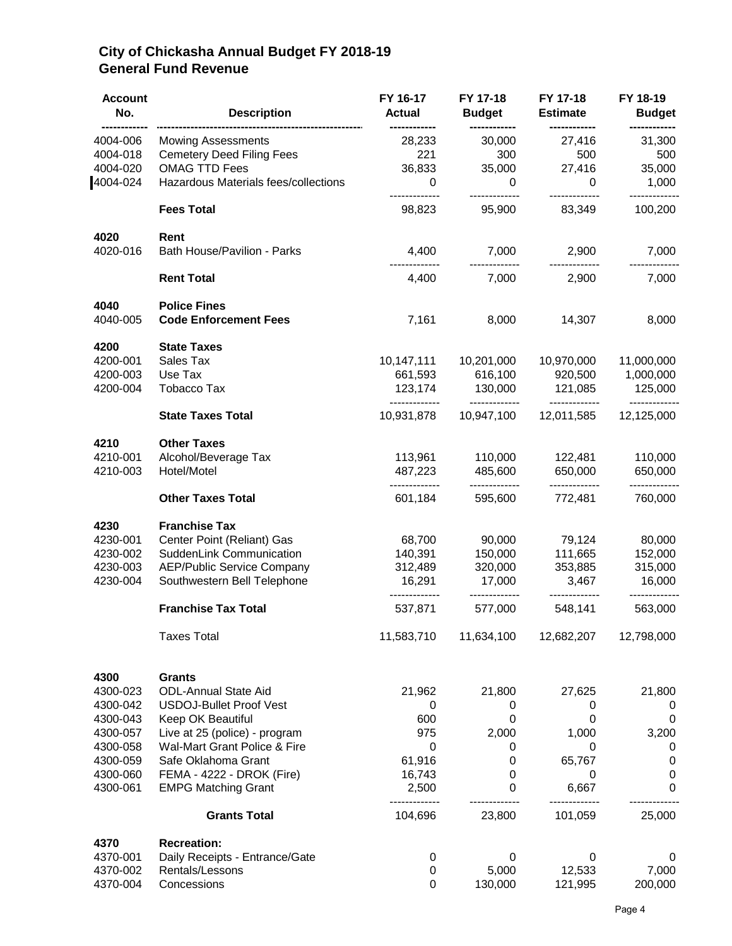#### **City of Chickasha Annual Budget FY 2018-19 General Fund Revenue**

| <b>Account</b><br>No. | <b>Description</b>                   | FY 16-17<br><b>Actual</b> | FY 17-18<br><b>Budget</b> | FY 17-18<br><b>Estimate</b> | FY 18-19<br><b>Budget</b> |
|-----------------------|--------------------------------------|---------------------------|---------------------------|-----------------------------|---------------------------|
| 4004-006              | <b>Mowing Assessments</b>            | 28,233                    | 30,000                    | 27,416                      | 31,300                    |
| 4004-018              | <b>Cemetery Deed Filing Fees</b>     | 221                       | 300                       | 500                         | 500                       |
| 4004-020              | <b>OMAG TTD Fees</b>                 | 36,833                    | 35,000                    | 27,416                      | 35,000                    |
| 4004-024              | Hazardous Materials fees/collections | 0                         | $\mathbf 0$               | $\Omega$                    | 1,000                     |
|                       | <b>Fees Total</b>                    | 98,823                    | 95,900                    | 83,349                      | 100,200                   |
| 4020                  | Rent                                 |                           |                           |                             |                           |
| 4020-016              | Bath House/Pavilion - Parks          | 4,400                     | 7,000                     | 2,900                       | 7,000                     |
|                       | <b>Rent Total</b>                    | 4,400                     | 7,000                     | 2,900                       | 7,000                     |
| 4040                  | <b>Police Fines</b>                  |                           |                           |                             |                           |
| 4040-005              | <b>Code Enforcement Fees</b>         | 7,161                     | 8,000                     | 14,307                      | 8,000                     |
| 4200                  | <b>State Taxes</b>                   |                           |                           |                             |                           |
| 4200-001              | Sales Tax                            | 10,147,111                | 10,201,000                | 10,970,000                  | 11,000,000                |
| 4200-003              | Use Tax                              | 661,593                   | 616,100                   | 920,500                     | 1,000,000                 |
| 4200-004              | Tobacco Tax                          | 123,174<br>-------------  | 130,000<br>-------------  | 121,085<br>-------------    | 125,000<br>------------   |
|                       | <b>State Taxes Total</b>             | 10,931,878                | 10,947,100                | 12,011,585                  | 12,125,000                |
| 4210                  | <b>Other Taxes</b>                   |                           |                           |                             |                           |
| 4210-001              | Alcohol/Beverage Tax                 | 113,961                   | 110,000                   | 122,481                     | 110,000                   |
| 4210-003              | Hotel/Motel                          | 487,223<br>-------------  | 485,600<br>-------------  | 650,000<br>-------------    | 650,000                   |
|                       | <b>Other Taxes Total</b>             | 601,184                   | 595,600                   | 772,481                     | 760,000                   |
| 4230                  | <b>Franchise Tax</b>                 |                           |                           |                             |                           |
| 4230-001              | Center Point (Reliant) Gas           | 68,700                    | 90,000                    | 79,124                      | 80,000                    |
| 4230-002              | SuddenLink Communication             | 140,391                   | 150,000                   | 111,665                     | 152,000                   |
| 4230-003              | <b>AEP/Public Service Company</b>    | 312,489                   | 320,000                   | 353,885                     | 315,000                   |
| 4230-004              | Southwestern Bell Telephone          | 16,291<br>------------    | 17,000<br>-------------   | 3,467<br>-------------      | 16,000                    |
|                       | <b>Franchise Tax Total</b>           | 537,871                   | 577,000                   | 548,141                     | 563,000                   |
|                       | <b>Taxes Total</b>                   | 11,583,710                | 11,634,100                | 12,682,207                  | 12,798,000                |
| 4300                  | <b>Grants</b>                        |                           |                           |                             |                           |
| 4300-023              | <b>ODL-Annual State Aid</b>          | 21,962                    | 21,800                    | 27,625                      | 21,800                    |
| 4300-042              | <b>USDOJ-Bullet Proof Vest</b>       | 0                         | 0                         | 0                           | $\mathbf 0$               |
| 4300-043              | Keep OK Beautiful                    | 600                       | 0                         | 0                           | 0                         |
| 4300-057              | Live at 25 (police) - program        | 975                       | 2,000                     | 1,000                       | 3,200                     |
| 4300-058              | Wal-Mart Grant Police & Fire         | 0                         | 0                         | 0                           | 0                         |
| 4300-059              | Safe Oklahoma Grant                  | 61,916                    | 0                         | 65,767                      | $\mathbf 0$               |
| 4300-060              | FEMA - 4222 - DROK (Fire)            | 16,743                    | 0                         | 0                           | $\pmb{0}$                 |
| 4300-061              | <b>EMPG Matching Grant</b>           | 2,500                     | 0                         | 6,667                       | 0                         |
|                       | <b>Grants Total</b>                  | 104,696                   | 23,800                    | 101,059                     | 25,000                    |
| 4370                  | <b>Recreation:</b>                   |                           |                           |                             |                           |
| 4370-001              | Daily Receipts - Entrance/Gate       | $\pmb{0}$                 | 0                         | 0                           | 0                         |
| 4370-002              | Rentals/Lessons                      | 0                         | 5,000                     | 12,533                      | 7,000                     |
| 4370-004              | Concessions                          | $\boldsymbol{0}$          | 130,000                   | 121,995                     | 200,000                   |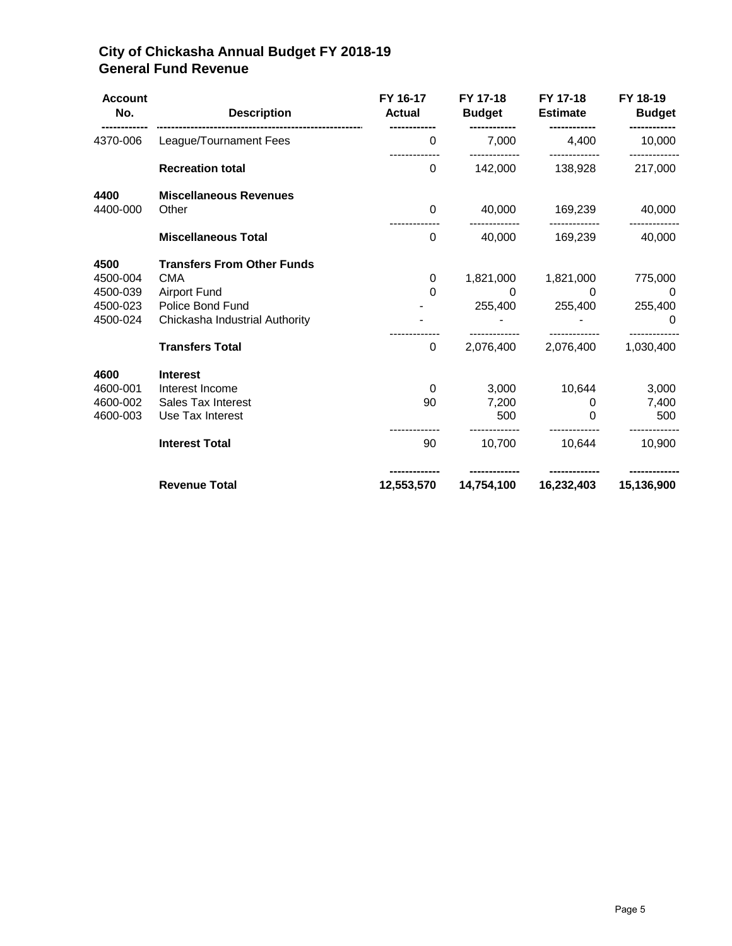#### **City of Chickasha Annual Budget FY 2018-19 General Fund Revenue**

| <b>Account</b><br>No.                                | <b>Description</b>                                                                                                           | FY 16-17<br><b>Actual</b> | FY 17-18<br><b>Budget</b>       | FY 17-18<br>Estimate       | FY 18-19<br><b>Budget</b>       |
|------------------------------------------------------|------------------------------------------------------------------------------------------------------------------------------|---------------------------|---------------------------------|----------------------------|---------------------------------|
| 4370-006                                             | League/Tournament Fees                                                                                                       | 0                         | 7,000                           | 4,400                      | 10,000                          |
|                                                      | <b>Recreation total</b>                                                                                                      | $\mathbf{0}$              | 142,000                         | 138,928                    | 217,000                         |
| 4400<br>4400-000                                     | <b>Miscellaneous Revenues</b><br>Other                                                                                       | $\Omega$                  | 40,000                          | 169,239                    | 40,000                          |
|                                                      | <b>Miscellaneous Total</b>                                                                                                   | $\mathbf 0$               | 40,000                          | 169,239                    | 40,000                          |
| 4500<br>4500-004<br>4500-039<br>4500-023<br>4500-024 | <b>Transfers From Other Funds</b><br><b>CMA</b><br><b>Airport Fund</b><br>Police Bond Fund<br>Chickasha Industrial Authority | 0<br>$\Omega$             | 1,821,000<br>0<br>255,400       | 1,821,000<br>0<br>255,400  | 775,000<br>0<br>255,400<br>0    |
|                                                      | <b>Transfers Total</b>                                                                                                       | 0                         | 2,076,400                       | 2,076,400                  | 1,030,400                       |
| 4600<br>4600-001<br>4600-002<br>4600-003             | <b>Interest</b><br>Interest Income<br>Sales Tax Interest<br>Use Tax Interest<br><b>Interest Total</b>                        | 0<br>90<br>90             | 3.000<br>7,200<br>500<br>10,700 | 10,644<br>0<br>0<br>10,644 | 3,000<br>7,400<br>500<br>10,900 |
|                                                      | <b>Revenue Total</b>                                                                                                         | 12,553,570                | 14,754,100                      | 16,232,403                 | 15,136,900                      |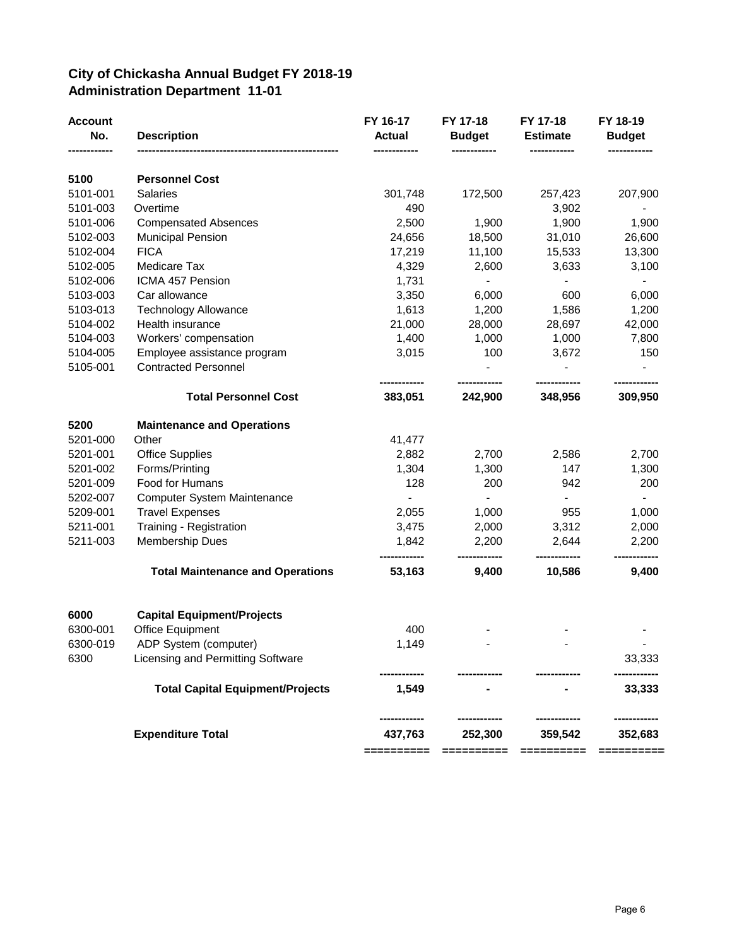#### **City of Chickasha Annual Budget FY 2018-19 Administration Department 11-01**

| <b>Account</b><br>No. | <b>Description</b>                      | FY 16-17<br><b>Actual</b><br> | FY 17-18<br><b>Budget</b> | FY 17-18<br><b>Estimate</b> | FY 18-19<br><b>Budget</b> |
|-----------------------|-----------------------------------------|-------------------------------|---------------------------|-----------------------------|---------------------------|
| 5100                  | <b>Personnel Cost</b>                   |                               |                           |                             |                           |
| 5101-001              | Salaries                                | 301,748                       | 172,500                   | 257,423                     | 207,900                   |
| 5101-003              | Overtime                                | 490                           |                           | 3,902                       |                           |
| 5101-006              | <b>Compensated Absences</b>             | 2,500                         | 1,900                     | 1,900                       | 1,900                     |
| 5102-003              | <b>Municipal Pension</b>                | 24,656                        | 18,500                    | 31,010                      | 26,600                    |
| 5102-004              | <b>FICA</b>                             | 17,219                        | 11,100                    | 15,533                      | 13,300                    |
| 5102-005              | Medicare Tax                            | 4,329                         | 2,600                     | 3,633                       | 3,100                     |
| 5102-006              | ICMA 457 Pension                        | 1,731                         | $\blacksquare$            |                             |                           |
| 5103-003              | Car allowance                           | 3,350                         | 6,000                     | 600                         | 6,000                     |
| 5103-013              | <b>Technology Allowance</b>             | 1,613                         | 1,200                     | 1,586                       | 1,200                     |
| 5104-002              | Health insurance                        | 21,000                        | 28,000                    | 28,697                      | 42,000                    |
| 5104-003              | Workers' compensation                   | 1,400                         | 1,000                     | 1,000                       | 7,800                     |
| 5104-005              | Employee assistance program             | 3,015                         | 100                       | 3,672                       | 150                       |
| 5105-001              | <b>Contracted Personnel</b>             |                               |                           |                             |                           |
|                       | <b>Total Personnel Cost</b>             | 383,051                       | 242,900                   | 348,956                     | 309,950                   |
| 5200                  | <b>Maintenance and Operations</b>       |                               |                           |                             |                           |
| 5201-000              | Other                                   | 41,477                        |                           |                             |                           |
| 5201-001              | <b>Office Supplies</b>                  | 2,882                         | 2,700                     | 2,586                       | 2,700                     |
| 5201-002              | Forms/Printing                          | 1,304                         | 1,300                     | 147                         | 1,300                     |
| 5201-009              | Food for Humans                         | 128                           | 200                       | 942                         | 200                       |
| 5202-007              | <b>Computer System Maintenance</b>      | $\blacksquare$                | $\blacksquare$            | $\blacksquare$              | $\blacksquare$            |
| 5209-001              | <b>Travel Expenses</b>                  | 2,055                         | 1,000                     | 955                         | 1,000                     |
| 5211-001              | Training - Registration                 | 3,475                         | 2,000                     | 3,312                       | 2,000                     |
| 5211-003              | <b>Membership Dues</b>                  | 1,842                         | 2,200                     | 2,644                       | 2,200                     |
|                       | <b>Total Maintenance and Operations</b> | ----------<br>53,163          | ----------<br>9,400       | ----------<br>10,586        | ---------<br>9,400        |
| 6000                  | <b>Capital Equipment/Projects</b>       |                               |                           |                             |                           |
| 6300-001              | <b>Office Equipment</b>                 | 400                           |                           |                             |                           |
| 6300-019              | ADP System (computer)                   | 1,149                         |                           |                             |                           |
| 6300                  | Licensing and Permitting Software       |                               |                           |                             | 33,333                    |
|                       | <b>Total Capital Equipment/Projects</b> | 1,549                         |                           |                             | 33,333                    |
|                       | <b>Expenditure Total</b>                | 437,763<br>==========         | 252,300<br>==========     | 359,542<br>==========       | 352,683<br>==========     |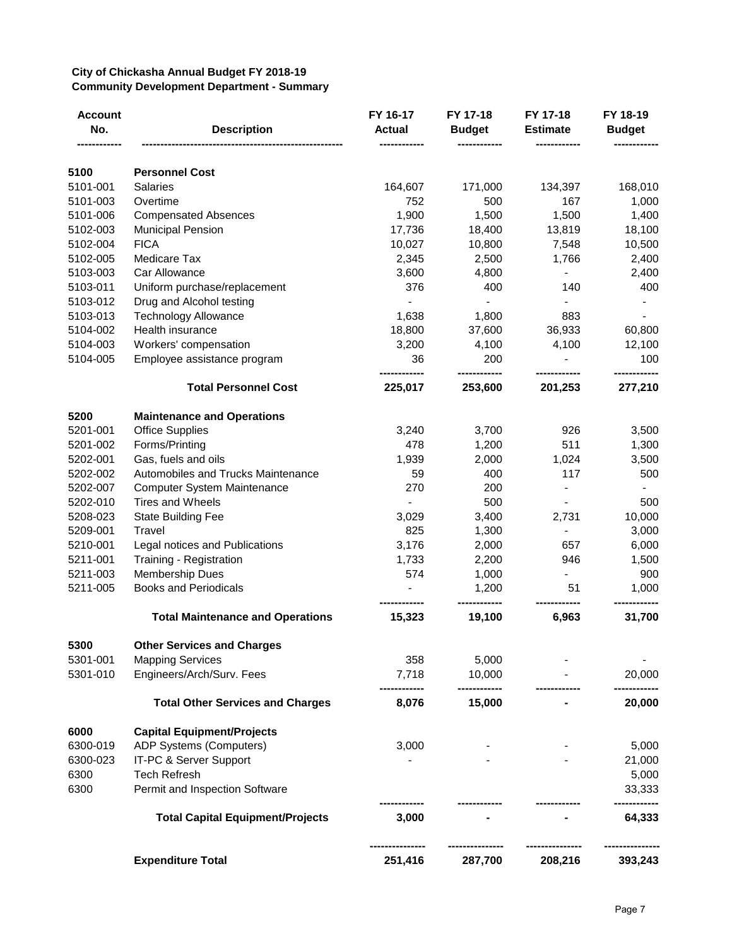#### **City of Chickasha Annual Budget FY 2018-19 Community Development Department - Summary**

| <b>Account</b><br>No. | <b>Description</b>                      | FY 16-17<br><b>Actual</b> | FY 17-18<br><b>Budget</b> | FY 17-18<br><b>Estimate</b> | FY 18-19<br><b>Budget</b> |
|-----------------------|-----------------------------------------|---------------------------|---------------------------|-----------------------------|---------------------------|
| 5100                  | <b>Personnel Cost</b>                   |                           |                           |                             |                           |
| 5101-001              | <b>Salaries</b>                         | 164,607                   | 171,000                   | 134,397                     | 168,010                   |
| 5101-003              | Overtime                                | 752                       | 500                       | 167                         | 1,000                     |
| 5101-006              | <b>Compensated Absences</b>             | 1,900                     | 1,500                     | 1,500                       | 1,400                     |
| 5102-003              | <b>Municipal Pension</b>                | 17,736                    | 18,400                    | 13,819                      | 18,100                    |
| 5102-004              | <b>FICA</b>                             | 10,027                    | 10,800                    | 7,548                       | 10,500                    |
| 5102-005              | Medicare Tax                            | 2,345                     | 2,500                     | 1,766                       | 2,400                     |
| 5103-003              | Car Allowance                           | 3,600                     | 4,800                     |                             | 2,400                     |
| 5103-011              | Uniform purchase/replacement            | 376                       | 400                       | 140                         | 400                       |
| 5103-012              | Drug and Alcohol testing                |                           |                           |                             |                           |
| 5103-013              | <b>Technology Allowance</b>             | 1,638                     | 1,800                     | 883                         |                           |
| 5104-002              | Health insurance                        | 18,800                    | 37,600                    | 36,933                      | 60,800                    |
| 5104-003              | Workers' compensation                   | 3,200                     | 4,100                     | 4,100                       | 12,100                    |
| 5104-005              | Employee assistance program             | 36                        | 200                       |                             | 100                       |
|                       | <b>Total Personnel Cost</b>             | ---------<br>225,017      | <br>253,600               | 201,253                     | 277,210                   |
| 5200                  | <b>Maintenance and Operations</b>       |                           |                           |                             |                           |
| 5201-001              | <b>Office Supplies</b>                  | 3,240                     | 3,700                     | 926                         | 3,500                     |
| 5201-002              | Forms/Printing                          | 478                       | 1,200                     | 511                         | 1,300                     |
| 5202-001              | Gas, fuels and oils                     | 1,939                     | 2,000                     | 1,024                       | 3,500                     |
| 5202-002              | Automobiles and Trucks Maintenance      | 59                        | 400                       | 117                         | 500                       |
| 5202-007              | <b>Computer System Maintenance</b>      | 270                       | 200                       | $\overline{\phantom{0}}$    |                           |
| 5202-010              | Tires and Wheels                        |                           | 500                       |                             | 500                       |
| 5208-023              | <b>State Building Fee</b>               | 3,029                     | 3,400                     | 2,731                       | 10,000                    |
| 5209-001              | Travel                                  | 825                       | 1,300                     |                             | 3,000                     |
| 5210-001              | Legal notices and Publications          | 3,176                     | 2,000                     | 657                         | 6,000                     |
| 5211-001              | Training - Registration                 | 1,733                     | 2,200                     | 946                         | 1,500                     |
| 5211-003              | <b>Membership Dues</b>                  | 574                       | 1,000                     |                             | 900                       |
| 5211-005              | <b>Books and Periodicals</b>            |                           | 1,200                     | 51                          | 1,000                     |
|                       | <b>Total Maintenance and Operations</b> | 15,323                    | 19,100                    | 6,963                       | 31,700                    |
| 5300                  | <b>Other Services and Charges</b>       |                           |                           |                             |                           |
| 5301-001              | <b>Mapping Services</b>                 | 358                       | 5,000                     |                             |                           |
| 5301-010              | Engineers/Arch/Surv. Fees               | 7,718                     | 10,000                    |                             | 20,000                    |
|                       | <b>Total Other Services and Charges</b> | 8,076                     | 15,000                    |                             | 20,000                    |
| 6000                  | <b>Capital Equipment/Projects</b>       |                           |                           |                             |                           |
| 6300-019              | ADP Systems (Computers)                 | 3,000                     |                           |                             | 5,000                     |
| 6300-023              | IT-PC & Server Support                  |                           |                           |                             | 21,000                    |
| 6300                  | <b>Tech Refresh</b>                     |                           |                           |                             | 5,000                     |
| 6300                  | Permit and Inspection Software          |                           |                           |                             | 33,333                    |
|                       | <b>Total Capital Equipment/Projects</b> | 3,000                     |                           |                             | 64,333                    |
|                       | <b>Expenditure Total</b>                | 251,416                   | 287,700                   | 208,216                     | 393,243                   |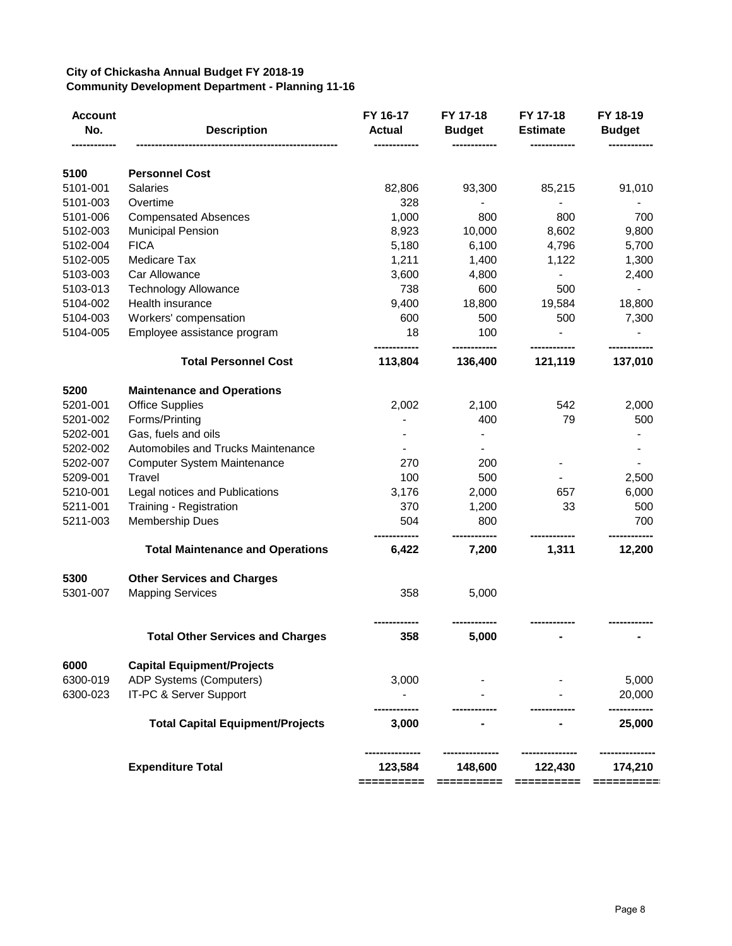#### **City of Chickasha Annual Budget FY 2018-19 Community Development Department - Planning 11-16**

| <b>Account</b><br>No. | <b>Description</b>                      | FY 16-17<br><b>Actual</b> | FY 17-18<br><b>Budget</b> | FY 17-18<br><b>Estimate</b> | FY 18-19<br><b>Budget</b> |
|-----------------------|-----------------------------------------|---------------------------|---------------------------|-----------------------------|---------------------------|
| 5100                  | <b>Personnel Cost</b>                   |                           |                           |                             |                           |
| 5101-001              | <b>Salaries</b>                         | 82,806                    | 93,300                    | 85,215                      | 91,010                    |
| 5101-003              | Overtime                                | 328                       |                           |                             |                           |
| 5101-006              | <b>Compensated Absences</b>             | 1,000                     | 800                       | 800                         | 700                       |
| 5102-003              | <b>Municipal Pension</b>                | 8,923                     | 10,000                    | 8,602                       | 9,800                     |
| 5102-004              | <b>FICA</b>                             | 5,180                     | 6,100                     | 4,796                       | 5,700                     |
| 5102-005              | Medicare Tax                            | 1,211                     | 1,400                     | 1,122                       | 1,300                     |
| 5103-003              | Car Allowance                           | 3,600                     | 4,800                     |                             | 2,400                     |
| 5103-013              | <b>Technology Allowance</b>             | 738                       | 600                       | 500                         |                           |
| 5104-002              | Health insurance                        | 9,400                     | 18,800                    | 19,584                      | 18,800                    |
| 5104-003              | Workers' compensation                   | 600                       | 500                       | 500                         | 7,300                     |
| 5104-005              | Employee assistance program             | 18                        | 100                       |                             |                           |
|                       | <b>Total Personnel Cost</b>             | 113,804                   | 136,400                   | 121,119                     | 137,010                   |
| 5200                  | <b>Maintenance and Operations</b>       |                           |                           |                             |                           |
| 5201-001              | <b>Office Supplies</b>                  | 2,002                     | 2,100                     | 542                         | 2,000                     |
| 5201-002              | Forms/Printing                          |                           | 400                       | 79                          | 500                       |
| 5202-001              | Gas, fuels and oils                     |                           |                           |                             |                           |
| 5202-002              | Automobiles and Trucks Maintenance      |                           |                           |                             |                           |
| 5202-007              | <b>Computer System Maintenance</b>      | 270                       | 200                       |                             |                           |
| 5209-001              | Travel                                  | 100                       | 500                       |                             | 2,500                     |
| 5210-001              | Legal notices and Publications          | 3,176                     | 2,000                     | 657                         | 6,000                     |
| 5211-001              | Training - Registration                 | 370                       | 1,200                     | 33                          | 500                       |
| 5211-003              | <b>Membership Dues</b>                  | 504                       | 800                       |                             | 700                       |
|                       | <b>Total Maintenance and Operations</b> | 6,422                     | 7,200                     | 1,311                       | 12,200                    |
| 5300                  | <b>Other Services and Charges</b>       |                           |                           |                             |                           |
| 5301-007              | <b>Mapping Services</b>                 | 358                       | 5,000                     |                             |                           |
|                       | <b>Total Other Services and Charges</b> | 358                       | 5,000                     |                             |                           |
| 6000                  | <b>Capital Equipment/Projects</b>       |                           |                           |                             |                           |
| 6300-019              | ADP Systems (Computers)                 | 3,000                     |                           |                             | 5,000                     |
| 6300-023              | IT-PC & Server Support                  |                           |                           |                             | 20,000                    |
|                       | <b>Total Capital Equipment/Projects</b> | 3,000                     |                           |                             | 25,000                    |
|                       | <b>Expenditure Total</b>                | 123,584<br>==========     | 148,600<br>==========     | 122,430<br>==========       | 174,210<br>==========     |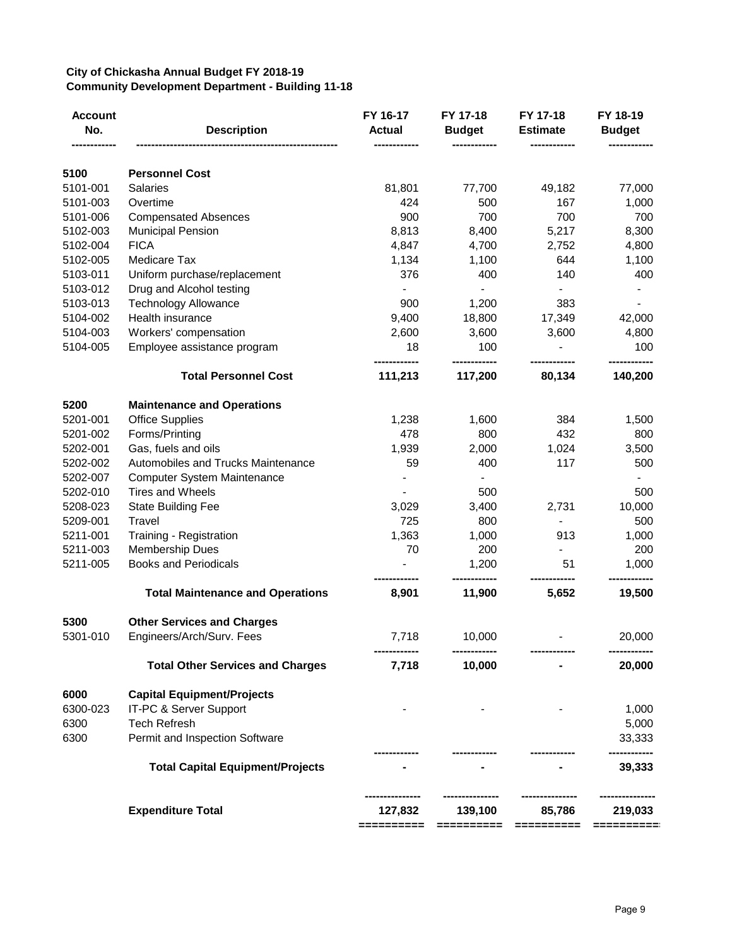#### **City of Chickasha Annual Budget FY 2018-19 Community Development Department - Building 11-18**

| Account<br>No.<br>---------- | <b>Description</b>                      | FY 16-17<br><b>Actual</b><br>------------ | FY 17-18<br><b>Budget</b> | FY 17-18<br><b>Estimate</b> | FY 18-19<br><b>Budget</b> |
|------------------------------|-----------------------------------------|-------------------------------------------|---------------------------|-----------------------------|---------------------------|
| 5100                         | <b>Personnel Cost</b>                   |                                           |                           |                             |                           |
| 5101-001                     | <b>Salaries</b>                         | 81,801                                    | 77,700                    | 49,182                      | 77,000                    |
| 5101-003                     | Overtime                                | 424                                       | 500                       | 167                         | 1,000                     |
| 5101-006                     | <b>Compensated Absences</b>             | 900                                       | 700                       | 700                         | 700                       |
| 5102-003                     | <b>Municipal Pension</b>                | 8,813                                     | 8,400                     | 5,217                       | 8,300                     |
| 5102-004                     | <b>FICA</b>                             | 4,847                                     | 4,700                     | 2,752                       | 4,800                     |
| 5102-005                     | Medicare Tax                            | 1,134                                     | 1,100                     | 644                         | 1,100                     |
| 5103-011                     | Uniform purchase/replacement            | 376                                       | 400                       | 140                         | 400                       |
| 5103-012                     | Drug and Alcohol testing                |                                           |                           | $\blacksquare$              |                           |
| 5103-013                     | <b>Technology Allowance</b>             | 900                                       | 1,200                     | 383                         |                           |
| 5104-002                     | Health insurance                        | 9,400                                     | 18,800                    | 17,349                      | 42,000                    |
| 5104-003                     | Workers' compensation                   | 2,600                                     | 3,600                     | 3,600                       | 4,800                     |
| 5104-005                     | Employee assistance program             | 18                                        | 100                       |                             | 100                       |
|                              | <b>Total Personnel Cost</b>             | 111,213                                   | 117,200                   | 80,134                      | 140,200                   |
| 5200                         | <b>Maintenance and Operations</b>       |                                           |                           |                             |                           |
| 5201-001                     | <b>Office Supplies</b>                  | 1,238                                     | 1,600                     | 384                         | 1,500                     |
| 5201-002                     | Forms/Printing                          | 478                                       | 800                       | 432                         | 800                       |
| 5202-001                     | Gas, fuels and oils                     | 1,939                                     | 2,000                     | 1,024                       | 3,500                     |
| 5202-002                     | Automobiles and Trucks Maintenance      | 59                                        | 400                       | 117                         | 500                       |
| 5202-007                     | <b>Computer System Maintenance</b>      |                                           | $\blacksquare$            |                             |                           |
| 5202-010                     | <b>Tires and Wheels</b>                 |                                           | 500                       |                             | 500                       |
| 5208-023                     | <b>State Building Fee</b>               | 3,029                                     | 3,400                     | 2,731                       | 10,000                    |
| 5209-001                     | Travel                                  | 725                                       | 800                       | $\blacksquare$              | 500                       |
| 5211-001                     | Training - Registration                 | 1,363                                     | 1,000                     | 913                         | 1,000                     |
| 5211-003                     | <b>Membership Dues</b>                  | 70                                        | 200                       |                             | 200                       |
| 5211-005                     | <b>Books and Periodicals</b>            |                                           | 1,200                     | 51                          | 1,000                     |
|                              | <b>Total Maintenance and Operations</b> | 8,901                                     | 11,900                    | 5,652                       | 19,500                    |
| 5300                         | <b>Other Services and Charges</b>       |                                           |                           |                             |                           |
| 5301-010                     | Engineers/Arch/Surv. Fees               | 7,718                                     | 10,000                    |                             | 20,000                    |
|                              | <b>Total Other Services and Charges</b> | 7,718                                     | 10,000                    |                             | 20,000                    |
| 6000                         | <b>Capital Equipment/Projects</b>       |                                           |                           |                             |                           |
| 6300-023                     | IT-PC & Server Support                  |                                           |                           |                             | 1,000                     |
| 6300                         | <b>Tech Refresh</b>                     |                                           |                           |                             | 5,000                     |
| 6300                         | Permit and Inspection Software          |                                           |                           |                             | 33,333                    |
|                              | <b>Total Capital Equipment/Projects</b> |                                           |                           |                             | 39,333                    |
|                              | <b>Expenditure Total</b>                | 127,832                                   | 139,100                   | 85,786                      | 219,033                   |
|                              |                                         | ==========                                | ==========                | ==========                  | ==========                |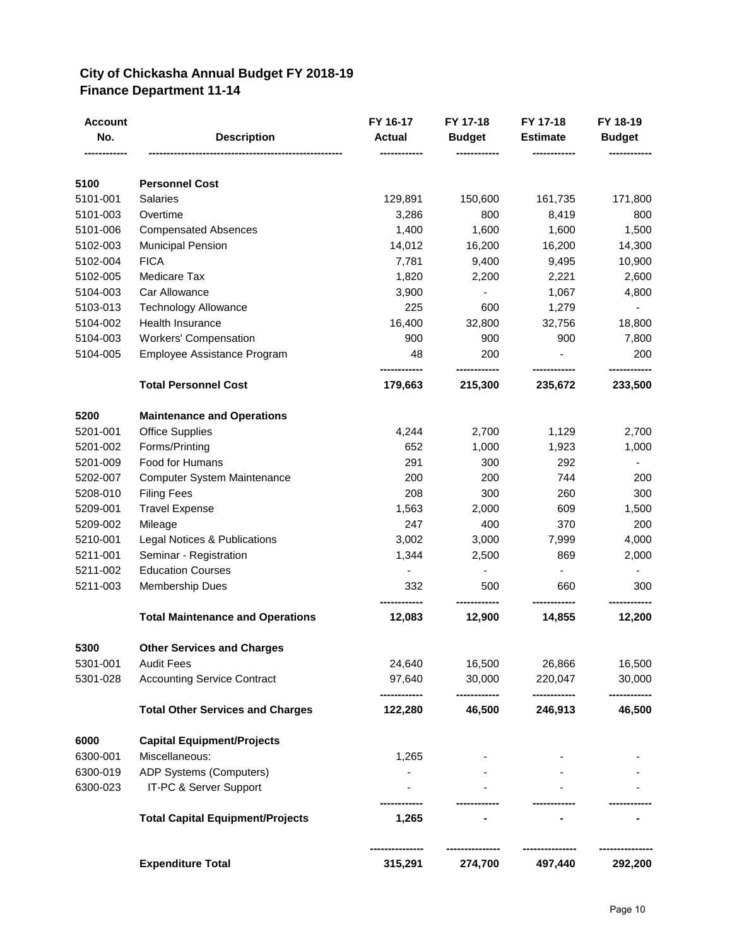#### **City of Chickasha Annual Budget FY 2018-19 Finance Department 11-14**

| Account<br>No. | <b>Description</b>                      | FY 16-17<br><b>Actual</b> | FY 17-18<br><b>Budget</b> | FY 17-18<br><b>Estimate</b> | FY 18-19<br><b>Budget</b> |
|----------------|-----------------------------------------|---------------------------|---------------------------|-----------------------------|---------------------------|
|                |                                         |                           |                           |                             |                           |
| 5100           | <b>Personnel Cost</b>                   |                           |                           |                             |                           |
| 5101-001       | <b>Salaries</b>                         | 129,891                   | 150,600                   | 161,735                     | 171,800                   |
| 5101-003       | Overtime                                | 3,286                     | 800                       | 8,419                       | 800                       |
| 5101-006       | <b>Compensated Absences</b>             | 1,400                     | 1,600                     | 1,600                       | 1,500                     |
| 5102-003       | Municipal Pension                       | 14,012                    | 16,200                    | 16,200                      | 14,300                    |
| 5102-004       | <b>FICA</b>                             | 7,781                     | 9,400                     | 9,495                       | 10,900                    |
| 5102-005       | Medicare Tax                            | 1,820                     | 2,200                     | 2,221                       | 2,600                     |
| 5104-003       | Car Allowance                           | 3,900                     | $\blacksquare$            | 1,067                       | 4,800                     |
| 5103-013       | <b>Technology Allowance</b>             | 225                       | 600                       | 1,279                       |                           |
| 5104-002       | <b>Health Insurance</b>                 | 16,400                    | 32,800                    | 32,756                      | 18,800                    |
| 5104-003       | Workers' Compensation                   | 900                       | 900                       | 900                         | 7,800                     |
| 5104-005       | Employee Assistance Program             | 48                        | 200<br>------------       |                             | 200<br>-----------        |
|                | <b>Total Personnel Cost</b>             | 179,663                   | 215,300                   | 235,672                     | 233,500                   |
| 5200           | <b>Maintenance and Operations</b>       |                           |                           |                             |                           |
| 5201-001       | <b>Office Supplies</b>                  | 4,244                     | 2,700                     | 1,129                       | 2,700                     |
| 5201-002       | Forms/Printing                          | 652                       | 1,000                     | 1,923                       | 1,000                     |
| 5201-009       | Food for Humans                         | 291                       | 300                       | 292                         |                           |
| 5202-007       | <b>Computer System Maintenance</b>      | 200                       | 200                       | 744                         | 200                       |
| 5208-010       | <b>Filing Fees</b>                      | 208                       | 300                       | 260                         | 300                       |
| 5209-001       | <b>Travel Expense</b>                   | 1,563                     | 2,000                     | 609                         | 1,500                     |
| 5209-002       | Mileage                                 | 247                       | 400                       | 370                         | 200                       |
| 5210-001       | Legal Notices & Publications            | 3,002                     | 3,000                     | 7,999                       | 4,000                     |
| 5211-001       | Seminar - Registration                  | 1,344                     | 2,500                     | 869                         | 2,000                     |
| 5211-002       | <b>Education Courses</b>                | $\blacksquare$            | $\blacksquare$            | $\blacksquare$              | $\blacksquare$            |
| 5211-003       | Membership Dues                         | 332                       | 500                       | 660                         | 300                       |
|                | <b>Total Maintenance and Operations</b> | 12,083                    | 12,900                    | 14,855                      | 12,200                    |
| 5300           | <b>Other Services and Charges</b>       |                           |                           |                             |                           |
| 5301-001       | <b>Audit Fees</b>                       | 24,640                    | 16,500                    | 26,866                      | 16,500                    |
| 5301-028       | <b>Accounting Service Contract</b>      | 97,640                    | 30,000                    | 220,047                     | 30,000                    |
|                | <b>Total Other Services and Charges</b> | 122,280                   | 46,500                    | 246,913                     | 46,500                    |
| 6000           | <b>Capital Equipment/Projects</b>       |                           |                           |                             |                           |
| 6300-001       | Miscellaneous:                          | 1,265                     |                           |                             |                           |
| 6300-019       | ADP Systems (Computers)                 |                           |                           |                             |                           |
| 6300-023       | IT-PC & Server Support                  |                           |                           |                             |                           |
|                | <b>Total Capital Equipment/Projects</b> | 1,265                     |                           |                             |                           |
|                | <b>Expenditure Total</b>                | 315,291                   | 274,700                   | 497,440                     | 292,200                   |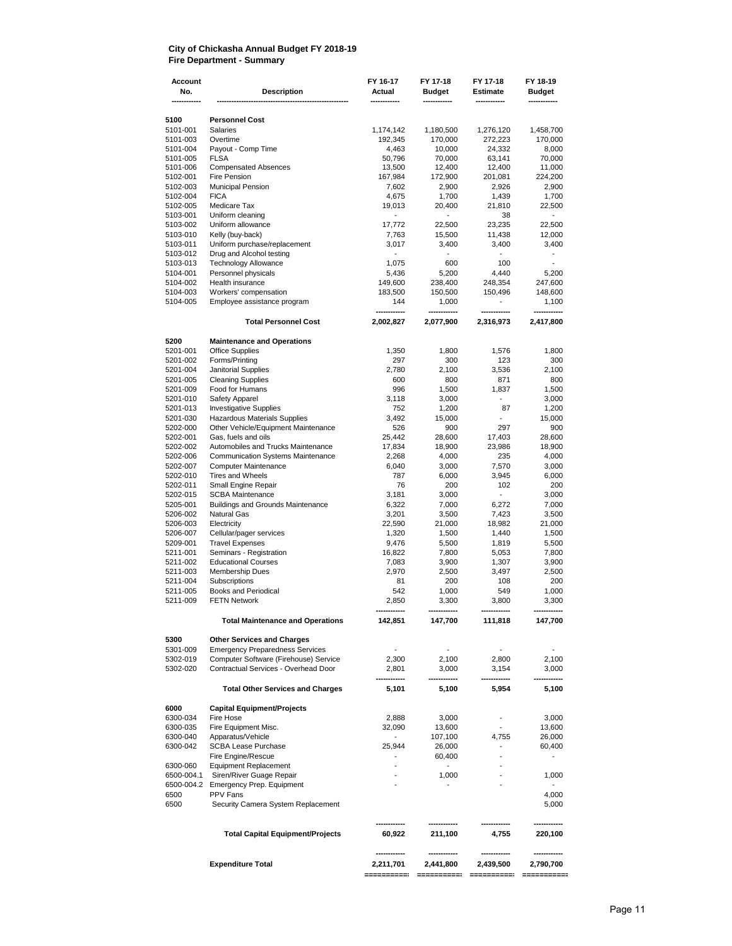#### **City of Chickasha Annual Budget FY 2018-19 Fire Department - Summary**

| <b>Account</b><br>No. | <b>Description</b>                                 | FY 16-17<br>Actual                 | FY 17-18<br><b>Budget</b> | FY 17-18<br>Estimate    | FY 18-19<br><b>Budget</b> |
|-----------------------|----------------------------------------------------|------------------------------------|---------------------------|-------------------------|---------------------------|
|                       |                                                    |                                    |                           |                         |                           |
| 5100<br>5101-001      | <b>Personnel Cost</b><br>Salaries                  | 1,174,142                          | 1,180,500                 | 1,276,120               | 1,458,700                 |
| 5101-003              | Overtime                                           | 192,345                            | 170,000                   | 272,223                 | 170,000                   |
| 5101-004              | Payout - Comp Time                                 | 4,463                              | 10,000                    | 24,332                  | 8,000                     |
| 5101-005              | <b>FLSA</b>                                        | 50,796                             | 70,000                    | 63,141                  | 70,000                    |
| 5101-006              | <b>Compensated Absences</b>                        | 13,500                             | 12,400                    | 12,400                  | 11,000                    |
| 5102-001              | Fire Pension                                       | 167,984                            | 172,900                   | 201,081                 | 224,200                   |
| 5102-003<br>5102-004  | <b>Municipal Pension</b><br><b>FICA</b>            | 7,602<br>4,675                     | 2,900<br>1,700            | 2,926<br>1,439          | 2,900<br>1,700            |
| 5102-005              | Medicare Tax                                       | 19,013                             | 20,400                    | 21,810                  | 22,500                    |
| 5103-001              | Uniform cleaning                                   |                                    |                           | 38                      |                           |
| 5103-002              | Uniform allowance                                  | 17,772                             | 22,500                    | 23,235                  | 22,500                    |
| 5103-010              | Kelly (buy-back)                                   | 7,763                              | 15,500                    | 11,438                  | 12,000                    |
| 5103-011              | Uniform purchase/replacement                       | 3,017                              | 3,400                     | 3,400                   | 3,400                     |
| 5103-012              | Drug and Alcohol testing                           | $\blacksquare$                     |                           |                         | $\overline{a}$            |
| 5103-013<br>5104-001  | <b>Technology Allowance</b><br>Personnel physicals | 1,075<br>5,436                     | 600<br>5,200              | 100<br>4,440            | 5,200                     |
| 5104-002              | Health insurance                                   | 149,600                            | 238,400                   | 248,354                 | 247,600                   |
| 5104-003              | Workers' compensation                              | 183,500                            | 150,500                   | 150,496                 | 148,600                   |
| 5104-005              | Employee assistance program                        | 144                                | 1,000                     | $\overline{a}$          | 1,100                     |
|                       | <b>Total Personnel Cost</b>                        | 2,002,827                          | 2,077,900                 | 2,316,973               | 2,417,800                 |
| 5200                  | <b>Maintenance and Operations</b>                  |                                    |                           |                         |                           |
| 5201-001              | <b>Office Supplies</b>                             | 1,350                              | 1,800                     | 1,576                   | 1,800                     |
| 5201-002              | Forms/Printing                                     | 297                                | 300                       | 123                     | 300                       |
| 5201-004              | <b>Janitorial Supplies</b>                         | 2,780                              | 2,100                     | 3,536                   | 2,100                     |
| 5201-005<br>5201-009  | <b>Cleaning Supplies</b>                           | 600                                | 800                       | 871                     | 800                       |
| 5201-010              | Food for Humans<br>Safety Apparel                  | 996<br>3,118                       | 1,500<br>3,000            | 1,837<br>$\overline{a}$ | 1,500<br>3,000            |
| 5201-013              | <b>Investigative Supplies</b>                      | 752                                | 1,200                     | 87                      | 1,200                     |
| 5201-030              | Hazardous Materials Supplies                       | 3,492                              | 15,000                    |                         | 15,000                    |
| 5202-000              | Other Vehicle/Equipment Maintenance                | 526                                | 900                       | 297                     | 900                       |
| 5202-001              | Gas, fuels and oils                                | 25,442                             | 28,600                    | 17,403                  | 28,600                    |
| 5202-002              | Automobiles and Trucks Maintenance                 | 17,834                             | 18,900                    | 23,986                  | 18,900                    |
| 5202-006              | <b>Communication Systems Maintenance</b>           | 2,268                              | 4,000                     | 235                     | 4,000                     |
| 5202-007<br>5202-010  | <b>Computer Maintenance</b><br>Tires and Wheels    | 6,040<br>787                       | 3,000                     | 7,570                   | 3,000<br>6,000            |
| 5202-011              | Small Engine Repair                                | 76                                 | 6,000<br>200              | 3,945<br>102            | 200                       |
| 5202-015              | <b>SCBA Maintenance</b>                            | 3,181                              | 3,000                     | ÷.                      | 3,000                     |
| 5205-001              | <b>Buildings and Grounds Maintenance</b>           | 6,322                              | 7,000                     | 6,272                   | 7,000                     |
| 5206-002              | <b>Natural Gas</b>                                 | 3,201                              | 3,500                     | 7,423                   | 3,500                     |
| 5206-003              | Electricity                                        | 22,590                             | 21,000                    | 18,982                  | 21,000                    |
| 5206-007              | Cellular/pager services                            | 1,320                              | 1,500                     | 1,440                   | 1,500                     |
| 5209-001              | <b>Travel Expenses</b><br>Seminars - Registration  | 9,476                              | 5,500                     | 1,819                   | 5,500                     |
| 5211-001<br>5211-002  | <b>Educational Courses</b>                         | 16,822<br>7,083                    | 7,800<br>3,900            | 5,053<br>1,307          | 7,800<br>3,900            |
| 5211-003              | <b>Membership Dues</b>                             | 2,970                              | 2,500                     | 3,497                   | 2,500                     |
| 5211-004              | Subscriptions                                      | 81                                 | 200                       | 108                     | 200                       |
| 5211-005              | <b>Books and Periodical</b>                        | 542                                | 1,000                     | 549                     | 1,000                     |
| 5211-009              | <b>FETN Network</b>                                | 2,850                              | 3,300                     | 3,800                   | 3,300                     |
|                       | <b>Total Maintenance and Operations</b>            | 142,851                            | 147,700                   | 111,818                 | 147,700                   |
| 5300                  | <b>Other Services and Charges</b>                  |                                    |                           |                         |                           |
| 5301-009              | <b>Emergency Preparedness Services</b>             | $\blacksquare$                     | $\overline{\phantom{a}}$  | ÷,                      |                           |
| 5302-019              | Computer Software (Firehouse) Service              | 2,300                              | 2,100                     | 2,800                   | 2,100                     |
| 5302-020              | Contractual Services - Overhead Door               | 2,801                              | 3,000                     | 3,154                   | 3,000                     |
|                       | <b>Total Other Services and Charges</b>            | 5,101                              | 5,100                     | 5,954                   | 5,100                     |
| 6000                  | <b>Capital Equipment/Projects</b>                  |                                    |                           |                         |                           |
| 6300-034              | Fire Hose                                          | 2,888                              | 3,000                     | $\overline{a}$          | 3,000                     |
| 6300-035<br>6300-040  | Fire Equipment Misc.<br>Apparatus/Vehicle          | 32,090<br>$\overline{\phantom{a}}$ | 13,600<br>107,100         | 4,755                   | 13,600<br>26,000          |
| 6300-042              | SCBA Lease Purchase                                | 25,944                             | 26,000                    | $\overline{a}$          | 60,400                    |
|                       | Fire Engine/Rescue                                 | $\overline{\phantom{a}}$           | 60,400                    |                         | $\overline{\phantom{a}}$  |
| 6300-060              | <b>Equipment Replacement</b>                       | $\overline{\phantom{a}}$           | $\blacksquare$            |                         |                           |
| 6500-004.1            | Siren/River Guage Repair                           |                                    | 1,000                     |                         | 1,000                     |
| 6500-004.2            | Emergency Prep. Equipment                          |                                    |                           |                         | $\overline{\phantom{a}}$  |
| 6500<br>6500          | PPV Fans<br>Security Camera System Replacement     |                                    |                           |                         | 4,000<br>5,000            |
|                       | <b>Total Capital Equipment/Projects</b>            | 60,922                             | 211,100                   | 4,755                   | 220,100                   |
|                       | <b>Expenditure Total</b>                           | 2,211,701                          | 2,441,800                 | 2,439,500               | 2,790,700                 |
|                       |                                                    |                                    |                           |                         |                           |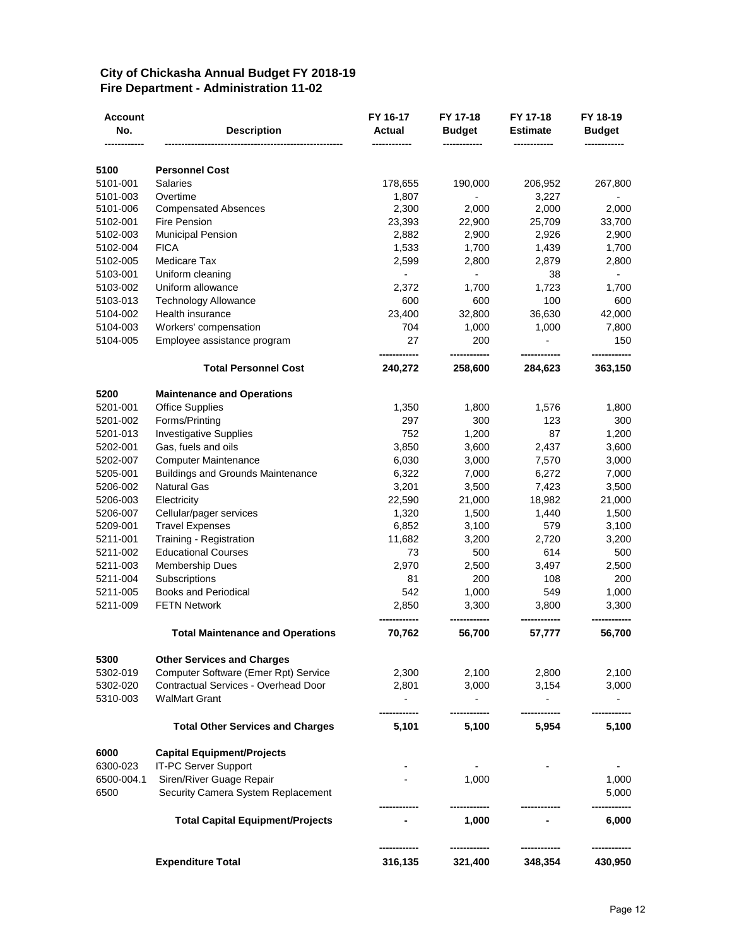#### **City of Chickasha Annual Budget FY 2018-19 Fire Department - Administration 11-02**

| Account<br>No.     | <b>Description</b>                                             | FY 16-17<br>Actual       | FY 17-18<br><b>Budget</b> | FY 17-18<br><b>Estimate</b> | FY 18-19<br><b>Budget</b> |
|--------------------|----------------------------------------------------------------|--------------------------|---------------------------|-----------------------------|---------------------------|
| 5100               | <b>Personnel Cost</b>                                          |                          |                           |                             |                           |
| 5101-001           | <b>Salaries</b>                                                | 178,655                  | 190,000                   | 206,952                     | 267,800                   |
| 5101-003           | Overtime                                                       | 1,807                    |                           | 3,227                       |                           |
| 5101-006           | <b>Compensated Absences</b>                                    | 2,300                    | 2,000                     | 2,000                       | 2,000                     |
| 5102-001           | <b>Fire Pension</b>                                            | 23,393                   | 22,900                    | 25,709                      | 33,700                    |
| 5102-003           | <b>Municipal Pension</b>                                       | 2,882                    | 2,900                     | 2,926                       | 2,900                     |
| 5102-004           | <b>FICA</b>                                                    | 1,533                    | 1,700                     | 1,439                       | 1,700                     |
| 5102-005           | Medicare Tax                                                   | 2,599                    | 2,800                     | 2,879                       | 2,800                     |
| 5103-001           | Uniform cleaning                                               | $\overline{\phantom{a}}$ | $\overline{a}$            | 38                          | $\overline{\phantom{0}}$  |
| 5103-002           | Uniform allowance                                              | 2,372                    | 1,700                     | 1,723                       | 1,700                     |
| 5103-013           | <b>Technology Allowance</b>                                    | 600                      | 600                       | 100                         | 600                       |
| 5104-002           | Health insurance                                               | 23,400                   | 32,800                    | 36,630                      | 42,000                    |
| 5104-003           | Workers' compensation                                          | 704                      | 1,000                     | 1,000                       | 7,800                     |
| 5104-005           | Employee assistance program                                    | 27                       | 200                       |                             | 150                       |
|                    | <b>Total Personnel Cost</b>                                    | 240,272                  | 258,600                   | 284,623                     | 363,150                   |
| 5200               | <b>Maintenance and Operations</b>                              |                          |                           |                             |                           |
| 5201-001           | <b>Office Supplies</b>                                         | 1,350                    | 1,800                     | 1,576                       | 1,800                     |
| 5201-002           | Forms/Printing                                                 | 297                      | 300                       | 123                         | 300                       |
| 5201-013           | <b>Investigative Supplies</b>                                  | 752                      | 1,200                     | 87                          | 1,200                     |
| 5202-001           | Gas, fuels and oils                                            | 3,850                    | 3,600                     | 2,437                       | 3,600                     |
| 5202-007           | <b>Computer Maintenance</b>                                    | 6,030                    | 3,000                     | 7,570                       | 3,000                     |
| 5205-001           | <b>Buildings and Grounds Maintenance</b>                       | 6,322                    | 7,000                     | 6,272                       | 7,000                     |
| 5206-002           | <b>Natural Gas</b>                                             | 3,201                    | 3,500                     | 7,423                       | 3,500                     |
| 5206-003           | Electricity                                                    | 22,590                   | 21,000                    | 18,982                      | 21,000                    |
| 5206-007           | Cellular/pager services                                        | 1,320                    | 1,500                     | 1,440                       | 1,500                     |
| 5209-001           | <b>Travel Expenses</b>                                         | 6,852                    | 3,100                     | 579                         | 3,100                     |
| 5211-001           | Training - Registration                                        | 11,682                   | 3,200                     | 2,720                       | 3,200                     |
| 5211-002           | <b>Educational Courses</b>                                     | 73                       | 500                       | 614                         | 500                       |
| 5211-003           | Membership Dues                                                | 2,970                    | 2,500                     | 3,497                       | 2,500                     |
| 5211-004           | Subscriptions                                                  | 81                       | 200                       | 108                         | 200                       |
| 5211-005           | <b>Books and Periodical</b>                                    | 542                      | 1,000                     | 549                         | 1,000                     |
| 5211-009           | <b>FETN Network</b>                                            | 2,850                    | 3,300                     | 3,800                       | 3,300                     |
|                    | <b>Total Maintenance and Operations</b>                        | 70,762                   | 56,700                    | 57,777                      | 56,700                    |
| 5300               | <b>Other Services and Charges</b>                              |                          |                           |                             |                           |
| 5302-019           | Computer Software (Emer Rpt) Service                           | 2,300                    | 2,100                     | 2,800                       | 2,100                     |
| 5302-020           | <b>Contractual Services - Overhead Door</b>                    | 2,801                    | 3,000                     | 3,154                       | 3,000                     |
| 5310-003           | <b>WalMart Grant</b>                                           |                          |                           |                             |                           |
|                    | <b>Total Other Services and Charges</b>                        | 5,101                    | 5,100                     | 5,954                       | 5,100                     |
| 6000               | <b>Capital Equipment/Projects</b>                              |                          |                           |                             |                           |
| 6300-023           | IT-PC Server Support                                           |                          |                           |                             |                           |
| 6500-004.1<br>6500 | Siren/River Guage Repair<br>Security Camera System Replacement |                          | 1,000                     |                             | 1,000<br>5,000            |
|                    | <b>Total Capital Equipment/Projects</b>                        |                          | 1,000                     |                             | 6,000                     |
|                    |                                                                |                          |                           |                             |                           |
|                    | <b>Expenditure Total</b>                                       | 316,135                  | 321,400                   | 348,354                     | 430,950                   |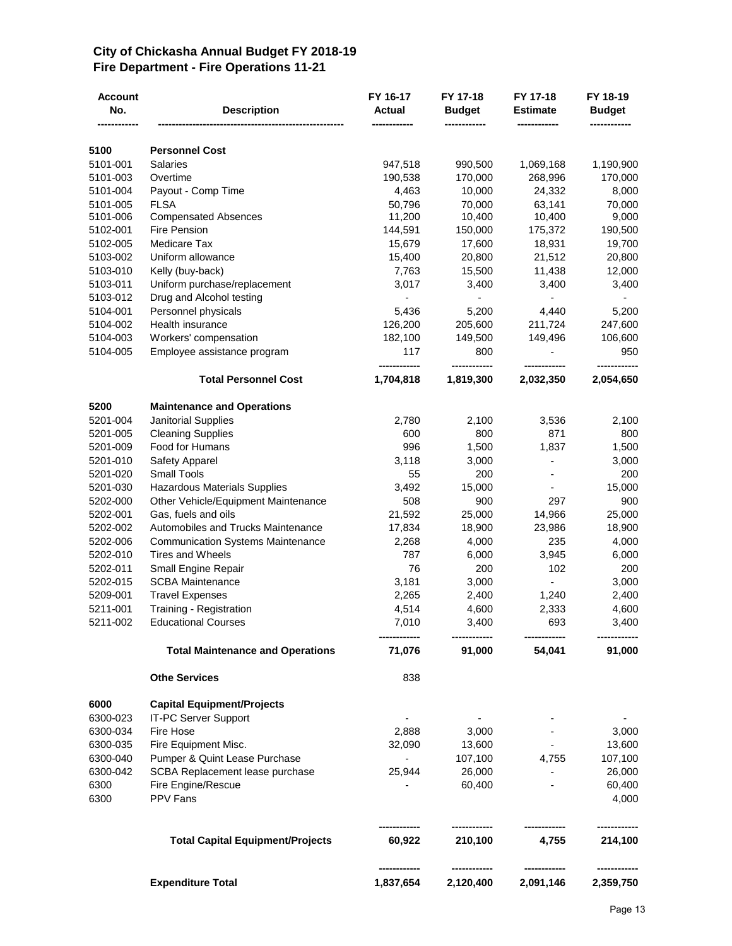#### **City of Chickasha Annual Budget FY 2018-19 Fire Department - Fire Operations 11-21**

| <b>Account</b><br>No. | <b>Description</b>                       | FY 16-17<br>Actual | FY 17-18<br><b>Budget</b> | FY 17-18<br><b>Estimate</b> | FY 18-19<br><b>Budget</b> |
|-----------------------|------------------------------------------|--------------------|---------------------------|-----------------------------|---------------------------|
| 5100                  | <b>Personnel Cost</b>                    |                    |                           |                             |                           |
| 5101-001              | <b>Salaries</b>                          | 947,518            | 990,500                   | 1,069,168                   | 1,190,900                 |
| 5101-003              | Overtime                                 | 190,538            | 170,000                   | 268,996                     | 170,000                   |
| 5101-004              | Payout - Comp Time                       | 4,463              | 10,000                    | 24,332                      | 8,000                     |
| 5101-005              | <b>FLSA</b>                              | 50,796             | 70,000                    | 63,141                      | 70,000                    |
| 5101-006              | <b>Compensated Absences</b>              | 11,200             | 10,400                    | 10,400                      | 9,000                     |
| 5102-001              | Fire Pension                             | 144,591            | 150,000                   | 175,372                     | 190,500                   |
| 5102-005              | Medicare Tax                             | 15,679             | 17,600                    | 18,931                      | 19,700                    |
| 5103-002              | Uniform allowance                        | 15,400             | 20,800                    | 21,512                      | 20,800                    |
| 5103-010              | Kelly (buy-back)                         | 7,763              | 15,500                    | 11,438                      | 12,000                    |
| 5103-011              | Uniform purchase/replacement             | 3,017              | 3,400                     | 3,400                       | 3,400                     |
| 5103-012              | Drug and Alcohol testing                 |                    |                           | $\blacksquare$              |                           |
| 5104-001              | Personnel physicals                      | 5,436              | 5,200                     | 4,440                       | 5,200                     |
| 5104-002              | Health insurance                         | 126,200            | 205,600                   | 211,724                     | 247,600                   |
| 5104-003              | Workers' compensation                    | 182,100            | 149,500                   | 149,496                     | 106,600                   |
| 5104-005              | Employee assistance program              | 117                | 800                       | ٠                           | 950                       |
|                       | <b>Total Personnel Cost</b>              | 1,704,818          | 1,819,300                 | 2,032,350                   | 2,054,650                 |
| 5200                  | <b>Maintenance and Operations</b>        |                    |                           |                             |                           |
| 5201-004              | Janitorial Supplies                      | 2,780              | 2,100                     | 3,536                       | 2,100                     |
| 5201-005              | <b>Cleaning Supplies</b>                 | 600                | 800                       | 871                         | 800                       |
| 5201-009              | Food for Humans                          | 996                | 1,500                     | 1,837                       | 1,500                     |
| 5201-010              | Safety Apparel                           | 3,118              | 3,000                     | $\overline{\phantom{a}}$    | 3,000                     |
| 5201-020              | <b>Small Tools</b>                       | 55                 | 200                       |                             | 200                       |
| 5201-030              | <b>Hazardous Materials Supplies</b>      | 3,492              | 15,000                    |                             | 15,000                    |
| 5202-000              | Other Vehicle/Equipment Maintenance      | 508                | 900                       | 297                         | 900                       |
| 5202-001              | Gas, fuels and oils                      | 21,592             | 25,000                    | 14,966                      | 25,000                    |
| 5202-002              | Automobiles and Trucks Maintenance       | 17,834             | 18,900                    | 23,986                      | 18,900                    |
| 5202-006              | <b>Communication Systems Maintenance</b> | 2,268              | 4,000                     | 235                         | 4,000                     |
| 5202-010              | <b>Tires and Wheels</b>                  | 787                | 6,000                     | 3,945                       | 6,000                     |
| 5202-011              | Small Engine Repair                      | 76                 | 200                       | 102                         | 200                       |
| 5202-015              | <b>SCBA Maintenance</b>                  | 3,181              | 3,000                     |                             | 3,000                     |
| 5209-001              | <b>Travel Expenses</b>                   | 2,265              | 2,400                     | 1,240                       | 2,400                     |
| 5211-001              | Training - Registration                  | 4,514              | 4,600                     | 2,333                       | 4,600                     |
| 5211-002              | <b>Educational Courses</b>               | 7,010              | 3,400                     | 693                         | 3,400                     |
|                       | <b>Total Maintenance and Operations</b>  | 71,076             | 91,000                    | 54,041                      | 91,000                    |
|                       | <b>Othe Services</b>                     | 838                |                           |                             |                           |
| 6000                  | <b>Capital Equipment/Projects</b>        |                    |                           |                             |                           |
| 6300-023              | IT-PC Server Support                     | $\blacksquare$     |                           |                             |                           |
| 6300-034              | Fire Hose                                | 2,888              | 3,000                     |                             | 3,000                     |
| 6300-035              | Fire Equipment Misc.                     | 32,090             | 13,600                    |                             | 13,600                    |
| 6300-040              | Pumper & Quint Lease Purchase            | $\sim$             | 107,100                   | 4,755                       | 107,100                   |
| 6300-042              | SCBA Replacement lease purchase          | 25,944             | 26,000                    |                             | 26,000                    |
| 6300                  | Fire Engine/Rescue                       |                    | 60,400                    |                             | 60,400                    |
| 6300                  | PPV Fans                                 |                    |                           |                             | 4,000                     |
|                       | <b>Total Capital Equipment/Projects</b>  | 60,922             | <br>210,100               | 4,755                       | <br>214,100               |
|                       |                                          |                    |                           |                             |                           |
|                       | <b>Expenditure Total</b>                 | 1,837,654          | 2,120,400                 | 2,091,146                   | 2,359,750                 |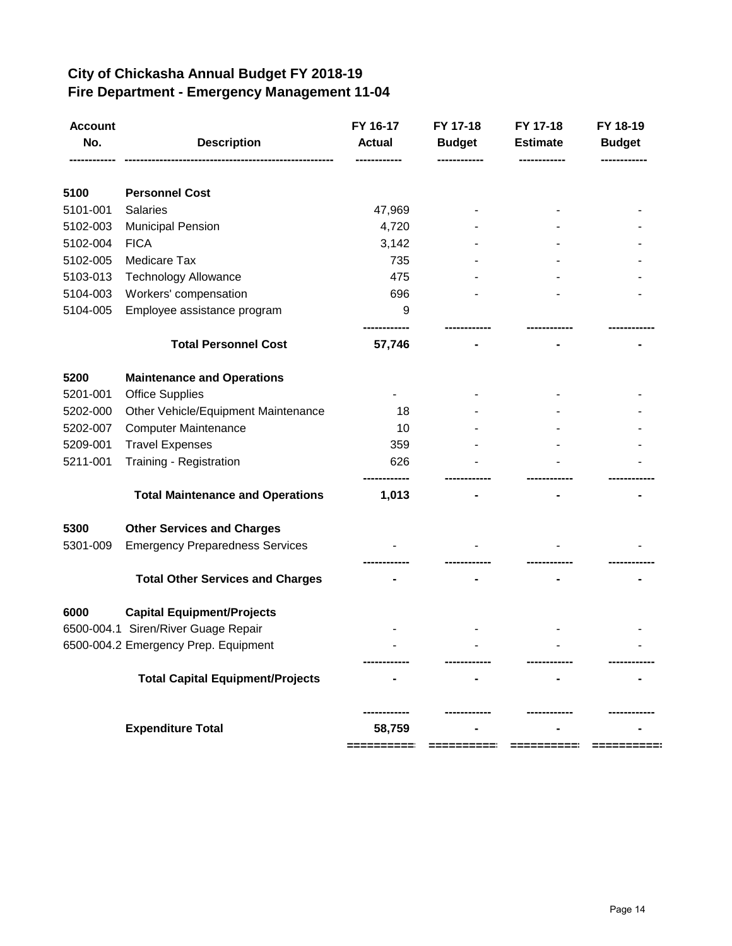### **City of Chickasha Annual Budget FY 2018-19 Fire Department - Emergency Management 11-04**

| <b>Account</b><br>No. | <b>Description</b>                      | FY 16-17<br><b>Actual</b> | FY 17-18<br><b>Budget</b> | FY 17-18<br><b>Estimate</b> | FY 18-19<br><b>Budget</b> |
|-----------------------|-----------------------------------------|---------------------------|---------------------------|-----------------------------|---------------------------|
|                       |                                         |                           |                           |                             |                           |
| 5100                  | <b>Personnel Cost</b>                   |                           |                           |                             |                           |
| 5101-001              | Salaries                                | 47,969                    |                           |                             |                           |
| 5102-003              | <b>Municipal Pension</b>                | 4,720                     |                           |                             |                           |
| 5102-004              | <b>FICA</b>                             | 3,142                     |                           |                             |                           |
| 5102-005              | Medicare Tax                            | 735                       |                           |                             |                           |
| 5103-013              | Technology Allowance                    | 475                       |                           |                             |                           |
| 5104-003              | Workers' compensation                   | 696                       |                           |                             |                           |
| 5104-005              | Employee assistance program             | 9                         |                           |                             |                           |
|                       | <b>Total Personnel Cost</b>             | 57,746                    |                           |                             |                           |
| 5200                  | <b>Maintenance and Operations</b>       |                           |                           |                             |                           |
| 5201-001              | <b>Office Supplies</b>                  |                           |                           |                             |                           |
| 5202-000              | Other Vehicle/Equipment Maintenance     | 18                        |                           |                             |                           |
| 5202-007              | <b>Computer Maintenance</b>             | 10                        |                           |                             |                           |
| 5209-001              | <b>Travel Expenses</b>                  | 359                       |                           |                             |                           |
| 5211-001              | Training - Registration                 | 626                       |                           |                             |                           |
|                       |                                         |                           |                           |                             |                           |
|                       | <b>Total Maintenance and Operations</b> | 1,013                     |                           |                             |                           |
| 5300                  | <b>Other Services and Charges</b>       |                           |                           |                             |                           |
| 5301-009              | <b>Emergency Preparedness Services</b>  |                           |                           |                             |                           |
|                       |                                         |                           |                           |                             |                           |
|                       | <b>Total Other Services and Charges</b> |                           |                           |                             |                           |
| 6000                  | <b>Capital Equipment/Projects</b>       |                           |                           |                             |                           |
|                       | 6500-004.1 Siren/River Guage Repair     |                           |                           |                             |                           |
|                       | 6500-004.2 Emergency Prep. Equipment    |                           |                           |                             |                           |
|                       |                                         |                           |                           |                             |                           |
|                       | <b>Total Capital Equipment/Projects</b> |                           |                           |                             |                           |
|                       |                                         |                           |                           |                             |                           |
|                       | <b>Expenditure Total</b>                | 58,759                    |                           |                             |                           |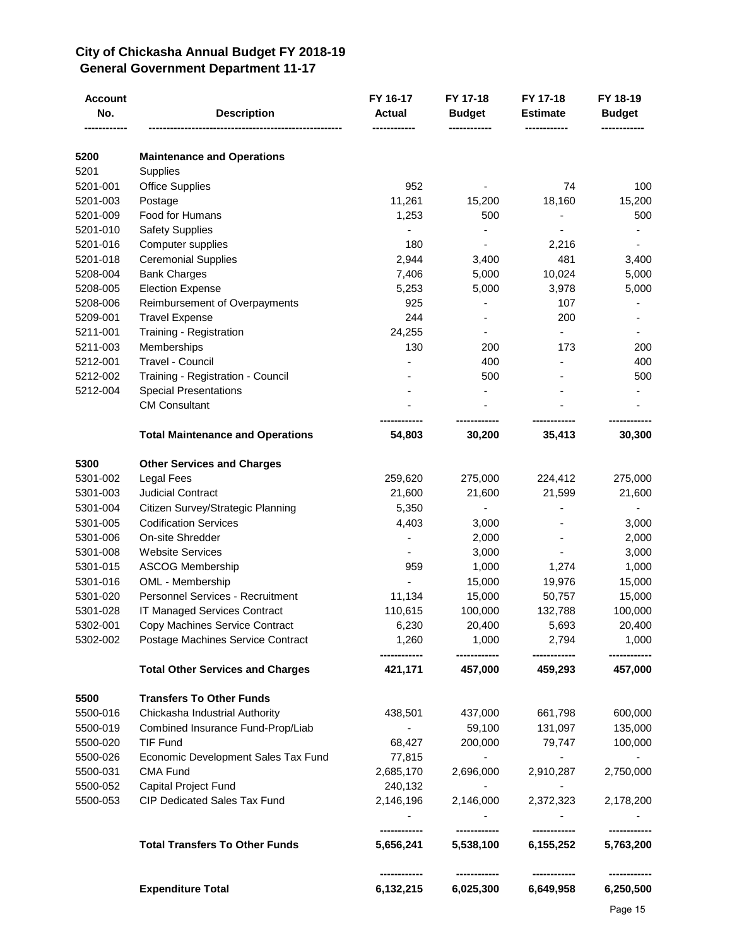#### **City of Chickasha Annual Budget FY 2018-19 General Government Department 11-17**

| <b>Account</b><br>No. | <b>Description</b>                      | FY 16-17<br><b>Actual</b>  | FY 17-18<br><b>Budget</b> | FY 17-18<br><b>Estimate</b> | FY 18-19<br><b>Budget</b> |
|-----------------------|-----------------------------------------|----------------------------|---------------------------|-----------------------------|---------------------------|
| 5200                  | <b>Maintenance and Operations</b>       |                            |                           |                             |                           |
| 5201                  | Supplies                                |                            |                           |                             |                           |
| 5201-001              | <b>Office Supplies</b>                  | 952                        |                           | 74                          | 100                       |
| 5201-003              | Postage                                 | 11,261                     | 15,200                    | 18,160                      | 15,200                    |
| 5201-009              | Food for Humans                         | 1,253                      | 500                       |                             | 500                       |
| 5201-010              | <b>Safety Supplies</b>                  |                            |                           |                             |                           |
| 5201-016              | Computer supplies                       | 180                        |                           | 2,216                       |                           |
| 5201-018              | <b>Ceremonial Supplies</b>              | 2,944                      | 3,400                     | 481                         | 3,400                     |
| 5208-004              | <b>Bank Charges</b>                     | 7,406                      | 5,000                     | 10,024                      | 5,000                     |
| 5208-005              | <b>Election Expense</b>                 | 5,253                      | 5,000                     | 3,978                       | 5,000                     |
| 5208-006              | Reimbursement of Overpayments           | 925                        |                           | 107                         |                           |
| 5209-001              | <b>Travel Expense</b>                   | 244                        |                           | 200                         |                           |
| 5211-001              | Training - Registration                 | 24,255                     | $\overline{\phantom{a}}$  | ÷.                          |                           |
| 5211-003              | Memberships                             | 130                        | 200                       | 173                         | 200                       |
| 5212-001              | Travel - Council                        |                            | 400                       |                             | 400                       |
| 5212-002              | Training - Registration - Council       |                            | 500                       |                             | 500                       |
| 5212-004              | <b>Special Presentations</b>            |                            |                           |                             |                           |
|                       | <b>CM Consultant</b>                    |                            |                           |                             |                           |
|                       | <b>Total Maintenance and Operations</b> | 54,803                     | 30,200                    | 35,413                      | 30,300                    |
| 5300                  | <b>Other Services and Charges</b>       |                            |                           |                             |                           |
| 5301-002              | <b>Legal Fees</b>                       | 259,620                    | 275,000                   | 224,412                     | 275,000                   |
| 5301-003              | <b>Judicial Contract</b>                | 21,600                     | 21,600                    | 21,599                      | 21,600                    |
| 5301-004              | Citizen Survey/Strategic Planning       | 5,350                      | ٠                         |                             |                           |
| 5301-005              | <b>Codification Services</b>            | 4,403                      | 3,000                     |                             | 3,000                     |
| 5301-006              | On-site Shredder                        |                            | 2,000                     |                             | 2,000                     |
| 5301-008              | <b>Website Services</b>                 |                            | 3,000                     |                             | 3,000                     |
| 5301-015              | <b>ASCOG Membership</b>                 | 959                        | 1,000                     | 1,274                       | 1,000                     |
| 5301-016              | OML - Membership                        |                            | 15,000                    | 19,976                      | 15,000                    |
| 5301-020              | Personnel Services - Recruitment        | 11,134                     | 15,000                    | 50,757                      | 15,000                    |
| 5301-028              | IT Managed Services Contract            | 110,615                    | 100,000                   | 132,788                     | 100,000                   |
| 5302-001              | Copy Machines Service Contract          | 6,230                      | 20,400                    | 5,693                       | 20,400                    |
| 5302-002              | Postage Machines Service Contract       | 1,260<br>------------      | 1,000<br>------------     | 2,794<br>------------       | 1,000<br>------------     |
|                       | <b>Total Other Services and Charges</b> | 421,171                    | 457,000                   | 459,293                     | 457,000                   |
| 5500                  | <b>Transfers To Other Funds</b>         |                            |                           |                             |                           |
| 5500-016              | Chickasha Industrial Authority          | 438,501                    | 437,000                   | 661,798                     | 600,000                   |
| 5500-019              | Combined Insurance Fund-Prop/Liab       |                            | 59,100                    | 131,097                     | 135,000                   |
| 5500-020              | <b>TIF Fund</b>                         | 68,427                     | 200,000                   | 79,747                      | 100,000                   |
| 5500-026              | Economic Development Sales Tax Fund     | 77,815                     |                           |                             |                           |
| 5500-031              | CMA Fund                                | 2,685,170                  | 2,696,000                 | 2,910,287                   | 2,750,000                 |
| 5500-052              | Capital Project Fund                    | 240,132                    |                           |                             |                           |
| 5500-053              | CIP Dedicated Sales Tax Fund            | 2,146,196                  | 2,146,000                 | 2,372,323                   | 2,178,200                 |
|                       |                                         |                            | ------------              | ------------                |                           |
|                       | <b>Total Transfers To Other Funds</b>   | 5,656,241                  | 5,538,100                 | 6,155,252                   | 5,763,200                 |
|                       | <b>Expenditure Total</b>                | -------------<br>6,132,215 | ------------<br>6,025,300 | ------------<br>6,649,958   | ------------<br>6,250,500 |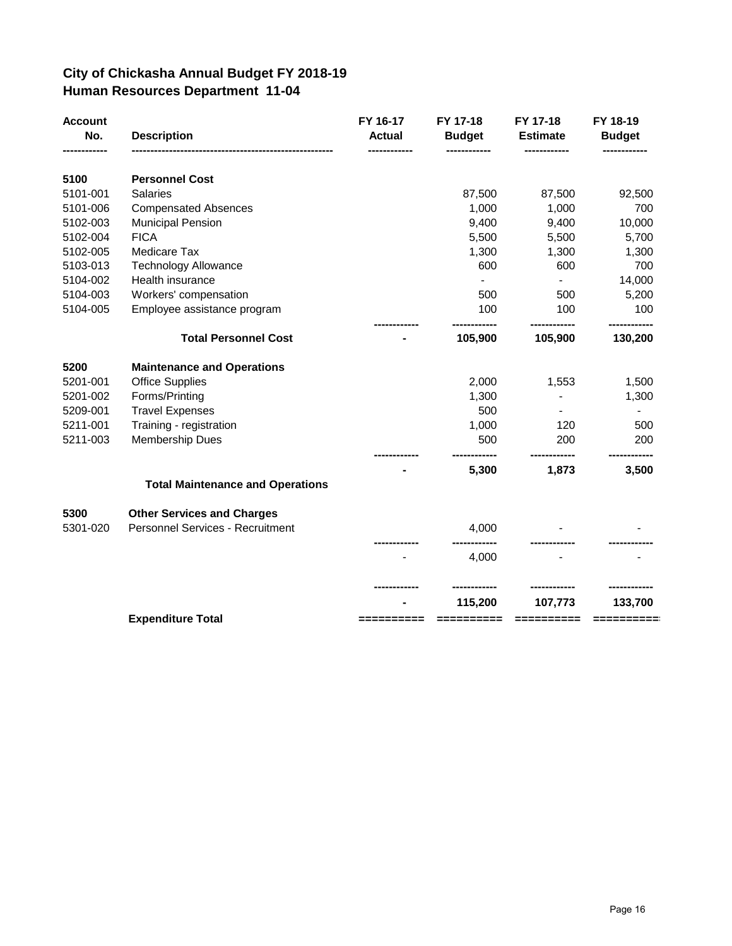#### **City of Chickasha Annual Budget FY 2018-19 Human Resources Department 11-04**

| <b>Account</b><br>No. | <b>Description</b>                      | FY 16-17<br><b>Actual</b> | FY 17-18<br><b>Budget</b><br>------------ | FY 17-18<br><b>Estimate</b> | FY 18-19<br><b>Budget</b><br>------------ |
|-----------------------|-----------------------------------------|---------------------------|-------------------------------------------|-----------------------------|-------------------------------------------|
| 5100                  | <b>Personnel Cost</b>                   |                           |                                           |                             |                                           |
| 5101-001              | <b>Salaries</b>                         |                           | 87,500                                    | 87,500                      | 92,500                                    |
| 5101-006              | <b>Compensated Absences</b>             |                           | 1,000                                     | 1,000                       | 700                                       |
| 5102-003              | <b>Municipal Pension</b>                |                           | 9,400                                     | 9,400                       | 10,000                                    |
| 5102-004              | <b>FICA</b>                             |                           | 5,500                                     | 5,500                       | 5,700                                     |
| 5102-005              | Medicare Tax                            |                           | 1,300                                     | 1,300                       | 1,300                                     |
| 5103-013              | <b>Technology Allowance</b>             |                           | 600                                       | 600                         | 700                                       |
| 5104-002              | Health insurance                        |                           | $\blacksquare$                            | $\blacksquare$              | 14,000                                    |
| 5104-003              | Workers' compensation                   |                           | 500                                       | 500                         | 5,200                                     |
| 5104-005              | Employee assistance program             |                           | 100                                       | 100                         | 100                                       |
|                       | <b>Total Personnel Cost</b>             |                           | 105,900                                   | ------------<br>105,900     | ----------<br>130,200                     |
| 5200                  | <b>Maintenance and Operations</b>       |                           |                                           |                             |                                           |
| 5201-001              | <b>Office Supplies</b>                  |                           | 2,000                                     | 1,553                       | 1,500                                     |
| 5201-002              | Forms/Printing                          |                           | 1,300                                     |                             | 1,300                                     |
| 5209-001              | <b>Travel Expenses</b>                  |                           | 500                                       | $\blacksquare$              |                                           |
| 5211-001              | Training - registration                 |                           | 1,000                                     | 120                         | 500                                       |
| 5211-003              | Membership Dues                         |                           | 500                                       | 200                         | 200                                       |
|                       |                                         |                           | 5,300                                     | 1,873                       | 3,500                                     |
|                       | <b>Total Maintenance and Operations</b> |                           |                                           |                             |                                           |
| 5300                  | <b>Other Services and Charges</b>       |                           |                                           |                             |                                           |
| 5301-020              | <b>Personnel Services - Recruitment</b> |                           | 4,000                                     |                             |                                           |
|                       |                                         |                           | 4,000                                     |                             |                                           |
|                       |                                         |                           |                                           | ------------                | --------                                  |
|                       |                                         |                           | 115,200                                   | 107,773                     | 133,700                                   |
|                       | <b>Expenditure Total</b>                | :=======                  | =========                                 | ==========                  | ==========                                |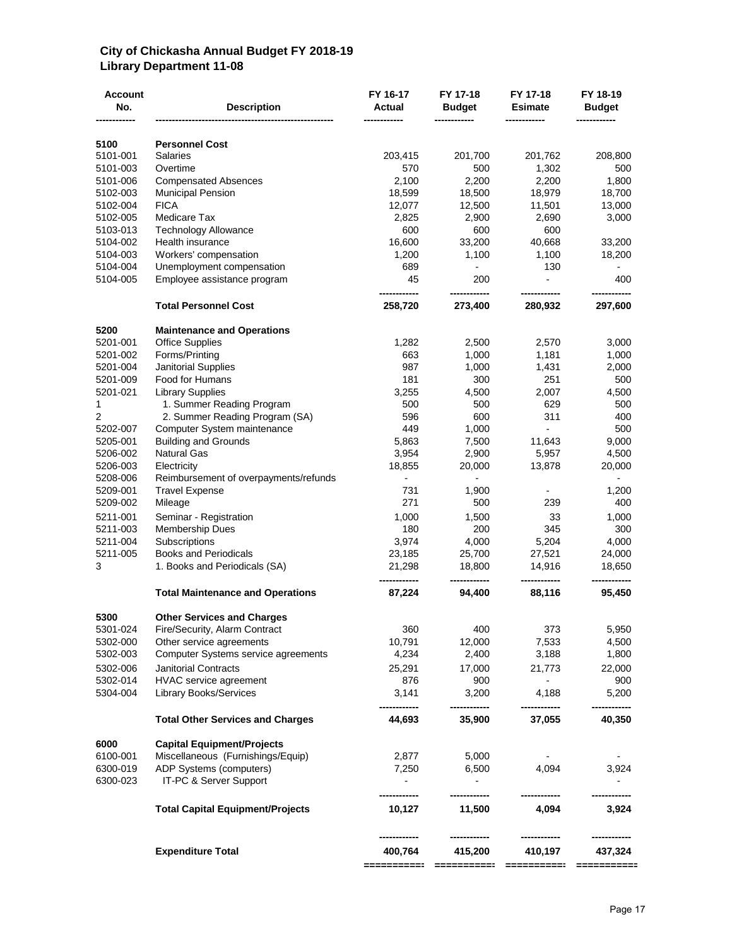#### **City of Chickasha Annual Budget FY 2018-19 Library Department 11-08**

| 5100<br><b>Personnel Cost</b><br>5101-001<br><b>Salaries</b><br>203,415<br>201,700<br>201,762<br>208,800<br>5101-003<br>Overtime<br>570<br>500<br>1,302<br>500<br>2,100<br>2,200<br><b>Compensated Absences</b><br>2,200<br>1,800<br>5101-006<br>5102-003<br>18,599<br>18,500<br>18,979<br>18,700<br><b>Municipal Pension</b><br>5102-004<br><b>FICA</b><br>12,077<br>13,000<br>12,500<br>11,501<br>Medicare Tax<br>2,825<br>2,900<br>3,000<br>5102-005<br>2,690<br>600<br>5103-013<br><b>Technology Allowance</b><br>600<br>600<br>16,600<br>Health insurance<br>33,200<br>40,668<br>5104-002<br>33,200<br>Workers' compensation<br>1,200<br>1,100<br>1,100<br>18,200<br>5104-003<br>5104-004<br>689<br>130<br>Unemployment compensation<br>$\overline{\phantom{a}}$<br>45<br>200<br>5104-005<br>Employee assistance program<br>$\overline{\phantom{0}}$<br>400<br><b>Total Personnel Cost</b><br>258,720<br>273,400<br>280,932<br>297,600<br>5200<br><b>Maintenance and Operations</b><br>5201-001<br><b>Office Supplies</b><br>1,282<br>2,500<br>2,570<br>3,000<br>5201-002<br>Forms/Printing<br>663<br>1,000<br>1,181<br>1,000<br>987<br>5201-004<br><b>Janitorial Supplies</b><br>1,000<br>2,000<br>1,431<br>5201-009<br>Food for Humans<br>181<br>300<br>251<br>500<br>3,255<br>5201-021<br><b>Library Supplies</b><br>4,500<br>2,007<br>4,500<br>500<br>500<br>1<br>1. Summer Reading Program<br>629<br>500<br>596<br>600<br>2<br>2. Summer Reading Program (SA)<br>311<br>400<br>449<br>5202-007<br>1,000<br>500<br>Computer System maintenance<br>$\blacksquare$<br>5205-001<br><b>Building and Grounds</b><br>5,863<br>7,500<br>9,000<br>11,643<br>5206-002<br><b>Natural Gas</b><br>3,954<br>2,900<br>5,957<br>4,500<br>5206-003<br>18,855<br>20,000<br>13,878<br>20,000<br>Electricity<br>5208-006<br>Reimbursement of overpayments/refunds<br>$\overline{\phantom{a}}$<br>$\overline{\phantom{a}}$<br>$\overline{\phantom{0}}$<br>5209-001<br>731<br><b>Travel Expense</b><br>1,900<br>1,200<br>$\blacksquare$<br>271<br>5209-002<br>500<br>239<br>400<br>Mileage<br>5211-001<br>Seminar - Registration<br>1,000<br>1,500<br>33<br>1,000<br>180<br>200<br>345<br>300<br>5211-003<br><b>Membership Dues</b><br>3,974<br>5211-004<br>Subscriptions<br>4,000<br>5,204<br>4,000<br>5211-005<br><b>Books and Periodicals</b><br>23,185<br>25,700<br>24,000<br>27,521<br>3<br>1. Books and Periodicals (SA)<br>21,298<br>18,800<br>14,916<br>18,650<br>------------<br>87,224<br><b>Total Maintenance and Operations</b><br>94,400<br>88,116<br>95,450<br>5300<br><b>Other Services and Charges</b><br>5301-024<br>5,950<br>Fire/Security, Alarm Contract<br>360<br>400<br>373<br>5302-000<br>10,791<br>12,000<br>7,533<br>4,500<br>Other service agreements<br>4,234<br>2,400<br>1,800<br>5302-003<br>Computer Systems service agreements<br>3,188<br>5302-006<br><b>Janitorial Contracts</b><br>25,291<br>17,000<br>21,773<br>22,000<br>5302-014<br>HVAC service agreement<br>876<br>900<br>900<br>5304-004<br>3,141<br>3,200<br>5,200<br><b>Library Books/Services</b><br>4,188<br>40,350<br>44,693<br>35,900<br>37,055<br><b>Total Other Services and Charges</b><br>6000<br><b>Capital Equipment/Projects</b><br>6100-001<br>Miscellaneous (Furnishings/Equip)<br>2,877<br>5,000<br>6300-019<br>ADP Systems (computers)<br>7,250<br>6,500<br>4,094<br>3,924<br>6300-023<br>IT-PC & Server Support<br><b>Total Capital Equipment/Projects</b><br>11,500<br>4,094<br>3,924<br>10,127<br><b>Expenditure Total</b><br>400,764<br>415,200<br>410,197<br>437,324<br>==========:<br>===========<br>===========<br>=========== | <b>Account</b><br>No. | <b>Description</b> | FY 16-17<br>Actual | FY 17-18<br><b>Budget</b> | FY 17-18<br><b>Esimate</b> | FY 18-19<br><b>Budget</b> |
|------------------------------------------------------------------------------------------------------------------------------------------------------------------------------------------------------------------------------------------------------------------------------------------------------------------------------------------------------------------------------------------------------------------------------------------------------------------------------------------------------------------------------------------------------------------------------------------------------------------------------------------------------------------------------------------------------------------------------------------------------------------------------------------------------------------------------------------------------------------------------------------------------------------------------------------------------------------------------------------------------------------------------------------------------------------------------------------------------------------------------------------------------------------------------------------------------------------------------------------------------------------------------------------------------------------------------------------------------------------------------------------------------------------------------------------------------------------------------------------------------------------------------------------------------------------------------------------------------------------------------------------------------------------------------------------------------------------------------------------------------------------------------------------------------------------------------------------------------------------------------------------------------------------------------------------------------------------------------------------------------------------------------------------------------------------------------------------------------------------------------------------------------------------------------------------------------------------------------------------------------------------------------------------------------------------------------------------------------------------------------------------------------------------------------------------------------------------------------------------------------------------------------------------------------------------------------------------------------------------------------------------------------------------------------------------------------------------------------------------------------------------------------------------------------------------------------------------------------------------------------------------------------------------------------------------------------------------------------------------------------------------------------------------------------------------------------------------------------------------------------------------------------------------------------------------------------------------------------------------------------------------------------------------------------------------------------------------------------------------------------------------------------------------------------------------------------------------------------------------------------------------------------------------------------------------------------------------------------------------------------------|-----------------------|--------------------|--------------------|---------------------------|----------------------------|---------------------------|
|                                                                                                                                                                                                                                                                                                                                                                                                                                                                                                                                                                                                                                                                                                                                                                                                                                                                                                                                                                                                                                                                                                                                                                                                                                                                                                                                                                                                                                                                                                                                                                                                                                                                                                                                                                                                                                                                                                                                                                                                                                                                                                                                                                                                                                                                                                                                                                                                                                                                                                                                                                                                                                                                                                                                                                                                                                                                                                                                                                                                                                                                                                                                                                                                                                                                                                                                                                                                                                                                                                                                                                                                                                    |                       |                    |                    |                           |                            |                           |
|                                                                                                                                                                                                                                                                                                                                                                                                                                                                                                                                                                                                                                                                                                                                                                                                                                                                                                                                                                                                                                                                                                                                                                                                                                                                                                                                                                                                                                                                                                                                                                                                                                                                                                                                                                                                                                                                                                                                                                                                                                                                                                                                                                                                                                                                                                                                                                                                                                                                                                                                                                                                                                                                                                                                                                                                                                                                                                                                                                                                                                                                                                                                                                                                                                                                                                                                                                                                                                                                                                                                                                                                                                    |                       |                    |                    |                           |                            |                           |
|                                                                                                                                                                                                                                                                                                                                                                                                                                                                                                                                                                                                                                                                                                                                                                                                                                                                                                                                                                                                                                                                                                                                                                                                                                                                                                                                                                                                                                                                                                                                                                                                                                                                                                                                                                                                                                                                                                                                                                                                                                                                                                                                                                                                                                                                                                                                                                                                                                                                                                                                                                                                                                                                                                                                                                                                                                                                                                                                                                                                                                                                                                                                                                                                                                                                                                                                                                                                                                                                                                                                                                                                                                    |                       |                    |                    |                           |                            |                           |
|                                                                                                                                                                                                                                                                                                                                                                                                                                                                                                                                                                                                                                                                                                                                                                                                                                                                                                                                                                                                                                                                                                                                                                                                                                                                                                                                                                                                                                                                                                                                                                                                                                                                                                                                                                                                                                                                                                                                                                                                                                                                                                                                                                                                                                                                                                                                                                                                                                                                                                                                                                                                                                                                                                                                                                                                                                                                                                                                                                                                                                                                                                                                                                                                                                                                                                                                                                                                                                                                                                                                                                                                                                    |                       |                    |                    |                           |                            |                           |
|                                                                                                                                                                                                                                                                                                                                                                                                                                                                                                                                                                                                                                                                                                                                                                                                                                                                                                                                                                                                                                                                                                                                                                                                                                                                                                                                                                                                                                                                                                                                                                                                                                                                                                                                                                                                                                                                                                                                                                                                                                                                                                                                                                                                                                                                                                                                                                                                                                                                                                                                                                                                                                                                                                                                                                                                                                                                                                                                                                                                                                                                                                                                                                                                                                                                                                                                                                                                                                                                                                                                                                                                                                    |                       |                    |                    |                           |                            |                           |
|                                                                                                                                                                                                                                                                                                                                                                                                                                                                                                                                                                                                                                                                                                                                                                                                                                                                                                                                                                                                                                                                                                                                                                                                                                                                                                                                                                                                                                                                                                                                                                                                                                                                                                                                                                                                                                                                                                                                                                                                                                                                                                                                                                                                                                                                                                                                                                                                                                                                                                                                                                                                                                                                                                                                                                                                                                                                                                                                                                                                                                                                                                                                                                                                                                                                                                                                                                                                                                                                                                                                                                                                                                    |                       |                    |                    |                           |                            |                           |
|                                                                                                                                                                                                                                                                                                                                                                                                                                                                                                                                                                                                                                                                                                                                                                                                                                                                                                                                                                                                                                                                                                                                                                                                                                                                                                                                                                                                                                                                                                                                                                                                                                                                                                                                                                                                                                                                                                                                                                                                                                                                                                                                                                                                                                                                                                                                                                                                                                                                                                                                                                                                                                                                                                                                                                                                                                                                                                                                                                                                                                                                                                                                                                                                                                                                                                                                                                                                                                                                                                                                                                                                                                    |                       |                    |                    |                           |                            |                           |
|                                                                                                                                                                                                                                                                                                                                                                                                                                                                                                                                                                                                                                                                                                                                                                                                                                                                                                                                                                                                                                                                                                                                                                                                                                                                                                                                                                                                                                                                                                                                                                                                                                                                                                                                                                                                                                                                                                                                                                                                                                                                                                                                                                                                                                                                                                                                                                                                                                                                                                                                                                                                                                                                                                                                                                                                                                                                                                                                                                                                                                                                                                                                                                                                                                                                                                                                                                                                                                                                                                                                                                                                                                    |                       |                    |                    |                           |                            |                           |
|                                                                                                                                                                                                                                                                                                                                                                                                                                                                                                                                                                                                                                                                                                                                                                                                                                                                                                                                                                                                                                                                                                                                                                                                                                                                                                                                                                                                                                                                                                                                                                                                                                                                                                                                                                                                                                                                                                                                                                                                                                                                                                                                                                                                                                                                                                                                                                                                                                                                                                                                                                                                                                                                                                                                                                                                                                                                                                                                                                                                                                                                                                                                                                                                                                                                                                                                                                                                                                                                                                                                                                                                                                    |                       |                    |                    |                           |                            |                           |
|                                                                                                                                                                                                                                                                                                                                                                                                                                                                                                                                                                                                                                                                                                                                                                                                                                                                                                                                                                                                                                                                                                                                                                                                                                                                                                                                                                                                                                                                                                                                                                                                                                                                                                                                                                                                                                                                                                                                                                                                                                                                                                                                                                                                                                                                                                                                                                                                                                                                                                                                                                                                                                                                                                                                                                                                                                                                                                                                                                                                                                                                                                                                                                                                                                                                                                                                                                                                                                                                                                                                                                                                                                    |                       |                    |                    |                           |                            |                           |
|                                                                                                                                                                                                                                                                                                                                                                                                                                                                                                                                                                                                                                                                                                                                                                                                                                                                                                                                                                                                                                                                                                                                                                                                                                                                                                                                                                                                                                                                                                                                                                                                                                                                                                                                                                                                                                                                                                                                                                                                                                                                                                                                                                                                                                                                                                                                                                                                                                                                                                                                                                                                                                                                                                                                                                                                                                                                                                                                                                                                                                                                                                                                                                                                                                                                                                                                                                                                                                                                                                                                                                                                                                    |                       |                    |                    |                           |                            |                           |
|                                                                                                                                                                                                                                                                                                                                                                                                                                                                                                                                                                                                                                                                                                                                                                                                                                                                                                                                                                                                                                                                                                                                                                                                                                                                                                                                                                                                                                                                                                                                                                                                                                                                                                                                                                                                                                                                                                                                                                                                                                                                                                                                                                                                                                                                                                                                                                                                                                                                                                                                                                                                                                                                                                                                                                                                                                                                                                                                                                                                                                                                                                                                                                                                                                                                                                                                                                                                                                                                                                                                                                                                                                    |                       |                    |                    |                           |                            |                           |
|                                                                                                                                                                                                                                                                                                                                                                                                                                                                                                                                                                                                                                                                                                                                                                                                                                                                                                                                                                                                                                                                                                                                                                                                                                                                                                                                                                                                                                                                                                                                                                                                                                                                                                                                                                                                                                                                                                                                                                                                                                                                                                                                                                                                                                                                                                                                                                                                                                                                                                                                                                                                                                                                                                                                                                                                                                                                                                                                                                                                                                                                                                                                                                                                                                                                                                                                                                                                                                                                                                                                                                                                                                    |                       |                    |                    |                           |                            |                           |
|                                                                                                                                                                                                                                                                                                                                                                                                                                                                                                                                                                                                                                                                                                                                                                                                                                                                                                                                                                                                                                                                                                                                                                                                                                                                                                                                                                                                                                                                                                                                                                                                                                                                                                                                                                                                                                                                                                                                                                                                                                                                                                                                                                                                                                                                                                                                                                                                                                                                                                                                                                                                                                                                                                                                                                                                                                                                                                                                                                                                                                                                                                                                                                                                                                                                                                                                                                                                                                                                                                                                                                                                                                    |                       |                    |                    |                           |                            |                           |
|                                                                                                                                                                                                                                                                                                                                                                                                                                                                                                                                                                                                                                                                                                                                                                                                                                                                                                                                                                                                                                                                                                                                                                                                                                                                                                                                                                                                                                                                                                                                                                                                                                                                                                                                                                                                                                                                                                                                                                                                                                                                                                                                                                                                                                                                                                                                                                                                                                                                                                                                                                                                                                                                                                                                                                                                                                                                                                                                                                                                                                                                                                                                                                                                                                                                                                                                                                                                                                                                                                                                                                                                                                    |                       |                    |                    |                           |                            |                           |
|                                                                                                                                                                                                                                                                                                                                                                                                                                                                                                                                                                                                                                                                                                                                                                                                                                                                                                                                                                                                                                                                                                                                                                                                                                                                                                                                                                                                                                                                                                                                                                                                                                                                                                                                                                                                                                                                                                                                                                                                                                                                                                                                                                                                                                                                                                                                                                                                                                                                                                                                                                                                                                                                                                                                                                                                                                                                                                                                                                                                                                                                                                                                                                                                                                                                                                                                                                                                                                                                                                                                                                                                                                    |                       |                    |                    |                           |                            |                           |
|                                                                                                                                                                                                                                                                                                                                                                                                                                                                                                                                                                                                                                                                                                                                                                                                                                                                                                                                                                                                                                                                                                                                                                                                                                                                                                                                                                                                                                                                                                                                                                                                                                                                                                                                                                                                                                                                                                                                                                                                                                                                                                                                                                                                                                                                                                                                                                                                                                                                                                                                                                                                                                                                                                                                                                                                                                                                                                                                                                                                                                                                                                                                                                                                                                                                                                                                                                                                                                                                                                                                                                                                                                    |                       |                    |                    |                           |                            |                           |
|                                                                                                                                                                                                                                                                                                                                                                                                                                                                                                                                                                                                                                                                                                                                                                                                                                                                                                                                                                                                                                                                                                                                                                                                                                                                                                                                                                                                                                                                                                                                                                                                                                                                                                                                                                                                                                                                                                                                                                                                                                                                                                                                                                                                                                                                                                                                                                                                                                                                                                                                                                                                                                                                                                                                                                                                                                                                                                                                                                                                                                                                                                                                                                                                                                                                                                                                                                                                                                                                                                                                                                                                                                    |                       |                    |                    |                           |                            |                           |
|                                                                                                                                                                                                                                                                                                                                                                                                                                                                                                                                                                                                                                                                                                                                                                                                                                                                                                                                                                                                                                                                                                                                                                                                                                                                                                                                                                                                                                                                                                                                                                                                                                                                                                                                                                                                                                                                                                                                                                                                                                                                                                                                                                                                                                                                                                                                                                                                                                                                                                                                                                                                                                                                                                                                                                                                                                                                                                                                                                                                                                                                                                                                                                                                                                                                                                                                                                                                                                                                                                                                                                                                                                    |                       |                    |                    |                           |                            |                           |
|                                                                                                                                                                                                                                                                                                                                                                                                                                                                                                                                                                                                                                                                                                                                                                                                                                                                                                                                                                                                                                                                                                                                                                                                                                                                                                                                                                                                                                                                                                                                                                                                                                                                                                                                                                                                                                                                                                                                                                                                                                                                                                                                                                                                                                                                                                                                                                                                                                                                                                                                                                                                                                                                                                                                                                                                                                                                                                                                                                                                                                                                                                                                                                                                                                                                                                                                                                                                                                                                                                                                                                                                                                    |                       |                    |                    |                           |                            |                           |
|                                                                                                                                                                                                                                                                                                                                                                                                                                                                                                                                                                                                                                                                                                                                                                                                                                                                                                                                                                                                                                                                                                                                                                                                                                                                                                                                                                                                                                                                                                                                                                                                                                                                                                                                                                                                                                                                                                                                                                                                                                                                                                                                                                                                                                                                                                                                                                                                                                                                                                                                                                                                                                                                                                                                                                                                                                                                                                                                                                                                                                                                                                                                                                                                                                                                                                                                                                                                                                                                                                                                                                                                                                    |                       |                    |                    |                           |                            |                           |
|                                                                                                                                                                                                                                                                                                                                                                                                                                                                                                                                                                                                                                                                                                                                                                                                                                                                                                                                                                                                                                                                                                                                                                                                                                                                                                                                                                                                                                                                                                                                                                                                                                                                                                                                                                                                                                                                                                                                                                                                                                                                                                                                                                                                                                                                                                                                                                                                                                                                                                                                                                                                                                                                                                                                                                                                                                                                                                                                                                                                                                                                                                                                                                                                                                                                                                                                                                                                                                                                                                                                                                                                                                    |                       |                    |                    |                           |                            |                           |
|                                                                                                                                                                                                                                                                                                                                                                                                                                                                                                                                                                                                                                                                                                                                                                                                                                                                                                                                                                                                                                                                                                                                                                                                                                                                                                                                                                                                                                                                                                                                                                                                                                                                                                                                                                                                                                                                                                                                                                                                                                                                                                                                                                                                                                                                                                                                                                                                                                                                                                                                                                                                                                                                                                                                                                                                                                                                                                                                                                                                                                                                                                                                                                                                                                                                                                                                                                                                                                                                                                                                                                                                                                    |                       |                    |                    |                           |                            |                           |
|                                                                                                                                                                                                                                                                                                                                                                                                                                                                                                                                                                                                                                                                                                                                                                                                                                                                                                                                                                                                                                                                                                                                                                                                                                                                                                                                                                                                                                                                                                                                                                                                                                                                                                                                                                                                                                                                                                                                                                                                                                                                                                                                                                                                                                                                                                                                                                                                                                                                                                                                                                                                                                                                                                                                                                                                                                                                                                                                                                                                                                                                                                                                                                                                                                                                                                                                                                                                                                                                                                                                                                                                                                    |                       |                    |                    |                           |                            |                           |
|                                                                                                                                                                                                                                                                                                                                                                                                                                                                                                                                                                                                                                                                                                                                                                                                                                                                                                                                                                                                                                                                                                                                                                                                                                                                                                                                                                                                                                                                                                                                                                                                                                                                                                                                                                                                                                                                                                                                                                                                                                                                                                                                                                                                                                                                                                                                                                                                                                                                                                                                                                                                                                                                                                                                                                                                                                                                                                                                                                                                                                                                                                                                                                                                                                                                                                                                                                                                                                                                                                                                                                                                                                    |                       |                    |                    |                           |                            |                           |
|                                                                                                                                                                                                                                                                                                                                                                                                                                                                                                                                                                                                                                                                                                                                                                                                                                                                                                                                                                                                                                                                                                                                                                                                                                                                                                                                                                                                                                                                                                                                                                                                                                                                                                                                                                                                                                                                                                                                                                                                                                                                                                                                                                                                                                                                                                                                                                                                                                                                                                                                                                                                                                                                                                                                                                                                                                                                                                                                                                                                                                                                                                                                                                                                                                                                                                                                                                                                                                                                                                                                                                                                                                    |                       |                    |                    |                           |                            |                           |
|                                                                                                                                                                                                                                                                                                                                                                                                                                                                                                                                                                                                                                                                                                                                                                                                                                                                                                                                                                                                                                                                                                                                                                                                                                                                                                                                                                                                                                                                                                                                                                                                                                                                                                                                                                                                                                                                                                                                                                                                                                                                                                                                                                                                                                                                                                                                                                                                                                                                                                                                                                                                                                                                                                                                                                                                                                                                                                                                                                                                                                                                                                                                                                                                                                                                                                                                                                                                                                                                                                                                                                                                                                    |                       |                    |                    |                           |                            |                           |
|                                                                                                                                                                                                                                                                                                                                                                                                                                                                                                                                                                                                                                                                                                                                                                                                                                                                                                                                                                                                                                                                                                                                                                                                                                                                                                                                                                                                                                                                                                                                                                                                                                                                                                                                                                                                                                                                                                                                                                                                                                                                                                                                                                                                                                                                                                                                                                                                                                                                                                                                                                                                                                                                                                                                                                                                                                                                                                                                                                                                                                                                                                                                                                                                                                                                                                                                                                                                                                                                                                                                                                                                                                    |                       |                    |                    |                           |                            |                           |
|                                                                                                                                                                                                                                                                                                                                                                                                                                                                                                                                                                                                                                                                                                                                                                                                                                                                                                                                                                                                                                                                                                                                                                                                                                                                                                                                                                                                                                                                                                                                                                                                                                                                                                                                                                                                                                                                                                                                                                                                                                                                                                                                                                                                                                                                                                                                                                                                                                                                                                                                                                                                                                                                                                                                                                                                                                                                                                                                                                                                                                                                                                                                                                                                                                                                                                                                                                                                                                                                                                                                                                                                                                    |                       |                    |                    |                           |                            |                           |
|                                                                                                                                                                                                                                                                                                                                                                                                                                                                                                                                                                                                                                                                                                                                                                                                                                                                                                                                                                                                                                                                                                                                                                                                                                                                                                                                                                                                                                                                                                                                                                                                                                                                                                                                                                                                                                                                                                                                                                                                                                                                                                                                                                                                                                                                                                                                                                                                                                                                                                                                                                                                                                                                                                                                                                                                                                                                                                                                                                                                                                                                                                                                                                                                                                                                                                                                                                                                                                                                                                                                                                                                                                    |                       |                    |                    |                           |                            |                           |
|                                                                                                                                                                                                                                                                                                                                                                                                                                                                                                                                                                                                                                                                                                                                                                                                                                                                                                                                                                                                                                                                                                                                                                                                                                                                                                                                                                                                                                                                                                                                                                                                                                                                                                                                                                                                                                                                                                                                                                                                                                                                                                                                                                                                                                                                                                                                                                                                                                                                                                                                                                                                                                                                                                                                                                                                                                                                                                                                                                                                                                                                                                                                                                                                                                                                                                                                                                                                                                                                                                                                                                                                                                    |                       |                    |                    |                           |                            |                           |
|                                                                                                                                                                                                                                                                                                                                                                                                                                                                                                                                                                                                                                                                                                                                                                                                                                                                                                                                                                                                                                                                                                                                                                                                                                                                                                                                                                                                                                                                                                                                                                                                                                                                                                                                                                                                                                                                                                                                                                                                                                                                                                                                                                                                                                                                                                                                                                                                                                                                                                                                                                                                                                                                                                                                                                                                                                                                                                                                                                                                                                                                                                                                                                                                                                                                                                                                                                                                                                                                                                                                                                                                                                    |                       |                    |                    |                           |                            |                           |
|                                                                                                                                                                                                                                                                                                                                                                                                                                                                                                                                                                                                                                                                                                                                                                                                                                                                                                                                                                                                                                                                                                                                                                                                                                                                                                                                                                                                                                                                                                                                                                                                                                                                                                                                                                                                                                                                                                                                                                                                                                                                                                                                                                                                                                                                                                                                                                                                                                                                                                                                                                                                                                                                                                                                                                                                                                                                                                                                                                                                                                                                                                                                                                                                                                                                                                                                                                                                                                                                                                                                                                                                                                    |                       |                    |                    |                           |                            |                           |
|                                                                                                                                                                                                                                                                                                                                                                                                                                                                                                                                                                                                                                                                                                                                                                                                                                                                                                                                                                                                                                                                                                                                                                                                                                                                                                                                                                                                                                                                                                                                                                                                                                                                                                                                                                                                                                                                                                                                                                                                                                                                                                                                                                                                                                                                                                                                                                                                                                                                                                                                                                                                                                                                                                                                                                                                                                                                                                                                                                                                                                                                                                                                                                                                                                                                                                                                                                                                                                                                                                                                                                                                                                    |                       |                    |                    |                           |                            |                           |
|                                                                                                                                                                                                                                                                                                                                                                                                                                                                                                                                                                                                                                                                                                                                                                                                                                                                                                                                                                                                                                                                                                                                                                                                                                                                                                                                                                                                                                                                                                                                                                                                                                                                                                                                                                                                                                                                                                                                                                                                                                                                                                                                                                                                                                                                                                                                                                                                                                                                                                                                                                                                                                                                                                                                                                                                                                                                                                                                                                                                                                                                                                                                                                                                                                                                                                                                                                                                                                                                                                                                                                                                                                    |                       |                    |                    |                           |                            |                           |
|                                                                                                                                                                                                                                                                                                                                                                                                                                                                                                                                                                                                                                                                                                                                                                                                                                                                                                                                                                                                                                                                                                                                                                                                                                                                                                                                                                                                                                                                                                                                                                                                                                                                                                                                                                                                                                                                                                                                                                                                                                                                                                                                                                                                                                                                                                                                                                                                                                                                                                                                                                                                                                                                                                                                                                                                                                                                                                                                                                                                                                                                                                                                                                                                                                                                                                                                                                                                                                                                                                                                                                                                                                    |                       |                    |                    |                           |                            |                           |
|                                                                                                                                                                                                                                                                                                                                                                                                                                                                                                                                                                                                                                                                                                                                                                                                                                                                                                                                                                                                                                                                                                                                                                                                                                                                                                                                                                                                                                                                                                                                                                                                                                                                                                                                                                                                                                                                                                                                                                                                                                                                                                                                                                                                                                                                                                                                                                                                                                                                                                                                                                                                                                                                                                                                                                                                                                                                                                                                                                                                                                                                                                                                                                                                                                                                                                                                                                                                                                                                                                                                                                                                                                    |                       |                    |                    |                           |                            |                           |
|                                                                                                                                                                                                                                                                                                                                                                                                                                                                                                                                                                                                                                                                                                                                                                                                                                                                                                                                                                                                                                                                                                                                                                                                                                                                                                                                                                                                                                                                                                                                                                                                                                                                                                                                                                                                                                                                                                                                                                                                                                                                                                                                                                                                                                                                                                                                                                                                                                                                                                                                                                                                                                                                                                                                                                                                                                                                                                                                                                                                                                                                                                                                                                                                                                                                                                                                                                                                                                                                                                                                                                                                                                    |                       |                    |                    |                           |                            |                           |
|                                                                                                                                                                                                                                                                                                                                                                                                                                                                                                                                                                                                                                                                                                                                                                                                                                                                                                                                                                                                                                                                                                                                                                                                                                                                                                                                                                                                                                                                                                                                                                                                                                                                                                                                                                                                                                                                                                                                                                                                                                                                                                                                                                                                                                                                                                                                                                                                                                                                                                                                                                                                                                                                                                                                                                                                                                                                                                                                                                                                                                                                                                                                                                                                                                                                                                                                                                                                                                                                                                                                                                                                                                    |                       |                    |                    |                           |                            |                           |
|                                                                                                                                                                                                                                                                                                                                                                                                                                                                                                                                                                                                                                                                                                                                                                                                                                                                                                                                                                                                                                                                                                                                                                                                                                                                                                                                                                                                                                                                                                                                                                                                                                                                                                                                                                                                                                                                                                                                                                                                                                                                                                                                                                                                                                                                                                                                                                                                                                                                                                                                                                                                                                                                                                                                                                                                                                                                                                                                                                                                                                                                                                                                                                                                                                                                                                                                                                                                                                                                                                                                                                                                                                    |                       |                    |                    |                           |                            |                           |
|                                                                                                                                                                                                                                                                                                                                                                                                                                                                                                                                                                                                                                                                                                                                                                                                                                                                                                                                                                                                                                                                                                                                                                                                                                                                                                                                                                                                                                                                                                                                                                                                                                                                                                                                                                                                                                                                                                                                                                                                                                                                                                                                                                                                                                                                                                                                                                                                                                                                                                                                                                                                                                                                                                                                                                                                                                                                                                                                                                                                                                                                                                                                                                                                                                                                                                                                                                                                                                                                                                                                                                                                                                    |                       |                    |                    |                           |                            |                           |
|                                                                                                                                                                                                                                                                                                                                                                                                                                                                                                                                                                                                                                                                                                                                                                                                                                                                                                                                                                                                                                                                                                                                                                                                                                                                                                                                                                                                                                                                                                                                                                                                                                                                                                                                                                                                                                                                                                                                                                                                                                                                                                                                                                                                                                                                                                                                                                                                                                                                                                                                                                                                                                                                                                                                                                                                                                                                                                                                                                                                                                                                                                                                                                                                                                                                                                                                                                                                                                                                                                                                                                                                                                    |                       |                    |                    |                           |                            |                           |
|                                                                                                                                                                                                                                                                                                                                                                                                                                                                                                                                                                                                                                                                                                                                                                                                                                                                                                                                                                                                                                                                                                                                                                                                                                                                                                                                                                                                                                                                                                                                                                                                                                                                                                                                                                                                                                                                                                                                                                                                                                                                                                                                                                                                                                                                                                                                                                                                                                                                                                                                                                                                                                                                                                                                                                                                                                                                                                                                                                                                                                                                                                                                                                                                                                                                                                                                                                                                                                                                                                                                                                                                                                    |                       |                    |                    |                           |                            |                           |
|                                                                                                                                                                                                                                                                                                                                                                                                                                                                                                                                                                                                                                                                                                                                                                                                                                                                                                                                                                                                                                                                                                                                                                                                                                                                                                                                                                                                                                                                                                                                                                                                                                                                                                                                                                                                                                                                                                                                                                                                                                                                                                                                                                                                                                                                                                                                                                                                                                                                                                                                                                                                                                                                                                                                                                                                                                                                                                                                                                                                                                                                                                                                                                                                                                                                                                                                                                                                                                                                                                                                                                                                                                    |                       |                    |                    |                           |                            |                           |
|                                                                                                                                                                                                                                                                                                                                                                                                                                                                                                                                                                                                                                                                                                                                                                                                                                                                                                                                                                                                                                                                                                                                                                                                                                                                                                                                                                                                                                                                                                                                                                                                                                                                                                                                                                                                                                                                                                                                                                                                                                                                                                                                                                                                                                                                                                                                                                                                                                                                                                                                                                                                                                                                                                                                                                                                                                                                                                                                                                                                                                                                                                                                                                                                                                                                                                                                                                                                                                                                                                                                                                                                                                    |                       |                    |                    |                           |                            |                           |
|                                                                                                                                                                                                                                                                                                                                                                                                                                                                                                                                                                                                                                                                                                                                                                                                                                                                                                                                                                                                                                                                                                                                                                                                                                                                                                                                                                                                                                                                                                                                                                                                                                                                                                                                                                                                                                                                                                                                                                                                                                                                                                                                                                                                                                                                                                                                                                                                                                                                                                                                                                                                                                                                                                                                                                                                                                                                                                                                                                                                                                                                                                                                                                                                                                                                                                                                                                                                                                                                                                                                                                                                                                    |                       |                    |                    |                           |                            |                           |
|                                                                                                                                                                                                                                                                                                                                                                                                                                                                                                                                                                                                                                                                                                                                                                                                                                                                                                                                                                                                                                                                                                                                                                                                                                                                                                                                                                                                                                                                                                                                                                                                                                                                                                                                                                                                                                                                                                                                                                                                                                                                                                                                                                                                                                                                                                                                                                                                                                                                                                                                                                                                                                                                                                                                                                                                                                                                                                                                                                                                                                                                                                                                                                                                                                                                                                                                                                                                                                                                                                                                                                                                                                    |                       |                    |                    |                           |                            |                           |
|                                                                                                                                                                                                                                                                                                                                                                                                                                                                                                                                                                                                                                                                                                                                                                                                                                                                                                                                                                                                                                                                                                                                                                                                                                                                                                                                                                                                                                                                                                                                                                                                                                                                                                                                                                                                                                                                                                                                                                                                                                                                                                                                                                                                                                                                                                                                                                                                                                                                                                                                                                                                                                                                                                                                                                                                                                                                                                                                                                                                                                                                                                                                                                                                                                                                                                                                                                                                                                                                                                                                                                                                                                    |                       |                    |                    |                           |                            |                           |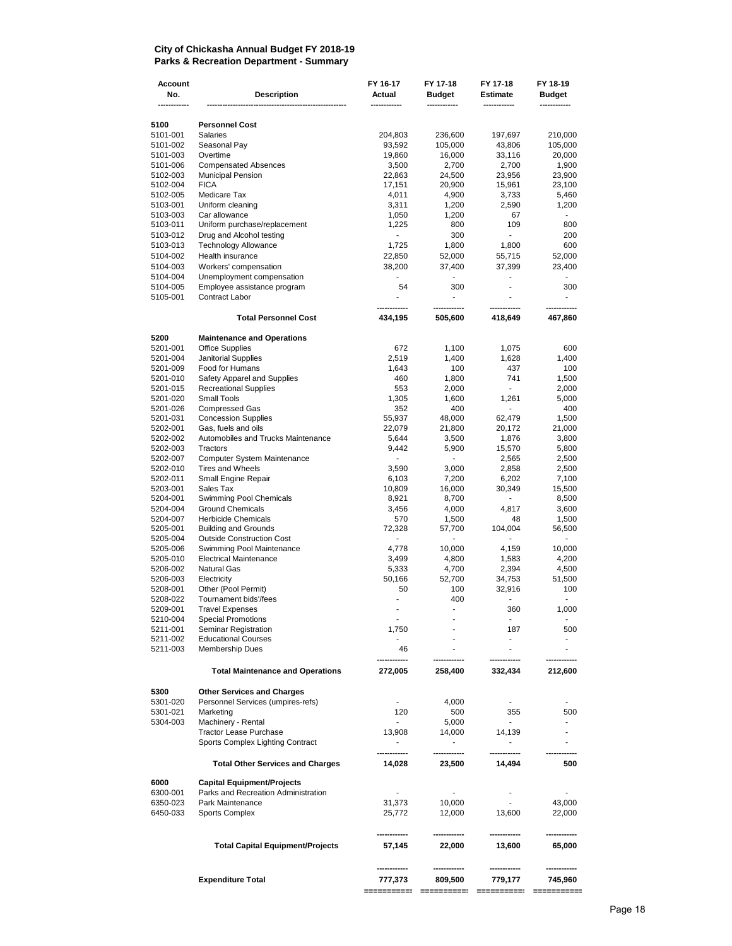#### **City of Chickasha Annual Budget FY 2018-19 Parks & Recreation Department - Summary**

| Account<br>No.       | <b>Description</b>                                        | FY 16-17<br>Actual                 | FY 17-18<br>Budget       | FY 17-18<br>Estimate     | FY 18-19<br><b>Budget</b> |
|----------------------|-----------------------------------------------------------|------------------------------------|--------------------------|--------------------------|---------------------------|
|                      |                                                           |                                    |                          |                          |                           |
| 5100<br>5101-001     | <b>Personnel Cost</b><br><b>Salaries</b>                  | 204,803                            | 236,600                  | 197,697                  | 210,000                   |
| 5101-002             | Seasonal Pay                                              | 93,592                             | 105,000                  | 43,806                   | 105,000                   |
| 5101-003             | Overtime                                                  | 19,860                             | 16,000                   | 33,116                   | 20,000                    |
| 5101-006             | <b>Compensated Absences</b>                               | 3,500                              | 2,700                    | 2,700                    | 1,900                     |
| 5102-003             | <b>Municipal Pension</b>                                  | 22,863                             | 24,500                   | 23,956                   | 23,900                    |
| 5102-004             | <b>FICA</b>                                               | 17,151                             | 20,900                   | 15,961                   | 23,100                    |
| 5102-005             | Medicare Tax                                              | 4,011                              | 4,900                    | 3,733                    | 5,460                     |
| 5103-001             | Uniform cleaning                                          | 3,311                              | 1,200                    | 2,590                    | 1,200                     |
| 5103-003<br>5103-011 | Car allowance<br>Uniform purchase/replacement             | 1,050                              | 1,200<br>800             | 67<br>109                | 800                       |
| 5103-012             | Drug and Alcohol testing                                  | 1,225<br>٠                         | 300                      | L,                       | 200                       |
| 5103-013             | <b>Technology Allowance</b>                               | 1,725                              | 1,800                    | 1,800                    | 600                       |
| 5104-002             | Health insurance                                          | 22,850                             | 52,000                   | 55,715                   | 52,000                    |
| 5104-003             | Workers' compensation                                     | 38,200                             | 37,400                   | 37,399                   | 23,400                    |
| 5104-004             | Unemployment compensation                                 |                                    |                          | $\overline{\phantom{0}}$ |                           |
| 5104-005             | Employee assistance program                               | 54                                 | 300                      | ٠                        | 300                       |
| 5105-001             | Contract Labor                                            | ä,                                 | $\overline{\phantom{0}}$ |                          | $\blacksquare$            |
|                      | <b>Total Personnel Cost</b>                               | 434,195                            | 505,600                  | 418,649                  | 467,860                   |
| 5200                 | <b>Maintenance and Operations</b>                         |                                    |                          |                          |                           |
| 5201-001             | <b>Office Supplies</b>                                    | 672                                | 1,100                    | 1,075                    | 600                       |
| 5201-004             | <b>Janitorial Supplies</b>                                | 2,519                              | 1,400                    | 1,628                    | 1,400                     |
| 5201-009             | Food for Humans                                           | 1,643                              | 100                      | 437                      | 100                       |
| 5201-010             | Safety Apparel and Supplies                               | 460                                | 1,800                    | 741<br>$\sim$            | 1,500                     |
| 5201-015             | <b>Recreational Supplies</b><br><b>Small Tools</b>        | 553                                | 2,000                    |                          | 2,000                     |
| 5201-020<br>5201-026 | <b>Compressed Gas</b>                                     | 1,305<br>352                       | 1,600<br>400             | 1,261<br>$\blacksquare$  | 5,000<br>400              |
| 5201-031             | <b>Concession Supplies</b>                                | 55,937                             | 48,000                   | 62,479                   | 1,500                     |
| 5202-001             | Gas, fuels and oils                                       | 22,079                             | 21,800                   | 20,172                   | 21,000                    |
| 5202-002             | Automobiles and Trucks Maintenance                        | 5,644                              | 3,500                    | 1,876                    | 3,800                     |
| 5202-003             | Tractors                                                  | 9,442                              | 5,900                    | 15,570                   | 5,800                     |
| 5202-007             | <b>Computer System Maintenance</b>                        | $\overline{\phantom{a}}$           | $\blacksquare$           | 2,565                    | 2,500                     |
| 5202-010             | <b>Tires and Wheels</b>                                   | 3,590                              | 3,000                    | 2,858                    | 2,500                     |
| 5202-011             | Small Engine Repair                                       | 6,103                              | 7,200                    | 6,202                    | 7,100                     |
| 5203-001             | Sales Tax                                                 | 10,809                             | 16,000                   | 30,349                   | 15,500                    |
| 5204-001             | Swimming Pool Chemicals                                   | 8,921                              | 8,700                    | ۰.                       | 8,500                     |
| 5204-004             | <b>Ground Chemicals</b>                                   | 3,456                              | 4,000                    | 4,817                    | 3,600                     |
| 5204-007             | <b>Herbicide Chemicals</b><br><b>Building and Grounds</b> | 570                                | 1,500                    | 48                       | 1,500<br>56,500           |
| 5205-001<br>5205-004 | <b>Outside Construction Cost</b>                          | 72,328<br>$\overline{\phantom{a}}$ | 57,700<br>÷.             | 104,004<br>ä,            | ÷.                        |
| 5205-006             | Swimming Pool Maintenance                                 | 4,778                              | 10,000                   | 4,159                    | 10,000                    |
| 5205-010             | <b>Electrical Maintenance</b>                             | 3,499                              | 4,800                    | 1,583                    | 4,200                     |
| 5206-002             | <b>Natural Gas</b>                                        | 5,333                              | 4,700                    | 2,394                    | 4,500                     |
| 5206-003             | Electricity                                               | 50,166                             | 52,700                   | 34,753                   | 51,500                    |
| 5208-001             | Other (Pool Permit)                                       | 50                                 | 100                      | 32,916                   | 100                       |
| 5208-022             | Tournament bids'/fees                                     | ÷,                                 | 400                      | $\frac{1}{2}$            |                           |
| 5209-001             | <b>Travel Expenses</b>                                    | ٠                                  | ٠                        | 360                      | 1,000                     |
| 5210-004             | <b>Special Promotions</b>                                 | ۰                                  |                          |                          |                           |
| 5211-001             | Seminar Registration                                      | 1,750                              |                          | 187<br>L.                | 500                       |
| 5211-002<br>5211-003 | <b>Educational Courses</b><br>Membership Dues             | 46                                 |                          |                          |                           |
|                      | <b>Total Maintenance and Operations</b>                   | 272,005                            | 258,400                  | 332,434                  | 212,600                   |
|                      |                                                           |                                    |                          |                          |                           |
| 5300                 | <b>Other Services and Charges</b>                         |                                    |                          |                          |                           |
| 5301-020             | Personnel Services (umpires-refs)                         |                                    | 4,000                    | $\overline{\phantom{a}}$ |                           |
| 5301-021             | Marketing                                                 | 120                                | 500                      | 355<br>$\blacksquare$    | 500                       |
| 5304-003             | Machinery - Rental<br><b>Tractor Lease Purchase</b>       | 13,908                             | 5,000                    | 14,139                   |                           |
|                      | Sports Complex Lighting Contract                          |                                    | 14,000<br>٠              |                          | ٠                         |
|                      | <b>Total Other Services and Charges</b>                   | 14,028                             | 23,500                   | 14,494                   | 500                       |
| 6000                 | <b>Capital Equipment/Projects</b>                         |                                    |                          |                          |                           |
| 6300-001             | Parks and Recreation Administration                       |                                    |                          | $\frac{1}{2}$            |                           |
| 6350-023             | Park Maintenance                                          | 31,373                             | 10,000                   | $\blacksquare$           | 43,000                    |
| 6450-033             | <b>Sports Complex</b>                                     | 25,772                             | 12,000                   | 13,600                   | 22,000                    |
|                      | <b>Total Capital Equipment/Projects</b>                   | 57,145                             | 22,000                   | 13,600                   | 65,000                    |
|                      |                                                           |                                    |                          |                          |                           |
|                      | <b>Expenditure Total</b>                                  | 777,373                            | 809,500                  | 779,177                  | 745,960                   |
|                      |                                                           | ===========                        | ===========              | ==========               |                           |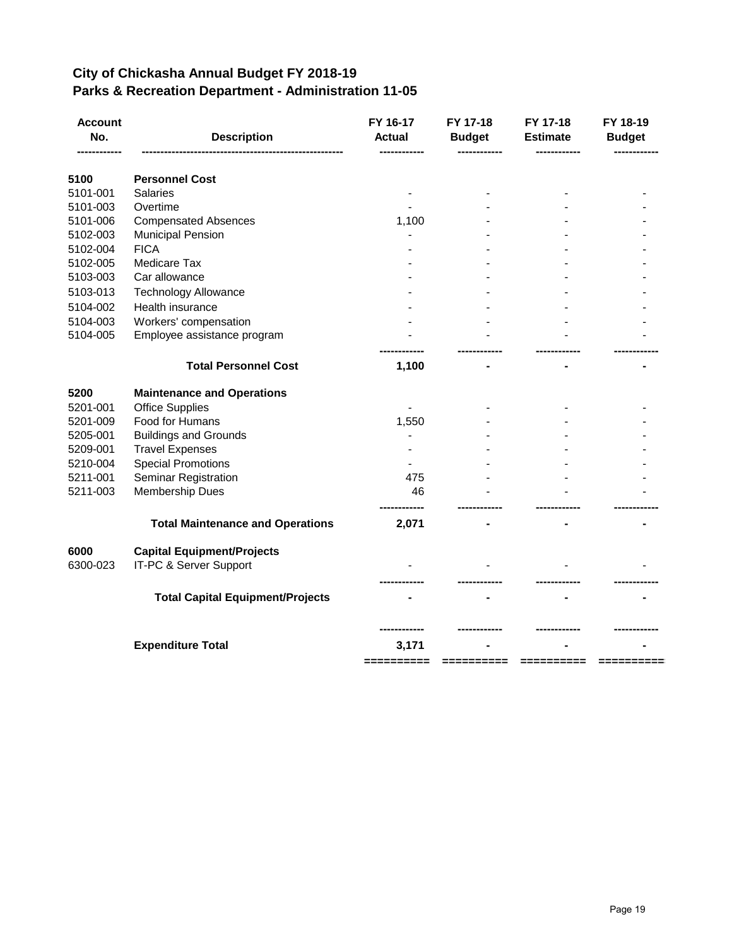#### **City of Chickasha Annual Budget FY 2018-19 Parks & Recreation Department - Administration 11-05**

| <b>Account</b><br>No. | <b>Description</b>                      | FY 16-17<br><b>Actual</b> | FY 17-18<br><b>Budget</b> | FY 17-18<br><b>Estimate</b> | FY 18-19<br><b>Budget</b> |
|-----------------------|-----------------------------------------|---------------------------|---------------------------|-----------------------------|---------------------------|
| 5100                  | <b>Personnel Cost</b>                   |                           |                           |                             |                           |
| 5101-001              | <b>Salaries</b>                         |                           |                           |                             |                           |
| 5101-003              | Overtime                                |                           |                           |                             |                           |
| 5101-006              | <b>Compensated Absences</b>             | 1,100                     |                           |                             |                           |
| 5102-003              | <b>Municipal Pension</b>                |                           |                           |                             |                           |
| 5102-004              | <b>FICA</b>                             |                           |                           |                             |                           |
| 5102-005              | Medicare Tax                            |                           |                           |                             |                           |
| 5103-003              | Car allowance                           |                           |                           |                             |                           |
| 5103-013              | <b>Technology Allowance</b>             |                           |                           |                             |                           |
| 5104-002              | Health insurance                        |                           |                           |                             |                           |
| 5104-003              | Workers' compensation                   |                           |                           |                             |                           |
| 5104-005              | Employee assistance program             |                           |                           |                             |                           |
|                       | <b>Total Personnel Cost</b>             | 1,100                     |                           |                             |                           |
| 5200                  | <b>Maintenance and Operations</b>       |                           |                           |                             |                           |
| 5201-001              | <b>Office Supplies</b>                  |                           |                           |                             |                           |
| 5201-009              | Food for Humans                         | 1,550                     |                           |                             |                           |
| 5205-001              | <b>Buildings and Grounds</b>            |                           |                           |                             |                           |
| 5209-001              | <b>Travel Expenses</b>                  |                           |                           |                             |                           |
| 5210-004              | <b>Special Promotions</b>               |                           |                           |                             |                           |
| 5211-001              | Seminar Registration                    | 475                       |                           |                             |                           |
| 5211-003              | Membership Dues                         | 46                        |                           |                             |                           |
|                       | <b>Total Maintenance and Operations</b> | 2,071                     |                           |                             |                           |
| 6000                  | <b>Capital Equipment/Projects</b>       |                           |                           |                             |                           |
| 6300-023              | IT-PC & Server Support                  |                           |                           |                             |                           |
|                       | <b>Total Capital Equipment/Projects</b> |                           |                           |                             |                           |
|                       |                                         |                           |                           |                             |                           |
|                       | <b>Expenditure Total</b>                | 3,171                     |                           |                             |                           |
|                       |                                         |                           |                           |                             |                           |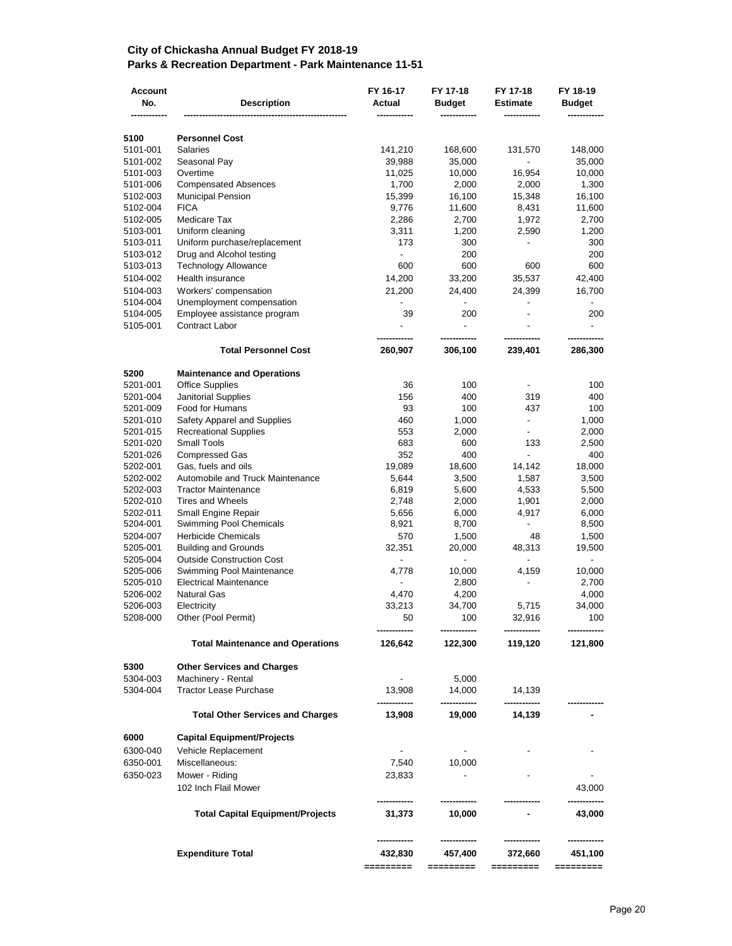#### **City of Chickasha Annual Budget FY 2018-19 Parks & Recreation Department - Park Maintenance 11-51**

| Account<br>No.       | <b>Description</b>                                             | FY 16-17<br>Actual       | FY 17-18<br><b>Budget</b> | FY 17-18<br><b>Estimate</b> | FY 18-19<br><b>Budget</b> |
|----------------------|----------------------------------------------------------------|--------------------------|---------------------------|-----------------------------|---------------------------|
| 5100                 | <b>Personnel Cost</b>                                          |                          |                           |                             |                           |
| 5101-001             | <b>Salaries</b>                                                | 141,210                  | 168,600                   | 131,570                     | 148,000                   |
| 5101-002             | Seasonal Pay                                                   | 39,988                   | 35,000                    | $\overline{\phantom{a}}$    | 35,000                    |
| 5101-003             | Overtime                                                       | 11,025                   | 10,000                    | 16,954                      | 10,000                    |
| 5101-006             | <b>Compensated Absences</b>                                    | 1,700                    | 2,000                     | 2,000                       | 1,300                     |
| 5102-003             | <b>Municipal Pension</b>                                       | 15,399                   | 16,100                    | 15,348                      | 16,100                    |
| 5102-004             | <b>FICA</b>                                                    | 9,776                    | 11,600                    | 8,431                       | 11,600                    |
| 5102-005             | Medicare Tax                                                   | 2,286                    | 2,700                     | 1,972                       | 2,700                     |
| 5103-001             | Uniform cleaning                                               | 3,311                    | 1,200                     | 2,590                       | 1,200                     |
| 5103-011             | Uniform purchase/replacement                                   | 173                      | 300                       |                             | 300                       |
| 5103-012             | Drug and Alcohol testing                                       | $\frac{1}{2}$            | 200                       |                             | 200                       |
| 5103-013             | Technology Allowance                                           | 600                      | 600                       | 600                         | 600                       |
| 5104-002             | Health insurance                                               | 14,200                   | 33,200                    | 35,537                      | 42,400                    |
| 5104-003             | Workers' compensation                                          | 21,200                   | 24,400                    | 24,399                      | 16,700                    |
| 5104-004             | Unemployment compensation                                      | $\frac{1}{2}$            | $\overline{\phantom{a}}$  | $\overline{\phantom{a}}$    | $\overline{\phantom{a}}$  |
| 5104-005             | Employee assistance program                                    | 39                       | 200                       |                             | 200                       |
| 5105-001             | Contract Labor                                                 |                          |                           |                             |                           |
|                      | <b>Total Personnel Cost</b>                                    | 260,907                  | 306,100                   | 239,401                     | 286,300                   |
| 5200                 | <b>Maintenance and Operations</b>                              |                          |                           |                             |                           |
| 5201-001             | <b>Office Supplies</b>                                         | 36                       | 100                       |                             | 100                       |
| 5201-004             | Janitorial Supplies                                            | 156                      | 400                       | 319                         | 400                       |
| 5201-009             | Food for Humans                                                | 93                       | 100                       | 437                         | 100                       |
| 5201-010             | Safety Apparel and Supplies                                    | 460                      | 1,000                     | $\blacksquare$              | 1,000                     |
| 5201-015             | <b>Recreational Supplies</b>                                   | 553                      | 2,000                     | $\overline{\phantom{a}}$    | 2,000                     |
| 5201-020             | <b>Small Tools</b>                                             | 683                      | 600                       | 133                         | 2,500                     |
| 5201-026             | <b>Compressed Gas</b>                                          | 352                      | 400                       | $\overline{\phantom{0}}$    | 400                       |
| 5202-001             | Gas, fuels and oils                                            | 19,089                   | 18,600                    | 14,142                      | 18,000                    |
| 5202-002             | Automobile and Truck Maintenance<br><b>Tractor Maintenance</b> | 5,644                    | 3,500                     | 1,587                       | 3,500                     |
| 5202-003<br>5202-010 | <b>Tires and Wheels</b>                                        | 6,819<br>2,748           | 5,600<br>2,000            | 4,533                       | 5,500<br>2,000            |
| 5202-011             | Small Engine Repair                                            | 5,656                    | 6,000                     | 1,901<br>4,917              | 6,000                     |
| 5204-001             | Swimming Pool Chemicals                                        | 8,921                    | 8,700                     |                             | 8,500                     |
| 5204-007             | <b>Herbicide Chemicals</b>                                     | 570                      | 1,500                     | 48                          | 1,500                     |
| 5205-001             | <b>Building and Grounds</b>                                    | 32,351                   | 20,000                    | 48,313                      | 19,500                    |
| 5205-004             | <b>Outside Construction Cost</b>                               | $\overline{\phantom{a}}$ | $\overline{\phantom{a}}$  | $\overline{\phantom{0}}$    | $\overline{\phantom{a}}$  |
| 5205-006             | Swimming Pool Maintenance                                      | 4,778                    | 10,000                    | 4,159                       | 10,000                    |
| 5205-010             | <b>Electrical Maintenance</b>                                  |                          | 2,800                     |                             | 2,700                     |
| 5206-002             | <b>Natural Gas</b>                                             | 4,470                    | 4,200                     |                             | 4,000                     |
| 5206-003             | Electricity                                                    | 33,213                   | 34,700                    | 5,715                       | 34,000                    |
| 5208-000             | Other (Pool Permit)                                            | 50                       | 100                       | 32,916                      | 100                       |
|                      | <b>Total Maintenance and Operations</b>                        | 126,642                  | 122,300                   | 119,120                     | 121,800                   |
| 5300                 | <b>Other Services and Charges</b>                              |                          |                           |                             |                           |
| 5304-003             | Machinery - Rental                                             |                          | 5,000                     |                             |                           |
| 5304-004             | <b>Tractor Lease Purchase</b>                                  | 13,908                   | 14,000<br>---------       | 14,139                      |                           |
|                      | <b>Total Other Services and Charges</b>                        | 13,908                   | 19,000                    | 14,139                      |                           |
| 6000                 | <b>Capital Equipment/Projects</b>                              |                          |                           |                             |                           |
| 6300-040             | Vehicle Replacement                                            |                          |                           |                             |                           |
| 6350-001             | Miscellaneous:                                                 | 7,540                    | 10,000                    |                             |                           |
| 6350-023             | Mower - Riding                                                 | 23,833                   |                           |                             |                           |
|                      | 102 Inch Flail Mower                                           |                          |                           |                             | 43,000                    |
|                      | <b>Total Capital Equipment/Projects</b>                        | 31,373                   | 10,000                    |                             | 43,000                    |
|                      |                                                                |                          |                           |                             |                           |
|                      | <b>Expenditure Total</b>                                       | 432,830<br>=========     | 457,400<br>=========      | 372,660<br>=========        | 451,100<br>=========      |
|                      |                                                                |                          |                           |                             |                           |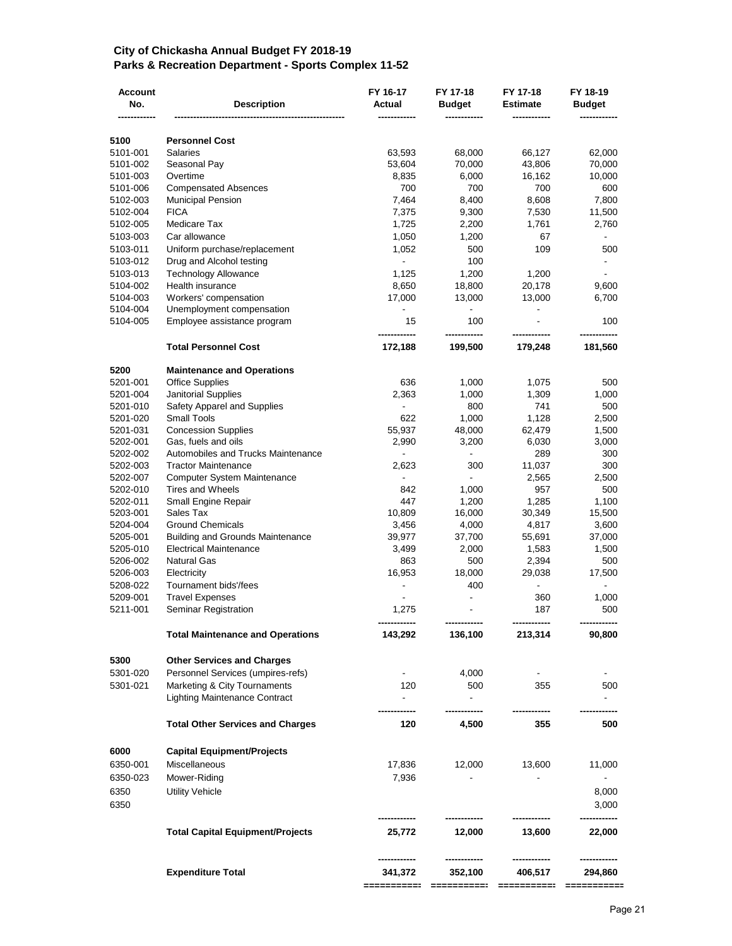#### **City of Chickasha Annual Budget FY 2018-19 Parks & Recreation Department - Sports Complex 11-52**

| <b>Account</b><br>No. | <b>Description</b>                                | FY 16-17<br>Actual       | FY 17-18<br><b>Budget</b> | FY 17-18<br><b>Estimate</b> | FY 18-19<br><b>Budget</b> |
|-----------------------|---------------------------------------------------|--------------------------|---------------------------|-----------------------------|---------------------------|
| 5100                  | <b>Personnel Cost</b>                             |                          |                           |                             |                           |
| 5101-001              | <b>Salaries</b>                                   | 63,593                   | 68,000                    | 66,127                      | 62,000                    |
| 5101-002              | Seasonal Pay                                      | 53,604                   | 70,000                    | 43,806                      | 70,000                    |
| 5101-003              | Overtime                                          | 8,835                    | 6,000                     | 16,162                      | 10,000                    |
| 5101-006              | <b>Compensated Absences</b>                       | 700                      | 700                       | 700                         | 600                       |
| 5102-003              | <b>Municipal Pension</b>                          | 7,464                    | 8,400                     | 8,608                       | 7,800                     |
| 5102-004              | <b>FICA</b>                                       | 7,375                    | 9,300                     | 7,530                       | 11,500                    |
| 5102-005              | Medicare Tax                                      | 1,725                    | 2,200                     | 1,761                       | 2,760                     |
| 5103-003              | Car allowance                                     | 1,050                    | 1,200                     | 67                          |                           |
| 5103-011              | Uniform purchase/replacement                      | 1,052                    | 500                       | 109                         | 500                       |
| 5103-012              | Drug and Alcohol testing                          | $\blacksquare$           | 100                       |                             |                           |
| 5103-013              | <b>Technology Allowance</b>                       | 1,125                    | 1,200                     | 1,200                       |                           |
| 5104-002              | Health insurance                                  | 8,650                    | 18,800                    | 20,178                      | 9,600                     |
| 5104-003              | Workers' compensation                             | 17,000                   | 13,000                    | 13,000                      | 6,700                     |
| 5104-004              | Unemployment compensation                         |                          |                           |                             | 100                       |
| 5104-005              | Employee assistance program                       | 15                       | 100                       |                             |                           |
|                       | <b>Total Personnel Cost</b>                       | 172,188                  | 199,500                   | 179,248                     | 181,560                   |
| 5200                  | <b>Maintenance and Operations</b>                 |                          |                           |                             |                           |
| 5201-001              | <b>Office Supplies</b>                            | 636                      | 1,000                     | 1,075                       | 500                       |
| 5201-004              | Janitorial Supplies                               | 2,363                    | 1,000                     | 1,309                       | 1,000                     |
| 5201-010<br>5201-020  | Safety Apparel and Supplies<br><b>Small Tools</b> | $\blacksquare$<br>622    | 800                       | 741                         | 500                       |
| 5201-031              | <b>Concession Supplies</b>                        | 55,937                   | 1,000<br>48,000           | 1,128<br>62,479             | 2,500<br>1,500            |
| 5202-001              | Gas, fuels and oils                               | 2,990                    | 3,200                     | 6,030                       | 3,000                     |
| 5202-002              | Automobiles and Trucks Maintenance                |                          |                           | 289                         | 300                       |
| 5202-003              | <b>Tractor Maintenance</b>                        | 2,623                    | 300                       | 11,037                      | 300                       |
| 5202-007              | Computer System Maintenance                       | $\overline{\phantom{a}}$ |                           | 2,565                       | 2,500                     |
| 5202-010              | <b>Tires and Wheels</b>                           | 842                      | 1,000                     | 957                         | 500                       |
| 5202-011              | Small Engine Repair                               | 447                      | 1,200                     | 1,285                       | 1,100                     |
| 5203-001              | Sales Tax                                         | 10,809                   | 16,000                    | 30,349                      | 15,500                    |
| 5204-004              | <b>Ground Chemicals</b>                           | 3,456                    | 4,000                     | 4,817                       | 3,600                     |
| 5205-001              | <b>Building and Grounds Maintenance</b>           | 39,977                   | 37,700                    | 55,691                      | 37,000                    |
| 5205-010              | <b>Electrical Maintenance</b>                     | 3,499                    | 2,000                     | 1,583                       | 1,500                     |
| 5206-002              | <b>Natural Gas</b>                                | 863                      | 500                       | 2,394                       | 500                       |
| 5206-003              | Electricity                                       | 16,953                   | 18,000                    | 29,038                      | 17,500                    |
| 5208-022<br>5209-001  | Tournament bids'/fees<br><b>Travel Expenses</b>   |                          | 400                       | $\overline{\phantom{a}}$    |                           |
| 5211-001              | Seminar Registration                              | 1,275                    |                           | 360<br>187                  | 1,000<br>500              |
|                       |                                                   |                          |                           |                             |                           |
|                       | <b>Total Maintenance and Operations</b>           | 143,292                  | 136,100                   | 213,314                     | 90,800                    |
| 5300                  | <b>Other Services and Charges</b>                 |                          |                           |                             |                           |
| 5301-020              | Personnel Services (umpires-refs)                 |                          | 4,000                     |                             |                           |
| 5301-021              | Marketing & City Tournaments                      | 120                      | 500                       | 355                         | 500                       |
|                       | <b>Lighting Maintenance Contract</b>              | $\overline{\phantom{0}}$ |                           |                             |                           |
|                       | <b>Total Other Services and Charges</b>           | 120                      | 4,500                     | 355                         | 500                       |
| 6000                  | <b>Capital Equipment/Projects</b>                 |                          |                           |                             |                           |
| 6350-001              | Miscellaneous                                     | 17,836                   | 12,000                    | 13,600                      | 11,000                    |
| 6350-023              | Mower-Riding                                      | 7,936                    |                           |                             |                           |
| 6350                  | <b>Utility Vehicle</b>                            |                          |                           |                             | 8,000                     |
| 6350                  |                                                   |                          |                           |                             | 3,000                     |
|                       | <b>Total Capital Equipment/Projects</b>           | 25,772                   | 12,000                    | 13,600                      | 22,000                    |
|                       | <b>Expenditure Total</b>                          | 341,372                  | 352,100                   | 406,517                     | 294,860                   |
|                       |                                                   |                          |                           |                             |                           |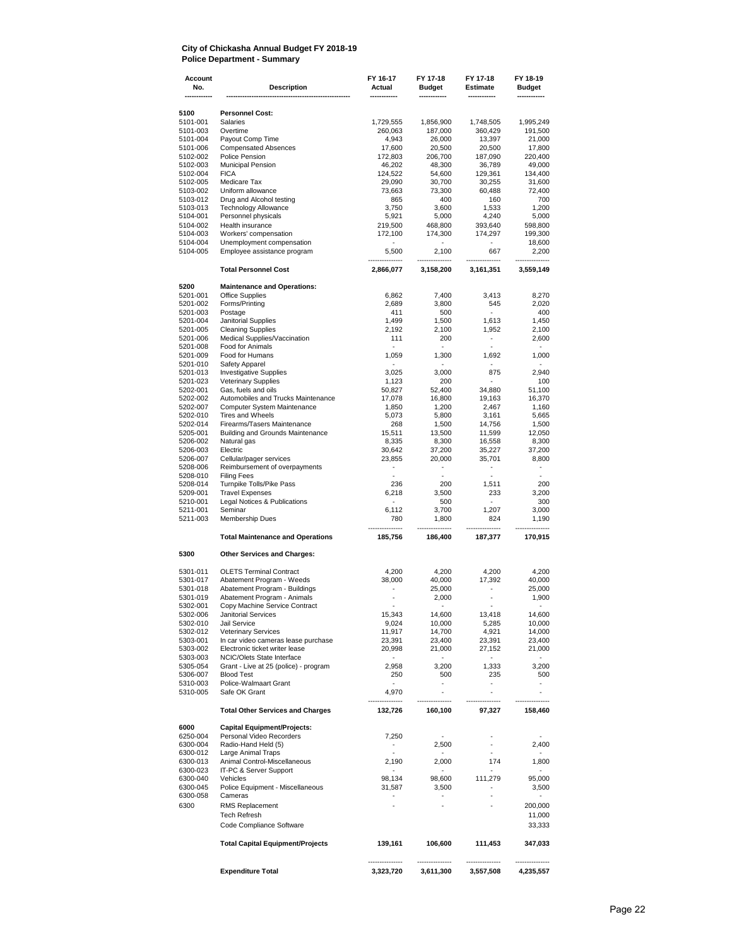#### **City of Chickasha Annual Budget FY 2018-19 Police Department - Summary**

| Account<br>No.       | <b>Description</b>                                                  | FY 16-17<br>Actual       | FY 17-18<br><b>Budget</b>         | FY 17-18<br><b>Estimate</b>       | FY 18-19<br>Budget       |
|----------------------|---------------------------------------------------------------------|--------------------------|-----------------------------------|-----------------------------------|--------------------------|
| 5100                 | <b>Personnel Cost:</b>                                              |                          |                                   |                                   |                          |
| 5101-001             | <b>Salaries</b>                                                     | 1,729,555                | 1,856,900                         | 1,748,505                         | 1,995,249                |
| 5101-003             | Overtime                                                            | 260,063                  | 187,000                           | 360,429                           | 191,500                  |
| 5101-004             | Payout Comp Time                                                    | 4,943                    | 26,000                            | 13,397                            | 21,000                   |
| 5101-006<br>5102-002 | <b>Compensated Absences</b><br>Police Pension                       | 17,600<br>172,803        | 20,500<br>206,700                 | 20,500<br>187,090                 | 17,800<br>220,400        |
| 5102-003             | Municipal Pension                                                   | 46,202                   | 48,300                            | 36,789                            | 49,000                   |
| 5102-004             | <b>FICA</b>                                                         | 124,522                  | 54,600                            | 129,361                           | 134,400                  |
| 5102-005             | Medicare Tax                                                        | 29,090                   | 30,700                            | 30,255                            | 31,600                   |
| 5103-002             | Uniform allowance                                                   | 73,663                   | 73,300                            | 60,488                            | 72,400                   |
| 5103-012             | Drug and Alcohol testing<br><b>Technology Allowance</b>             | 865                      | 400                               | 160                               | 700                      |
| 5103-013<br>5104-001 | Personnel physicals                                                 | 3,750<br>5,921           | 3,600<br>5,000                    | 1,533<br>4,240                    | 1,200<br>5,000           |
| 5104-002             | <b>Health insurance</b>                                             | 219,500                  | 468,800                           | 393,640                           | 598,800                  |
| 5104-003             | Workers' compensation                                               | 172,100                  | 174,300                           | 174,297                           | 199,300                  |
| 5104-004             | Unemployment compensation                                           | $\overline{\phantom{a}}$ |                                   | $\blacksquare$                    | 18,600                   |
| 5104-005             | Employee assistance program                                         | 5,500                    | 2,100                             | 667                               | 2,200                    |
|                      | <b>Total Personnel Cost</b>                                         | 2,866,077                | 3,158,200                         | 3,161,351                         | 3,559,149                |
| 5200                 | <b>Maintenance and Operations:</b>                                  |                          |                                   |                                   |                          |
| 5201-001             | <b>Office Supplies</b>                                              | 6,862                    | 7,400                             | 3,413                             | 8,270                    |
| 5201-002             | Forms/Printing                                                      | 2,689<br>411             | 3,800                             | 545                               | 2,020<br>400             |
| 5201-003<br>5201-004 | Postage<br>Janitorial Supplies                                      | 1,499                    | 500<br>1,500                      | 1,613                             | 1,450                    |
| 5201-005             | <b>Cleaning Supplies</b>                                            | 2,192                    | 2,100                             | 1,952                             | 2,100                    |
| 5201-006             | Medical Supplies/Vaccination                                        | 111                      | 200                               | ٠                                 | 2,600                    |
| 5201-008             | Food for Animals                                                    |                          |                                   | ÷,                                | $\overline{\phantom{a}}$ |
| 5201-009             | Food for Humans                                                     | 1,059                    | 1,300                             | 1,692                             | 1,000                    |
| 5201-010             | Safety Apparel                                                      | ٠                        |                                   | ٠                                 |                          |
| 5201-013             | <b>Investigative Supplies</b>                                       | 3,025                    | 3,000                             | 875                               | 2,940                    |
| 5201-023<br>5202-001 | <b>Veterinary Supplies</b><br>Gas, fuels and oils                   | 1,123                    | 200<br>52.400                     | 34,880                            | 100<br>51,100            |
| 5202-002             | Automobiles and Trucks Maintenance                                  | 50,827<br>17,078         | 16,800                            | 19,163                            | 16,370                   |
| 5202-007             | Computer System Maintenance                                         | 1,850                    | 1,200                             | 2,467                             | 1,160                    |
| 5202-010             | Tires and Wheels                                                    | 5,073                    | 5,800                             | 3,161                             | 5,665                    |
| 5202-014             | Firearms/Tasers Maintenance                                         | 268                      | 1,500                             | 14,756                            | 1,500                    |
| 5205-001             | <b>Building and Grounds Maintenance</b>                             | 15,511                   | 13,500                            | 11,599                            | 12,050                   |
| 5206-002             | Natural gas                                                         | 8,335                    | 8,300                             | 16,558                            | 8,300                    |
| 5206-003             | Electric                                                            | 30,642                   | 37,200                            | 35,227                            | 37,200                   |
| 5206-007<br>5208-006 | Cellular/pager services                                             | 23,855                   | 20,000                            | 35,701                            | 8,800                    |
| 5208-010             | Reimbursement of overpayments<br><b>Filing Fees</b>                 | -                        | $\qquad \qquad \blacksquare$      |                                   | $\overline{\phantom{a}}$ |
| 5208-014             | Turnpike Tolls/Pike Pass                                            | 236                      | 200                               | 1,511                             | 200                      |
| 5209-001             | <b>Travel Expenses</b>                                              | 6,218                    | 3,500                             | 233                               | 3,200                    |
| 5210-001             | Legal Notices & Publications                                        | ٠                        | 500                               | $\overline{\phantom{a}}$          | 300                      |
| 5211-001<br>5211-003 | Seminar<br><b>Membership Dues</b>                                   | 6,112<br>780             | 3,700<br>1,800                    | 1,207<br>824                      | 3,000<br>1,190           |
|                      | <b>Total Maintenance and Operations</b>                             | 185,756                  | 186,400                           | 187,377                           | 170,915                  |
| 5300                 | <b>Other Services and Charges:</b>                                  |                          |                                   |                                   |                          |
|                      |                                                                     |                          |                                   |                                   |                          |
| 5301-011             | <b>OLETS Terminal Contract</b>                                      | 4,200                    | 4,200                             | 4,200                             | 4,200                    |
| 5301-017<br>5301-018 | Abatement Program - Weeds<br>Abatement Program - Buildings          | 38,000                   | 40,000<br>25,000                  | 17,392                            | 40,000<br>25.000         |
| 5301-019             | Abatement Program - Animals                                         | -<br>٠                   | 2,000                             | ٠                                 | 1,900                    |
| 5302-001             | Copy Machine Service Contract                                       |                          |                                   |                                   |                          |
| 5302-006             | Janitorial Services                                                 | 15,343                   | 14,600                            | 13,418                            | 14,600                   |
| 5302-010             | Jail Service                                                        | 9,024                    | 10,000                            | 5,285                             | 10,000                   |
| 5302-012             | <b>Veterinary Services</b>                                          | 11,917                   | 14,700                            | 4,921                             | 14,000                   |
| 5303-001             | In car video cameras lease purchase                                 | 23,391                   | 23,400                            | 23,391                            | 23,400                   |
| 5303-002             | Electronic ticket writer lease                                      | 20,998                   | 21,000                            | 27,152                            | 21,000                   |
| 5303-003<br>5305-054 | NCIC/Olets State Interface<br>Grant - Live at 25 (police) - program | 2,958                    | $\overline{\phantom{a}}$<br>3,200 | $\overline{\phantom{a}}$<br>1,333 | 3,200                    |
| 5306-007             | <b>Blood Test</b>                                                   | 250                      | 500                               | 235                               | 500                      |
| 5310-003             | Police-Walmaart Grant                                               | $\overline{\phantom{a}}$ | $\qquad \qquad \blacksquare$      | ٠                                 | $\overline{\phantom{a}}$ |
| 5310-005             | Safe OK Grant                                                       | 4,970                    |                                   | ٠                                 |                          |
|                      | <b>Total Other Services and Charges</b>                             | 132,726                  | 160,100                           | 97,327                            | 158,460                  |
| 6000                 | <b>Capital Equipment/Projects:</b>                                  |                          |                                   |                                   |                          |
| 6250-004             | Personal Video Recorders                                            | 7,250                    |                                   |                                   |                          |
| 6300-004             | Radio-Hand Held (5)                                                 | $\overline{\phantom{a}}$ | 2,500                             | $\qquad \qquad \blacksquare$      | 2,400                    |
| 6300-012             | Large Animal Traps<br>Animal Control-Miscellaneous                  | ÷,                       | ٠<br>2,000                        | 174                               | 1,800                    |
| 6300-013<br>6300-023 | IT-PC & Server Support                                              | 2,190                    |                                   |                                   |                          |
| 6300-040             | Vehicles                                                            | 98,134                   | 98,600                            | 111,279                           | 95,000                   |
| 6300-045             | Police Equipment - Miscellaneous                                    | 31,587                   | 3,500                             | ٠                                 | 3,500                    |
| 6300-058             | Cameras                                                             |                          |                                   |                                   |                          |
| 6300                 | <b>RMS Replacement</b>                                              |                          |                                   |                                   | 200,000                  |
|                      | <b>Tech Refresh</b>                                                 |                          |                                   |                                   | 11,000                   |
|                      | Code Compliance Software                                            |                          |                                   |                                   | 33,333                   |
|                      | <b>Total Capital Equipment/Projects</b>                             | 139,161                  | 106,600                           | 111,453                           | 347,033                  |
|                      | <b>Expenditure Total</b>                                            | 3,323,720                | 3,611,300                         | 3,557,508                         | 4,235,557                |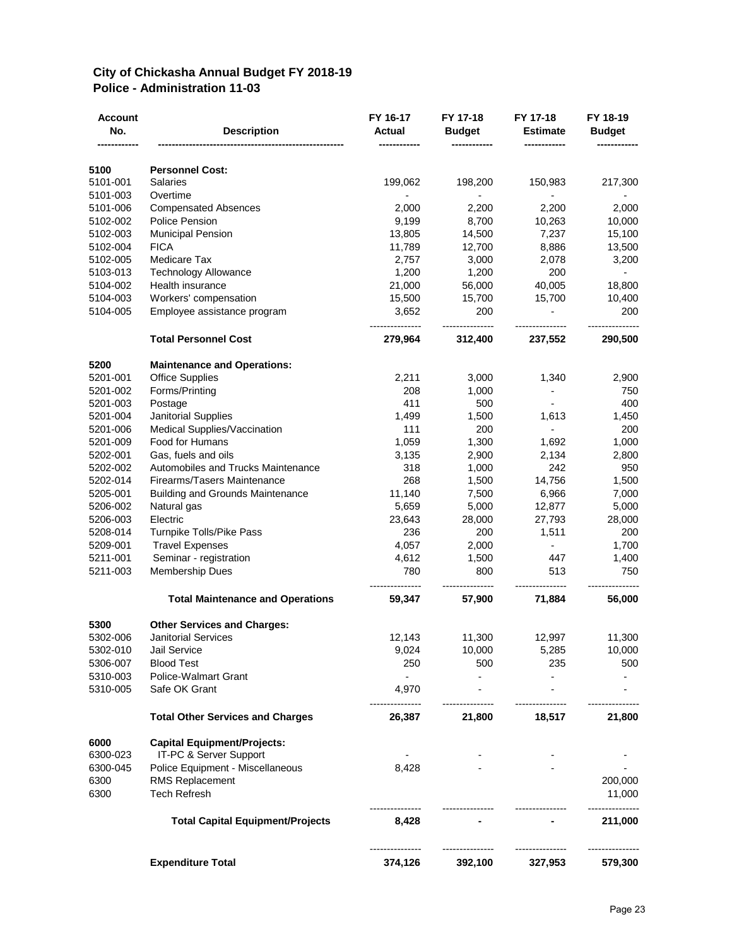#### **City of Chickasha Annual Budget FY 2018-19 Police - Administration 11-03**

| <b>Account</b><br>No. | <b>Description</b>                      | FY 16-17<br><b>Actual</b> | FY 17-18<br><b>Budget</b> | FY 17-18<br><b>Estimate</b> | FY 18-19<br><b>Budget</b> |
|-----------------------|-----------------------------------------|---------------------------|---------------------------|-----------------------------|---------------------------|
|                       |                                         |                           |                           |                             |                           |
| 5100                  | <b>Personnel Cost:</b>                  |                           |                           |                             |                           |
| 5101-001              | <b>Salaries</b>                         | 199,062                   | 198,200                   | 150,983                     | 217,300                   |
| 5101-003              | Overtime                                |                           | $\overline{\phantom{0}}$  | $\blacksquare$              |                           |
| 5101-006              | <b>Compensated Absences</b>             | 2,000                     | 2,200                     | 2,200                       | 2,000                     |
| 5102-002              | <b>Police Pension</b>                   | 9,199                     | 8,700                     | 10,263                      | 10,000                    |
| 5102-003              | <b>Municipal Pension</b>                | 13,805                    | 14,500                    | 7,237                       | 15,100                    |
| 5102-004              | <b>FICA</b>                             | 11,789                    | 12,700                    | 8,886                       | 13,500                    |
| 5102-005              | Medicare Tax                            | 2,757                     | 3,000                     | 2,078                       | 3,200                     |
| 5103-013              | <b>Technology Allowance</b>             | 1,200                     | 1,200                     | 200                         | $\sim$                    |
| 5104-002              | Health insurance                        | 21,000                    | 56,000                    | 40,005                      | 18,800                    |
| 5104-003              | Workers' compensation                   | 15,500                    | 15,700                    | 15,700                      | 10,400                    |
| 5104-005              | Employee assistance program             | 3,652                     | 200                       |                             | 200                       |
|                       | <b>Total Personnel Cost</b>             | 279,964                   | 312,400                   | 237,552                     | 290,500                   |
| 5200                  | <b>Maintenance and Operations:</b>      |                           |                           |                             |                           |
| 5201-001              | <b>Office Supplies</b>                  | 2,211                     | 3,000                     | 1,340                       | 2,900                     |
| 5201-002              | Forms/Printing                          | 208                       | 1,000                     |                             | 750                       |
| 5201-003              | Postage                                 | 411                       | 500                       |                             | 400                       |
| 5201-004              | <b>Janitorial Supplies</b>              | 1,499                     | 1,500                     | 1,613                       | 1,450                     |
| 5201-006              | Medical Supplies/Vaccination            | 111                       | 200                       | $\overline{\phantom{a}}$    | 200                       |
| 5201-009              | Food for Humans                         | 1,059                     | 1,300                     | 1,692                       | 1,000                     |
| 5202-001              | Gas, fuels and oils                     | 3,135                     | 2,900                     | 2,134                       | 2,800                     |
| 5202-002              | Automobiles and Trucks Maintenance      | 318                       | 1,000                     | 242                         | 950                       |
| 5202-014              | Firearms/Tasers Maintenance             | 268                       | 1,500                     | 14,756                      | 1,500                     |
| 5205-001              | <b>Building and Grounds Maintenance</b> | 11,140                    | 7,500                     | 6,966                       | 7,000                     |
| 5206-002              | Natural gas                             | 5,659                     | 5,000                     | 12,877                      | 5,000                     |
| 5206-003              | Electric                                | 23,643                    | 28,000                    | 27,793                      | 28,000                    |
| 5208-014              | Turnpike Tolls/Pike Pass                | 236                       | 200                       | 1,511                       | 200                       |
| 5209-001              | <b>Travel Expenses</b>                  | 4,057                     | 2,000                     |                             | 1,700                     |
| 5211-001              | Seminar - registration                  | 4,612                     | 1,500                     | 447                         | 1,400                     |
| 5211-003              | <b>Membership Dues</b>                  | 780                       | 800                       | 513                         | 750                       |
|                       | <b>Total Maintenance and Operations</b> | 59,347                    | 57,900                    | 71,884                      | 56,000                    |
| 5300                  | <b>Other Services and Charges:</b>      |                           |                           |                             |                           |
| 5302-006              | Janitorial Services                     | 12,143                    | 11,300                    | 12,997                      | 11,300                    |
| 5302-010              | Jail Service                            | 9,024                     | 10,000                    | 5,285                       | 10,000                    |
| 5306-007              | <b>Blood Test</b>                       | 250                       | 500                       | 235                         | 500                       |
| 5310-003              | <b>Police-Walmart Grant</b>             | $\overline{\phantom{a}}$  | $\blacksquare$            |                             |                           |
| 5310-005              | Safe OK Grant                           | 4,970                     |                           |                             |                           |
|                       | <b>Total Other Services and Charges</b> | 26,387                    | 21,800                    | 18,517                      | 21,800                    |
| 6000                  | <b>Capital Equipment/Projects:</b>      |                           |                           |                             |                           |
| 6300-023              | IT-PC & Server Support                  |                           |                           |                             |                           |
| 6300-045              | Police Equipment - Miscellaneous        | 8,428                     |                           |                             |                           |
| 6300                  | <b>RMS Replacement</b>                  |                           |                           |                             | 200,000                   |
| 6300                  | <b>Tech Refresh</b>                     |                           |                           |                             | 11,000                    |
|                       | <b>Total Capital Equipment/Projects</b> | 8,428                     |                           |                             | 211,000                   |
|                       | <b>Expenditure Total</b>                | 374,126                   | 392,100                   | 327,953                     | 579,300                   |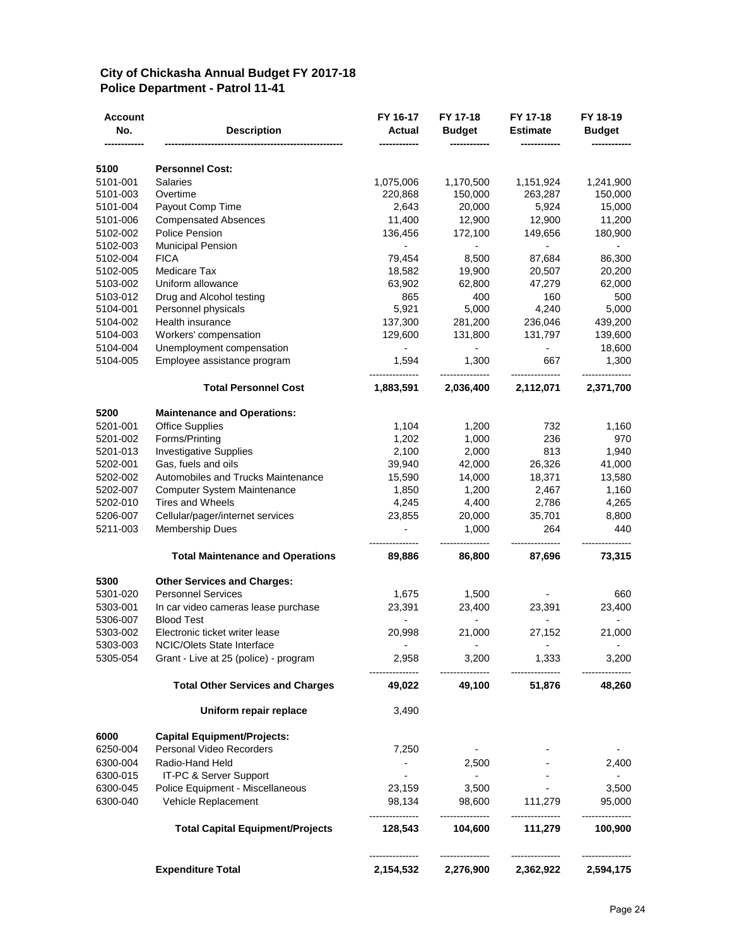#### **City of Chickasha Annual Budget FY 2017-18 Police Department - Patrol 11-41**

| Account<br>No.       | <b>Description</b>                                           | FY 16-17<br><b>Actual</b>   | FY 17-18<br><b>Budget</b>    | FY 17-18<br><b>Estimate</b>  | FY 18-19<br><b>Budget</b>    |
|----------------------|--------------------------------------------------------------|-----------------------------|------------------------------|------------------------------|------------------------------|
| 5100                 | <b>Personnel Cost:</b>                                       |                             |                              |                              |                              |
| 5101-001             | <b>Salaries</b>                                              | 1,075,006                   | 1,170,500                    | 1,151,924                    | 1,241,900                    |
| 5101-003             | Overtime                                                     | 220,868                     | 150,000                      | 263,287                      | 150,000                      |
| 5101-004             | Payout Comp Time                                             | 2,643                       | 20,000                       | 5,924                        | 15,000                       |
| 5101-006             | <b>Compensated Absences</b>                                  | 11,400                      | 12,900                       | 12,900                       | 11,200                       |
| 5102-002             | <b>Police Pension</b>                                        | 136,456                     | 172,100                      | 149,656                      | 180,900                      |
| 5102-003             | <b>Municipal Pension</b>                                     |                             | -                            | $\overline{\phantom{0}}$     |                              |
| 5102-004             | <b>FICA</b>                                                  | 79,454                      | 8,500                        | 87,684                       | 86,300                       |
| 5102-005             | Medicare Tax                                                 | 18,582                      | 19,900                       | 20,507                       | 20,200                       |
| 5103-002             | Uniform allowance                                            | 63,902                      | 62,800                       | 47,279                       | 62,000                       |
| 5103-012             | Drug and Alcohol testing                                     | 865                         | 400                          | 160                          | 500                          |
| 5104-001             | Personnel physicals                                          | 5,921                       | 5,000                        | 4,240                        | 5,000                        |
| 5104-002             | Health insurance                                             | 137,300                     | 281,200                      | 236,046                      | 439,200                      |
| 5104-003             | Workers' compensation                                        | 129,600                     | 131,800                      | 131,797                      | 139,600                      |
| 5104-004             | Unemployment compensation                                    |                             |                              |                              | 18,600                       |
| 5104-005             | Employee assistance program                                  | 1,594                       | 1,300                        | 667                          | 1,300                        |
|                      | <b>Total Personnel Cost</b>                                  | 1,883,591                   | 2,036,400                    | 2,112,071                    | 2,371,700                    |
| 5200                 | <b>Maintenance and Operations:</b>                           |                             |                              |                              |                              |
| 5201-001             | <b>Office Supplies</b>                                       | 1,104                       | 1,200                        | 732                          | 1,160                        |
| 5201-002             | Forms/Printing                                               | 1,202                       | 1,000                        | 236                          | 970                          |
| 5201-013             | <b>Investigative Supplies</b>                                | 2,100                       | 2,000                        | 813                          | 1,940                        |
| 5202-001             | Gas, fuels and oils                                          | 39,940                      | 42,000                       | 26,326                       | 41,000                       |
| 5202-002             | Automobiles and Trucks Maintenance                           | 15,590                      | 14,000                       | 18,371                       | 13,580                       |
| 5202-007             | Computer System Maintenance                                  | 1,850                       | 1,200                        | 2,467                        | 1,160                        |
| 5202-010             | <b>Tires and Wheels</b>                                      | 4,245                       | 4,400                        | 2,786                        | 4,265                        |
| 5206-007<br>5211-003 | Cellular/pager/internet services<br><b>Membership Dues</b>   | 23,855<br>$\overline{a}$    | 20,000<br>1,000              | 35,701<br>264                | 8,800<br>440                 |
|                      | <b>Total Maintenance and Operations</b>                      | 89,886                      | 86,800                       | 87,696                       | 73,315                       |
| 5300                 | <b>Other Services and Charges:</b>                           |                             |                              |                              |                              |
| 5301-020             | <b>Personnel Services</b>                                    | 1,675                       | 1,500                        |                              | 660                          |
| 5303-001             | In car video cameras lease purchase                          | 23,391                      | 23,400                       | 23,391                       | 23,400                       |
| 5306-007             | <b>Blood Test</b>                                            |                             |                              |                              |                              |
| 5303-002<br>5303-003 | Electronic ticket writer lease<br>NCIC/Olets State Interface | 20,998                      | 21,000                       | 27,152                       | 21,000                       |
| 5305-054             | Grant - Live at 25 (police) - program                        | 2,958<br>---------------    | 3,200<br>---------------     | 1,333<br>---------------     | 3,200<br>---------------     |
|                      | <b>Total Other Services and Charges</b>                      | 49,022                      | 49,100                       | 51,876                       | 48,260                       |
|                      | Uniform repair replace                                       | 3,490                       |                              |                              |                              |
| 6000                 | <b>Capital Equipment/Projects:</b>                           |                             |                              |                              |                              |
| 6250-004             | Personal Video Recorders                                     | 7,250                       | $\sim$                       |                              | $\overline{\phantom{a}}$     |
| 6300-004             | Radio-Hand Held                                              | $\overline{\phantom{a}}$    | 2,500                        |                              | 2,400                        |
| 6300-015             | IT-PC & Server Support                                       | $\sim$                      | $\sim$ $-$                   |                              | $\sim$                       |
| 6300-045             | Police Equipment - Miscellaneous                             | 23,159                      | 3,500                        |                              | 3,500                        |
| 6300-040             | Vehicle Replacement                                          | 98,134<br>---------------   | 98,600<br>---------------    | 111,279<br>---------------   | 95,000                       |
|                      | <b>Total Capital Equipment/Projects</b>                      | 128,543                     | 104,600                      | 111,279                      | 100,900                      |
|                      | <b>Expenditure Total</b>                                     | --------------<br>2,154,532 | ---------------<br>2,276,900 | ---------------<br>2,362,922 | ---------------<br>2,594,175 |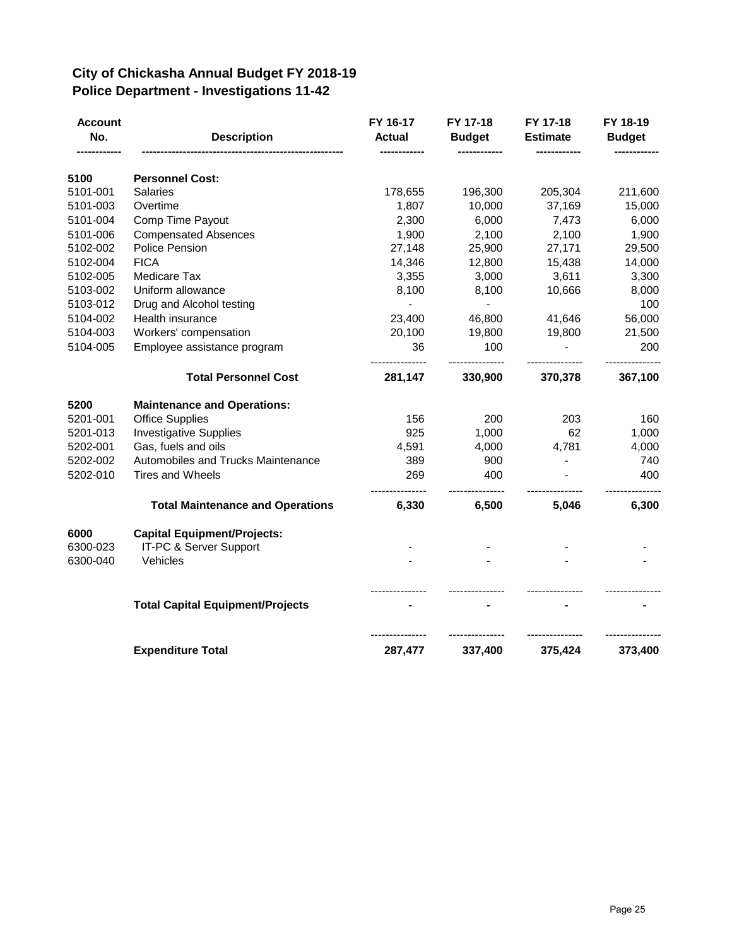#### **City of Chickasha Annual Budget FY 2018-19 Police Department - Investigations 11-42**

| <b>Account</b><br>No. | <b>Description</b>                      | FY 16-17<br><b>Actual</b> | FY 17-18<br><b>Budget</b> | FY 17-18<br><b>Estimate</b> | FY 18-19<br><b>Budget</b> |
|-----------------------|-----------------------------------------|---------------------------|---------------------------|-----------------------------|---------------------------|
| 5100                  | <b>Personnel Cost:</b>                  |                           |                           |                             |                           |
| 5101-001              | <b>Salaries</b>                         | 178,655                   | 196,300                   | 205,304                     | 211,600                   |
| 5101-003              | Overtime                                | 1,807                     | 10,000                    | 37,169                      | 15,000                    |
| 5101-004              | Comp Time Payout                        | 2,300                     | 6,000                     | 7,473                       | 6,000                     |
| 5101-006              | <b>Compensated Absences</b>             | 1,900                     | 2,100                     | 2,100                       | 1,900                     |
| 5102-002              | <b>Police Pension</b>                   | 27,148                    | 25,900                    | 27,171                      | 29,500                    |
| 5102-004              | <b>FICA</b>                             | 14,346                    | 12,800                    | 15,438                      | 14,000                    |
| 5102-005              | Medicare Tax                            | 3,355                     | 3,000                     | 3,611                       | 3,300                     |
| 5103-002              | Uniform allowance                       | 8,100                     | 8,100                     | 10,666                      | 8,000                     |
| 5103-012              | Drug and Alcohol testing                |                           |                           |                             | 100                       |
| 5104-002              | Health insurance                        | 23,400                    | 46,800                    | 41,646                      | 56,000                    |
| 5104-003              | Workers' compensation                   | 20,100                    | 19,800                    | 19,800                      | 21,500                    |
| 5104-005              | Employee assistance program             | 36                        | 100                       |                             | 200                       |
|                       | <b>Total Personnel Cost</b>             | 281,147                   | 330,900                   | 370,378                     | 367,100                   |
| 5200                  | <b>Maintenance and Operations:</b>      |                           |                           |                             |                           |
| 5201-001              | <b>Office Supplies</b>                  | 156                       | 200                       | 203                         | 160                       |
| 5201-013              | <b>Investigative Supplies</b>           | 925                       | 1,000                     | 62                          | 1,000                     |
| 5202-001              | Gas, fuels and oils                     | 4,591                     | 4,000                     | 4,781                       | 4,000                     |
| 5202-002              | Automobiles and Trucks Maintenance      | 389                       | 900                       |                             | 740                       |
| 5202-010              | <b>Tires and Wheels</b>                 | 269                       | 400                       |                             | 400                       |
|                       | <b>Total Maintenance and Operations</b> | 6,330                     | 6,500                     | 5,046                       | 6,300                     |
| 6000                  | <b>Capital Equipment/Projects:</b>      |                           |                           |                             |                           |
| 6300-023              | IT-PC & Server Support                  |                           |                           |                             |                           |
| 6300-040              | Vehicles                                |                           |                           |                             |                           |
|                       | <b>Total Capital Equipment/Projects</b> |                           |                           |                             |                           |
|                       | <b>Expenditure Total</b>                | 287,477                   | 337,400                   | 375,424                     | 373,400                   |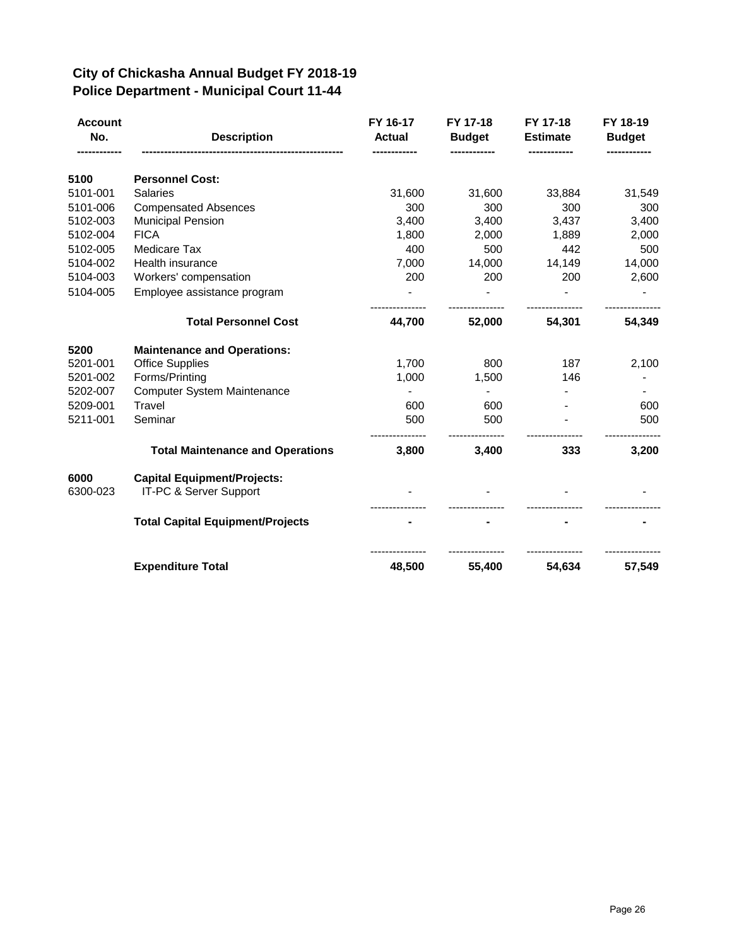#### **City of Chickasha Annual Budget FY 2018-19 Police Department - Municipal Court 11-44**

| <b>Account</b><br>No. | <b>Description</b>                                           | FY 16-17<br><b>Actual</b> | FY 17-18<br><b>Budget</b> | FY 17-18<br><b>Estimate</b> | FY 18-19<br><b>Budget</b> |
|-----------------------|--------------------------------------------------------------|---------------------------|---------------------------|-----------------------------|---------------------------|
|                       |                                                              |                           |                           |                             |                           |
| 5100<br>5101-001      | <b>Personnel Cost:</b><br><b>Salaries</b>                    | 31,600                    | 31,600                    | 33,884                      | 31,549                    |
| 5101-006              | <b>Compensated Absences</b>                                  | 300                       | 300                       | 300                         | 300                       |
| 5102-003              | <b>Municipal Pension</b>                                     | 3,400                     | 3,400                     | 3,437                       | 3,400                     |
| 5102-004              | <b>FICA</b>                                                  | 1,800                     | 2,000                     | 1,889                       | 2,000                     |
| 5102-005              | Medicare Tax                                                 | 400                       | 500                       | 442                         | 500                       |
| 5104-002              | Health insurance                                             | 7,000                     | 14,000                    | 14,149                      | 14,000                    |
| 5104-003              | Workers' compensation                                        | 200                       | 200                       | 200                         | 2,600                     |
| 5104-005              | Employee assistance program                                  |                           |                           |                             |                           |
|                       | <b>Total Personnel Cost</b>                                  | 44,700                    | 52,000                    | 54,301                      | 54,349                    |
|                       |                                                              |                           |                           |                             |                           |
| 5200                  | <b>Maintenance and Operations:</b>                           |                           |                           |                             |                           |
| 5201-001              | <b>Office Supplies</b>                                       | 1,700                     | 800                       | 187                         | 2,100                     |
| 5201-002              | Forms/Printing                                               | 1,000                     | 1,500                     | 146                         |                           |
| 5202-007              | <b>Computer System Maintenance</b>                           |                           |                           |                             |                           |
| 5209-001              | Travel                                                       | 600                       | 600                       |                             | 600                       |
| 5211-001              | Seminar                                                      | 500                       | 500                       |                             | 500                       |
|                       | <b>Total Maintenance and Operations</b>                      | 3,800                     | 3,400                     | 333                         | 3,200                     |
| 6000<br>6300-023      | <b>Capital Equipment/Projects:</b><br>IT-PC & Server Support |                           |                           |                             |                           |
|                       | <b>Total Capital Equipment/Projects</b>                      |                           |                           |                             |                           |
|                       | <b>Expenditure Total</b>                                     | 48,500                    | 55,400                    | 54,634                      | 57,549                    |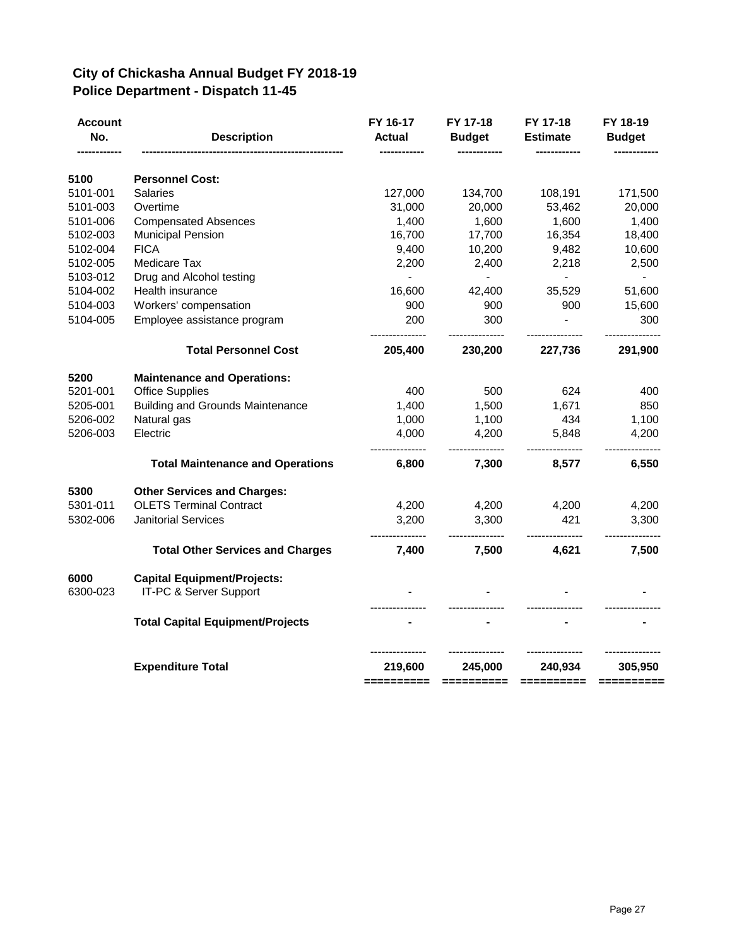## **City of Chickasha Annual Budget FY 2018-19 Police Department - Dispatch 11-45**

| Account<br>No.   | <b>Description</b>                                           | FY 16-17<br><b>Actual</b> | FY 17-18<br><b>Budget</b> | FY 17-18<br><b>Estimate</b>                                                                                                                                                                                                                                                                                                                                                                                                                                                                       | FY 18-19<br><b>Budget</b> |
|------------------|--------------------------------------------------------------|---------------------------|---------------------------|---------------------------------------------------------------------------------------------------------------------------------------------------------------------------------------------------------------------------------------------------------------------------------------------------------------------------------------------------------------------------------------------------------------------------------------------------------------------------------------------------|---------------------------|
| 5100             | <b>Personnel Cost:</b>                                       |                           |                           |                                                                                                                                                                                                                                                                                                                                                                                                                                                                                                   |                           |
| 5101-001         | <b>Salaries</b>                                              | 127,000                   | 134,700                   | 108,191                                                                                                                                                                                                                                                                                                                                                                                                                                                                                           | 171,500                   |
| 5101-003         | Overtime                                                     | 31,000                    | 20,000                    | 53,462                                                                                                                                                                                                                                                                                                                                                                                                                                                                                            | 20,000                    |
| 5101-006         | <b>Compensated Absences</b>                                  | 1,400                     | 1,600                     | 1,600                                                                                                                                                                                                                                                                                                                                                                                                                                                                                             | 1,400                     |
| 5102-003         | <b>Municipal Pension</b>                                     | 16,700                    | 17,700                    | 16,354                                                                                                                                                                                                                                                                                                                                                                                                                                                                                            | 18,400                    |
| 5102-004         | <b>FICA</b>                                                  | 9,400                     | 10,200                    | 9,482                                                                                                                                                                                                                                                                                                                                                                                                                                                                                             | 10,600                    |
| 5102-005         | Medicare Tax                                                 | 2,200                     | 2,400                     | 2,218                                                                                                                                                                                                                                                                                                                                                                                                                                                                                             | 2,500                     |
| 5103-012         | Drug and Alcohol testing                                     | $\blacksquare$            |                           |                                                                                                                                                                                                                                                                                                                                                                                                                                                                                                   |                           |
| 5104-002         | Health insurance                                             | 16,600                    | 42,400                    | 35,529                                                                                                                                                                                                                                                                                                                                                                                                                                                                                            | 51,600                    |
| 5104-003         | Workers' compensation                                        | 900                       | 900                       | 900                                                                                                                                                                                                                                                                                                                                                                                                                                                                                               | 15,600                    |
| 5104-005         | Employee assistance program                                  | 200                       | 300                       |                                                                                                                                                                                                                                                                                                                                                                                                                                                                                                   | 300                       |
|                  | <b>Total Personnel Cost</b>                                  | 205,400                   | 230,200                   | 227,736                                                                                                                                                                                                                                                                                                                                                                                                                                                                                           | 291,900                   |
| 5200             | <b>Maintenance and Operations:</b>                           |                           |                           |                                                                                                                                                                                                                                                                                                                                                                                                                                                                                                   |                           |
| 5201-001         | <b>Office Supplies</b>                                       | 400                       | 500                       | 624                                                                                                                                                                                                                                                                                                                                                                                                                                                                                               | 400                       |
| 5205-001         | <b>Building and Grounds Maintenance</b>                      | 1,400                     | 1,500                     | 1,671                                                                                                                                                                                                                                                                                                                                                                                                                                                                                             | 850                       |
| 5206-002         | Natural gas                                                  | 1,000                     | 1,100                     | 434                                                                                                                                                                                                                                                                                                                                                                                                                                                                                               | 1,100                     |
| 5206-003         | Electric                                                     | 4,000                     | 4,200                     | 5,848                                                                                                                                                                                                                                                                                                                                                                                                                                                                                             | 4,200                     |
|                  | <b>Total Maintenance and Operations</b>                      | 6,800                     | 7,300                     | 8,577                                                                                                                                                                                                                                                                                                                                                                                                                                                                                             | 6,550                     |
| 5300             | <b>Other Services and Charges:</b>                           |                           |                           |                                                                                                                                                                                                                                                                                                                                                                                                                                                                                                   |                           |
| 5301-011         | <b>OLETS Terminal Contract</b>                               | 4,200                     | 4,200                     | 4,200                                                                                                                                                                                                                                                                                                                                                                                                                                                                                             | 4,200                     |
| 5302-006         | <b>Janitorial Services</b>                                   | 3,200                     | 3,300                     | 421                                                                                                                                                                                                                                                                                                                                                                                                                                                                                               | 3,300                     |
|                  | <b>Total Other Services and Charges</b>                      | --------------<br>7,400   | 7,500                     | 4,621                                                                                                                                                                                                                                                                                                                                                                                                                                                                                             | 7,500                     |
| 6000<br>6300-023 | <b>Capital Equipment/Projects:</b><br>IT-PC & Server Support |                           |                           |                                                                                                                                                                                                                                                                                                                                                                                                                                                                                                   |                           |
|                  | <b>Total Capital Equipment/Projects</b>                      |                           |                           |                                                                                                                                                                                                                                                                                                                                                                                                                                                                                                   |                           |
|                  |                                                              |                           |                           |                                                                                                                                                                                                                                                                                                                                                                                                                                                                                                   |                           |
|                  | <b>Expenditure Total</b>                                     | 219,600<br>==========     | 245,000<br>==========     | 240,934<br>$\begin{array}{cccccccccc} \multicolumn{2}{c}{} & \multicolumn{2}{c}{} & \multicolumn{2}{c}{} & \multicolumn{2}{c}{} & \multicolumn{2}{c}{} & \multicolumn{2}{c}{} & \multicolumn{2}{c}{} & \multicolumn{2}{c}{} & \multicolumn{2}{c}{} & \multicolumn{2}{c}{} & \multicolumn{2}{c}{} & \multicolumn{2}{c}{} & \multicolumn{2}{c}{} & \multicolumn{2}{c}{} & \multicolumn{2}{c}{} & \multicolumn{2}{c}{} & \multicolumn{2}{c}{} & \multicolumn{2}{c}{} & \multicolumn{2}{c}{} & \mult$ | 305,950<br>$=$ =========  |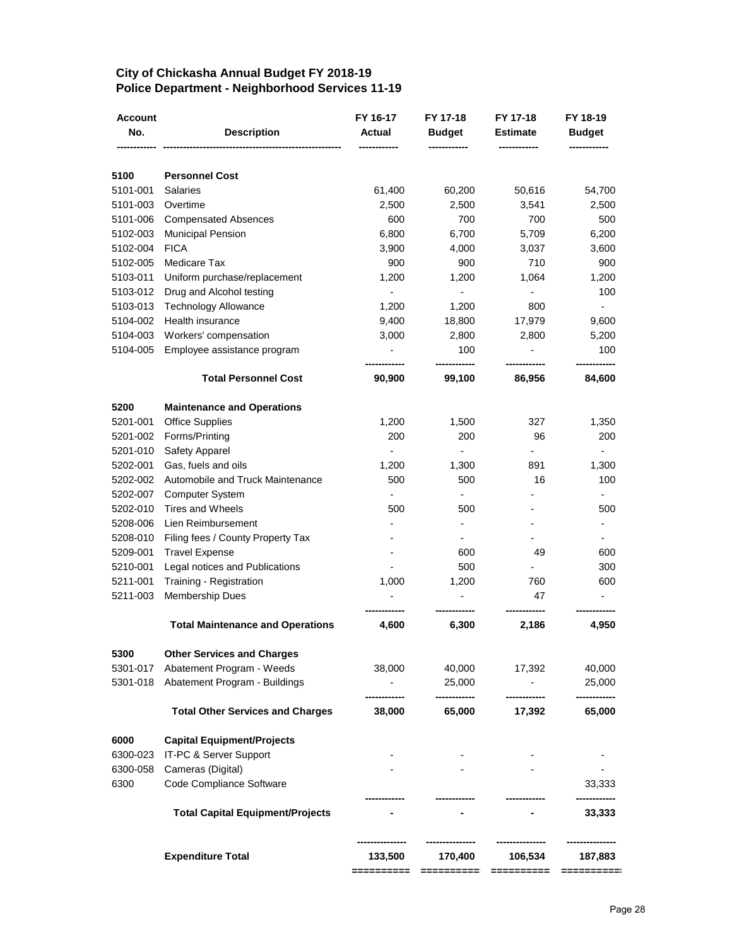## **City of Chickasha Annual Budget FY 2018-19 Police Department - Neighborhood Services 11-19**

| 5100<br>5101-001<br>5101-003<br>5101-006<br>5102-003 | <b>Personnel Cost</b><br><b>Salaries</b><br>Overtime<br><b>Compensated Absences</b><br><b>Municipal Pension</b><br><b>FICA</b><br>Medicare Tax<br>Uniform purchase/replacement<br>Drug and Alcohol testing | 61,400<br>2,500<br>600<br>6,800<br>3,900<br>900 | 60,200<br>2,500<br>700<br>6,700<br>4,000 | 50,616<br>3,541<br>700 | 54,700<br>2,500       |
|------------------------------------------------------|------------------------------------------------------------------------------------------------------------------------------------------------------------------------------------------------------------|-------------------------------------------------|------------------------------------------|------------------------|-----------------------|
|                                                      |                                                                                                                                                                                                            |                                                 |                                          |                        |                       |
|                                                      |                                                                                                                                                                                                            |                                                 |                                          |                        |                       |
|                                                      |                                                                                                                                                                                                            |                                                 |                                          |                        |                       |
|                                                      |                                                                                                                                                                                                            |                                                 |                                          |                        | 500                   |
|                                                      |                                                                                                                                                                                                            |                                                 |                                          | 5,709                  | 6,200                 |
| 5102-004                                             |                                                                                                                                                                                                            |                                                 |                                          | 3,037                  | 3,600                 |
| 5102-005                                             |                                                                                                                                                                                                            |                                                 | 900                                      | 710                    | 900                   |
| 5103-011                                             |                                                                                                                                                                                                            | 1,200                                           | 1,200                                    | 1,064                  | 1,200                 |
| 5103-012                                             |                                                                                                                                                                                                            |                                                 |                                          |                        | 100                   |
| 5103-013                                             | <b>Technology Allowance</b>                                                                                                                                                                                | 1,200                                           | 1,200                                    | 800                    |                       |
| 5104-002                                             | Health insurance                                                                                                                                                                                           | 9,400                                           | 18,800                                   | 17,979                 | 9,600                 |
| 5104-003                                             | Workers' compensation                                                                                                                                                                                      | 3,000                                           | 2,800                                    | 2,800                  | 5,200                 |
| 5104-005                                             | Employee assistance program                                                                                                                                                                                |                                                 | 100                                      |                        | 100                   |
|                                                      | <b>Total Personnel Cost</b>                                                                                                                                                                                | 90,900                                          | 99,100                                   | 86,956                 | 84,600                |
| 5200                                                 | <b>Maintenance and Operations</b>                                                                                                                                                                          |                                                 |                                          |                        |                       |
| 5201-001                                             | <b>Office Supplies</b>                                                                                                                                                                                     | 1,200                                           | 1,500                                    | 327                    | 1,350                 |
| 5201-002                                             | Forms/Printing                                                                                                                                                                                             | 200                                             | 200                                      | 96                     | 200                   |
| 5201-010                                             | <b>Safety Apparel</b>                                                                                                                                                                                      |                                                 | $\overline{\phantom{a}}$                 |                        | -                     |
| 5202-001                                             | Gas, fuels and oils                                                                                                                                                                                        | 1,200                                           | 1,300                                    | 891                    | 1,300                 |
| 5202-002                                             | Automobile and Truck Maintenance                                                                                                                                                                           | 500                                             | 500                                      | 16                     | 100                   |
| 5202-007                                             | <b>Computer System</b>                                                                                                                                                                                     |                                                 | ۰                                        |                        |                       |
| 5202-010                                             | <b>Tires and Wheels</b>                                                                                                                                                                                    | 500                                             | 500                                      |                        | 500                   |
| 5208-006                                             | Lien Reimbursement                                                                                                                                                                                         |                                                 |                                          |                        |                       |
| 5208-010                                             | Filing fees / County Property Tax                                                                                                                                                                          |                                                 | $\overline{\phantom{a}}$                 |                        | $\blacksquare$        |
| 5209-001                                             | <b>Travel Expense</b>                                                                                                                                                                                      |                                                 | 600                                      | 49                     | 600                   |
| 5210-001                                             | Legal notices and Publications                                                                                                                                                                             |                                                 | 500                                      |                        | 300                   |
| 5211-001                                             | Training - Registration                                                                                                                                                                                    | 1,000                                           | 1,200                                    | 760                    | 600                   |
| 5211-003                                             | <b>Membership Dues</b>                                                                                                                                                                                     |                                                 | ÷                                        | 47                     |                       |
|                                                      | <b>Total Maintenance and Operations</b>                                                                                                                                                                    | 4,600                                           | 6,300                                    | 2,186                  | 4,950                 |
| 5300                                                 | <b>Other Services and Charges</b>                                                                                                                                                                          |                                                 |                                          |                        |                       |
| 5301-017                                             | Abatement Program - Weeds                                                                                                                                                                                  | 38,000                                          | 40,000                                   | 17,392                 | 40,000                |
| 5301-018                                             | Abatement Program - Buildings                                                                                                                                                                              |                                                 | 25,000                                   |                        | 25,000                |
|                                                      | <b>Total Other Services and Charges</b>                                                                                                                                                                    | 38,000                                          | 65,000                                   | 17,392                 | 65,000                |
| 6000                                                 | <b>Capital Equipment/Projects</b>                                                                                                                                                                          |                                                 |                                          |                        |                       |
| 6300-023                                             | IT-PC & Server Support                                                                                                                                                                                     |                                                 |                                          |                        |                       |
| 6300-058                                             | Cameras (Digital)                                                                                                                                                                                          |                                                 |                                          |                        |                       |
| 6300                                                 | Code Compliance Software                                                                                                                                                                                   |                                                 |                                          |                        | 33,333                |
|                                                      | <b>Total Capital Equipment/Projects</b>                                                                                                                                                                    |                                                 |                                          |                        | 33,333                |
|                                                      | <b>Expenditure Total</b>                                                                                                                                                                                   | 133,500<br>==========                           | 170,400<br>==========                    | 106,534<br>==========  | 187,883<br>========== |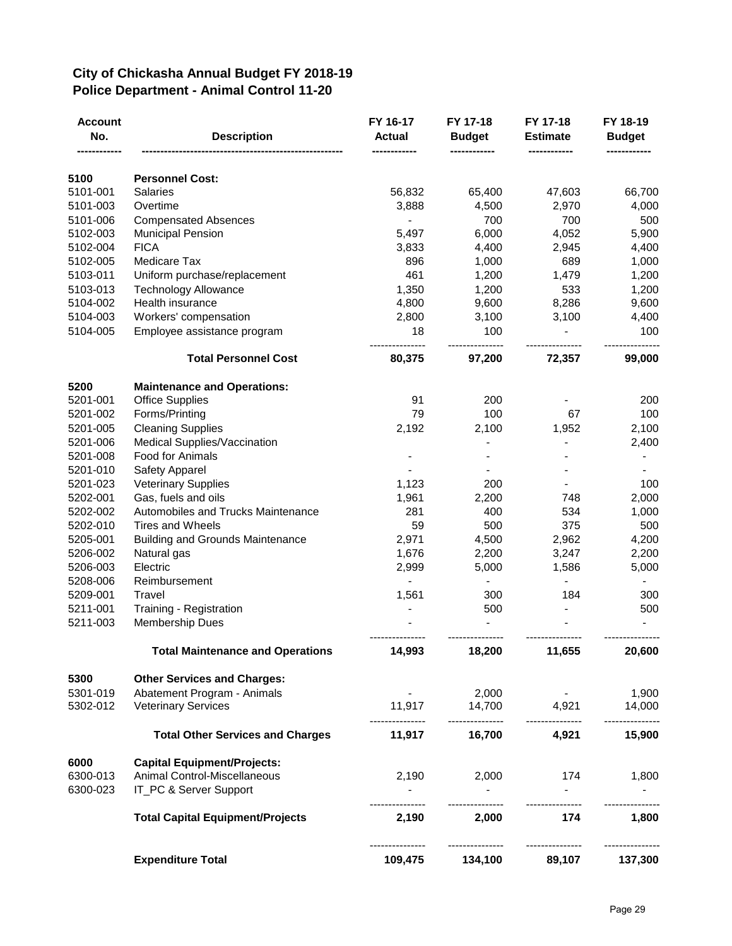## **City of Chickasha Annual Budget FY 2018-19 Police Department - Animal Control 11-20**

| <b>Account</b><br>No. | <b>Description</b>                      | FY 16-17<br><b>Actual</b> | FY 17-18<br><b>Budget</b> | FY 17-18<br><b>Estimate</b> | FY 18-19<br><b>Budget</b> |
|-----------------------|-----------------------------------------|---------------------------|---------------------------|-----------------------------|---------------------------|
| 5100                  | <b>Personnel Cost:</b>                  |                           |                           |                             |                           |
| 5101-001              | <b>Salaries</b>                         | 56,832                    | 65,400                    | 47,603                      | 66,700                    |
| 5101-003              | Overtime                                | 3,888                     | 4,500                     | 2,970                       | 4,000                     |
| 5101-006              | <b>Compensated Absences</b>             | $\frac{1}{2}$             | 700                       | 700                         | 500                       |
| 5102-003              | <b>Municipal Pension</b>                | 5,497                     | 6,000                     | 4,052                       | 5,900                     |
| 5102-004              | <b>FICA</b>                             | 3,833                     | 4,400                     | 2,945                       | 4,400                     |
| 5102-005              | Medicare Tax                            | 896                       | 1,000                     | 689                         | 1,000                     |
| 5103-011              | Uniform purchase/replacement            | 461                       | 1,200                     | 1,479                       | 1,200                     |
| 5103-013              | <b>Technology Allowance</b>             | 1,350                     | 1,200                     | 533                         | 1,200                     |
| 5104-002              | Health insurance                        | 4,800                     | 9,600                     | 8,286                       | 9,600                     |
| 5104-003              | Workers' compensation                   | 2,800                     | 3,100                     | 3,100                       | 4,400                     |
| 5104-005              | Employee assistance program             | 18                        | 100                       |                             | 100                       |
|                       | <b>Total Personnel Cost</b>             | 80,375                    | 97,200                    | 72,357                      | 99,000                    |
| 5200                  | <b>Maintenance and Operations:</b>      |                           |                           |                             |                           |
| 5201-001              | <b>Office Supplies</b>                  | 91                        | 200                       |                             | 200                       |
| 5201-002              | Forms/Printing                          | 79                        | 100                       | 67                          | 100                       |
| 5201-005              | <b>Cleaning Supplies</b>                | 2,192                     | 2,100                     | 1,952                       | 2,100                     |
| 5201-006              | Medical Supplies/Vaccination            |                           |                           |                             | 2,400                     |
| 5201-008              | Food for Animals                        |                           |                           |                             |                           |
| 5201-010              | Safety Apparel                          |                           |                           |                             |                           |
| 5201-023              | <b>Veterinary Supplies</b>              | 1,123                     | 200                       |                             | 100                       |
| 5202-001              | Gas, fuels and oils                     | 1,961                     | 2,200                     | 748                         | 2,000                     |
| 5202-002              | Automobiles and Trucks Maintenance      | 281                       | 400                       | 534                         | 1,000                     |
| 5202-010              | Tires and Wheels                        | 59                        | 500                       | 375                         | 500                       |
| 5205-001              | <b>Building and Grounds Maintenance</b> | 2,971                     | 4,500                     | 2,962                       | 4,200                     |
| 5206-002              | Natural gas                             | 1,676                     | 2,200                     | 3,247                       | 2,200                     |
| 5206-003<br>5208-006  | Electric<br>Reimbursement               | 2,999                     | 5,000                     | 1,586                       | 5,000                     |
| 5209-001              | Travel                                  | 1,561                     | 300                       | 184                         | 300                       |
| 5211-001              | Training - Registration                 |                           | 500                       |                             | 500                       |
| 5211-003              | <b>Membership Dues</b>                  |                           |                           |                             |                           |
|                       | <b>Total Maintenance and Operations</b> | 14,993                    | 18,200                    | 11,655                      | 20,600                    |
| 5300                  | <b>Other Services and Charges:</b>      |                           |                           |                             |                           |
| 5301-019              | Abatement Program - Animals             |                           | 2,000                     |                             | 1,900                     |
| 5302-012              | <b>Veterinary Services</b>              | 11,917                    | 14,700                    | 4,921                       | 14,000                    |
|                       | <b>Total Other Services and Charges</b> | ------------<br>11,917    | ---------------<br>16,700 | ---------------<br>4,921    | 15,900                    |
| 6000                  | <b>Capital Equipment/Projects:</b>      |                           |                           |                             |                           |
| 6300-013              | Animal Control-Miscellaneous            | 2,190                     | 2,000                     | 174                         | 1,800                     |
| 6300-023              | IT_PC & Server Support                  |                           |                           | $\sim 100$                  |                           |
|                       | <b>Total Capital Equipment/Projects</b> | 2,190                     | 2,000                     | 174                         | 1,800                     |
|                       | <b>Expenditure Total</b>                | 109,475                   | 134,100                   | ---------------<br>89,107   | 137,300                   |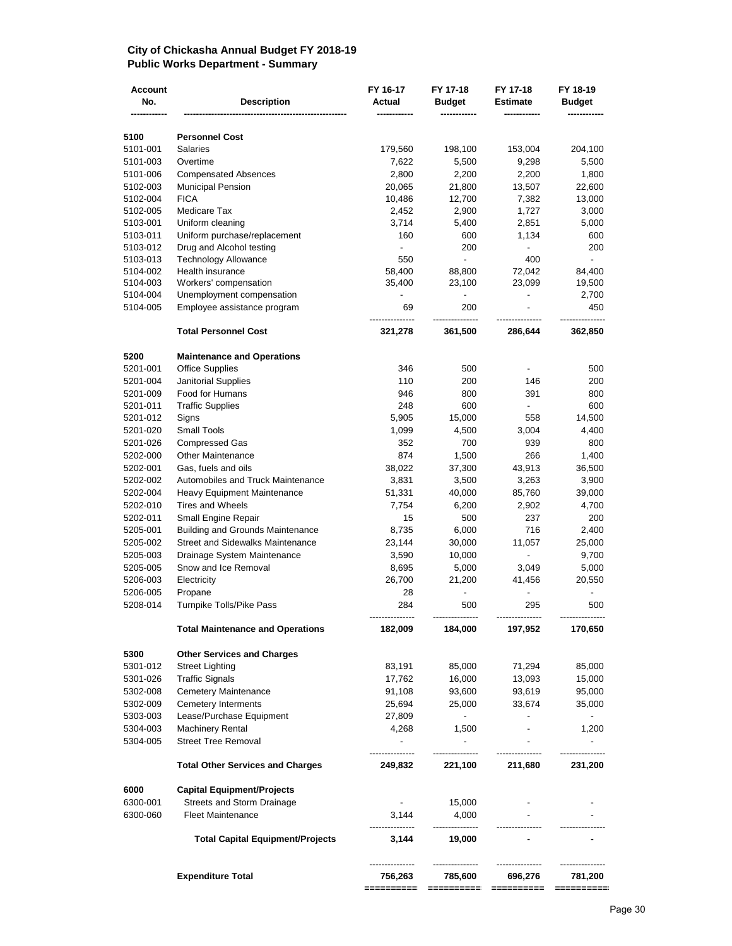### **City of Chickasha Annual Budget FY 2018-19 Public Works Department - Summary**

| <b>Account</b><br>No. | <b>Description</b>                                    | FY 16-17<br>Actual       | FY 17-18<br><b>Budget</b> | FY 17-18<br>Estimate     | FY 18-19<br><b>Budget</b> |
|-----------------------|-------------------------------------------------------|--------------------------|---------------------------|--------------------------|---------------------------|
| 5100                  | <b>Personnel Cost</b>                                 |                          |                           |                          |                           |
| 5101-001              | <b>Salaries</b>                                       | 179,560                  | 198,100                   | 153,004                  | 204,100                   |
| 5101-003              | Overtime                                              | 7,622                    | 5,500                     | 9,298                    | 5,500                     |
| 5101-006              | <b>Compensated Absences</b>                           | 2,800                    | 2,200                     | 2,200                    | 1,800                     |
| 5102-003              | <b>Municipal Pension</b>                              | 20,065                   | 21,800                    | 13,507                   | 22,600                    |
| 5102-004              | <b>FICA</b>                                           | 10,486                   | 12,700                    | 7,382                    | 13,000                    |
| 5102-005              | Medicare Tax                                          | 2,452                    | 2,900                     | 1,727                    | 3,000                     |
| 5103-001              | Uniform cleaning                                      | 3,714                    | 5,400                     | 2,851                    | 5,000                     |
| 5103-011              | Uniform purchase/replacement                          | 160                      | 600                       | 1,134                    | 600                       |
| 5103-012              | Drug and Alcohol testing                              | $\overline{\phantom{a}}$ | 200                       |                          | 200                       |
| 5103-013              | <b>Technology Allowance</b>                           | 550                      | $\blacksquare$            | 400                      | $\overline{\phantom{a}}$  |
| 5104-002              | Health insurance                                      | 58,400                   | 88,800                    | 72,042                   | 84,400                    |
| 5104-003              | Workers' compensation                                 | 35,400                   | 23,100                    | 23,099                   | 19,500                    |
| 5104-004              | Unemployment compensation                             |                          | $\overline{\phantom{0}}$  |                          | 2,700                     |
| 5104-005              | Employee assistance program                           | 69                       | 200                       |                          | 450                       |
|                       | <b>Total Personnel Cost</b>                           | 321,278                  | 361,500                   | 286,644                  | 362,850                   |
| 5200                  | <b>Maintenance and Operations</b>                     |                          |                           |                          |                           |
| 5201-001              | <b>Office Supplies</b>                                | 346                      | 500                       |                          | 500                       |
| 5201-004              | <b>Janitorial Supplies</b>                            | 110                      | 200                       | 146                      | 200                       |
| 5201-009              | Food for Humans                                       | 946                      | 800                       | 391                      | 800                       |
| 5201-011              | <b>Traffic Supplies</b>                               | 248                      | 600                       |                          | 600                       |
| 5201-012              | Signs                                                 | 5,905                    | 15,000                    | 558                      | 14,500                    |
| 5201-020              | Small Tools                                           | 1,099                    | 4,500                     | 3,004                    | 4,400                     |
| 5201-026              | <b>Compressed Gas</b>                                 | 352                      | 700                       | 939                      | 800                       |
| 5202-000              | <b>Other Maintenance</b>                              | 874                      | 1,500                     | 266                      | 1,400                     |
| 5202-001              | Gas, fuels and oils                                   | 38,022                   | 37,300                    | 43,913                   | 36,500                    |
| 5202-002              | Automobiles and Truck Maintenance                     | 3,831                    | 3,500                     | 3,263                    | 3,900                     |
| 5202-004              | Heavy Equipment Maintenance                           | 51,331                   | 40,000                    | 85,760                   | 39,000                    |
| 5202-010              | <b>Tires and Wheels</b>                               | 7,754                    | 6,200                     | 2,902                    | 4,700                     |
| 5202-011              | Small Engine Repair                                   | 15                       | 500                       | 237                      | 200                       |
| 5205-001              | <b>Building and Grounds Maintenance</b>               | 8,735                    | 6,000                     | 716                      | 2,400                     |
| 5205-002              | <b>Street and Sidewalks Maintenance</b>               | 23,144                   | 30,000                    | 11,057                   | 25,000                    |
| 5205-003              | Drainage System Maintenance                           | 3,590                    | 10,000                    | $\overline{\phantom{a}}$ | 9,700                     |
| 5205-005              | Snow and Ice Removal                                  | 8,695                    | 5,000                     | 3,049                    | 5,000                     |
| 5206-003              | Electricity                                           | 26,700                   | 21,200                    | 41,456                   | 20,550                    |
| 5206-005<br>5208-014  | Propane<br>Turnpike Tolls/Pike Pass                   | 28<br>284                | 500                       | 295                      | 500                       |
|                       | <b>Total Maintenance and Operations</b>               | 182,009                  | 184,000                   | 197,952                  | 170,650                   |
|                       |                                                       |                          |                           |                          |                           |
| 5300                  | <b>Other Services and Charges</b>                     |                          |                           |                          |                           |
| 5301-012              | <b>Street Lighting</b>                                | 83,191                   | 85,000                    | 71,294                   | 85,000                    |
| 5301-026              | <b>Traffic Signals</b>                                | 17,762                   | 16,000                    | 13,093                   | 15,000                    |
| 5302-008              | <b>Cemetery Maintenance</b>                           | 91,108                   | 93,600                    | 93,619                   | 95,000                    |
| 5302-009              | <b>Cemetery Interments</b>                            | 25,694                   | 25,000                    | 33,674                   | 35,000                    |
| 5303-003              | Lease/Purchase Equipment                              | 27,809                   | $\sim$                    |                          | $\blacksquare$            |
| 5304-003<br>5304-005  | <b>Machinery Rental</b><br><b>Street Tree Removal</b> | 4,268<br>$\sim$          | 1,500<br>$\sim$           | $\blacksquare$           | 1,200<br>$\blacksquare$   |
|                       | <b>Total Other Services and Charges</b>               | 249,832                  | 221,100                   | 211,680                  | 231,200                   |
| 6000                  | <b>Capital Equipment/Projects</b>                     |                          |                           |                          |                           |
| 6300-001              | Streets and Storm Drainage                            | $\sim$                   | 15,000                    |                          |                           |
| 6300-060              | <b>Fleet Maintenance</b>                              | 3,144                    | 4,000                     |                          |                           |
|                       | <b>Total Capital Equipment/Projects</b>               | 3,144                    | 19,000                    |                          |                           |
|                       |                                                       |                          |                           |                          |                           |
|                       | <b>Expenditure Total</b>                              | 756,263<br>==========    | 785,600<br>==========     | 696,276<br>==========    | 781,200<br>==========     |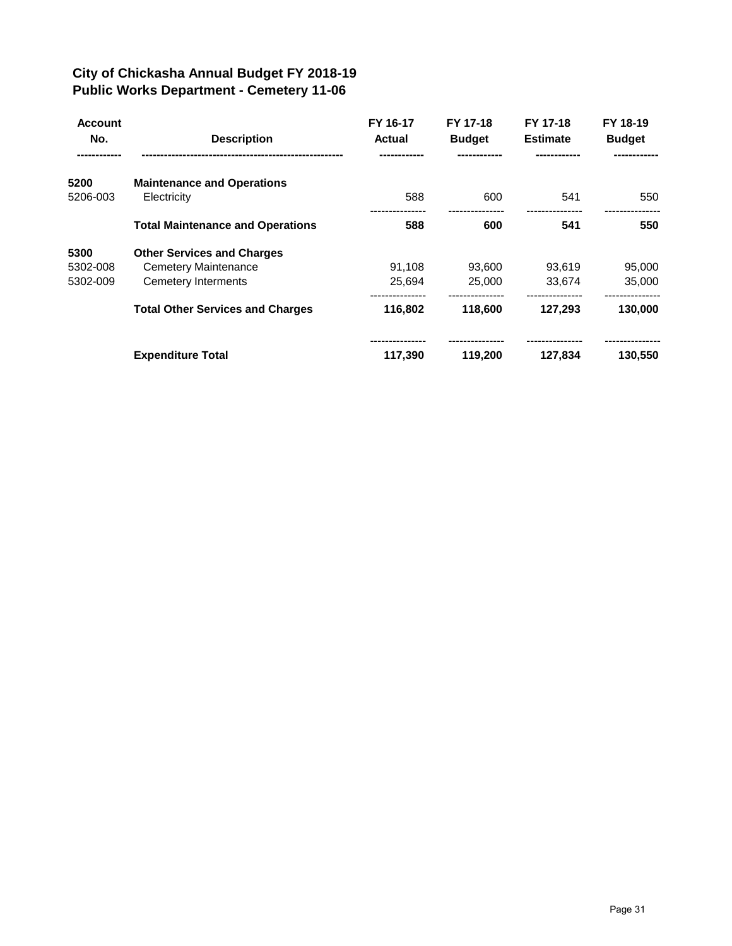## **City of Chickasha Annual Budget FY 2018-19 Public Works Department - Cemetery 11-06**

| <b>Account</b><br>No. | <b>Description</b>                      | FY 16-17<br><b>Actual</b> | FY 17-18<br><b>Budget</b> | FY 17-18<br><b>Estimate</b> | FY 18-19<br><b>Budget</b> |
|-----------------------|-----------------------------------------|---------------------------|---------------------------|-----------------------------|---------------------------|
| 5200                  | <b>Maintenance and Operations</b>       |                           |                           |                             |                           |
| 5206-003              | Electricity                             | 588                       | 600                       | 541                         | 550                       |
|                       | <b>Total Maintenance and Operations</b> | 588                       | 600                       | 541                         | 550                       |
| 5300                  | <b>Other Services and Charges</b>       |                           |                           |                             |                           |
| 5302-008              | <b>Cemetery Maintenance</b>             | 91.108                    | 93.600                    | 93.619                      | 95,000                    |
| 5302-009              | Cemetery Interments                     | 25,694                    | 25,000                    | 33,674                      | 35,000                    |
|                       | <b>Total Other Services and Charges</b> | 116,802                   | 118,600                   | 127,293                     | 130,000                   |
|                       | <b>Expenditure Total</b>                | 117,390                   | 119,200                   | 127,834                     | 130,550                   |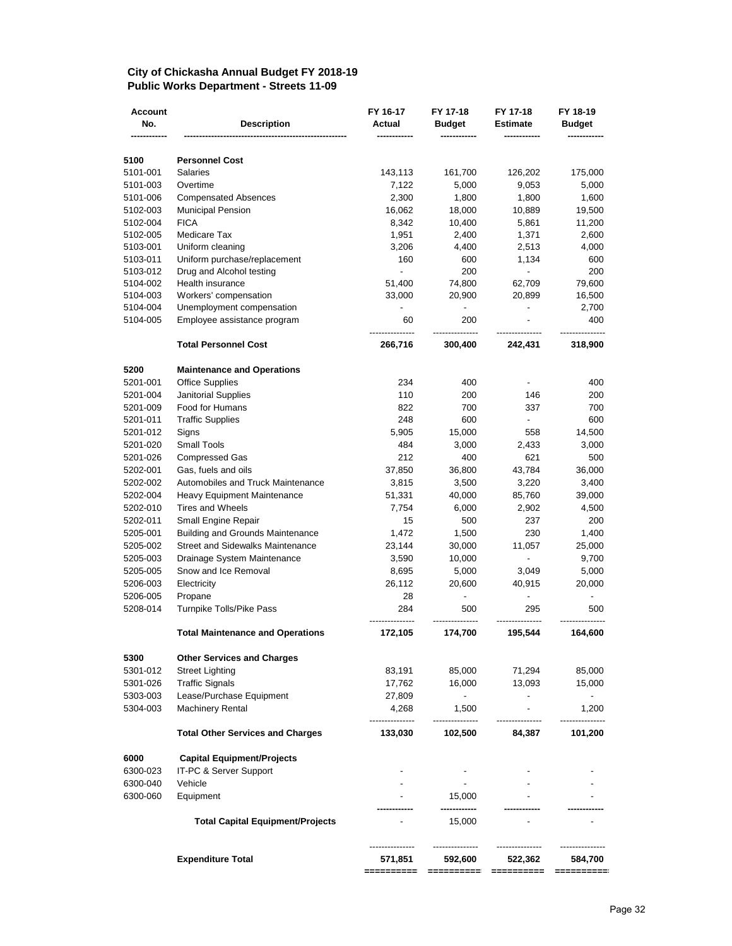#### **City of Chickasha Annual Budget FY 2018-19 Public Works Department - Streets 11-09**

| <b>Account</b><br>No. |                                                                        | FY 16-17<br>Actual       | FY 17-18                 | FY 17-18                           | FY 18-19                           |
|-----------------------|------------------------------------------------------------------------|--------------------------|--------------------------|------------------------------------|------------------------------------|
|                       | <b>Description</b>                                                     |                          | <b>Budget</b>            | <b>Estimate</b>                    | <b>Budget</b>                      |
|                       |                                                                        |                          |                          |                                    |                                    |
| 5100                  | <b>Personnel Cost</b><br><b>Salaries</b>                               |                          |                          |                                    |                                    |
| 5101-001              | Overtime                                                               | 143,113                  | 161,700                  | 126,202                            | 175,000                            |
| 5101-003<br>5101-006  | <b>Compensated Absences</b>                                            | 7,122<br>2,300           | 5,000<br>1,800           | 9,053<br>1,800                     | 5,000<br>1,600                     |
| 5102-003              | <b>Municipal Pension</b>                                               | 16,062                   | 18,000                   | 10,889                             | 19,500                             |
| 5102-004              | <b>FICA</b>                                                            | 8,342                    | 10,400                   | 5,861                              | 11,200                             |
| 5102-005              | Medicare Tax                                                           | 1,951                    | 2,400                    | 1,371                              | 2,600                              |
| 5103-001              | Uniform cleaning                                                       | 3,206                    | 4,400                    | 2,513                              | 4,000                              |
| 5103-011              | Uniform purchase/replacement                                           | 160                      | 600                      | 1,134                              | 600                                |
| 5103-012              | Drug and Alcohol testing                                               | $\overline{\phantom{a}}$ | 200                      | $\blacksquare$                     | 200                                |
| 5104-002              | Health insurance                                                       | 51,400                   | 74,800                   | 62,709                             | 79,600                             |
| 5104-003              | Workers' compensation                                                  | 33,000                   | 20,900                   | 20,899                             | 16,500                             |
| 5104-004              | Unemployment compensation                                              |                          | $\overline{\phantom{a}}$ |                                    | 2,700                              |
| 5104-005              | Employee assistance program                                            | 60                       | 200                      |                                    | 400                                |
|                       | <b>Total Personnel Cost</b>                                            | 266,716                  | 300,400                  | 242,431                            | 318,900                            |
| 5200                  | <b>Maintenance and Operations</b>                                      |                          |                          |                                    |                                    |
| 5201-001              | <b>Office Supplies</b>                                                 | 234                      | 400                      | $\overline{\phantom{a}}$           | 400                                |
| 5201-004              | <b>Janitorial Supplies</b>                                             | 110                      | 200                      | 146                                | 200                                |
| 5201-009              | Food for Humans                                                        | 822                      | 700                      | 337                                | 700                                |
| 5201-011              | <b>Traffic Supplies</b>                                                | 248                      | 600                      | $\blacksquare$                     | 600                                |
| 5201-012              | Signs                                                                  | 5,905                    | 15,000                   | 558                                | 14,500                             |
| 5201-020              | <b>Small Tools</b>                                                     | 484                      | 3,000                    | 2,433                              | 3,000                              |
| 5201-026              | <b>Compressed Gas</b>                                                  | 212                      | 400                      | 621                                | 500                                |
| 5202-001              | Gas, fuels and oils                                                    | 37,850                   | 36,800                   | 43,784                             | 36,000                             |
| 5202-002              | Automobiles and Truck Maintenance                                      | 3,815                    | 3,500                    | 3,220                              | 3,400                              |
| 5202-004              | Heavy Equipment Maintenance                                            | 51,331                   | 40,000                   | 85,760                             | 39,000                             |
| 5202-010              | <b>Tires and Wheels</b>                                                | 7,754                    | 6,000                    | 2,902                              | 4,500                              |
| 5202-011              | Small Engine Repair                                                    | 15                       | 500                      | 237                                | 200                                |
| 5205-001              | <b>Building and Grounds Maintenance</b>                                | 1,472                    | 1,500                    | 230                                | 1,400                              |
| 5205-002              | <b>Street and Sidewalks Maintenance</b><br>Drainage System Maintenance | 23,144                   | 30,000                   | 11,057<br>$\overline{\phantom{a}}$ | 25,000                             |
| 5205-003              | Snow and Ice Removal                                                   | 3,590                    | 10,000                   |                                    | 9,700                              |
| 5205-005<br>5206-003  | Electricity                                                            | 8,695<br>26,112          | 5,000<br>20,600          | 3,049<br>40,915                    | 5,000<br>20,000                    |
| 5206-005              | Propane                                                                | 28                       | $\overline{\phantom{a}}$ |                                    |                                    |
| 5208-014              | Turnpike Tolls/Pike Pass                                               | 284                      | 500                      | 295                                | 500                                |
|                       | <b>Total Maintenance and Operations</b>                                | 172,105                  | 174,700                  | 195,544                            | 164,600                            |
|                       |                                                                        |                          |                          |                                    |                                    |
| 5300                  | <b>Other Services and Charges</b>                                      |                          |                          |                                    |                                    |
| 5301-012<br>5301-026  | <b>Street Lighting</b><br><b>Traffic Signals</b>                       | 83,191                   | 85,000                   | 71,294                             | 85,000                             |
| 5303-003              | Lease/Purchase Equipment                                               | 17,762<br>27,809         | 16,000<br>$\sim$         | 13,093                             | 15,000<br>$\overline{\phantom{a}}$ |
| 5304-003              | <b>Machinery Rental</b>                                                | 4,268                    | 1,500                    |                                    | 1,200                              |
|                       | <b>Total Other Services and Charges</b>                                | 133,030                  | 102,500                  | 84,387                             | 101,200                            |
|                       |                                                                        |                          |                          |                                    |                                    |
| 6000                  | <b>Capital Equipment/Projects</b><br>IT-PC & Server Support            |                          |                          |                                    |                                    |
| 6300-023<br>6300-040  | Vehicle                                                                |                          | $\sim$                   |                                    |                                    |
| 6300-060              | Equipment                                                              |                          | 15.000                   |                                    |                                    |
|                       |                                                                        |                          |                          |                                    |                                    |
|                       | <b>Total Capital Equipment/Projects</b>                                |                          | 15,000                   |                                    |                                    |
|                       |                                                                        |                          |                          |                                    |                                    |
|                       | <b>Expenditure Total</b>                                               | 571,851                  | 592,600                  | 522,362                            | 584,700                            |
|                       |                                                                        |                          |                          |                                    |                                    |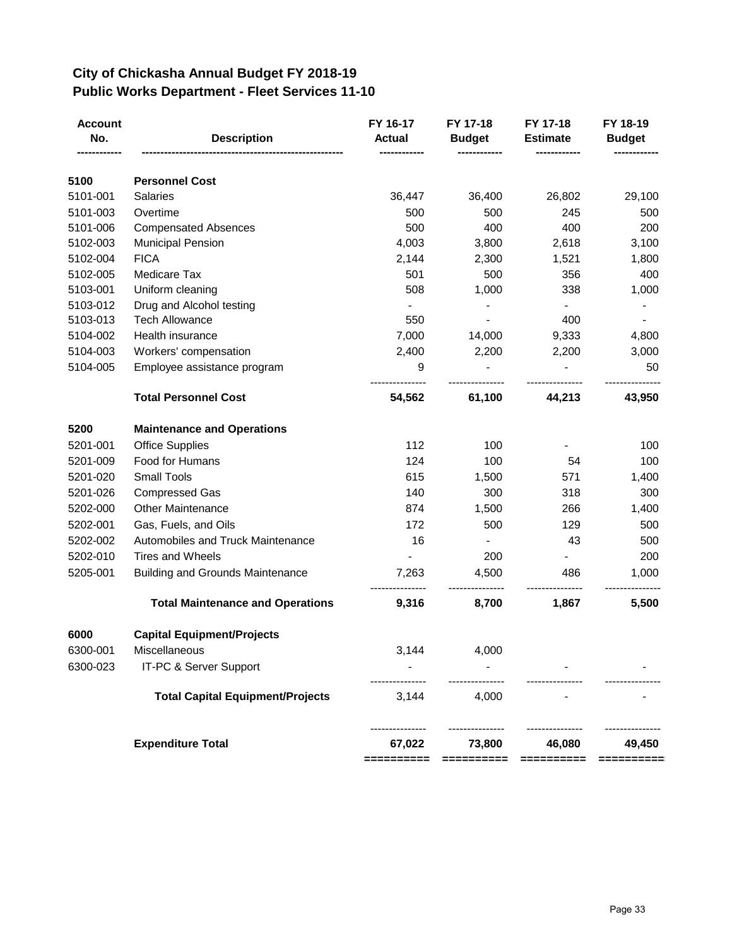## **City of Chickasha Annual Budget FY 2018-19 Public Works Department - Fleet Services 11-10**

| <b>Account</b><br>No.<br>--------- | <b>Description</b>                      | FY 16-17<br><b>Actual</b><br>------------ | FY 17-18<br><b>Budget</b><br>------------- | FY 17-18<br><b>Estimate</b><br>------------ | FY 18-19<br><b>Budget</b> |
|------------------------------------|-----------------------------------------|-------------------------------------------|--------------------------------------------|---------------------------------------------|---------------------------|
| 5100                               | <b>Personnel Cost</b>                   |                                           |                                            |                                             |                           |
| 5101-001                           | <b>Salaries</b>                         | 36,447                                    | 36,400                                     | 26,802                                      | 29,100                    |
| 5101-003                           | Overtime                                | 500                                       | 500                                        | 245                                         | 500                       |
| 5101-006                           | <b>Compensated Absences</b>             | 500                                       | 400                                        | 400                                         | 200                       |
| 5102-003                           | <b>Municipal Pension</b>                | 4,003                                     | 3,800                                      | 2,618                                       | 3,100                     |
| 5102-004                           | <b>FICA</b>                             | 2,144                                     | 2,300                                      | 1,521                                       | 1,800                     |
| 5102-005                           | Medicare Tax                            | 501                                       | 500                                        | 356                                         | 400                       |
| 5103-001                           | Uniform cleaning                        | 508                                       | 1,000                                      | 338                                         | 1,000                     |
| 5103-012                           | Drug and Alcohol testing                |                                           |                                            |                                             |                           |
| 5103-013                           | <b>Tech Allowance</b>                   | 550                                       |                                            | 400                                         |                           |
| 5104-002                           | Health insurance                        | 7,000                                     | 14,000                                     | 9,333                                       | 4,800                     |
| 5104-003                           | Workers' compensation                   | 2,400                                     | 2,200                                      | 2,200                                       | 3,000                     |
| 5104-005                           | Employee assistance program             | 9                                         |                                            |                                             | 50                        |
|                                    | <b>Total Personnel Cost</b>             | 54,562                                    | 61,100                                     | 44,213                                      | 43,950                    |
| 5200                               | <b>Maintenance and Operations</b>       |                                           |                                            |                                             |                           |
| 5201-001                           | <b>Office Supplies</b>                  | 112                                       | 100                                        |                                             | 100                       |
| 5201-009                           | Food for Humans                         | 124                                       | 100                                        | 54                                          | 100                       |
| 5201-020                           | <b>Small Tools</b>                      | 615                                       | 1,500                                      | 571                                         | 1,400                     |
| 5201-026                           | <b>Compressed Gas</b>                   | 140                                       | 300                                        | 318                                         | 300                       |
| 5202-000                           | <b>Other Maintenance</b>                | 874                                       | 1,500                                      | 266                                         | 1,400                     |
| 5202-001                           | Gas, Fuels, and Oils                    | 172                                       | 500                                        | 129                                         | 500                       |
| 5202-002                           | Automobiles and Truck Maintenance       | 16                                        | $\blacksquare$                             | 43                                          | 500                       |
| 5202-010                           | <b>Tires and Wheels</b>                 |                                           | 200                                        |                                             | 200                       |
| 5205-001                           | <b>Building and Grounds Maintenance</b> | 7,263                                     | 4,500                                      | 486                                         | 1,000                     |
|                                    | <b>Total Maintenance and Operations</b> | 9,316                                     | 8,700                                      | 1,867                                       | 5,500                     |
| 6000                               | <b>Capital Equipment/Projects</b>       |                                           |                                            |                                             |                           |
| 6300-001                           | Miscellaneous                           | 3,144                                     | 4,000                                      |                                             |                           |
| 6300-023                           | IT-PC & Server Support                  |                                           |                                            |                                             |                           |
|                                    | <b>Total Capital Equipment/Projects</b> | 3,144                                     | 4,000                                      |                                             |                           |
|                                    | <b>Expenditure Total</b>                | 67,022                                    | 73,800                                     | 46,080                                      | 49,450                    |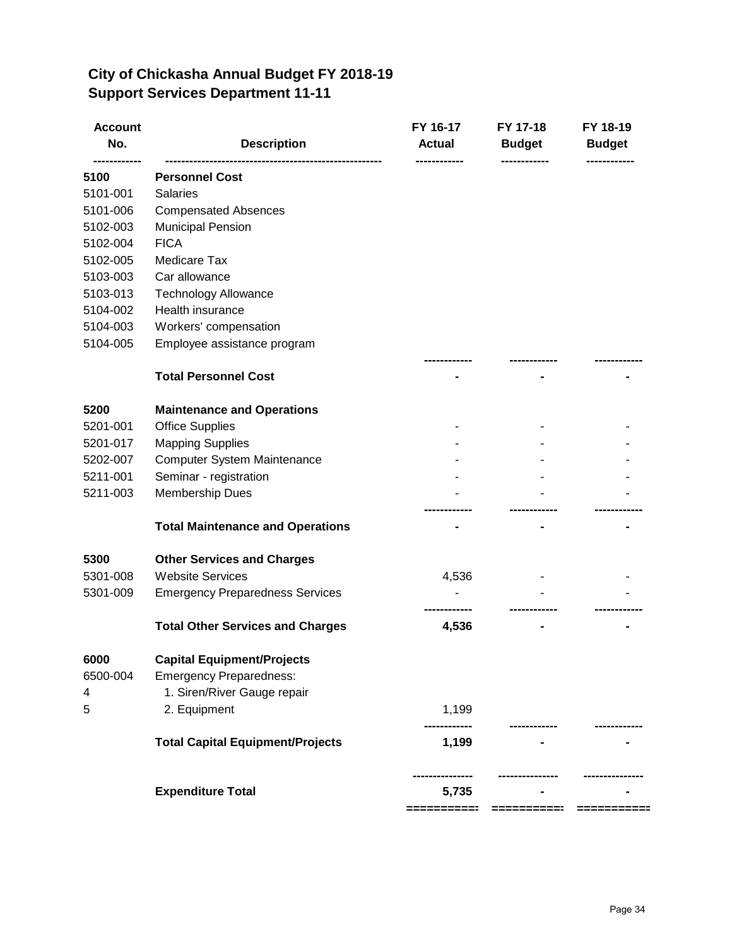| City of Chickasha Annual Budget FY 2018-19 |
|--------------------------------------------|
| <b>Support Services Department 11-11</b>   |

| <b>Account</b><br>No.<br>--------- | <b>Description</b>                      | FY 16-17<br><b>Actual</b><br>------------ | FY 17-18<br><b>Budget</b><br>------------ | FY 18-19<br><b>Budget</b><br>------------ |
|------------------------------------|-----------------------------------------|-------------------------------------------|-------------------------------------------|-------------------------------------------|
| 5100                               | <b>Personnel Cost</b>                   |                                           |                                           |                                           |
| 5101-001                           | <b>Salaries</b>                         |                                           |                                           |                                           |
| 5101-006                           | <b>Compensated Absences</b>             |                                           |                                           |                                           |
| 5102-003                           | <b>Municipal Pension</b>                |                                           |                                           |                                           |
| 5102-004                           | <b>FICA</b>                             |                                           |                                           |                                           |
| 5102-005                           | Medicare Tax                            |                                           |                                           |                                           |
| 5103-003                           | Car allowance                           |                                           |                                           |                                           |
| 5103-013                           | <b>Technology Allowance</b>             |                                           |                                           |                                           |
| 5104-002                           | Health insurance                        |                                           |                                           |                                           |
| 5104-003                           | Workers' compensation                   |                                           |                                           |                                           |
| 5104-005                           | Employee assistance program             |                                           |                                           |                                           |
|                                    |                                         |                                           |                                           |                                           |
|                                    | <b>Total Personnel Cost</b>             |                                           |                                           |                                           |
| 5200                               | <b>Maintenance and Operations</b>       |                                           |                                           |                                           |
| 5201-001                           | <b>Office Supplies</b>                  |                                           |                                           |                                           |
| 5201-017                           | <b>Mapping Supplies</b>                 |                                           |                                           |                                           |
| 5202-007                           | <b>Computer System Maintenance</b>      |                                           |                                           |                                           |
| 5211-001                           | Seminar - registration                  |                                           |                                           |                                           |
| 5211-003                           | <b>Membership Dues</b>                  |                                           |                                           |                                           |
|                                    | <b>Total Maintenance and Operations</b> |                                           |                                           |                                           |
| 5300                               | <b>Other Services and Charges</b>       |                                           |                                           |                                           |
| 5301-008                           | <b>Website Services</b>                 | 4,536                                     |                                           |                                           |
| 5301-009                           | <b>Emergency Preparedness Services</b>  |                                           |                                           |                                           |
|                                    | <b>Total Other Services and Charges</b> | 4,536                                     |                                           |                                           |
| 6000                               | <b>Capital Equipment/Projects</b>       |                                           |                                           |                                           |
| 6500-004                           | <b>Emergency Preparedness:</b>          |                                           |                                           |                                           |
| 4                                  | 1. Siren/River Gauge repair             |                                           |                                           |                                           |
| 5                                  | 2. Equipment                            | 1,199                                     |                                           |                                           |
|                                    | <b>Total Capital Equipment/Projects</b> | 1,199                                     |                                           |                                           |
|                                    | <b>Expenditure Total</b>                | 5,735                                     |                                           |                                           |
|                                    |                                         | ===========                               |                                           |                                           |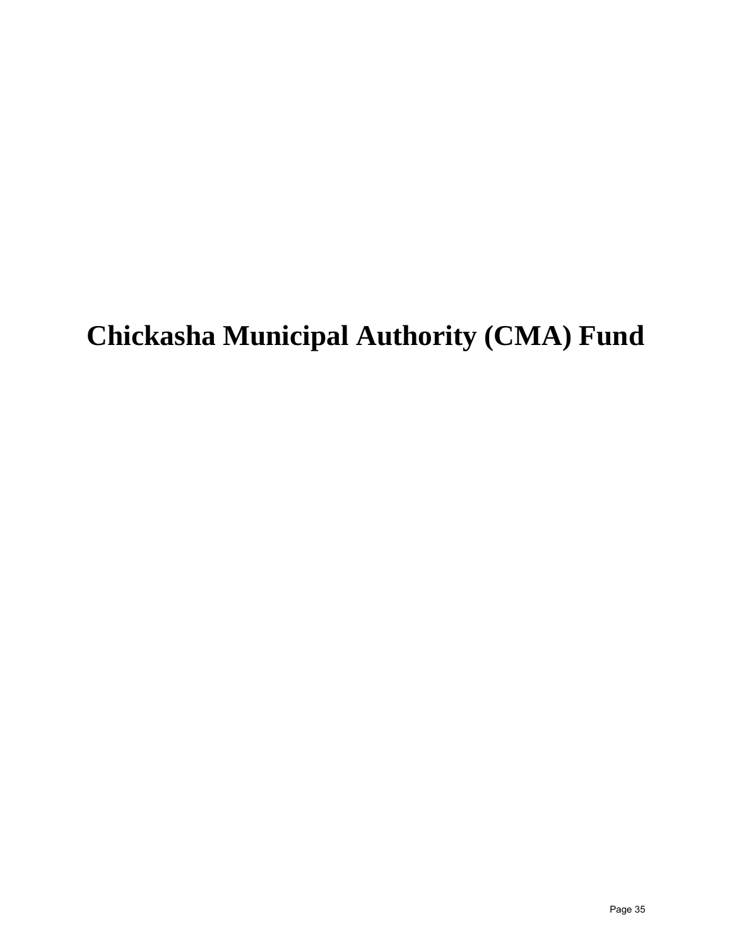## **Chickasha Municipal Authority (CMA) Fund**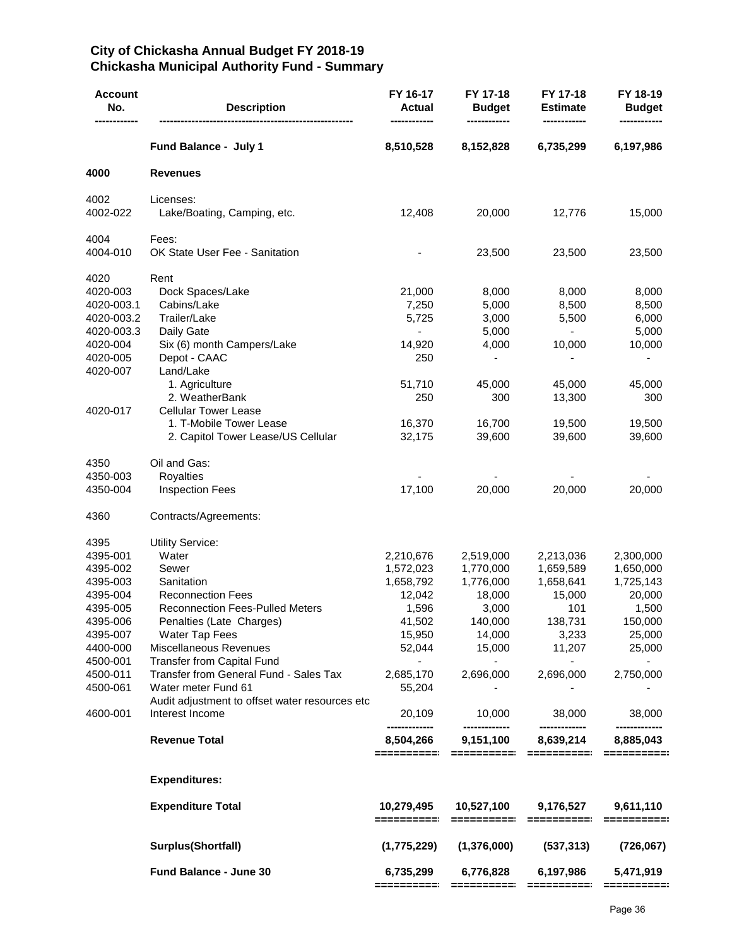#### **City of Chickasha Annual Budget FY 2018-19 Chickasha Municipal Authority Fund - Summary**

| <b>Account</b><br>No. | <b>Description</b>                             | FY 16-17<br>Actual           | FY 17-18<br><b>Budget</b> | FY 17-18<br><b>Estimate</b>      | FY 18-19<br><b>Budget</b> |
|-----------------------|------------------------------------------------|------------------------------|---------------------------|----------------------------------|---------------------------|
|                       | Fund Balance - July 1                          | 8,510,528                    | 8,152,828                 | 6,735,299                        | 6,197,986                 |
| 4000                  | <b>Revenues</b>                                |                              |                           |                                  |                           |
| 4002<br>4002-022      | Licenses:<br>Lake/Boating, Camping, etc.       | 12,408                       | 20,000                    | 12,776                           | 15,000                    |
| 4004<br>4004-010      | Fees:<br>OK State User Fee - Sanitation        |                              | 23,500                    | 23,500                           | 23,500                    |
| 4020<br>4020-003      | Rent<br>Dock Spaces/Lake                       | 21,000                       | 8,000                     | 8,000                            | 8,000                     |
| 4020-003.1            | Cabins/Lake                                    | 7,250                        | 5,000                     | 8,500                            | 8,500                     |
| 4020-003.2            | Trailer/Lake                                   | 5,725                        | 3,000                     | 5,500                            | 6,000                     |
| 4020-003.3            | Daily Gate                                     | $\qquad \qquad \blacksquare$ | 5,000                     | $\overline{\phantom{0}}$         | 5,000                     |
| 4020-004              | Six (6) month Campers/Lake                     | 14,920                       | 4,000                     | 10,000                           | 10,000                    |
| 4020-005              | Depot - CAAC                                   | 250                          |                           |                                  |                           |
| 4020-007              | Land/Lake                                      |                              |                           |                                  |                           |
|                       | 1. Agriculture                                 | 51,710                       | 45,000                    | 45,000                           | 45,000                    |
|                       | 2. WeatherBank                                 | 250                          | 300                       | 13,300                           | 300                       |
| 4020-017              | <b>Cellular Tower Lease</b>                    |                              |                           |                                  |                           |
|                       | 1. T-Mobile Tower Lease                        | 16,370                       | 16,700                    | 19,500                           | 19,500                    |
|                       | 2. Capitol Tower Lease/US Cellular             | 32,175                       | 39,600                    | 39,600                           | 39,600                    |
| 4350                  | Oil and Gas:                                   |                              |                           |                                  |                           |
| 4350-003              | <b>Royalties</b>                               |                              |                           |                                  |                           |
| 4350-004              | <b>Inspection Fees</b>                         | 17,100                       | 20,000                    | 20,000                           | 20,000                    |
|                       |                                                |                              |                           |                                  |                           |
| 4360                  | Contracts/Agreements:                          |                              |                           |                                  |                           |
| 4395                  | <b>Utility Service:</b>                        |                              |                           |                                  |                           |
| 4395-001              | Water                                          | 2,210,676                    | 2,519,000                 | 2,213,036                        | 2,300,000                 |
| 4395-002              | Sewer                                          | 1,572,023                    | 1,770,000                 | 1,659,589                        | 1,650,000                 |
| 4395-003              | Sanitation                                     | 1,658,792                    | 1,776,000                 | 1,658,641                        | 1,725,143                 |
| 4395-004              | <b>Reconnection Fees</b>                       | 12,042                       | 18,000                    | 15,000                           | 20,000                    |
| 4395-005              | <b>Reconnection Fees-Pulled Meters</b>         | 1,596                        | 3,000                     | 101                              | 1,500                     |
| 4395-006              | Penalties (Late Charges)                       | 41,502                       | 140,000                   | 138,731                          | 150,000                   |
| 4395-007              | Water Tap Fees                                 | 15,950                       | 14,000                    | 3,233                            | 25,000                    |
| 4400-000              | Miscellaneous Revenues                         | 52,044                       | 15,000                    | 11,207                           | 25,000                    |
| 4500-001              | Transfer from Capital Fund                     | $\sim$ 100 $\mu$             |                           | $\sim 100$                       |                           |
| 4500-011              | Transfer from General Fund - Sales Tax         | 2,685,170                    | 2,696,000                 | 2,696,000                        | 2,750,000                 |
| 4500-061              | Water meter Fund 61                            | 55,204                       |                           |                                  |                           |
|                       | Audit adjustment to offset water resources etc |                              |                           |                                  |                           |
| 4600-001              | Interest Income                                | 20,109<br>-------------      | 10,000<br>-------------   | 38,000<br>-------------          | 38,000                    |
|                       | <b>Revenue Total</b>                           | 8,504,266                    | 9,151,100                 | 8,639,214                        | 8,885,043                 |
|                       | <b>Expenditures:</b>                           |                              |                           |                                  |                           |
|                       | <b>Expenditure Total</b>                       | 10,279,495                   | 10,527,100 9,176,527      |                                  | 9,611,110                 |
|                       |                                                | ==========                   |                           | ----------- ---------- --------- |                           |
|                       | Surplus(Shortfall)                             | (1,775,229)                  | (1,376,000)               | (537, 313)                       | (726,067)                 |
|                       | Fund Balance - June 30                         | 6,735,299                    |                           | 6,776,828 6,197,986              | 5,471,919                 |
|                       |                                                |                              |                           |                                  |                           |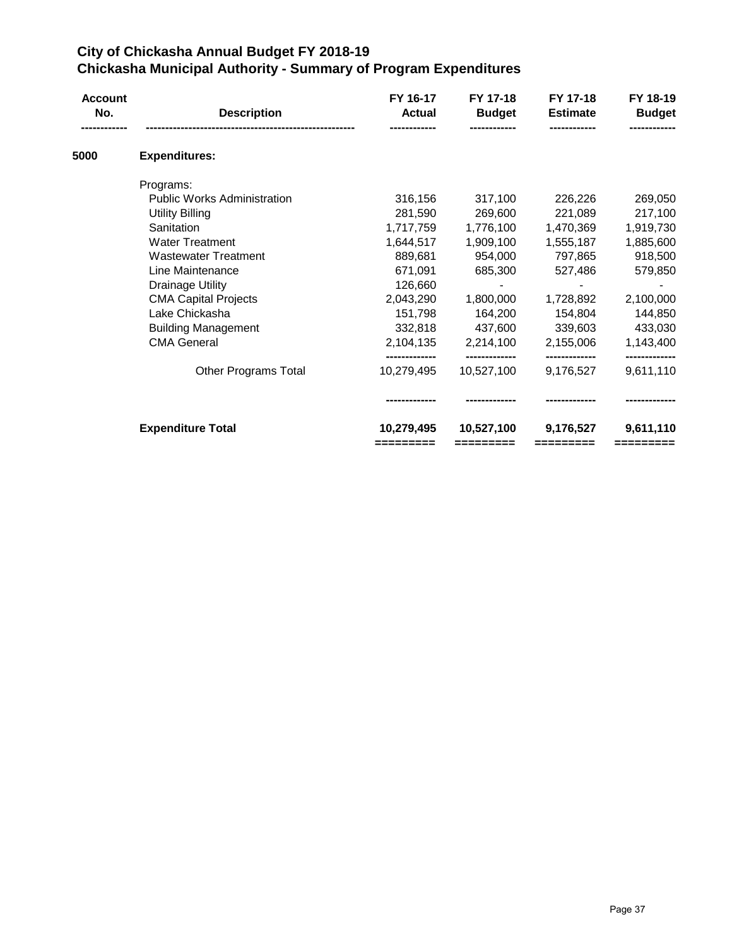## **City of Chickasha Annual Budget FY 2018-19 Chickasha Municipal Authority - Summary of Program Expenditures**

| <b>Account</b><br>No. | <b>Description</b>                 | FY 16-17<br><b>Actual</b> | FY 17-18<br><b>Budget</b> | FY 17-18<br><b>Estimate</b> | FY 18-19<br><b>Budget</b> |
|-----------------------|------------------------------------|---------------------------|---------------------------|-----------------------------|---------------------------|
|                       |                                    |                           |                           |                             |                           |
| 5000                  | <b>Expenditures:</b>               |                           |                           |                             |                           |
|                       | Programs:                          |                           |                           |                             |                           |
|                       | <b>Public Works Administration</b> | 316,156                   | 317,100                   | 226,226                     | 269,050                   |
|                       | <b>Utility Billing</b>             | 281,590                   | 269,600                   | 221,089                     | 217,100                   |
|                       | Sanitation                         | 1,717,759                 | 1,776,100                 | 1,470,369                   | 1,919,730                 |
|                       | <b>Water Treatment</b>             | 1,644,517                 | 1,909,100                 | 1,555,187                   | 1,885,600                 |
|                       | <b>Wastewater Treatment</b>        | 889,681                   | 954,000                   | 797,865                     | 918,500                   |
|                       | Line Maintenance                   | 671,091                   | 685,300                   | 527,486                     | 579,850                   |
|                       | <b>Drainage Utility</b>            | 126,660                   |                           |                             |                           |
|                       | <b>CMA Capital Projects</b>        | 2,043,290                 | 1,800,000                 | 1,728,892                   | 2,100,000                 |
|                       | Lake Chickasha                     | 151,798                   | 164,200                   | 154,804                     | 144,850                   |
|                       | <b>Building Management</b>         | 332,818                   | 437,600                   | 339,603                     | 433,030                   |
|                       | <b>CMA General</b>                 | 2,104,135                 | 2,214,100                 | 2,155,006                   | 1,143,400                 |
|                       | Other Programs Total               | 10,279,495                | 10,527,100                | 9,176,527                   | 9,611,110                 |
|                       |                                    |                           |                           |                             |                           |
|                       | <b>Expenditure Total</b>           | 10,279,495                | 10,527,100                | 9,176,527                   | 9,611,110                 |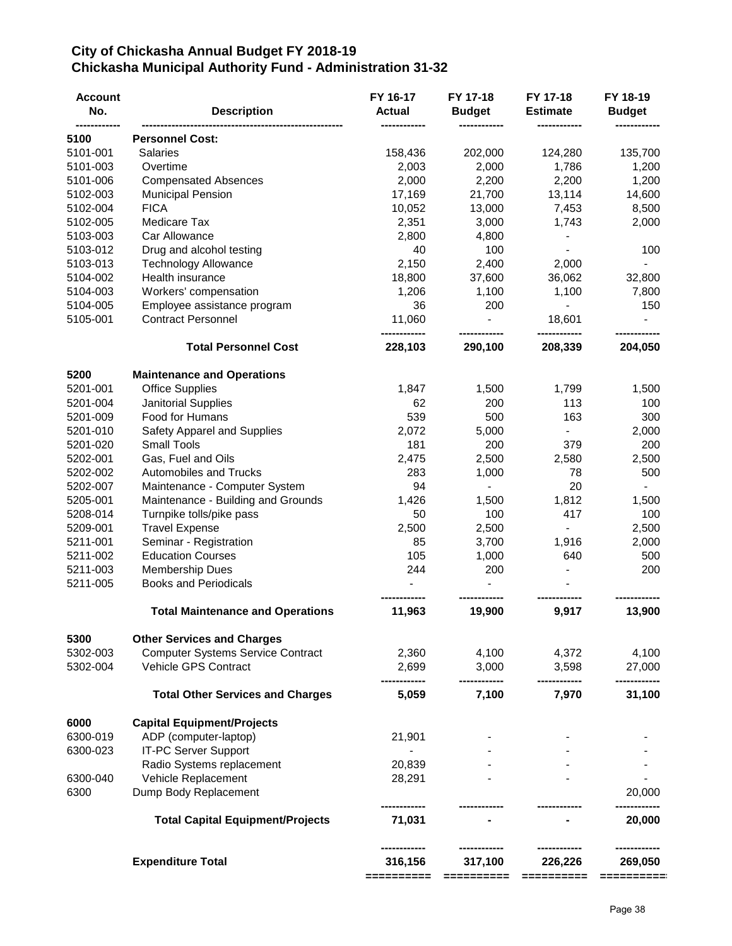### **City of Chickasha Annual Budget FY 2018-19 Chickasha Municipal Authority Fund - Administration 31-32**

| <b>Account</b><br>No. | <b>Description</b>                       | FY 16-17<br><b>Actual</b> | FY 17-18<br><b>Budget</b> | FY 17-18<br><b>Estimate</b> | FY 18-19<br><b>Budget</b> |
|-----------------------|------------------------------------------|---------------------------|---------------------------|-----------------------------|---------------------------|
| 5100                  | <b>Personnel Cost:</b>                   |                           |                           |                             |                           |
| 5101-001              | Salaries                                 | 158,436                   | 202,000                   | 124,280                     | 135,700                   |
| 5101-003              | Overtime                                 | 2,003                     | 2,000                     | 1,786                       | 1,200                     |
| 5101-006              | <b>Compensated Absences</b>              | 2,000                     | 2,200                     | 2,200                       | 1,200                     |
| 5102-003              | <b>Municipal Pension</b>                 | 17,169                    | 21,700                    | 13,114                      | 14,600                    |
| 5102-004              | <b>FICA</b>                              | 10,052                    | 13,000                    | 7,453                       | 8,500                     |
| 5102-005              | Medicare Tax                             | 2,351                     | 3,000                     | 1,743                       | 2,000                     |
| 5103-003              | Car Allowance                            | 2,800                     | 4,800                     |                             |                           |
| 5103-012              | Drug and alcohol testing                 | 40                        | 100                       |                             | 100                       |
| 5103-013              | <b>Technology Allowance</b>              | 2,150                     | 2,400                     | 2,000                       |                           |
| 5104-002              | Health insurance                         | 18,800                    | 37,600                    | 36,062                      | 32,800                    |
| 5104-003              | Workers' compensation                    | 1,206                     | 1,100                     | 1,100                       | 7,800                     |
| 5104-005              | Employee assistance program              | 36                        | 200                       |                             | 150                       |
| 5105-001              | <b>Contract Personnel</b>                | 11,060                    |                           | 18,601                      |                           |
|                       |                                          | ------------              |                           |                             |                           |
|                       | <b>Total Personnel Cost</b>              | 228,103                   | 290,100                   | 208,339                     | 204,050                   |
| 5200                  | <b>Maintenance and Operations</b>        |                           |                           |                             |                           |
| 5201-001              | <b>Office Supplies</b>                   | 1,847                     | 1,500                     | 1,799                       | 1,500                     |
| 5201-004              | Janitorial Supplies                      | 62                        | 200                       | 113                         | 100                       |
| 5201-009              | Food for Humans                          | 539                       | 500                       | 163                         | 300                       |
| 5201-010              | Safety Apparel and Supplies              | 2,072                     | 5,000                     |                             | 2,000                     |
| 5201-020              | <b>Small Tools</b>                       | 181                       | 200                       | 379                         | 200                       |
| 5202-001              | Gas, Fuel and Oils                       | 2,475                     | 2,500                     | 2,580                       | 2,500                     |
| 5202-002              | <b>Automobiles and Trucks</b>            | 283                       | 1,000                     | 78                          | 500                       |
| 5202-007              | Maintenance - Computer System            | 94                        |                           | 20                          |                           |
| 5205-001              | Maintenance - Building and Grounds       | 1,426                     | 1,500                     | 1,812                       | 1,500                     |
| 5208-014              | Turnpike tolls/pike pass                 | 50                        | 100                       | 417                         | 100                       |
| 5209-001              | <b>Travel Expense</b>                    | 2,500                     | 2,500                     |                             | 2,500                     |
| 5211-001              | Seminar - Registration                   | 85                        | 3,700                     | 1,916                       | 2,000                     |
| 5211-002              | <b>Education Courses</b>                 | 105                       | 1,000                     | 640                         | 500                       |
| 5211-003              | <b>Membership Dues</b>                   | 244                       | 200                       |                             | 200                       |
| 5211-005              | <b>Books and Periodicals</b>             |                           |                           |                             |                           |
|                       | <b>Total Maintenance and Operations</b>  | 11,963                    | 19,900                    | 9,917                       | 13,900                    |
| 5300                  | <b>Other Services and Charges</b>        |                           |                           |                             |                           |
| 5302-003              | <b>Computer Systems Service Contract</b> | 2,360                     | 4,100                     | 4,372                       | 4,100                     |
| 5302-004              | Vehicle GPS Contract                     | 2,699                     | 3,000                     | 3,598                       | 27,000                    |
|                       | <b>Total Other Services and Charges</b>  | 5,059                     | 7,100                     | 7,970                       | 31,100                    |
| 6000                  | <b>Capital Equipment/Projects</b>        |                           |                           |                             |                           |
| 6300-019              | ADP (computer-laptop)                    | 21,901                    |                           |                             |                           |
| 6300-023              | <b>IT-PC Server Support</b>              |                           |                           |                             |                           |
|                       | Radio Systems replacement                | 20,839                    |                           |                             |                           |
| 6300-040              | Vehicle Replacement                      | 28,291                    |                           |                             |                           |
| 6300                  | Dump Body Replacement                    |                           |                           |                             | 20,000                    |
|                       | <b>Total Capital Equipment/Projects</b>  | 71,031                    |                           |                             | 20,000                    |
|                       | <b>Expenditure Total</b>                 | 316,156                   | 317,100                   | 226,226                     | 269,050                   |
|                       |                                          | ==========                | ========                  |                             | ==========                |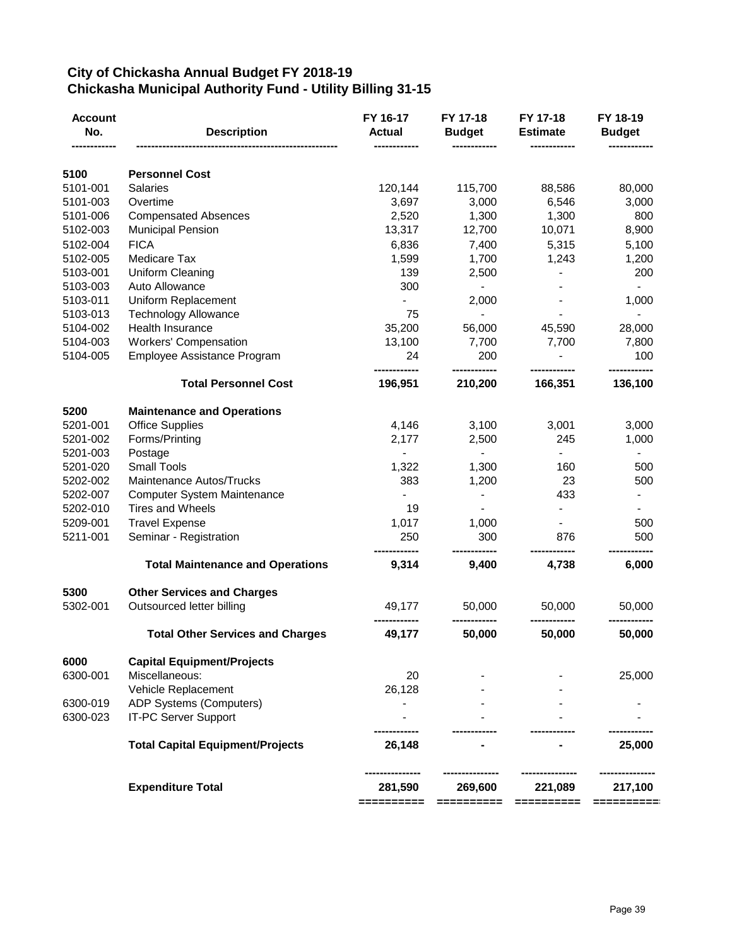## **City of Chickasha Annual Budget FY 2018-19 Chickasha Municipal Authority Fund - Utility Billing 31-15**

| <b>Account</b><br>No. | <b>Description</b>                      | FY 16-17<br><b>Actual</b> | FY 17-18<br><b>Budget</b> | FY 17-18<br><b>Estimate</b> | FY 18-19<br><b>Budget</b>    |
|-----------------------|-----------------------------------------|---------------------------|---------------------------|-----------------------------|------------------------------|
| 5100                  | <b>Personnel Cost</b>                   |                           |                           |                             |                              |
| 5101-001              | <b>Salaries</b>                         | 120,144                   | 115,700                   | 88,586                      | 80,000                       |
| 5101-003              | Overtime                                | 3,697                     | 3,000                     | 6,546                       | 3,000                        |
| 5101-006              | <b>Compensated Absences</b>             | 2,520                     | 1,300                     | 1,300                       | 800                          |
| 5102-003              | <b>Municipal Pension</b>                | 13,317                    | 12,700                    | 10,071                      | 8,900                        |
| 5102-004              | <b>FICA</b>                             | 6,836                     | 7,400                     | 5,315                       | 5,100                        |
| 5102-005              | Medicare Tax                            | 1,599                     | 1,700                     | 1,243                       | 1,200                        |
| 5103-001              | <b>Uniform Cleaning</b>                 | 139                       | 2,500                     |                             | 200                          |
| 5103-003              | Auto Allowance                          | 300                       | $\blacksquare$            |                             | $\blacksquare$               |
| 5103-011              | Uniform Replacement                     |                           | 2,000                     |                             | 1,000                        |
| 5103-013              | <b>Technology Allowance</b>             | 75                        | $\blacksquare$            |                             | $\blacksquare$               |
| 5104-002              | Health Insurance                        | 35,200                    | 56,000                    | 45,590                      | 28,000                       |
| 5104-003              | <b>Workers' Compensation</b>            | 13,100                    | 7,700                     | 7,700                       | 7,800                        |
| 5104-005              | Employee Assistance Program             | 24                        | 200                       |                             | 100                          |
|                       | <b>Total Personnel Cost</b>             | 196,951                   | 210,200                   | 166,351                     | 136,100                      |
| 5200                  | <b>Maintenance and Operations</b>       |                           |                           |                             |                              |
| 5201-001              | <b>Office Supplies</b>                  | 4,146                     | 3,100                     | 3,001                       | 3,000                        |
| 5201-002              | Forms/Printing                          | 2,177                     | 2,500                     | 245                         | 1,000                        |
| 5201-003              | Postage                                 |                           | $\overline{\phantom{a}}$  |                             | $\blacksquare$               |
| 5201-020              | Small Tools                             | 1,322                     | 1,300                     | 160                         | 500                          |
| 5202-002              | <b>Maintenance Autos/Trucks</b>         | 383                       | 1,200                     | 23                          | 500                          |
| 5202-007              | <b>Computer System Maintenance</b>      |                           | $\blacksquare$            | 433                         | $\qquad \qquad \blacksquare$ |
| 5202-010              | <b>Tires and Wheels</b>                 | 19                        | $\blacksquare$            |                             | $\blacksquare$               |
| 5209-001              | <b>Travel Expense</b>                   | 1,017                     | 1,000                     |                             | 500                          |
| 5211-001              | Seminar - Registration                  | 250                       | 300                       | 876                         | 500                          |
|                       | <b>Total Maintenance and Operations</b> | 9,314                     | 9,400                     | 4,738                       | 6,000                        |
| 5300                  | <b>Other Services and Charges</b>       |                           |                           |                             |                              |
| 5302-001              | Outsourced letter billing               | 49,177                    | 50,000                    | 50,000                      | 50,000                       |
|                       | <b>Total Other Services and Charges</b> | 49,177                    | 50,000                    | 50,000                      | 50,000                       |
| 6000                  | <b>Capital Equipment/Projects</b>       |                           |                           |                             |                              |
| 6300-001              | Miscellaneous:                          | 20                        |                           |                             | 25,000                       |
|                       | Vehicle Replacement                     | 26,128                    |                           |                             |                              |
| 6300-019              | ADP Systems (Computers)                 |                           |                           |                             |                              |
| 6300-023              | <b>IT-PC Server Support</b>             |                           |                           |                             |                              |
|                       | <b>Total Capital Equipment/Projects</b> | 26,148                    |                           |                             | 25,000                       |
|                       | <b>Expenditure Total</b>                | 281,590                   | 269,600                   | 221,089                     | 217,100                      |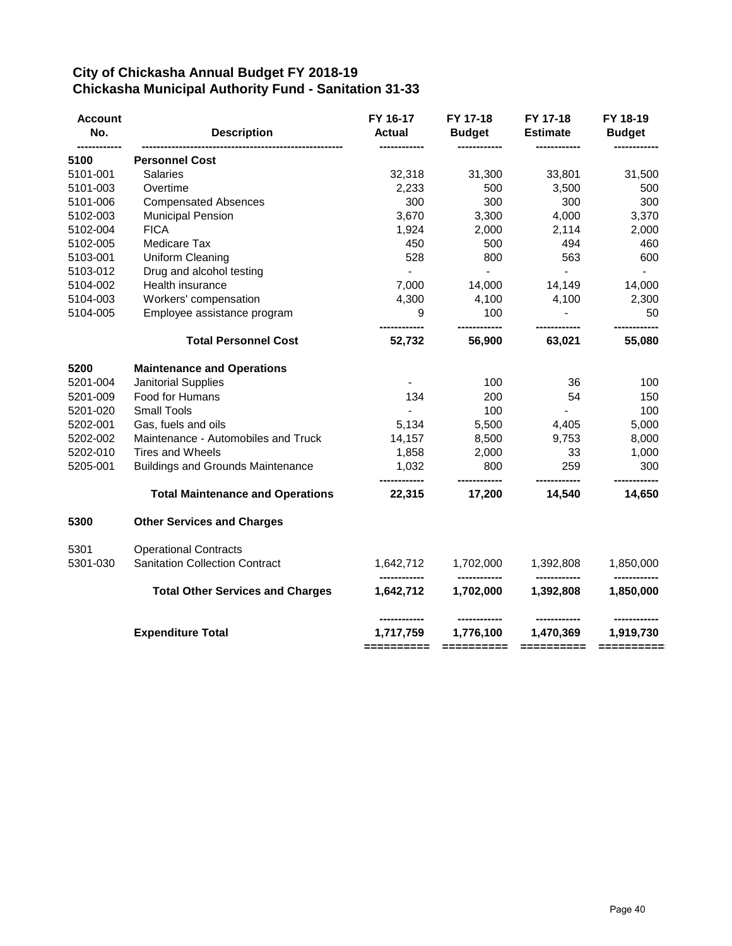## **City of Chickasha Annual Budget FY 2018-19 Chickasha Municipal Authority Fund - Sanitation 31-33**

| <b>Account</b><br>No. | <b>Description</b>                       | FY 16-17<br><b>Actual</b> | FY 17-18<br><b>Budget</b> | FY 17-18<br><b>Estimate</b>                        | FY 18-19<br><b>Budget</b>              |
|-----------------------|------------------------------------------|---------------------------|---------------------------|----------------------------------------------------|----------------------------------------|
| 5100                  | <b>Personnel Cost</b>                    |                           |                           |                                                    |                                        |
| 5101-001              | <b>Salaries</b>                          | 32,318                    | 31,300                    | 33,801                                             | 31,500                                 |
| 5101-003              | Overtime                                 | 2,233                     | 500                       | 3,500                                              | 500                                    |
| 5101-006              | <b>Compensated Absences</b>              | 300                       | 300                       | 300                                                | 300                                    |
| 5102-003              | <b>Municipal Pension</b>                 | 3,670                     | 3,300                     | 4,000                                              | 3,370                                  |
| 5102-004              | <b>FICA</b>                              | 1,924                     | 2,000                     | 2,114                                              | 2,000                                  |
| 5102-005              | Medicare Tax                             | 450                       | 500                       | 494                                                | 460                                    |
| 5103-001              | Uniform Cleaning                         | 528                       | 800                       | 563                                                | 600                                    |
| 5103-012              | Drug and alcohol testing                 | $\blacksquare$            | $\sim$                    | $\sim$                                             | $\blacksquare$                         |
| 5104-002              | Health insurance                         | 7,000                     | 14,000                    | 14,149                                             | 14,000                                 |
| 5104-003              | Workers' compensation                    | 4,300                     | 4,100                     | 4,100                                              | 2,300                                  |
| 5104-005              | Employee assistance program              | 9                         | 100<br>------------       | $\blacksquare$                                     | 50                                     |
|                       | <b>Total Personnel Cost</b>              | ------------<br>52,732    | 56,900                    | ------------<br>63,021                             | ------------<br>55,080                 |
| 5200                  | <b>Maintenance and Operations</b>        |                           |                           |                                                    |                                        |
| 5201-004              | Janitorial Supplies                      |                           | 100                       | 36                                                 | 100                                    |
| 5201-009              | Food for Humans                          | 134                       | 200                       | 54                                                 | 150                                    |
| 5201-020              | <b>Small Tools</b>                       |                           | 100                       |                                                    | 100                                    |
| 5202-001              | Gas, fuels and oils                      | 5,134                     | 5,500                     | 4,405                                              | 5,000                                  |
| 5202-002              | Maintenance - Automobiles and Truck      | 14,157                    | 8,500                     | 9,753                                              | 8,000                                  |
| 5202-010              | <b>Tires and Wheels</b>                  | 1,858                     | 2,000                     | 33                                                 | 1,000                                  |
| 5205-001              | <b>Buildings and Grounds Maintenance</b> | 1,032                     | 800                       | 259                                                | 300                                    |
|                       | <b>Total Maintenance and Operations</b>  | 22,315                    | 17,200                    | 14,540                                             | 14,650                                 |
| 5300                  | <b>Other Services and Charges</b>        |                           |                           |                                                    |                                        |
| 5301                  | <b>Operational Contracts</b>             |                           |                           |                                                    |                                        |
| 5301-030              | <b>Sanitation Collection Contract</b>    | 1,642,712                 | 1,702,000                 | 1,392,808                                          | 1,850,000                              |
|                       | <b>Total Other Services and Charges</b>  | 1,642,712                 | ------------<br>1,702,000 | ------------<br>1,392,808                          | 1,850,000                              |
|                       | <b>Expenditure Total</b>                 | 1,717,759                 | 1,776,100                 | ------------<br>1,470,369<br>$=$ = = = = = = = = = | -----------<br>1,919,730<br>========== |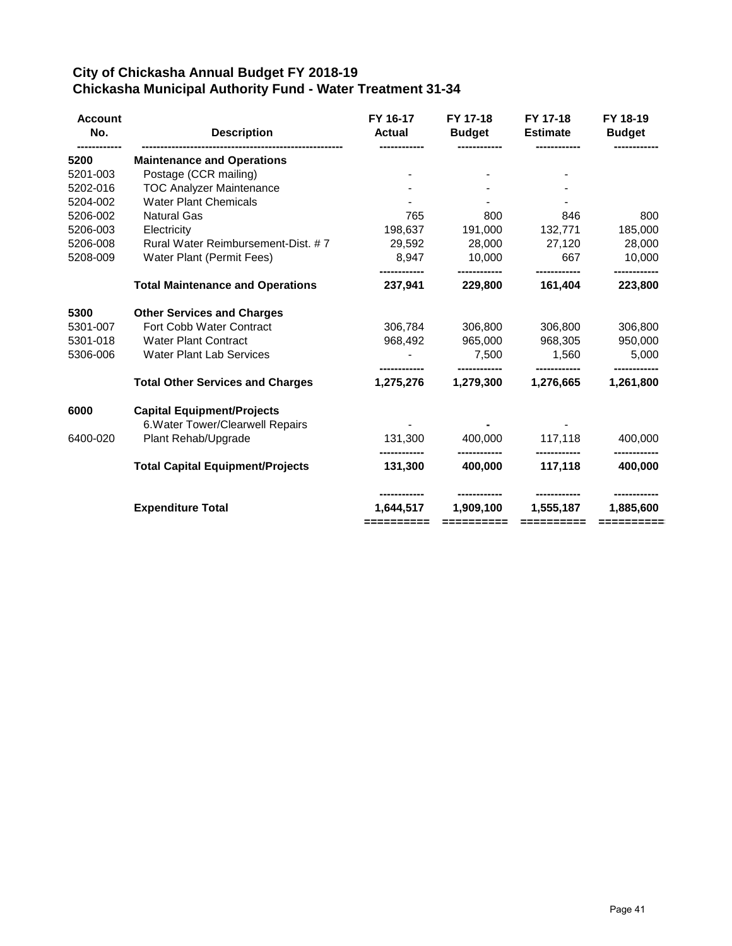## **City of Chickasha Annual Budget FY 2018-19 Chickasha Municipal Authority Fund - Water Treatment 31-34**

| <b>Account</b><br>No. | <b>Description</b>                      | FY 16-17<br><b>Actual</b> | FY 17-18<br><b>Budget</b> | FY 17-18<br><b>Estimate</b> | FY 18-19<br><b>Budget</b> |
|-----------------------|-----------------------------------------|---------------------------|---------------------------|-----------------------------|---------------------------|
| 5200                  | <b>Maintenance and Operations</b>       |                           |                           |                             |                           |
| 5201-003              | Postage (CCR mailing)                   |                           |                           |                             |                           |
| 5202-016              | <b>TOC Analyzer Maintenance</b>         |                           |                           |                             |                           |
| 5204-002              | <b>Water Plant Chemicals</b>            |                           |                           |                             |                           |
| 5206-002              | <b>Natural Gas</b>                      | 765                       | 800                       | 846                         | 800                       |
| 5206-003              | Electricity                             | 198,637                   | 191,000                   | 132,771                     | 185,000                   |
| 5206-008              | Rural Water Reimbursement-Dist. #7      | 29,592                    | 28,000                    | 27,120                      | 28,000                    |
| 5208-009              | Water Plant (Permit Fees)               | 8,947                     | 10,000                    | 667                         | 10,000                    |
|                       | <b>Total Maintenance and Operations</b> | 237,941                   | 229,800                   | 161,404                     | 223,800                   |
| 5300                  | <b>Other Services and Charges</b>       |                           |                           |                             |                           |
| 5301-007              | Fort Cobb Water Contract                | 306,784                   | 306,800                   | 306,800                     | 306,800                   |
| 5301-018              | <b>Water Plant Contract</b>             | 968,492                   | 965,000                   | 968,305                     | 950,000                   |
| 5306-006              | <b>Water Plant Lab Services</b>         |                           | 7,500                     | 1,560                       | 5,000                     |
|                       | <b>Total Other Services and Charges</b> | 1,275,276                 | 1,279,300                 | 1,276,665                   | 1,261,800                 |
| 6000                  | <b>Capital Equipment/Projects</b>       |                           |                           |                             |                           |
|                       | 6. Water Tower/Clearwell Repairs        |                           |                           |                             |                           |
| 6400-020              | Plant Rehab/Upgrade                     | 131,300                   | 400,000                   | 117,118                     | 400,000                   |
|                       | <b>Total Capital Equipment/Projects</b> | 131,300                   | 400,000                   | 117,118                     | 400,000                   |
|                       | <b>Expenditure Total</b>                | 1,644,517<br>==========   | 1,909,100<br>==========   | 1,555,187<br>==========     | 1,885,600<br>==========   |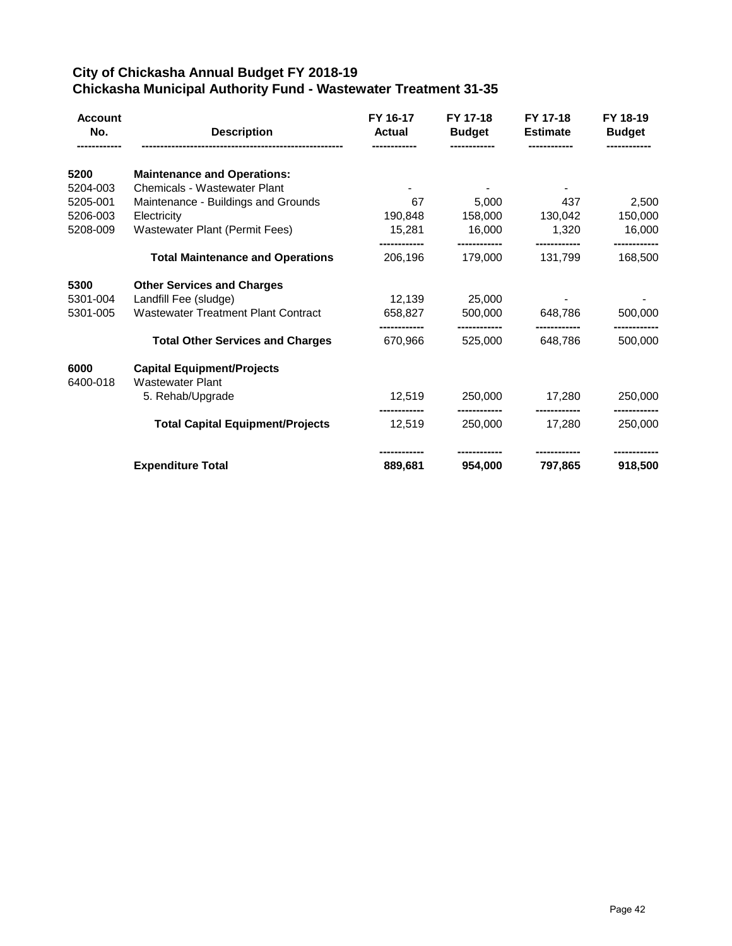## **City of Chickasha Annual Budget FY 2018-19 Chickasha Municipal Authority Fund - Wastewater Treatment 31-35**

| <b>Account</b><br>No. | <b>Description</b>                         | FY 16-17<br><b>Actual</b> | FY 17-18<br><b>Budget</b> | FY 17-18<br><b>Estimate</b> | FY 18-19<br><b>Budget</b> |
|-----------------------|--------------------------------------------|---------------------------|---------------------------|-----------------------------|---------------------------|
| 5200                  | <b>Maintenance and Operations:</b>         |                           |                           |                             |                           |
| 5204-003              | <b>Chemicals - Wastewater Plant</b>        |                           |                           |                             |                           |
| 5205-001              | Maintenance - Buildings and Grounds        | 67                        | 5,000                     | 437                         | 2,500                     |
| 5206-003              | Electricity                                | 190,848                   | 158,000                   | 130,042                     | 150,000                   |
| 5208-009              | <b>Wastewater Plant (Permit Fees)</b>      | 15,281                    | 16,000                    | 1.320                       | 16,000                    |
|                       | <b>Total Maintenance and Operations</b>    | 206,196                   | ----------<br>179,000     | ------------<br>131,799     | ------------<br>168,500   |
| 5300                  | <b>Other Services and Charges</b>          |                           |                           |                             |                           |
| 5301-004              | Landfill Fee (sludge)                      | 12,139                    | 25,000                    |                             |                           |
| 5301-005              | <b>Wastewater Treatment Plant Contract</b> | 658,827                   | 500,000                   | 648,786                     | 500,000                   |
|                       | <b>Total Other Services and Charges</b>    | 670,966                   | 525,000                   | 648,786                     | 500,000                   |
| 6000                  | <b>Capital Equipment/Projects</b>          |                           |                           |                             |                           |
| 6400-018              | <b>Wastewater Plant</b>                    |                           |                           |                             |                           |
|                       | 5. Rehab/Upgrade                           | 12,519                    | 250,000                   | 17.280                      | 250,000                   |
|                       | <b>Total Capital Equipment/Projects</b>    | 12,519                    | 250,000                   | 17.280                      | -----------<br>250,000    |
|                       | <b>Expenditure Total</b>                   | 889,681                   | 954,000                   | 797,865                     | ----------<br>918,500     |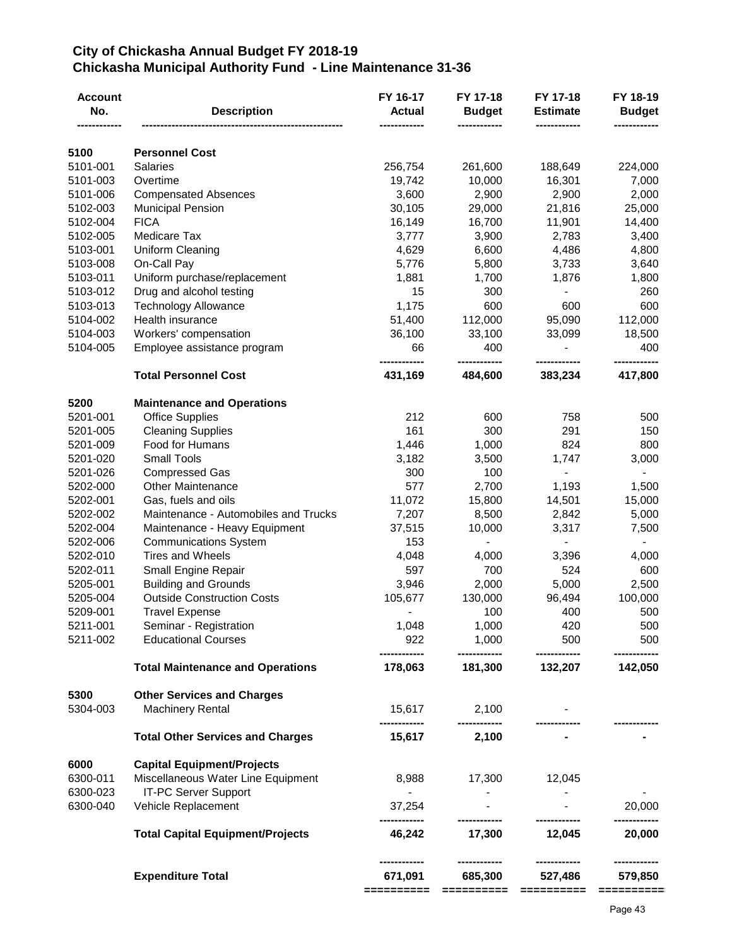#### **City of Chickasha Annual Budget FY 2018-19 Chickasha Municipal Authority Fund - Line Maintenance 31-36**

| <b>Account</b><br>No. | <b>Description</b>                                                | FY 16-17<br><b>Actual</b> | FY 17-18<br><b>Budget</b> | FY 17-18<br><b>Estimate</b> | FY 18-19<br><b>Budget</b> |
|-----------------------|-------------------------------------------------------------------|---------------------------|---------------------------|-----------------------------|---------------------------|
| 5100                  | <b>Personnel Cost</b>                                             |                           |                           |                             |                           |
| 5101-001              | <b>Salaries</b>                                                   | 256,754                   | 261,600                   | 188,649                     | 224,000                   |
| 5101-003              | Overtime                                                          | 19,742                    | 10,000                    | 16,301                      | 7,000                     |
| 5101-006              | <b>Compensated Absences</b>                                       | 3,600                     | 2,900                     | 2,900                       | 2,000                     |
| 5102-003              | <b>Municipal Pension</b>                                          | 30,105                    | 29,000                    | 21,816                      | 25,000                    |
| 5102-004              | <b>FICA</b>                                                       | 16,149                    | 16,700                    | 11,901                      | 14,400                    |
| 5102-005              | Medicare Tax                                                      | 3,777                     | 3,900                     | 2,783                       | 3,400                     |
| 5103-001              | <b>Uniform Cleaning</b>                                           | 4,629                     | 6,600                     | 4,486                       | 4,800                     |
| 5103-008              | On-Call Pay                                                       | 5,776                     | 5,800                     | 3,733                       | 3,640                     |
| 5103-011              | Uniform purchase/replacement                                      | 1,881                     | 1,700                     | 1,876                       | 1,800                     |
| 5103-012              | Drug and alcohol testing                                          | 15                        | 300                       |                             | 260                       |
| 5103-013              | <b>Technology Allowance</b>                                       | 1,175                     | 600                       | 600                         | 600                       |
| 5104-002              | Health insurance                                                  | 51,400                    | 112,000                   | 95,090                      | 112,000                   |
| 5104-003              | Workers' compensation                                             | 36,100                    | 33,100                    | 33,099                      | 18,500                    |
| 5104-005              | Employee assistance program                                       | 66<br>------------        | 400<br>-------------      | -------------               | 400<br>-------------      |
|                       | <b>Total Personnel Cost</b>                                       | 431,169                   | 484,600                   | 383,234                     | 417,800                   |
| 5200                  | <b>Maintenance and Operations</b>                                 |                           |                           |                             |                           |
| 5201-001              | <b>Office Supplies</b>                                            | 212                       | 600                       | 758                         | 500                       |
| 5201-005              | <b>Cleaning Supplies</b>                                          | 161                       | 300                       | 291                         | 150                       |
| 5201-009              | Food for Humans                                                   | 1,446                     | 1,000                     | 824                         | 800                       |
| 5201-020              | <b>Small Tools</b>                                                | 3,182                     | 3,500                     | 1,747                       | 3,000                     |
| 5201-026              | <b>Compressed Gas</b>                                             | 300                       | 100                       |                             |                           |
| 5202-000              | <b>Other Maintenance</b>                                          | 577                       | 2,700                     | 1,193                       | 1,500                     |
| 5202-001              | Gas, fuels and oils                                               | 11,072                    | 15,800                    | 14,501                      | 15,000                    |
| 5202-002              | Maintenance - Automobiles and Trucks                              | 7,207                     | 8,500                     | 2,842                       | 5,000                     |
| 5202-004              | Maintenance - Heavy Equipment                                     | 37,515                    | 10,000                    | 3,317                       | 7,500                     |
| 5202-006              | <b>Communications System</b>                                      | 153                       |                           |                             |                           |
| 5202-010              | <b>Tires and Wheels</b>                                           | 4,048                     | 4,000                     | 3,396                       | 4,000                     |
| 5202-011              | Small Engine Repair                                               | 597                       | 700                       | 524                         | 600                       |
| 5205-001              | <b>Building and Grounds</b>                                       | 3,946                     | 2,000                     | 5,000                       | 2,500                     |
| 5205-004              | <b>Outside Construction Costs</b>                                 | 105,677                   | 130,000                   | 96,494                      | 100,000                   |
| 5209-001              | <b>Travel Expense</b>                                             |                           | 100                       | 400                         | 500                       |
| 5211-001              | Seminar - Registration                                            | 1,048                     | 1,000                     | 420                         | 500                       |
| 5211-002              | <b>Educational Courses</b>                                        | 922<br>------------       | 1,000<br>------------     | 500<br>------------         | 500<br>------------       |
|                       | <b>Total Maintenance and Operations</b>                           | 178,063                   | 181,300                   | 132,207                     | 142,050                   |
| 5300                  | <b>Other Services and Charges</b>                                 |                           |                           |                             |                           |
| 5304-003              | <b>Machinery Rental</b>                                           | 15,617<br>------------    | 2,100<br>------------     |                             |                           |
|                       | <b>Total Other Services and Charges</b>                           | 15,617                    | 2,100                     |                             |                           |
| 6000                  | <b>Capital Equipment/Projects</b>                                 |                           |                           |                             |                           |
| 6300-011<br>6300-023  | Miscellaneous Water Line Equipment<br><b>IT-PC Server Support</b> | 8,988<br>$\sim 10$        | 17,300                    | 12,045                      |                           |
| 6300-040              | Vehicle Replacement                                               | 37,254<br>-----------     | ------------              |                             | 20,000                    |
|                       | <b>Total Capital Equipment/Projects</b>                           | 46,242                    | 17,300                    | 12,045                      | 20,000                    |
|                       | <b>Expenditure Total</b>                                          | 671,091<br>==========     | 685,300<br>==========     | 527,486<br>$=$ ==========   | 579,850<br>$=$ ========== |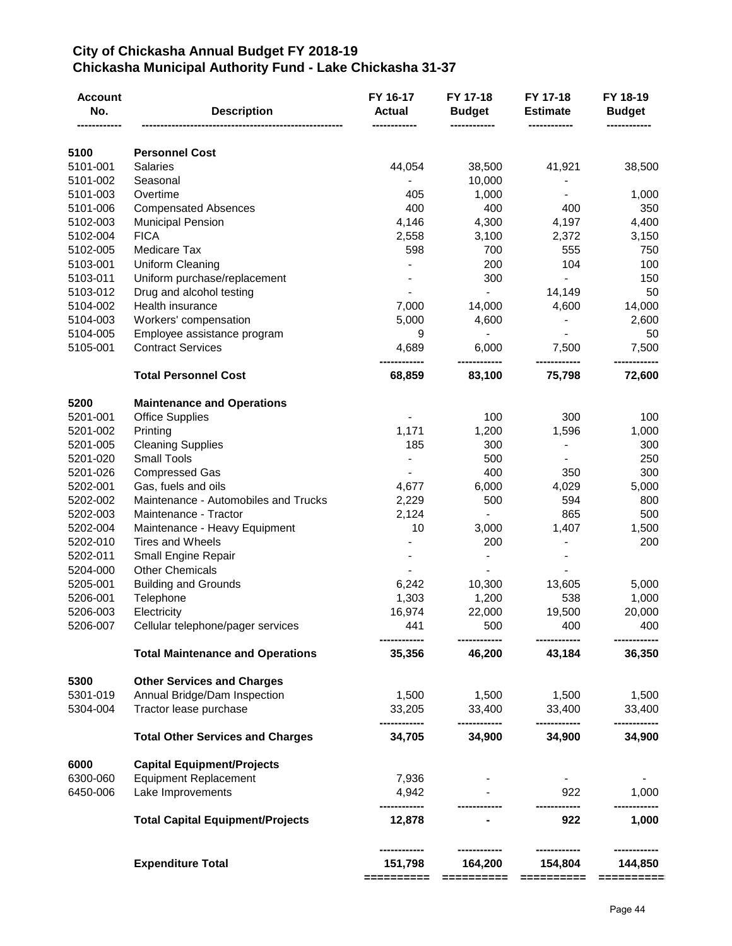### **City of Chickasha Annual Budget FY 2018-19 Chickasha Municipal Authority Fund - Lake Chickasha 31-37**

|          | <b>Description</b>                      | <b>Actual</b><br>---------- | <b>Budget</b>            | <b>Estimate</b><br>------------ | FY 18-19<br><b>Budget</b> |
|----------|-----------------------------------------|-----------------------------|--------------------------|---------------------------------|---------------------------|
| 5100     | <b>Personnel Cost</b>                   |                             |                          |                                 |                           |
| 5101-001 | <b>Salaries</b>                         | 44,054                      | 38,500                   | 41,921                          | 38,500                    |
| 5101-002 | Seasonal                                |                             | 10,000                   |                                 |                           |
| 5101-003 | Overtime                                | 405                         | 1,000                    |                                 | 1,000                     |
| 5101-006 | <b>Compensated Absences</b>             | 400                         | 400                      | 400                             | 350                       |
| 5102-003 | <b>Municipal Pension</b>                | 4,146                       | 4,300                    | 4,197                           | 4,400                     |
| 5102-004 | <b>FICA</b>                             | 2,558                       | 3,100                    | 2,372                           | 3,150                     |
| 5102-005 | Medicare Tax                            | 598                         | 700                      | 555                             | 750                       |
| 5103-001 | <b>Uniform Cleaning</b>                 |                             | 200                      | 104                             | 100                       |
| 5103-011 | Uniform purchase/replacement            |                             | 300                      |                                 | 150                       |
| 5103-012 | Drug and alcohol testing                |                             |                          | 14,149                          | 50                        |
| 5104-002 | Health insurance                        | 7,000                       | 14,000                   | 4,600                           | 14,000                    |
| 5104-003 | Workers' compensation                   | 5,000                       | 4,600                    |                                 | 2,600                     |
| 5104-005 | Employee assistance program             | 9                           | $\overline{\phantom{a}}$ |                                 | 50                        |
| 5105-001 | <b>Contract Services</b>                | 4,689                       | 6,000                    | 7,500                           | 7,500                     |
|          | <b>Total Personnel Cost</b>             | ----------<br>68,859        | <br>83,100               | 75,798                          | ----------<br>72,600      |
| 5200     | <b>Maintenance and Operations</b>       |                             |                          |                                 |                           |
| 5201-001 | <b>Office Supplies</b>                  |                             | 100                      | 300                             | 100                       |
| 5201-002 | Printing                                | 1,171                       | 1,200                    | 1,596                           | 1,000                     |
| 5201-005 | <b>Cleaning Supplies</b>                | 185                         | 300                      |                                 | 300                       |
| 5201-020 | <b>Small Tools</b>                      |                             | 500                      |                                 | 250                       |
| 5201-026 | <b>Compressed Gas</b>                   |                             | 400                      | 350                             | 300                       |
| 5202-001 | Gas, fuels and oils                     | 4,677                       | 6,000                    | 4,029                           | 5,000                     |
| 5202-002 | Maintenance - Automobiles and Trucks    | 2,229                       | 500                      | 594                             | 800                       |
| 5202-003 | Maintenance - Tractor                   | 2,124                       |                          | 865                             | 500                       |
| 5202-004 | Maintenance - Heavy Equipment           | 10                          | 3,000                    | 1,407                           | 1,500                     |
| 5202-010 | <b>Tires and Wheels</b>                 |                             | 200                      |                                 | 200                       |
| 5202-011 | Small Engine Repair                     |                             |                          |                                 |                           |
| 5204-000 | <b>Other Chemicals</b>                  |                             |                          |                                 |                           |
| 5205-001 | <b>Building and Grounds</b>             | 6,242                       | 10,300                   | 13,605                          | 5,000                     |
| 5206-001 | Telephone                               | 1,303                       | 1,200                    | 538                             | 1,000                     |
| 5206-003 | Electricity                             | 16,974                      | 22,000                   | 19,500                          | 20,000                    |
| 5206-007 | Cellular telephone/pager services       | 441<br>------------         | 500                      | 400<br>------------             | 400<br>------------       |
|          | <b>Total Maintenance and Operations</b> | 35,356                      | 46,200                   | 43,184                          | 36,350                    |
| 5300     | <b>Other Services and Charges</b>       |                             |                          |                                 |                           |
| 5301-019 | Annual Bridge/Dam Inspection            | 1,500                       | 1,500                    | 1,500                           | 1,500                     |
| 5304-004 | Tractor lease purchase                  | 33,205<br>------------      | 33,400<br>------------   | 33,400<br>------------          | 33,400<br>------------    |
|          | <b>Total Other Services and Charges</b> | 34,705                      | 34,900                   | 34,900                          | 34,900                    |
| 6000     | <b>Capital Equipment/Projects</b>       |                             |                          |                                 |                           |
| 6300-060 | <b>Equipment Replacement</b>            | 7,936                       |                          |                                 |                           |
| 6450-006 | Lake Improvements                       | 4,942<br>                   |                          | 922                             | 1,000                     |
|          | <b>Total Capital Equipment/Projects</b> | 12,878                      |                          | 922                             | 1,000                     |
|          | <b>Expenditure Total</b>                | 151,798                     | 164,200                  | 154,804                         | 144,850                   |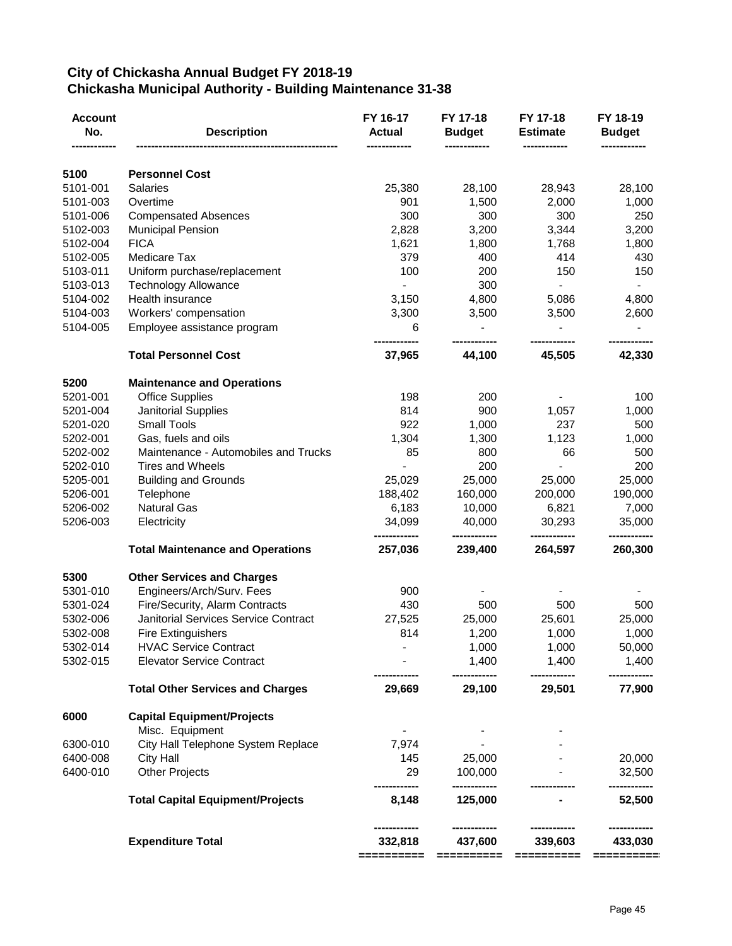## **City of Chickasha Annual Budget FY 2018-19 Chickasha Municipal Authority - Building Maintenance 31-38**

|          |                                         |                       | <b>Budget</b>           | <b>Estimate</b>        | <b>Budget</b>         |
|----------|-----------------------------------------|-----------------------|-------------------------|------------------------|-----------------------|
| 5100     | <b>Personnel Cost</b>                   |                       |                         |                        |                       |
| 5101-001 | <b>Salaries</b>                         | 25,380                | 28,100                  | 28,943                 | 28,100                |
| 5101-003 | Overtime                                | 901                   | 1,500                   | 2,000                  | 1,000                 |
| 5101-006 | <b>Compensated Absences</b>             | 300                   | 300                     | 300                    | 250                   |
| 5102-003 | <b>Municipal Pension</b>                | 2,828                 | 3,200                   | 3,344                  | 3,200                 |
| 5102-004 | <b>FICA</b>                             | 1,621                 | 1,800                   | 1,768                  | 1,800                 |
| 5102-005 | Medicare Tax                            | 379                   | 400                     | 414                    | 430                   |
| 5103-011 | Uniform purchase/replacement            | 100                   | 200                     | 150                    | 150                   |
| 5103-013 | <b>Technology Allowance</b>             |                       | 300                     | $\blacksquare$         | $\blacksquare$        |
| 5104-002 | Health insurance                        | 3,150                 | 4,800                   | 5,086                  | 4,800                 |
| 5104-003 | Workers' compensation                   | 3,300                 | 3,500                   | 3,500                  | 2,600                 |
| 5104-005 | Employee assistance program             | 6                     | $\frac{1}{2}$           |                        |                       |
|          | <b>Total Personnel Cost</b>             | 37,965                | 44,100                  | 45,505                 | 42,330                |
| 5200     | <b>Maintenance and Operations</b>       |                       |                         |                        |                       |
| 5201-001 | <b>Office Supplies</b>                  | 198                   | 200                     |                        | 100                   |
| 5201-004 | Janitorial Supplies                     | 814                   | 900                     | 1,057                  | 1,000                 |
| 5201-020 | <b>Small Tools</b>                      | 922                   | 1,000                   | 237                    | 500                   |
| 5202-001 | Gas, fuels and oils                     | 1,304                 | 1,300                   | 1,123                  | 1,000                 |
| 5202-002 | Maintenance - Automobiles and Trucks    | 85                    | 800                     | 66                     | 500                   |
| 5202-010 | <b>Tires and Wheels</b>                 |                       | 200                     |                        | 200                   |
| 5205-001 | <b>Building and Grounds</b>             | 25,029                | 25,000                  | 25,000                 | 25,000                |
| 5206-001 | Telephone                               | 188,402               | 160,000                 | 200,000                | 190,000               |
| 5206-002 | <b>Natural Gas</b>                      | 6,183                 | 10,000                  | 6,821                  | 7,000                 |
| 5206-003 | Electricity                             | 34,099                | 40,000<br>------------  | 30,293<br>------------ | 35,000                |
|          | <b>Total Maintenance and Operations</b> | 257,036               | 239,400                 | 264,597                | 260,300               |
| 5300     | <b>Other Services and Charges</b>       |                       |                         |                        |                       |
| 5301-010 | Engineers/Arch/Surv. Fees               | 900                   |                         |                        |                       |
| 5301-024 | Fire/Security, Alarm Contracts          | 430                   | 500                     | 500                    | 500                   |
| 5302-006 | Janitorial Services Service Contract    | 27,525                | 25,000                  | 25,601                 | 25,000                |
| 5302-008 | <b>Fire Extinguishers</b>               | 814                   | 1,200                   | 1,000                  | 1,000                 |
| 5302-014 | <b>HVAC Service Contract</b>            |                       | 1,000                   | 1,000                  | 50,000                |
| 5302-015 | <b>Elevator Service Contract</b>        |                       | 1,400                   | 1,400                  | 1,400                 |
|          | <b>Total Other Services and Charges</b> | 29,669                | 29,100                  | 29,501                 | 77,900                |
| 6000     | <b>Capital Equipment/Projects</b>       |                       |                         |                        |                       |
|          | Misc. Equipment                         |                       |                         |                        |                       |
| 6300-010 | City Hall Telephone System Replace      | 7,974                 |                         |                        |                       |
| 6400-008 | <b>City Hall</b>                        | 145                   | 25,000                  |                        | 20,000                |
| 6400-010 | <b>Other Projects</b>                   | 29                    | 100,000<br>------------ |                        | 32,500                |
|          | <b>Total Capital Equipment/Projects</b> | 8,148                 | 125,000                 |                        | 52,500                |
|          | <b>Expenditure Total</b>                | 332,818<br>========== | 437,600<br>==========   | 339,603<br>==========  | 433,030<br>========== |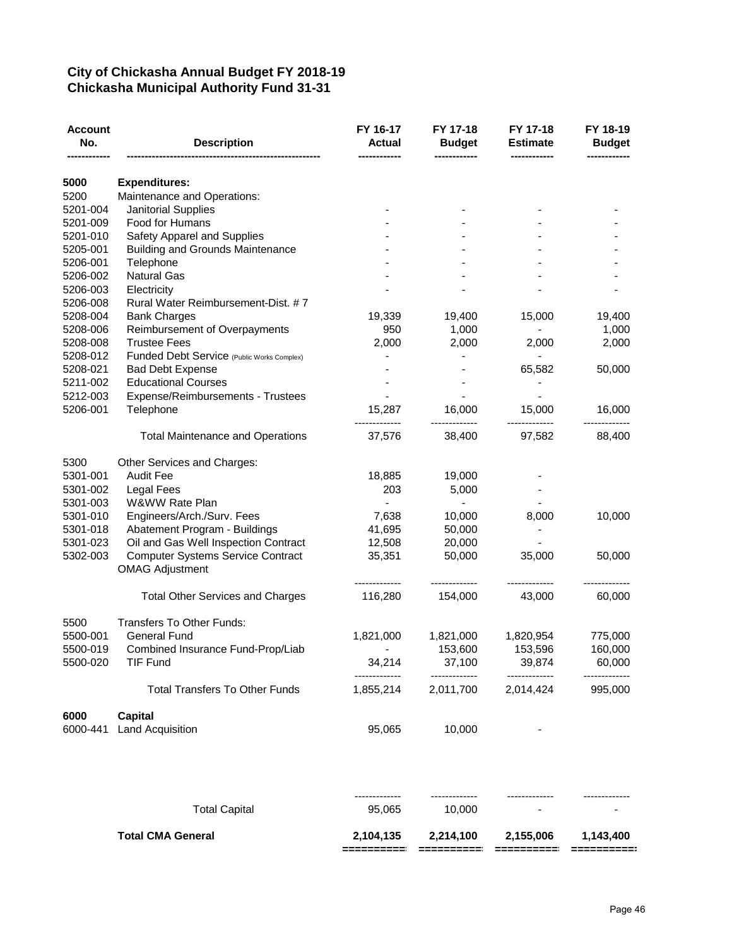### **City of Chickasha Annual Budget FY 2018-19 Chickasha Municipal Authority Fund 31-31**

| Account<br>No.       | <b>Description</b>                                                 | FY 16-17<br><b>Actual</b> | FY 17-18<br><b>Budget</b> | FY 17-18<br><b>Estimate</b> | FY 18-19<br><b>Budget</b> |
|----------------------|--------------------------------------------------------------------|---------------------------|---------------------------|-----------------------------|---------------------------|
| 5000                 | <b>Expenditures:</b>                                               |                           |                           |                             |                           |
| 5200                 | Maintenance and Operations:                                        |                           |                           |                             |                           |
| 5201-004             | Janitorial Supplies                                                |                           |                           |                             |                           |
| 5201-009             | Food for Humans                                                    |                           |                           |                             |                           |
| 5201-010             | Safety Apparel and Supplies                                        |                           |                           |                             |                           |
| 5205-001             | <b>Building and Grounds Maintenance</b>                            |                           |                           |                             |                           |
| 5206-001             | Telephone                                                          |                           |                           |                             |                           |
| 5206-002             | <b>Natural Gas</b>                                                 |                           |                           |                             |                           |
| 5206-003             | Electricity                                                        |                           |                           |                             |                           |
| 5206-008             | Rural Water Reimbursement-Dist. #7                                 |                           |                           |                             |                           |
| 5208-004             | <b>Bank Charges</b>                                                | 19,339                    | 19,400                    | 15,000                      | 19,400                    |
| 5208-006             |                                                                    | 950                       | 1,000                     |                             | 1,000                     |
|                      | Reimbursement of Overpayments<br><b>Trustee Fees</b>               |                           | 2,000                     |                             | 2,000                     |
| 5208-008<br>5208-012 |                                                                    | 2,000                     |                           | 2,000                       |                           |
|                      | Funded Debt Service (Public Works Complex)                         |                           |                           |                             |                           |
| 5208-021             | <b>Bad Debt Expense</b>                                            |                           |                           | 65,582                      | 50,000                    |
| 5211-002             | <b>Educational Courses</b>                                         |                           |                           |                             |                           |
| 5212-003             | Expense/Reimbursements - Trustees                                  |                           |                           |                             |                           |
| 5206-001             | Telephone                                                          | 15,287                    | 16,000                    | 15,000                      | 16,000<br>                |
|                      | <b>Total Maintenance and Operations</b>                            | 37,576                    | 38,400                    | 97,582                      | 88,400                    |
| 5300                 | Other Services and Charges:                                        |                           |                           |                             |                           |
| 5301-001             | <b>Audit Fee</b>                                                   | 18,885                    | 19,000                    |                             |                           |
| 5301-002             | Legal Fees                                                         | 203                       | 5,000                     |                             |                           |
| 5301-003             | W&WW Rate Plan                                                     |                           |                           |                             |                           |
| 5301-010             | Engineers/Arch./Surv. Fees                                         | 7,638                     | 10,000                    | 8,000                       | 10,000                    |
| 5301-018             | Abatement Program - Buildings                                      | 41,695                    | 50,000                    |                             |                           |
| 5301-023             | Oil and Gas Well Inspection Contract                               | 12,508                    | 20,000                    |                             |                           |
| 5302-003             | <b>Computer Systems Service Contract</b><br><b>OMAG Adjustment</b> | 35,351                    | 50,000                    | 35,000                      | 50,000                    |
|                      |                                                                    |                           |                           |                             |                           |
|                      | <b>Total Other Services and Charges</b>                            | 116,280                   | 154,000                   | 43,000                      | 60,000                    |
| 5500                 | Transfers To Other Funds:                                          |                           |                           |                             |                           |
| 5500-001             | <b>General Fund</b>                                                | 1,821,000                 | 1,821,000                 | 1,820,954                   | 775,000                   |
| 5500-019             | Combined Insurance Fund-Prop/Liab                                  |                           | 153,600                   | 153,596                     | 160,000                   |
| 5500-020             | <b>TIF Fund</b>                                                    | 34,214                    | 37,100                    | 39,874                      | 60,000                    |
|                      | <b>Total Transfers To Other Funds</b>                              | 1,855,214                 | 2,011,700                 | 2,014,424                   | 995,000                   |
| 6000                 | <b>Capital</b>                                                     |                           |                           |                             |                           |
| 6000-441             | Land Acquisition                                                   | 95,065                    | 10,000                    |                             |                           |
|                      |                                                                    |                           |                           |                             |                           |
|                      | <b>Total Capital</b>                                               | 95,065                    | 10,000                    |                             |                           |
|                      | <b>Total CMA General</b>                                           | 2,104,135                 | 2,214,100                 | 2,155,006                   | 1,143,400                 |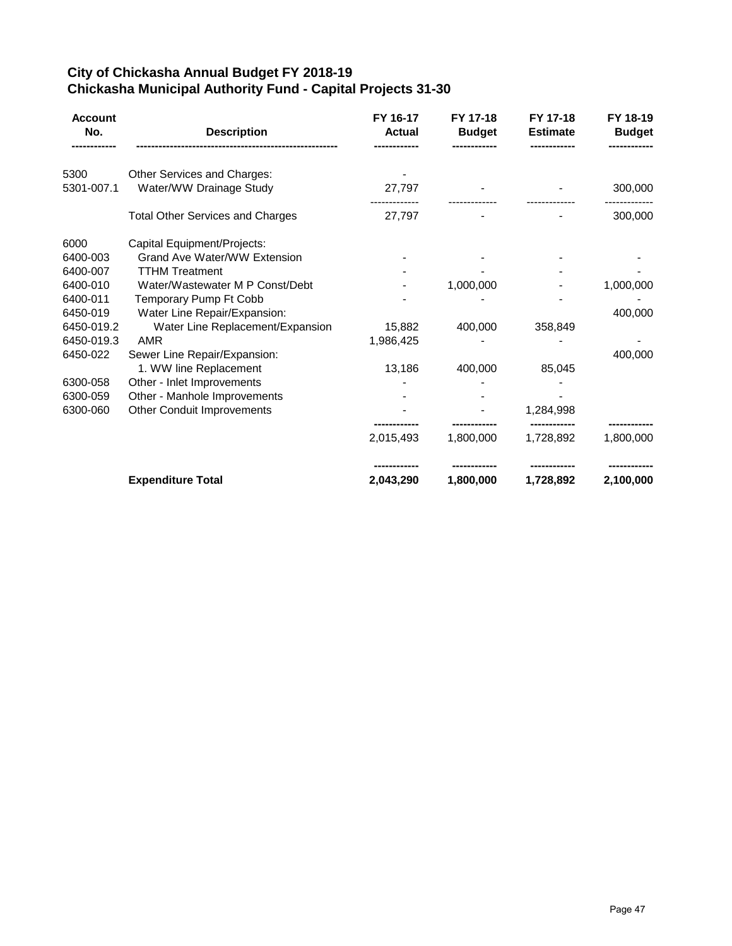## **City of Chickasha Annual Budget FY 2018-19 Chickasha Municipal Authority Fund - Capital Projects 31-30**

| <b>Account</b><br>No. | <b>Description</b>                      | FY 16-17<br><b>Actual</b> | FY 17-18<br><b>Budget</b> | FY 17-18<br><b>Estimate</b> | FY 18-19<br><b>Budget</b> |
|-----------------------|-----------------------------------------|---------------------------|---------------------------|-----------------------------|---------------------------|
| 5300                  | Other Services and Charges:             |                           |                           |                             |                           |
| 5301-007.1            | Water/WW Drainage Study                 | 27,797                    |                           |                             | 300,000                   |
|                       | <b>Total Other Services and Charges</b> | 27,797                    |                           |                             | 300,000                   |
| 6000                  | Capital Equipment/Projects:             |                           |                           |                             |                           |
| 6400-003              | <b>Grand Ave Water/WW Extension</b>     |                           |                           |                             |                           |
| 6400-007              | <b>TTHM Treatment</b>                   |                           |                           |                             |                           |
| 6400-010              | Water/Wastewater M P Const/Debt         |                           | 1,000,000                 |                             | 1,000,000                 |
| 6400-011              | Temporary Pump Ft Cobb                  |                           |                           |                             |                           |
| 6450-019              | Water Line Repair/Expansion:            |                           |                           |                             | 400,000                   |
| 6450-019.2            | Water Line Replacement/Expansion        | 15,882                    | 400,000                   | 358,849                     |                           |
| 6450-019.3            | AMR                                     | 1,986,425                 |                           |                             |                           |
| 6450-022              | Sewer Line Repair/Expansion:            |                           |                           |                             | 400,000                   |
|                       | 1. WW line Replacement                  | 13,186                    | 400,000                   | 85,045                      |                           |
| 6300-058              | Other - Inlet Improvements              |                           |                           |                             |                           |
| 6300-059              | Other - Manhole Improvements            |                           |                           |                             |                           |
| 6300-060              | <b>Other Conduit Improvements</b>       |                           |                           | 1,284,998                   |                           |
|                       |                                         | 2,015,493                 | 1,800,000                 | 1,728,892                   | 1,800,000                 |
|                       | <b>Expenditure Total</b>                | 2,043,290                 | 1,800,000                 | 1,728,892                   | 2,100,000                 |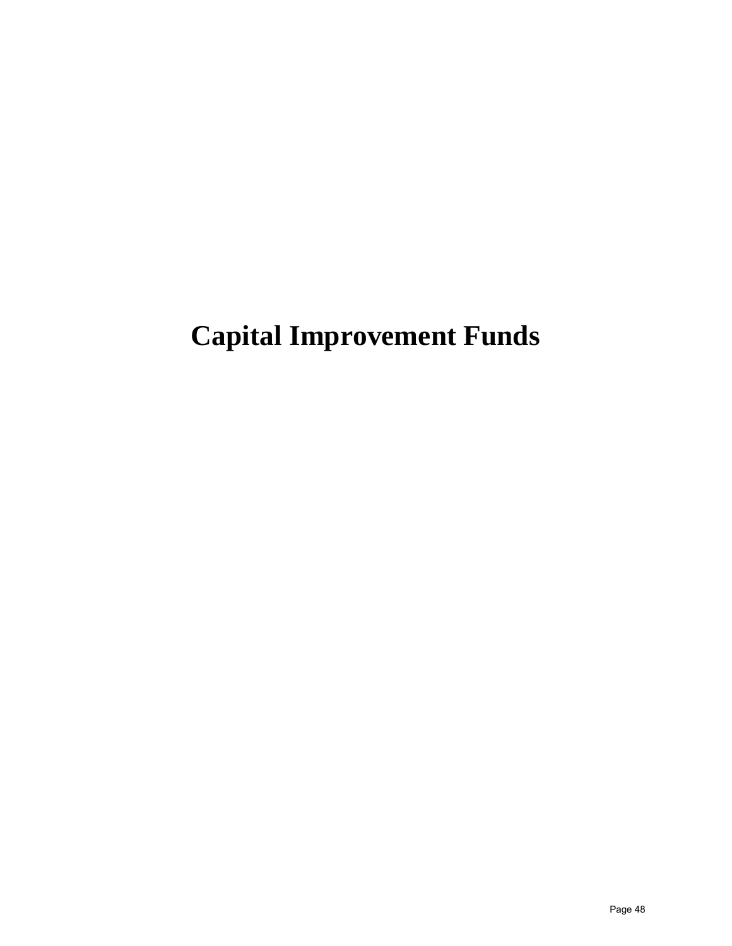# **Capital Improvement Funds**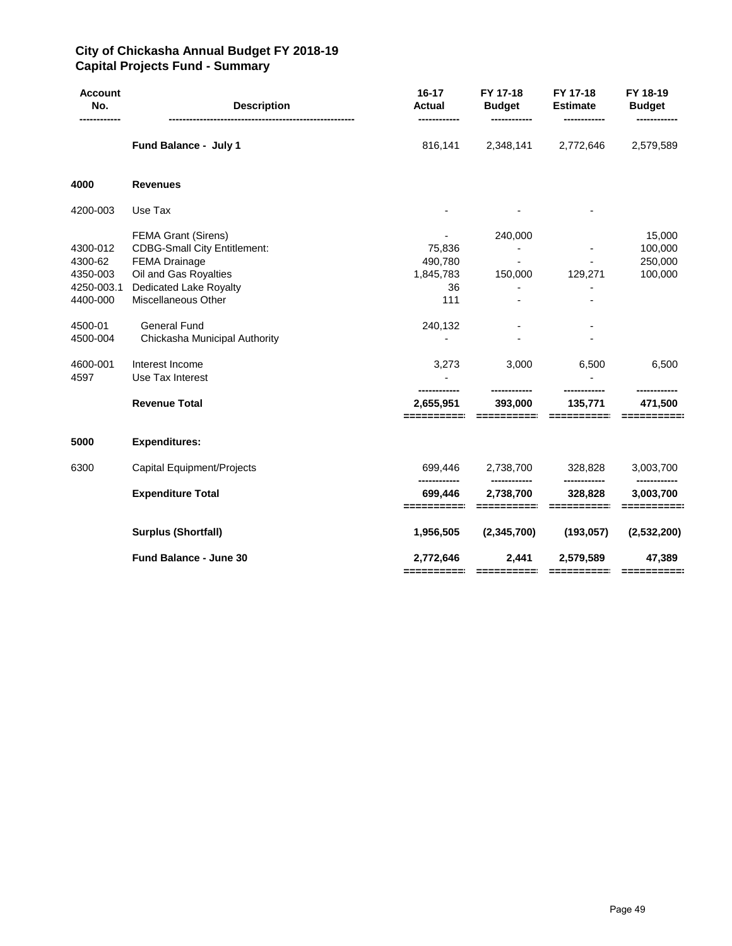#### **City of Chickasha Annual Budget FY 2018-19 Capital Projects Fund - Summary**

| <b>Account</b><br>No.                                                                                | $16 - 17$<br><b>Description</b><br><b>Actual</b>                                                                                                                                                                                                                                                  |                                                                              | FY 17-18<br><b>Budget</b>              | FY 17-18<br><b>Estimate</b> | FY 18-19<br><b>Budget</b>                                   |  |
|------------------------------------------------------------------------------------------------------|---------------------------------------------------------------------------------------------------------------------------------------------------------------------------------------------------------------------------------------------------------------------------------------------------|------------------------------------------------------------------------------|----------------------------------------|-----------------------------|-------------------------------------------------------------|--|
|                                                                                                      | Fund Balance - July 1                                                                                                                                                                                                                                                                             | 816,141                                                                      | 2,348,141                              | 2,772,646                   | 2,579,589                                                   |  |
| 4000                                                                                                 | <b>Revenues</b>                                                                                                                                                                                                                                                                                   |                                                                              |                                        |                             |                                                             |  |
| 4200-003                                                                                             | Use Tax                                                                                                                                                                                                                                                                                           |                                                                              |                                        |                             |                                                             |  |
| 4300-012<br>4300-62<br>4350-003<br>4250-003.1<br>4400-000<br>4500-01<br>4500-004<br>4600-001<br>4597 | <b>FEMA Grant (Sirens)</b><br><b>CDBG-Small City Entitlement:</b><br><b>FEMA Drainage</b><br>Oil and Gas Royalties<br><b>Dedicated Lake Royalty</b><br>Miscellaneous Other<br><b>General Fund</b><br>Chickasha Municipal Authority<br>Interest Income<br>Use Tax Interest<br><b>Revenue Total</b> | 75,836<br>490,780<br>1,845,783<br>36<br>111<br>240,132<br>3,273<br>2,655,951 | 240,000<br>150,000<br>3,000<br>393,000 | 129,271<br>6,500<br>135,771 | 15,000<br>100,000<br>250,000<br>100,000<br>6,500<br>471,500 |  |
|                                                                                                      |                                                                                                                                                                                                                                                                                                   |                                                                              |                                        |                             |                                                             |  |
| 5000                                                                                                 | <b>Expenditures:</b>                                                                                                                                                                                                                                                                              |                                                                              |                                        |                             |                                                             |  |
| 6300                                                                                                 | Capital Equipment/Projects                                                                                                                                                                                                                                                                        | 699,446<br>----------                                                        | 2,738,700<br>------------              | 328,828<br>------------     | 3,003,700<br>------------                                   |  |
|                                                                                                      | <b>Expenditure Total</b>                                                                                                                                                                                                                                                                          | 699,446                                                                      | 2,738,700                              | 328,828                     | 3,003,700                                                   |  |
|                                                                                                      | <b>Surplus (Shortfall)</b>                                                                                                                                                                                                                                                                        | 1,956,505                                                                    | (2,345,700)                            | (193, 057)                  | (2,532,200)                                                 |  |
|                                                                                                      | <b>Fund Balance - June 30</b>                                                                                                                                                                                                                                                                     | 2,772,646                                                                    | 2,441<br>-----------                   | 2,579,589                   | 47,389                                                      |  |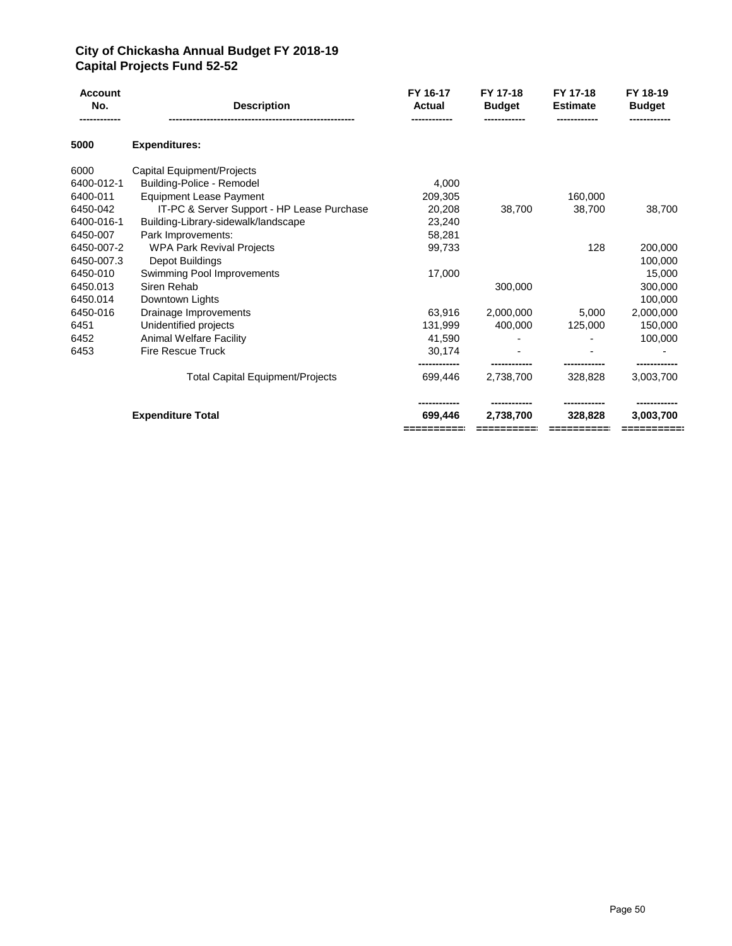#### **City of Chickasha Annual Budget FY 2018-19 Capital Projects Fund 52-52**

| <b>Account</b><br>No. | <b>Description</b>                         | FY 16-17<br><b>Actual</b>            | FY 17-18<br><b>Budget</b> | FY 17-18<br><b>Estimate</b> | FY 18-19<br><b>Budget</b> |
|-----------------------|--------------------------------------------|--------------------------------------|---------------------------|-----------------------------|---------------------------|
| 5000                  | <b>Expenditures:</b>                       |                                      |                           |                             |                           |
| 6000                  | Capital Equipment/Projects                 |                                      |                           |                             |                           |
| 6400-012-1            | Building-Police - Remodel                  | 4.000                                |                           |                             |                           |
| 6400-011              | <b>Equipment Lease Payment</b>             | 209,305                              |                           | 160,000                     |                           |
| 6450-042              | IT-PC & Server Support - HP Lease Purchase | 20,208                               | 38,700                    | 38,700                      | 38,700                    |
| 6400-016-1            | Building-Library-sidewalk/landscape        | 23,240                               |                           |                             |                           |
| 6450-007              | Park Improvements:                         | 58,281                               |                           |                             |                           |
| 6450-007-2            | <b>WPA Park Revival Projects</b>           | 99,733                               |                           | 128                         | 200,000                   |
| 6450-007.3            | Depot Buildings                            |                                      |                           |                             | 100,000                   |
| 6450-010              | Swimming Pool Improvements                 | 17,000                               |                           |                             | 15,000                    |
| 6450.013              | Siren Rehab                                |                                      | 300,000                   |                             | 300,000                   |
| 6450.014              | Downtown Lights                            |                                      |                           |                             | 100,000                   |
| 6450-016              | Drainage Improvements                      | 63.916                               | 2.000.000                 | 5.000                       | 2,000,000                 |
| 6451                  | Unidentified projects                      | 131,999                              | 400.000                   | 125,000                     | 150,000                   |
| 6452                  | <b>Animal Welfare Facility</b>             | 41,590                               |                           |                             | 100,000                   |
| 6453                  | <b>Fire Rescue Truck</b>                   | 30,174                               |                           |                             |                           |
|                       | <b>Total Capital Equipment/Projects</b>    | 699.446                              | 2.738.700                 | 328.828                     | 3,003,700                 |
|                       | <b>Expenditure Total</b>                   | -----------<br>699,446<br>========== | 2.738.700                 | 328.828                     | 3,003,700<br>=========    |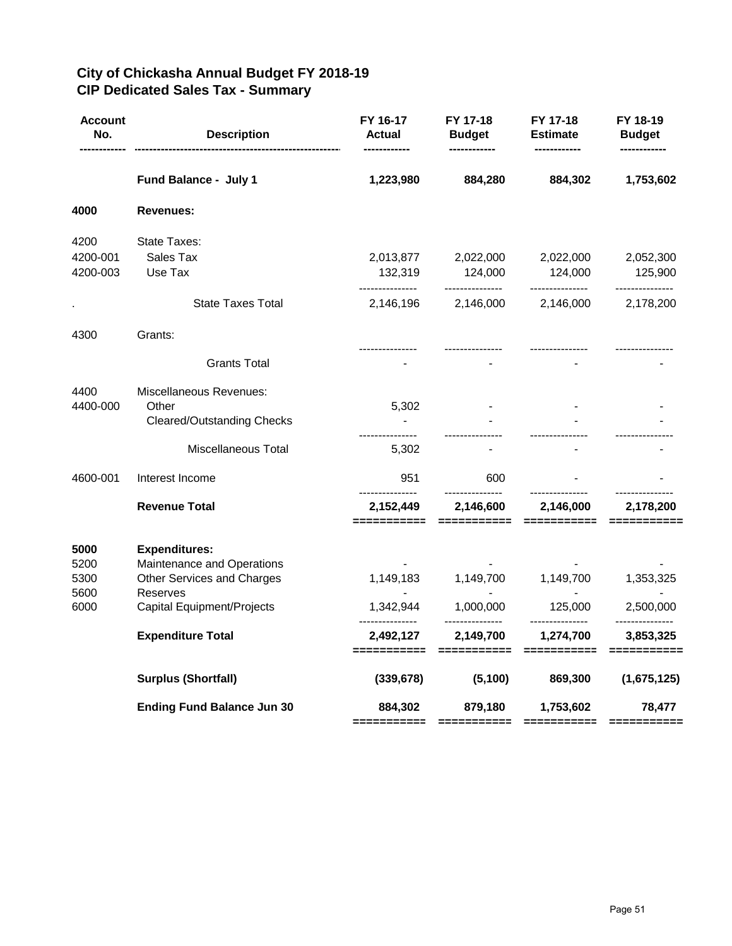| <b>Account</b><br>No. | <b>Description</b>                                                               | FY 16-17<br>Actual           | FY 17-18<br><b>Budget</b>                   | FY 17-18<br><b>Estimate</b>                 | FY 18-19<br><b>Budget</b>                                                                                                                                                                                                                                                                                                                                                                                                                                                                                              |
|-----------------------|----------------------------------------------------------------------------------|------------------------------|---------------------------------------------|---------------------------------------------|------------------------------------------------------------------------------------------------------------------------------------------------------------------------------------------------------------------------------------------------------------------------------------------------------------------------------------------------------------------------------------------------------------------------------------------------------------------------------------------------------------------------|
|                       | Fund Balance - July 1                                                            | 1,223,980                    | 884,280                                     | 884,302                                     | 1,753,602                                                                                                                                                                                                                                                                                                                                                                                                                                                                                                              |
| 4000                  | <b>Revenues:</b>                                                                 |                              |                                             |                                             |                                                                                                                                                                                                                                                                                                                                                                                                                                                                                                                        |
| 4200                  | State Taxes:                                                                     |                              |                                             |                                             |                                                                                                                                                                                                                                                                                                                                                                                                                                                                                                                        |
| 4200-001<br>4200-003  | Sales Tax<br>Use Tax                                                             | 2,013,877<br>132,319         | 2,022,000<br>124,000<br>---------------     | 2,022,000<br>124,000<br>---------------     | 2,052,300<br>125,900                                                                                                                                                                                                                                                                                                                                                                                                                                                                                                   |
|                       | <b>State Taxes Total</b>                                                         | ---------------<br>2,146,196 | 2,146,000                                   | 2,146,000                                   | ---------------<br>2,178,200                                                                                                                                                                                                                                                                                                                                                                                                                                                                                           |
| 4300                  | Grants:                                                                          | ---------------              | ---------------                             |                                             |                                                                                                                                                                                                                                                                                                                                                                                                                                                                                                                        |
|                       | <b>Grants Total</b>                                                              |                              |                                             |                                             |                                                                                                                                                                                                                                                                                                                                                                                                                                                                                                                        |
| 4400<br>4400-000      | Miscellaneous Revenues:<br>Other<br>Cleared/Outstanding Checks                   | 5,302                        |                                             |                                             |                                                                                                                                                                                                                                                                                                                                                                                                                                                                                                                        |
|                       | Miscellaneous Total                                                              | 5,302                        |                                             |                                             |                                                                                                                                                                                                                                                                                                                                                                                                                                                                                                                        |
| 4600-001              | Interest Income                                                                  | 951                          | 600                                         |                                             |                                                                                                                                                                                                                                                                                                                                                                                                                                                                                                                        |
|                       | <b>Revenue Total</b>                                                             | 2,152,449<br>=========       | ---------------<br>2,146,600<br>=========== | 2,146,000<br>$=$ ==========                 | 2,178,200                                                                                                                                                                                                                                                                                                                                                                                                                                                                                                              |
| 5000<br>5200<br>5300  | <b>Expenditures:</b><br>Maintenance and Operations<br>Other Services and Charges | 1,149,183                    | 1,149,700                                   | 1,149,700                                   | 1,353,325                                                                                                                                                                                                                                                                                                                                                                                                                                                                                                              |
| 5600<br>6000          | Reserves<br>Capital Equipment/Projects                                           | 1,342,944                    | 1,000,000                                   | 125,000                                     | 2,500,000                                                                                                                                                                                                                                                                                                                                                                                                                                                                                                              |
|                       | <b>Expenditure Total</b>                                                         | 2,492,127<br>===========     | 2,149,700<br>===========                    | ---------------<br>1,274,700<br>=========== | ---------------<br>3,853,325<br>$\begin{array}{cccccccccc} \multicolumn{2}{c}{} & \multicolumn{2}{c}{} & \multicolumn{2}{c}{} & \multicolumn{2}{c}{} & \multicolumn{2}{c}{} & \multicolumn{2}{c}{} & \multicolumn{2}{c}{} & \multicolumn{2}{c}{} & \multicolumn{2}{c}{} & \multicolumn{2}{c}{} & \multicolumn{2}{c}{} & \multicolumn{2}{c}{} & \multicolumn{2}{c}{} & \multicolumn{2}{c}{} & \multicolumn{2}{c}{} & \multicolumn{2}{c}{} & \multicolumn{2}{c}{} & \multicolumn{2}{c}{} & \multicolumn{2}{c}{} & \mult$ |
|                       | <b>Surplus (Shortfall)</b>                                                       | (339, 678)                   | (5, 100)                                    | 869,300                                     | (1,675,125)                                                                                                                                                                                                                                                                                                                                                                                                                                                                                                            |
|                       | <b>Ending Fund Balance Jun 30</b>                                                | 884,302                      | 879,180                                     | 1,753,602                                   | 78,477                                                                                                                                                                                                                                                                                                                                                                                                                                                                                                                 |

## **City of Chickasha Annual Budget FY 2018-19 CIP Dedicated Sales Tax - Summary**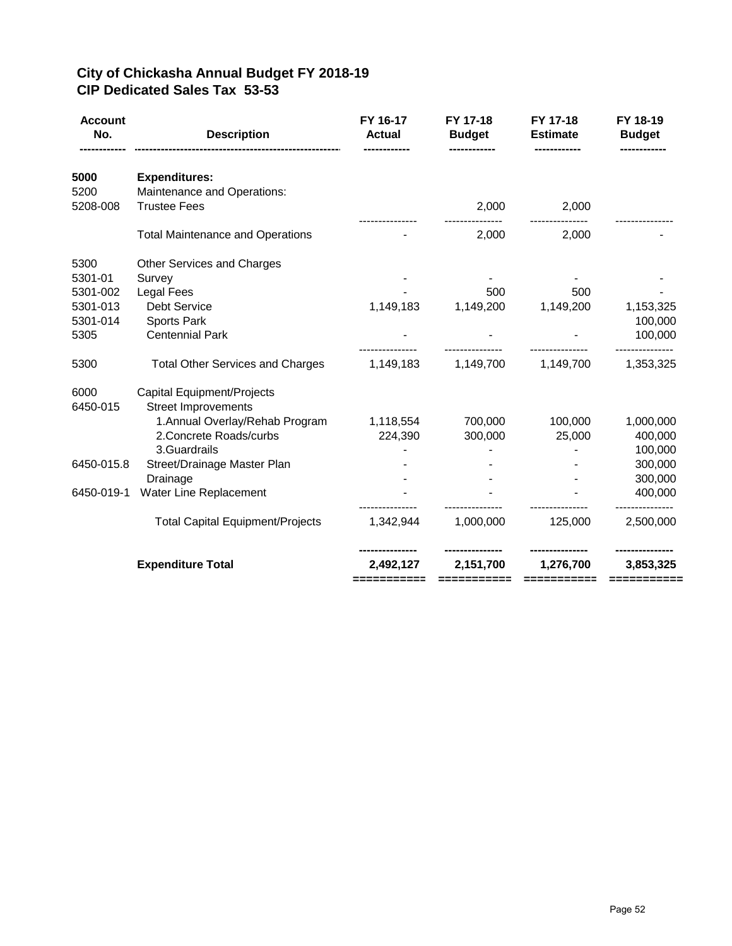## **City of Chickasha Annual Budget FY 2018-19 CIP Dedicated Sales Tax 53-53**

| <b>Account</b><br>No. | <b>Description</b>                                       | FY 16-17<br><b>Actual</b> | FY 17-18<br><b>Budget</b> | FY 17-18<br><b>Estimate</b> | FY 18-19<br><b>Budget</b> |
|-----------------------|----------------------------------------------------------|---------------------------|---------------------------|-----------------------------|---------------------------|
| 5000                  | <b>Expenditures:</b>                                     |                           |                           |                             |                           |
| 5200                  | Maintenance and Operations:                              |                           |                           |                             |                           |
| 5208-008              | <b>Trustee Fees</b>                                      |                           | 2,000                     | 2,000                       |                           |
|                       | <b>Total Maintenance and Operations</b>                  |                           | 2,000                     | 2,000                       |                           |
| 5300                  | Other Services and Charges                               |                           |                           |                             |                           |
| 5301-01               | Survey                                                   |                           |                           |                             |                           |
| 5301-002              | Legal Fees                                               |                           | 500                       | 500                         |                           |
| 5301-013              | <b>Debt Service</b>                                      | 1,149,183                 | 1,149,200                 | 1,149,200                   | 1,153,325                 |
| 5301-014              | <b>Sports Park</b>                                       |                           |                           |                             | 100,000                   |
| 5305                  | <b>Centennial Park</b>                                   |                           |                           |                             | 100,000                   |
| 5300                  | <b>Total Other Services and Charges</b>                  | 1,149,183                 | 1,149,700                 | 1,149,700                   | 1,353,325                 |
| 6000<br>6450-015      | Capital Equipment/Projects<br><b>Street Improvements</b> |                           |                           |                             |                           |
|                       | 1. Annual Overlay/Rehab Program                          | 1,118,554                 | 700,000                   | 100,000                     | 1,000,000                 |
|                       | 2. Concrete Roads/curbs                                  | 224,390                   | 300,000                   | 25,000                      | 400,000                   |
|                       | 3.Guardrails                                             |                           |                           |                             | 100,000                   |
| 6450-015.8            | Street/Drainage Master Plan                              |                           |                           |                             | 300,000                   |
|                       | Drainage                                                 |                           |                           |                             | 300,000                   |
| 6450-019-1            | Water Line Replacement                                   |                           |                           |                             | 400,000                   |
|                       | <b>Total Capital Equipment/Projects</b>                  | 1,342,944                 | 1,000,000                 | 125,000                     | 2,500,000                 |
|                       | <b>Expenditure Total</b>                                 | 2,492,127<br>:==========  | 2,151,700                 | 1,276,700<br>===========    | 3,853,325<br>========     |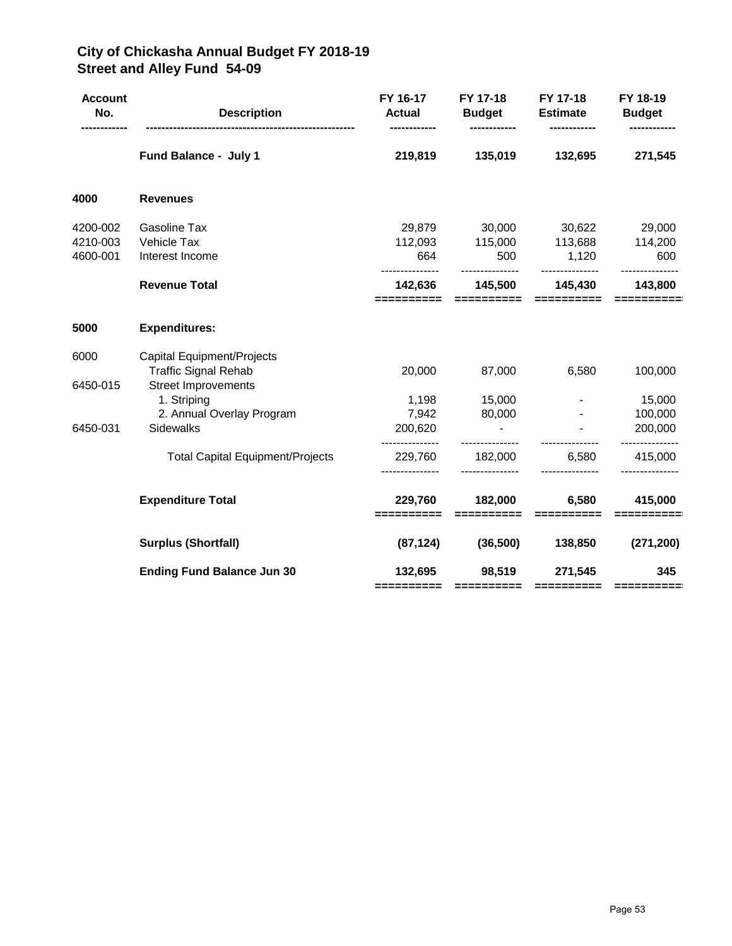## **City of Chickasha Annual Budget FY 2018-19 Street and Alley Fund 54-09**

| <b>Account</b><br>No. | <b>Description</b>                      | FY 16-17<br><b>Actual</b> | FY 17-18                 | FY 17-18<br><b>Budget Estimate</b>                                                                     | FY 18-19<br><b>Budget</b> |
|-----------------------|-----------------------------------------|---------------------------|--------------------------|--------------------------------------------------------------------------------------------------------|---------------------------|
|                       | Fund Balance - July 1                   | 219,819                   | 135,019                  | 132,695                                                                                                | 271,545                   |
| 4000                  | <b>Revenues</b>                         |                           |                          |                                                                                                        |                           |
| 4200-002              | <b>Gasoline Tax</b>                     |                           |                          | 29,879 30,000 30,622 29,000                                                                            |                           |
| 4210-003              | Vehicle Tax                             |                           |                          | 112,093 115,000 113,688 114,200                                                                        |                           |
| 4600-001              | Interest Income                         | 664                       | 500                      | 1,120                                                                                                  | 600                       |
|                       | <b>Revenue Total</b>                    | 142,636<br>==========     | 145,500<br>==========    | 145,430<br>==========                                                                                  | 143,800                   |
| 5000                  | <b>Expenditures:</b>                    |                           |                          |                                                                                                        |                           |
| 6000                  | Capital Equipment/Projects              |                           |                          |                                                                                                        |                           |
|                       | <b>Traffic Signal Rehab</b>             | 20,000                    | 87,000                   | 6,580                                                                                                  | 100,000                   |
| 6450-015              | <b>Street Improvements</b>              |                           |                          |                                                                                                        |                           |
|                       | 1. Striping                             |                           | 1,198 15,000             |                                                                                                        | 15,000                    |
|                       | 2. Annual Overlay Program               |                           | 7,942 80,000             |                                                                                                        | 100,000                   |
| 6450-031              | Sidewalks                               | 200,620                   | <b>Contract Contract</b> |                                                                                                        | 200,000                   |
|                       | <b>Total Capital Equipment/Projects</b> | 229,760                   | ---------------          | 182,000 6,580                                                                                          | 415,000                   |
|                       | <b>Expenditure Total</b>                | 229,760<br>==========     | 182,000<br>==========    | 6,580<br>$\begin{array}{c} \texttt{m} = \texttt{m} = \texttt{m} = \texttt{m} = \texttt{m} \end{array}$ | 415,000                   |
|                       | <b>Surplus (Shortfall)</b>              | (87, 124)                 |                          | $(36,500)$ $138,850$                                                                                   | (271, 200)                |
|                       | <b>Ending Fund Balance Jun 30</b>       | 132,695<br>==========     | 98,519<br>==========     | 271,545<br>==========                                                                                  | 345<br>==========         |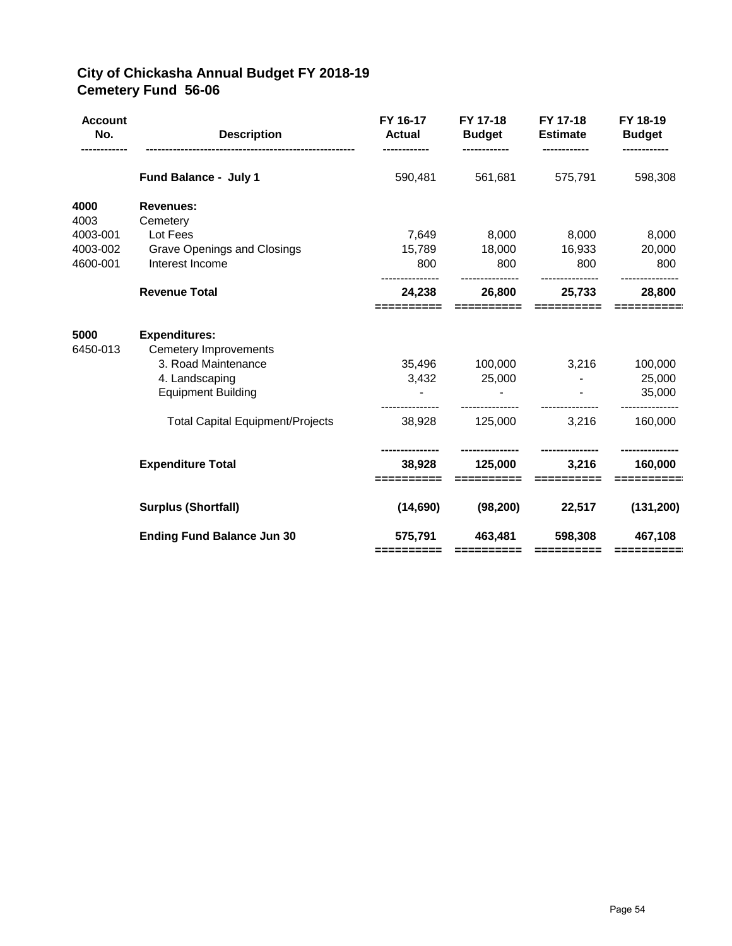## **City of Chickasha Annual Budget FY 2018-19 Cemetery Fund 56-06**

| <b>Account</b><br>No. | <b>Description</b>                                                          | FY 16-17<br><b>Actual</b> | FY 17-18<br><b>Budget</b> | FY 17-18<br><b>Estimate</b> | FY 18-19<br><b>Budget</b> |
|-----------------------|-----------------------------------------------------------------------------|---------------------------|---------------------------|-----------------------------|---------------------------|
|                       | Fund Balance - July 1                                                       | 590,481                   | 561,681                   | 575,791                     | 598,308                   |
| 4000                  | <b>Revenues:</b>                                                            |                           |                           |                             |                           |
| 4003                  | Cemetery                                                                    |                           |                           |                             |                           |
| 4003-001              | Lot Fees                                                                    | 7,649                     | 8,000                     | 8,000                       | 8,000                     |
| 4003-002              | <b>Grave Openings and Closings</b>                                          | 15,789                    | 18,000                    | 16,933                      | 20,000                    |
| 4600-001              | Interest Income                                                             | 800                       | 800                       | 800                         | 800                       |
|                       | <b>Revenue Total</b>                                                        | 24,238                    | 26,800                    | 25,733                      | 28,800                    |
| 5000<br>6450-013      | <b>Expenditures:</b><br><b>Cemetery Improvements</b><br>3. Road Maintenance |                           | 35,496 100,000            | 3,216                       | 100,000                   |
|                       | 4. Landscaping                                                              | 3,432                     | 25,000                    |                             | 25,000                    |
|                       | <b>Equipment Building</b>                                                   |                           |                           |                             | 35,000                    |
|                       | <b>Total Capital Equipment/Projects</b>                                     | 38,928                    | 125,000                   | 3,216                       | 160,000                   |
|                       | <b>Expenditure Total</b>                                                    | 38,928                    | 125,000<br>==========     | 3,216<br>==========         | 160,000                   |
|                       | <b>Surplus (Shortfall)</b>                                                  | (14,690)                  | (98, 200)                 | 22,517                      | (131, 200)                |
|                       | <b>Ending Fund Balance Jun 30</b>                                           | 575,791<br>==========     | 463,481<br>==========     | 598,308<br>==========       | 467,108<br>==========     |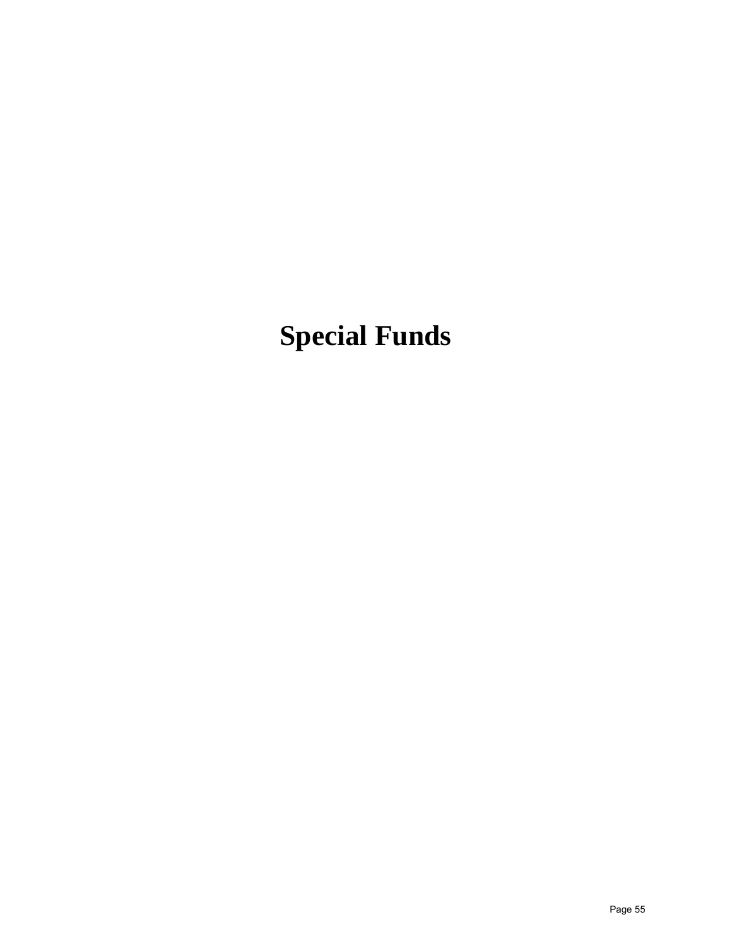# **Special Funds**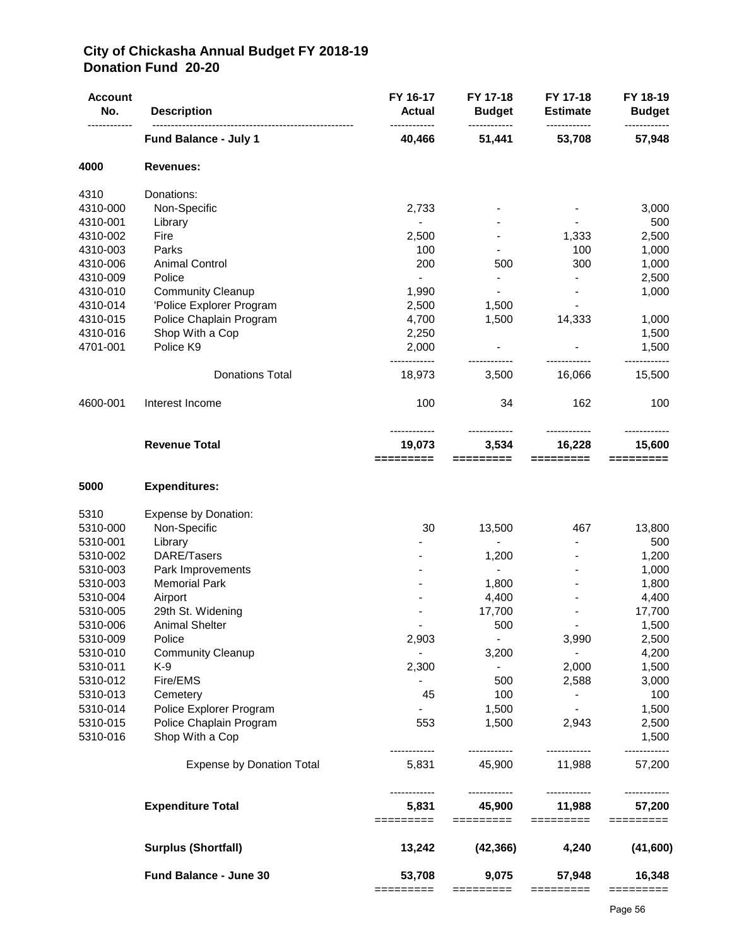## **City of Chickasha Annual Budget FY 2018-19 Donation Fund 20-20**

| <b>Account</b><br>No. | <b>Description</b>               | FY 16-17<br><b>Actual</b> | FY 17-18<br><b>Budget</b><br>------------ | FY 17-18<br><b>Estimate</b> | FY 18-19<br><b>Budget</b> |
|-----------------------|----------------------------------|---------------------------|-------------------------------------------|-----------------------------|---------------------------|
|                       | <b>Fund Balance - July 1</b>     | 40,466                    | 51,441                                    | 53,708                      | ------------<br>57,948    |
| 4000                  | <b>Revenues:</b>                 |                           |                                           |                             |                           |
| 4310                  | Donations:                       |                           |                                           |                             |                           |
| 4310-000              | Non-Specific                     | 2,733                     |                                           |                             | 3,000                     |
| 4310-001              | Library                          | $\blacksquare$            |                                           |                             | 500                       |
| 4310-002              | Fire                             | 2,500                     |                                           | 1,333                       | 2,500                     |
| 4310-003              | Parks                            | 100                       |                                           | 100                         | 1,000                     |
| 4310-006              | <b>Animal Control</b>            | 200                       | 500                                       | 300                         | 1,000                     |
| 4310-009              | Police                           |                           | $\overline{\phantom{a}}$                  | $\blacksquare$              | 2,500                     |
| 4310-010              | <b>Community Cleanup</b>         | 1,990                     |                                           |                             | 1,000                     |
| 4310-014              | 'Police Explorer Program         | 2,500                     | 1,500                                     |                             |                           |
| 4310-015              | Police Chaplain Program          | 4,700                     | 1,500                                     | 14,333                      | 1,000                     |
| 4310-016              | Shop With a Cop                  | 2,250                     |                                           |                             | 1,500                     |
| 4701-001              | Police K9                        | 2,000                     |                                           |                             | 1,500<br>------------     |
|                       | <b>Donations Total</b>           | 18,973                    | 3,500                                     | 16,066                      | 15,500                    |
| 4600-001              | Interest Income                  | 100                       | 34                                        | 162                         | 100                       |
|                       | <b>Revenue Total</b>             | 19,073<br>=========       | 3,534<br>=========                        | 16,228<br>=========         | 15,600<br>$=$ ========    |
| 5000                  | <b>Expenditures:</b>             |                           |                                           |                             |                           |
| 5310                  | <b>Expense by Donation:</b>      |                           |                                           |                             |                           |
| 5310-000              | Non-Specific                     | 30                        | 13,500                                    | 467                         | 13,800                    |
| 5310-001              | Library                          |                           |                                           |                             | 500                       |
| 5310-002              | DARE/Tasers                      |                           | 1,200                                     |                             | 1,200                     |
| 5310-003              | Park Improvements                |                           |                                           |                             | 1,000                     |
| 5310-003              | <b>Memorial Park</b>             |                           | 1,800                                     |                             | 1,800                     |
| 5310-004              | Airport                          |                           | 4,400                                     |                             | 4,400                     |
| 5310-005              | 29th St. Widening                |                           | 17,700                                    |                             | 17,700                    |
| 5310-006              | Animal Shelter                   |                           | 500                                       |                             | 1,500                     |
| 5310-009              | Police                           | 2,903                     | $\blacksquare$                            | 3,990                       | 2,500                     |
| 5310-010              | <b>Community Cleanup</b>         |                           | 3,200                                     | $\sim$                      | 4,200                     |
| 5310-011              | K-9                              | 2,300                     |                                           | 2,000                       | 1,500                     |
| 5310-012              | Fire/EMS                         |                           | 500                                       | 2,588                       | 3,000                     |
| 5310-013              | Cemetery                         | 45                        | 100                                       |                             | 100                       |
| 5310-014              | Police Explorer Program          |                           | 1,500                                     |                             | 1,500                     |
| 5310-015              | Police Chaplain Program          | 553                       | 1,500                                     | 2,943                       | 2,500                     |
| 5310-016              | Shop With a Cop                  |                           | ------------                              | ------------                | 1,500                     |
|                       | <b>Expense by Donation Total</b> | 5,831                     | 45,900                                    | 11,988                      | 57,200                    |
|                       | <b>Expenditure Total</b>         | 5,831<br>========         | 45,900<br>=========                       | 11,988<br>=========         | 57,200<br>=========       |
|                       | <b>Surplus (Shortfall)</b>       | 13,242                    | (42, 366)                                 | 4,240                       | (41,600)                  |
|                       | Fund Balance - June 30           | 53,708                    | 9,075                                     | 57,948                      | 16,348                    |
|                       |                                  | =========                 | =========                                 | =========                   | ======                    |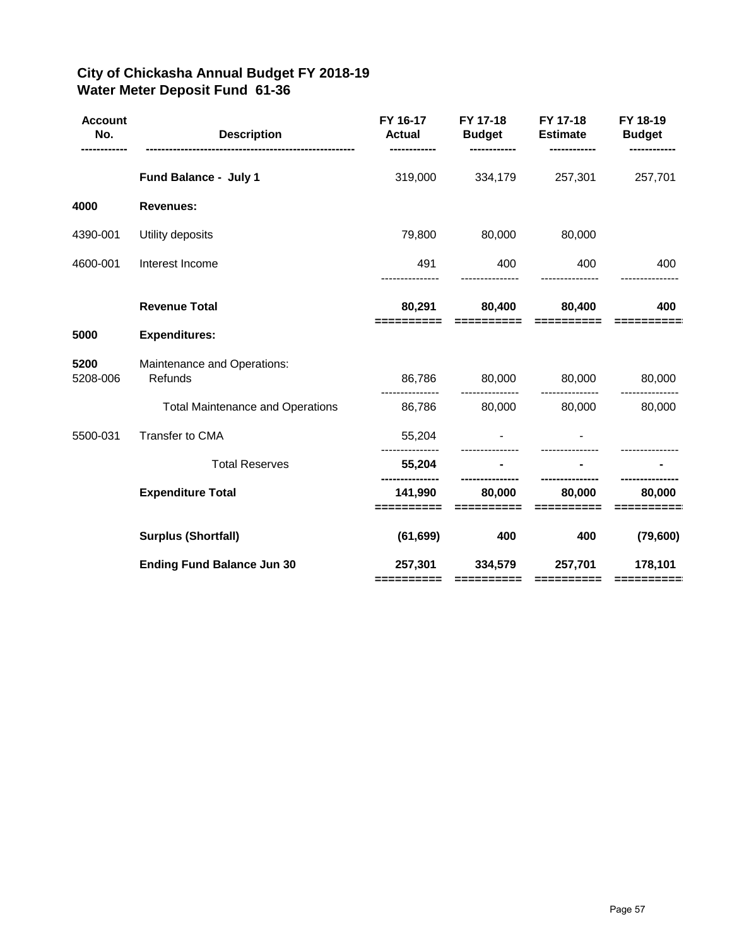## **City of Chickasha Annual Budget FY 2018-19 Water Meter Deposit Fund 61-36**

| <b>Account</b><br>No. | <b>Description</b>                      | FY 16-17<br><b>Actual</b><br>------------ | FY 17-18<br><b>Budget</b> | FY 17-18<br><b>Estimate</b><br>------------                                                                                                                                                                                                                                                                                                                                                                                                                                                       | FY 18-19<br><b>Budget</b> |
|-----------------------|-----------------------------------------|-------------------------------------------|---------------------------|---------------------------------------------------------------------------------------------------------------------------------------------------------------------------------------------------------------------------------------------------------------------------------------------------------------------------------------------------------------------------------------------------------------------------------------------------------------------------------------------------|---------------------------|
|                       | Fund Balance - July 1                   | 319,000                                   | 334,179                   | 257,301                                                                                                                                                                                                                                                                                                                                                                                                                                                                                           | 257,701                   |
| 4000                  | <b>Revenues:</b>                        |                                           |                           |                                                                                                                                                                                                                                                                                                                                                                                                                                                                                                   |                           |
| 4390-001              | Utility deposits                        | 79,800                                    | 80,000                    | 80,000                                                                                                                                                                                                                                                                                                                                                                                                                                                                                            |                           |
| 4600-001              | Interest Income                         | 491                                       | 400                       | 400                                                                                                                                                                                                                                                                                                                                                                                                                                                                                               | 400                       |
|                       | <b>Revenue Total</b>                    | 80,291                                    | 80,400                    | 80,400                                                                                                                                                                                                                                                                                                                                                                                                                                                                                            | 400                       |
| 5000                  | <b>Expenditures:</b>                    |                                           |                           |                                                                                                                                                                                                                                                                                                                                                                                                                                                                                                   |                           |
| 5200<br>5208-006      | Maintenance and Operations:<br>Refunds  | 86,786                                    | 80,000                    | 80,000                                                                                                                                                                                                                                                                                                                                                                                                                                                                                            | 80,000                    |
|                       | <b>Total Maintenance and Operations</b> | 86,786                                    | 80,000                    | 80,000                                                                                                                                                                                                                                                                                                                                                                                                                                                                                            | 80,000                    |
| 5500-031              | Transfer to CMA                         | 55,204                                    |                           |                                                                                                                                                                                                                                                                                                                                                                                                                                                                                                   |                           |
|                       | <b>Total Reserves</b>                   | 55,204                                    |                           |                                                                                                                                                                                                                                                                                                                                                                                                                                                                                                   |                           |
|                       | <b>Expenditure Total</b>                | 141,990<br>==========                     | 80,000<br>$=$ ==========  | 80,000<br>==========                                                                                                                                                                                                                                                                                                                                                                                                                                                                              | 80,000                    |
|                       | <b>Surplus (Shortfall)</b>              | (61, 699)                                 | 400                       | 400                                                                                                                                                                                                                                                                                                                                                                                                                                                                                               | (79,600)                  |
|                       | <b>Ending Fund Balance Jun 30</b>       | 257,301<br>==========                     | 334,579<br>==========     | 257,701<br>$\begin{array}{cccccccccc} \multicolumn{2}{c}{} & \multicolumn{2}{c}{} & \multicolumn{2}{c}{} & \multicolumn{2}{c}{} & \multicolumn{2}{c}{} & \multicolumn{2}{c}{} & \multicolumn{2}{c}{} & \multicolumn{2}{c}{} & \multicolumn{2}{c}{} & \multicolumn{2}{c}{} & \multicolumn{2}{c}{} & \multicolumn{2}{c}{} & \multicolumn{2}{c}{} & \multicolumn{2}{c}{} & \multicolumn{2}{c}{} & \multicolumn{2}{c}{} & \multicolumn{2}{c}{} & \multicolumn{2}{c}{} & \multicolumn{2}{c}{} & \mult$ | 178,101<br>==========     |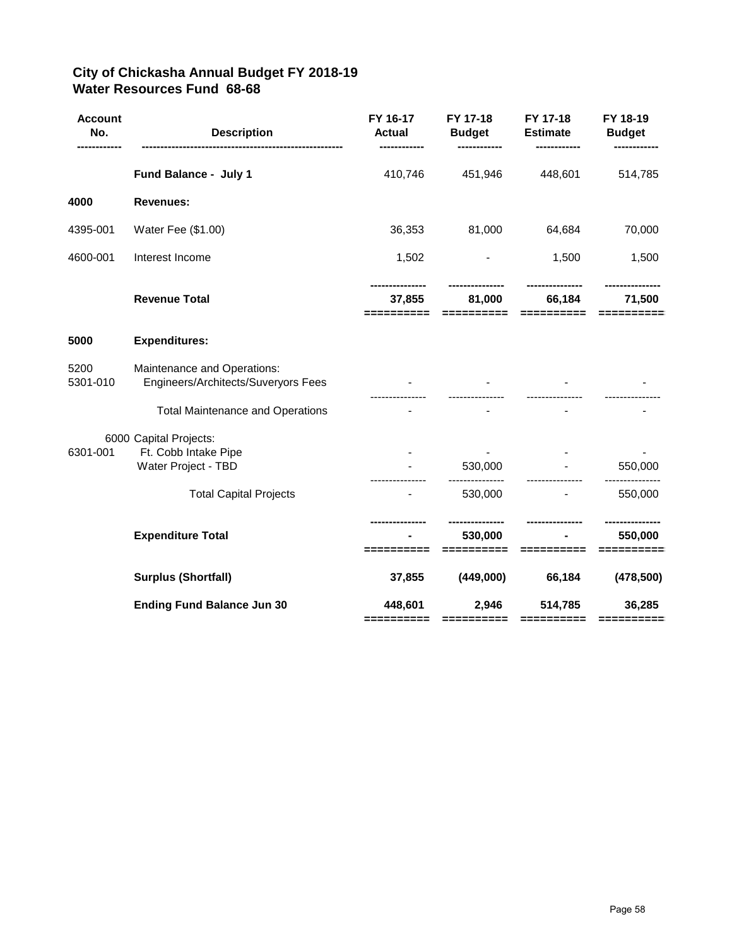## **City of Chickasha Annual Budget FY 2018-19 Water Resources Fund 68-68**

| <b>Account</b><br>No. | <b>Description</b>                                                    | FY 16-17<br><b>Actual</b><br>------------ | FY 17-18<br><b>Budget</b> | FY 17-18<br><b>Estimate</b> | FY 18-19<br><b>Budget</b> |
|-----------------------|-----------------------------------------------------------------------|-------------------------------------------|---------------------------|-----------------------------|---------------------------|
|                       | Fund Balance - July 1                                                 | 410,746                                   | 451,946                   | 448,601                     | 514,785                   |
| 4000                  | <b>Revenues:</b>                                                      |                                           |                           |                             |                           |
| 4395-001              | Water Fee (\$1.00)                                                    | 36,353                                    | 81,000                    | 64,684                      | 70,000                    |
| 4600-001              | Interest Income                                                       | 1,502                                     |                           | 1,500                       | 1,500                     |
|                       | <b>Revenue Total</b>                                                  | 37,855<br>==========                      | 81,000<br>==========      | 66,184<br>==========        | 71,500<br>==========      |
| 5000                  | <b>Expenditures:</b>                                                  |                                           |                           |                             |                           |
| 5200<br>5301-010      | Maintenance and Operations:<br>Engineers/Architects/Suveryors Fees    |                                           |                           |                             |                           |
|                       | <b>Total Maintenance and Operations</b>                               |                                           |                           |                             |                           |
| 6301-001              | 6000 Capital Projects:<br>Ft. Cobb Intake Pipe<br>Water Project - TBD |                                           | 530,000                   |                             | 550,000                   |
|                       | <b>Total Capital Projects</b>                                         |                                           | 530,000                   |                             | 550,000                   |
|                       | <b>Expenditure Total</b>                                              |                                           | 530,000<br>--------       |                             | 550,000                   |
|                       | <b>Surplus (Shortfall)</b>                                            | 37,855                                    | (449,000)                 | 66,184                      | (478, 500)                |
|                       | <b>Ending Fund Balance Jun 30</b>                                     | 448,601<br>==========                     | 2,946<br>==========       | 514,785<br>==========       | 36,285<br>==========      |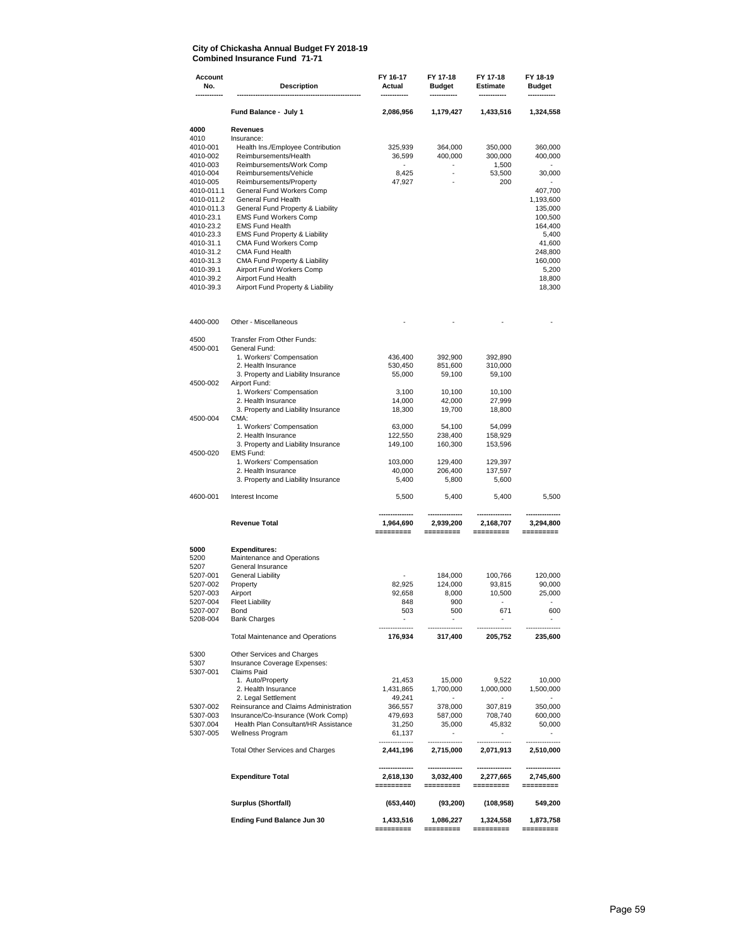**Account FY 16-17 FY 17-18 FY 17-18 FY 18-19 No. Description Actual Budget Estimate Budget ------------ ------------------------------------------------------ ------------ ------------ ------------ ------------ Fund Balance - July 1 2,086,956 1,179,427 1,433,516 1,324,558 4000 Revenues** 4010 Insurance:<br>4010-001 Health In 4010-001 Health Ins./Employee Contribution 325,939 364,000 350,000 360,000 4010-002 Reimbursements/Health 36,599 400,000 300,000 400,000 4010-003 Reimbursements/Work Comp - - 1,500 - 4010-004 Reimbursements/Vehicle 8,425 53,500<br>4010-005 Reimbursements/Property 47,927 - 200 4010-005 Reimbursements/Property 47,927 - 200 - 4010-011.1 General Fund Workers Comp and the state of the state of the 407,700 4010-011.2 General Fund Health 407,700 4010-011.2 General Fund Health 407,600 4010-011.193,600 4010-011.193,600 4010-011.193,600 4010-011.193,6 4010-011.2 General Fund Health 1,193,600 4010-011.3 General Fund Property & Liability 135,000<br>
4010-23.1 EMS Fund Workers Comp<br>
100,500 100,500 EMS Fund Workers Comp 4010-23.2 EMS Fund Health<br>4010-23.3 EMS Fund Property & Liability development of the state of the state of the state of the state of the 4010-23.3 EMS Fund Property & Liability 6.400 States of the States of the States of the States of the States o<br>
4010-31.1 CMA Fund Workers Comp 41.600 MM Fund Workers Comp 41,600 MM 1997 MM 41,600 MM 41,600 MM 41,600 MM 41,600 MM 41,600 MM 41,600 MM 41,600 MM 41,600 MM 41,600 MM 41,600 MM 41,600 MM 41,600 MM 41,600 MM 41,600 MM 41,600 MM 41,600 MM 41,600 MM 41,600 4010-31.2 CMA Fund Health 248,800 CMA Fund Property & Liability 4010-39.1 Airport Fund Workers Comp 6.200 5,200 5,200 5,200 5,200 5,200 5,200 5,200 5,200 5,200 5,200 5,5200 5,<br>4010-39.2 Airport Fund Health 6.5 and 5.5 and 5.5 and 5.5 and 5.5 and 5.5 and 5.6 and 5.6 and 5.6 and 5.6 and 4010-39.2 Airport Fund Health 18,800<br>
4010-39.3 Airport Fund Property & Liability 18,800<br>
18,300 Airport Fund Property & Liability 4400-000 Other - Miscellaneous - - - - 4500 Transfer From Other Funds: 4500-001 General Fund: 1. Workers' Compensation 436,400 392,900 392,890 2. Health Insurance 530,450 851,600 310,000 3. Property and Liability Insurance 4500-002 Airport Fund: 1. Workers' Compensation 3,100 10,100 10,100 2. Health Insurance<br>
2. Health Insurance<br>
2. Property and Liability Insurance<br>
2. The alternative degree and the control of the control of the control of the control of the control of the control of the control of the cont 3. Property and Liability Insurance<br>CMA: 4500-004 1. Workers' Compensation 63,000 54,100 54,099 2. Health Insurance 122,550 238,400 158,929 3. Property and Liability Insurance 4500-020 EMS Fund: 1. Vorkers' Compensation 103,000 129,400 129,397<br>2. Health Insurance 103,000 1206,400 137,597 2. Health Insurance 40,000 206,400 137,597 3. Property and Liability Insurance 4600-001 Interest Income 5,500 5,400 5,400 5,500  **--------------- --------------- --------------- --------------- Revenue Total 1,964,690 2,939,200 2,168,707 3,294,800 ========= ========= ========= ========= 5000 Expenditures:** 5200 Maintenance and Operations<br>5207 General Insurance<br>5207-001 General Liability General Insurance 5207-001 General Liability - 184,000 100,766 120,000<br>5207-002 Property - 184,000 124,000 93,815 90,000 5207-002 Property 82,925 124,000 93,815 90,000 5207-003 Airport 92,658 8,000 10,500 25,000 5207-004 Fleet Liability 848 900 - - 5207-007 Bond 503 500 671 600 5208-004 Bank Charges - - - - --------------- --------------- --------------- --------------- Total Maintenance and Operations **176,934 317,400 205,752 235,600** 5300 Other Services and Charges<br>5307 Insurance Coverage Expense 5307 Insurance Coverage Expenses:<br>5307-001 Claims Paid Claims Paid 1. Auto/Property 21,453 15,000 9,522 10,000 2. Health Insurance 1,431,865 1,431,865 1,431,865 1,431,865 1,400,000 1,400,000 1,400,000 1,400,000 1,500,000 1,500,000 1,500,000 1,500,000 1,500,000 1,500,000 1,500,000 1,500,000 1,500,000 1,500,000 1,500,000 1,500,000 1, 2. Legal Settlement 49,241 - - - 5307-002 Reinsurance and Claims Administration 366,557 378,000 307,819 350,000 Insurance/Co-Insurance (Work Comp) 5307.004 Health Plan Consultant/HR Assistance 31,250 35,000 45,832 50,000 5307-005 Wellness Program 61,137 - - - --------------- --------------- --------------- --------------- Total Other Services and Charges **2,441,196 2,715,000 2,071,913 2,510,000 --------------- --------------- --------------- --------------- Expenditure Total 2,618,130 3,032,400 2,277,665 2,745,600 ========= ========= ========= ========= Surplus (Shortfall) (653,440) (93,200) (108,958) 549,200 Ending Fund Balance Jun 30 1,433,516 1,086,227 1,324,558 1,873,758**

 **========= ========= ========= =========**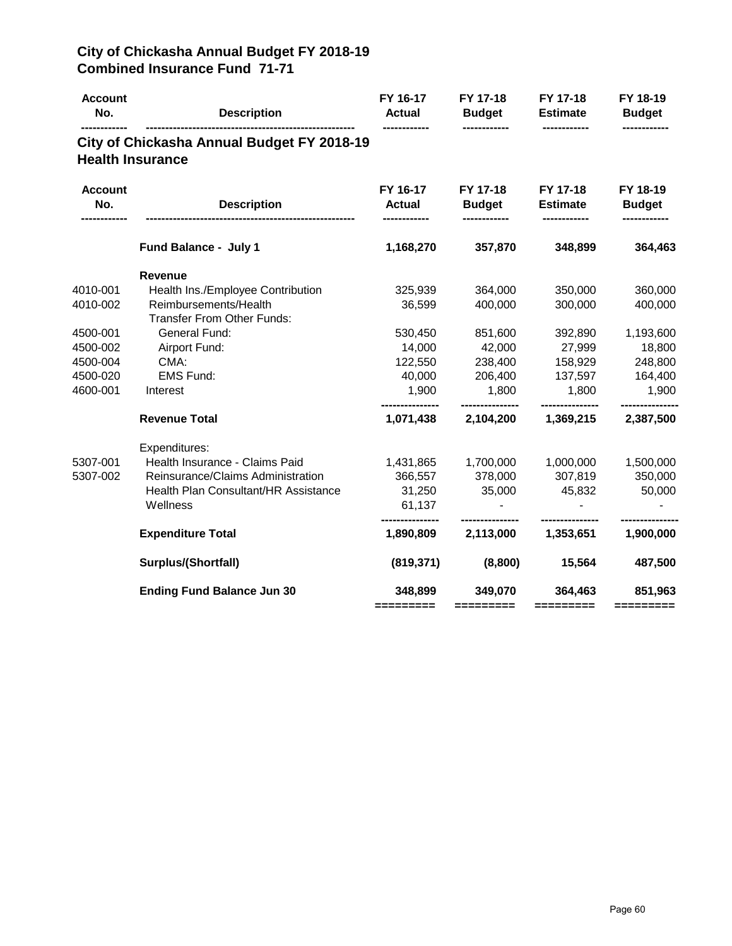| <b>Account</b><br>No.   | <b>Description</b>                         | FY 16-17<br><b>Actual</b> | FY 17-18<br><b>Budget</b> | FY 17-18<br><b>Estimate</b> | FY 18-19<br><b>Budget</b> |
|-------------------------|--------------------------------------------|---------------------------|---------------------------|-----------------------------|---------------------------|
| <b>Health Insurance</b> | City of Chickasha Annual Budget FY 2018-19 |                           |                           |                             |                           |
| <b>Account</b><br>No.   | <b>Description</b>                         | FY 16-17<br><b>Actual</b> | FY 17-18<br><b>Budget</b> | FY 17-18<br><b>Estimate</b> | FY 18-19<br><b>Budget</b> |
|                         | Fund Balance - July 1                      | 1,168,270                 | 357,870                   | 348,899                     | 364,463                   |
|                         | <b>Revenue</b>                             |                           |                           |                             |                           |
| 4010-001                | Health Ins./Employee Contribution          | 325,939                   | 364,000                   | 350,000                     | 360,000                   |
| 4010-002                | Reimbursements/Health                      | 36,599                    | 400,000                   | 300,000                     | 400,000                   |
|                         | <b>Transfer From Other Funds:</b>          |                           |                           |                             |                           |
| 4500-001                | General Fund:                              | 530,450                   | 851,600                   | 392,890                     | 1,193,600                 |
| 4500-002                | Airport Fund:                              | 14,000                    | 42,000                    | 27,999                      | 18,800                    |
| 4500-004                | CMA:                                       | 122,550                   | 238,400                   | 158,929                     | 248,800                   |
| 4500-020                | <b>EMS Fund:</b>                           | 40,000                    | 206,400                   | 137,597                     | 164,400                   |
| 4600-001                | Interest                                   | 1,900                     | 1,800                     | 1,800                       | 1,900                     |
|                         | <b>Revenue Total</b>                       | 1,071,438                 | 2,104,200                 | 1,369,215                   | 2,387,500                 |
|                         | Expenditures:                              |                           |                           |                             |                           |
| 5307-001                | Health Insurance - Claims Paid             | 1,431,865                 | 1,700,000                 | 1,000,000                   | 1,500,000                 |
| 5307-002                | Reinsurance/Claims Administration          | 366,557                   | 378,000                   | 307,819                     | 350,000                   |
|                         | Health Plan Consultant/HR Assistance       | 31,250                    | 35,000                    | 45,832                      | 50,000                    |
|                         | Wellness                                   | 61,137                    |                           |                             |                           |
|                         | <b>Expenditure Total</b>                   | 1,890,809                 | 2,113,000                 | 1,353,651                   | 1,900,000                 |
|                         | Surplus/(Shortfall)                        | (819, 371)                | (8,800)                   | 15,564                      | 487,500                   |
|                         | <b>Ending Fund Balance Jun 30</b>          | 348,899                   | 349,070                   | 364,463                     | 851,963                   |
|                         |                                            | =========                 | $=$ ========              | $=$ = = = = = = = $=$       |                           |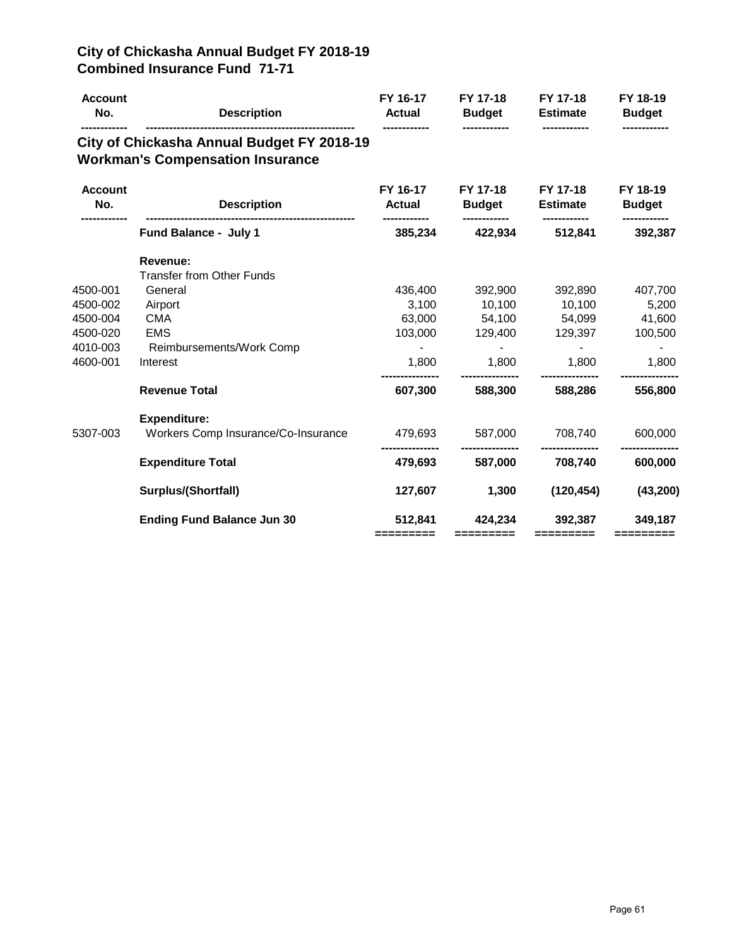| <b>Account</b><br>No. | <b>Description</b>                                                                    | FY 16-17<br><b>Actual</b> | FY 17-18<br><b>Budget</b> | FY 17-18<br><b>Estimate</b> | FY 18-19<br><b>Budget</b> |
|-----------------------|---------------------------------------------------------------------------------------|---------------------------|---------------------------|-----------------------------|---------------------------|
|                       | City of Chickasha Annual Budget FY 2018-19<br><b>Workman's Compensation Insurance</b> |                           |                           |                             |                           |
| <b>Account</b><br>No. | <b>Description</b>                                                                    | FY 16-17<br><b>Actual</b> | FY 17-18<br><b>Budget</b> | FY 17-18<br><b>Estimate</b> | FY 18-19<br><b>Budget</b> |
|                       | Fund Balance - July 1                                                                 | 385,234                   | 422,934                   | 512,841                     | 392,387                   |
|                       | Revenue:<br><b>Transfer from Other Funds</b>                                          |                           |                           |                             |                           |
| 4500-001              | General                                                                               | 436,400                   | 392,900                   | 392,890                     | 407,700                   |
| 4500-002              | Airport                                                                               | 3,100                     | 10,100                    | 10,100                      | 5,200                     |
| 4500-004              | <b>CMA</b>                                                                            | 63,000                    | 54,100                    | 54,099                      | 41,600                    |
| 4500-020              | <b>EMS</b>                                                                            | 103,000                   | 129,400                   | 129,397                     | 100,500                   |
| 4010-003              | Reimbursements/Work Comp                                                              |                           |                           |                             |                           |
| 4600-001              | Interest                                                                              | 1,800                     | 1,800                     | 1,800                       | 1,800                     |
|                       | <b>Revenue Total</b>                                                                  | 607,300                   | 588,300                   | 588,286                     | 556,800                   |
|                       | <b>Expenditure:</b>                                                                   |                           |                           |                             |                           |
| 5307-003              | Workers Comp Insurance/Co-Insurance                                                   | 479,693                   | 587,000                   | 708,740                     | 600,000                   |
|                       | <b>Expenditure Total</b>                                                              | 479,693                   | 587,000                   | 708,740                     | 600,000                   |
|                       | <b>Surplus/(Shortfall)</b>                                                            | 127,607                   | 1,300                     | (120, 454)                  | (43, 200)                 |
|                       | <b>Ending Fund Balance Jun 30</b>                                                     | 512,841                   | 424,234                   | 392,387                     | 349,187                   |
|                       |                                                                                       | =========                 | =========                 | =========                   | =========                 |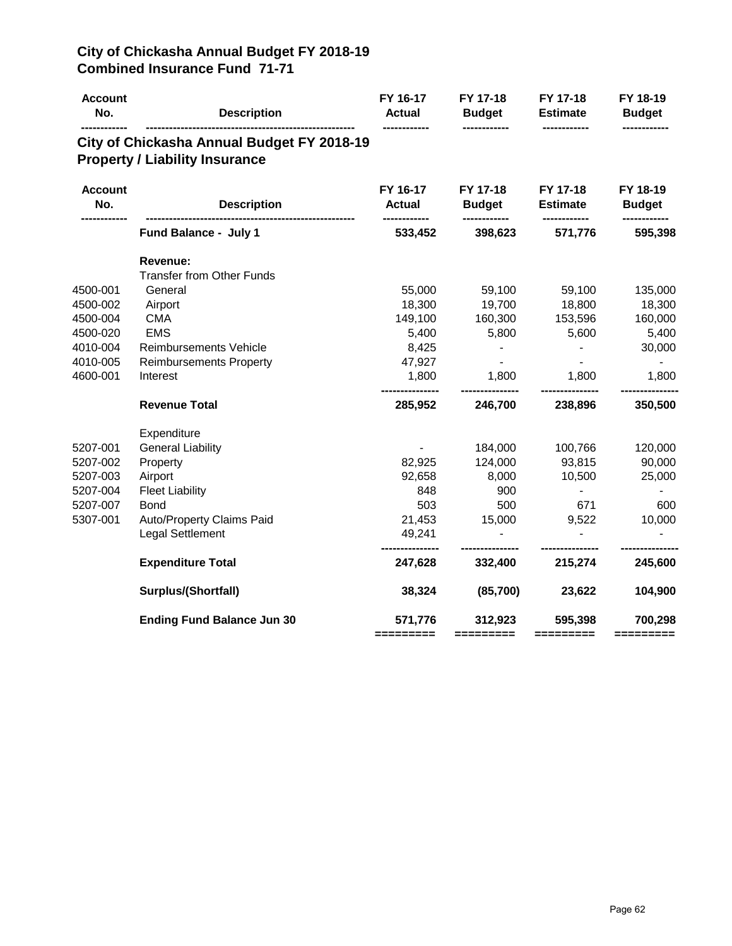| <b>Account</b><br>No. | <b>Description</b>                                                                  | FY 16-17<br><b>Actual</b> | FY 17-18<br><b>Budget</b> | FY 17-18<br><b>Estimate</b> | FY 18-19<br><b>Budget</b> |
|-----------------------|-------------------------------------------------------------------------------------|---------------------------|---------------------------|-----------------------------|---------------------------|
|                       | City of Chickasha Annual Budget FY 2018-19<br><b>Property / Liability Insurance</b> |                           |                           |                             |                           |
| <b>Account</b><br>No. | <b>Description</b>                                                                  | FY 16-17<br><b>Actual</b> | FY 17-18<br><b>Budget</b> | FY 17-18<br><b>Estimate</b> | FY 18-19<br><b>Budget</b> |
|                       | Fund Balance - July 1                                                               | ------------<br>533,452   | ------------<br>398,623   | ------------<br>571,776     | ------------<br>595,398   |
|                       | Revenue:                                                                            |                           |                           |                             |                           |
|                       | <b>Transfer from Other Funds</b>                                                    |                           |                           |                             |                           |
| 4500-001              | General                                                                             | 55,000                    | 59,100                    | 59,100                      | 135,000                   |
| 4500-002              | Airport                                                                             | 18,300                    | 19,700                    | 18,800                      | 18,300                    |
| 4500-004              | <b>CMA</b>                                                                          | 149,100                   | 160,300                   | 153,596                     | 160,000                   |
| 4500-020              | <b>EMS</b>                                                                          | 5,400                     | 5,800                     | 5,600                       | 5,400                     |
| 4010-004              | Reimbursements Vehicle                                                              | 8,425                     |                           |                             | 30,000                    |
| 4010-005              | <b>Reimbursements Property</b>                                                      | 47,927                    |                           |                             |                           |
| 4600-001              | Interest                                                                            | 1,800                     | 1,800                     | 1,800                       | 1,800                     |
|                       | <b>Revenue Total</b>                                                                | 285,952                   | 246,700                   | 238,896                     | 350,500                   |
|                       | Expenditure                                                                         |                           |                           |                             |                           |
| 5207-001              | <b>General Liability</b>                                                            |                           | 184,000                   | 100,766                     | 120,000                   |
| 5207-002              | Property                                                                            | 82,925                    | 124,000                   | 93,815                      | 90,000                    |
| 5207-003              | Airport                                                                             | 92,658                    | 8,000                     | 10,500                      | 25,000                    |
| 5207-004              | <b>Fleet Liability</b>                                                              | 848                       | 900                       | $\sim$                      |                           |
| 5207-007              | <b>Bond</b>                                                                         | 503                       | 500                       | 671                         | 600                       |
| 5307-001              | Auto/Property Claims Paid                                                           | 21,453                    | 15,000                    | 9,522                       | 10,000                    |
|                       | Legal Settlement                                                                    | 49,241                    |                           | $\blacksquare$              |                           |
|                       | <b>Expenditure Total</b>                                                            | 247,628                   | 332,400                   | 215,274                     | 245,600                   |
|                       | Surplus/(Shortfall)                                                                 | 38,324                    | (85,700)                  | 23,622                      | 104,900                   |
|                       | <b>Ending Fund Balance Jun 30</b>                                                   | 571,776                   | 312,923                   | 595,398                     | 700,298<br>=========      |
|                       |                                                                                     | =========                 | =========                 | =========                   |                           |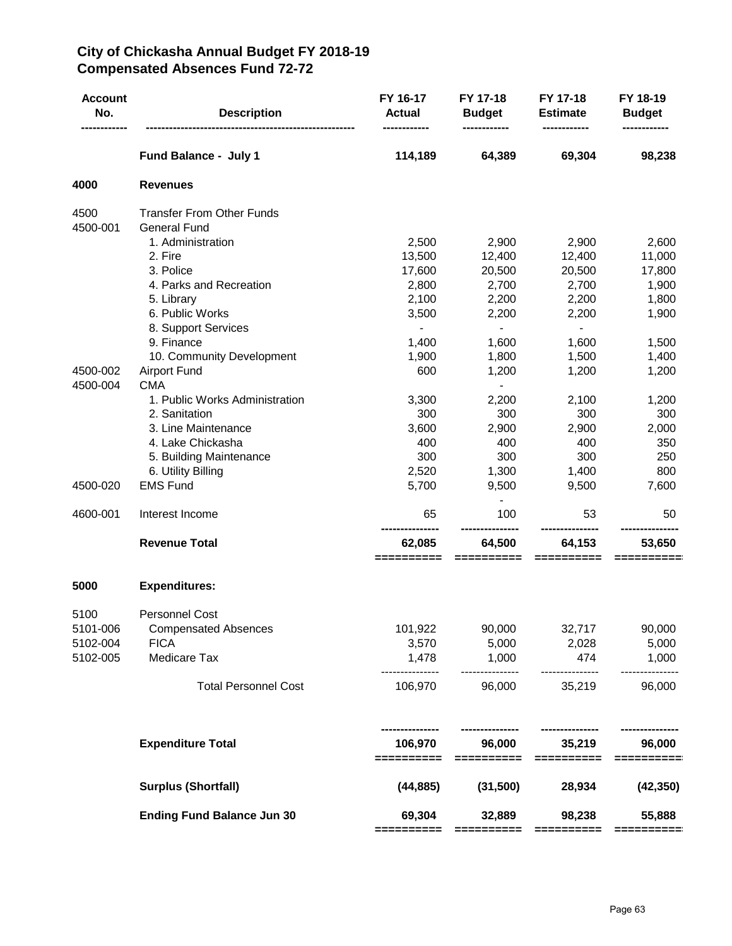# **City of Chickasha Annual Budget FY 2018-19 Compensated Absences Fund 72-72**

| <b>Account</b><br>No. | <b>Description</b>                | FY 16-17<br><b>Actual</b> | FY 17-18<br><b>Budget</b> | FY 17-18<br><b>Estimate</b> | FY 18-19<br><b>Budget</b> |
|-----------------------|-----------------------------------|---------------------------|---------------------------|-----------------------------|---------------------------|
|                       | Fund Balance - July 1             | 114,189                   | 64,389                    | 69,304                      | 98,238                    |
| 4000                  | <b>Revenues</b>                   |                           |                           |                             |                           |
| 4500                  | <b>Transfer From Other Funds</b>  |                           |                           |                             |                           |
| 4500-001              | <b>General Fund</b>               |                           |                           |                             |                           |
|                       | 1. Administration                 | 2,500                     | 2,900                     | 2,900                       | 2,600                     |
|                       | 2. Fire                           | 13,500                    | 12,400                    | 12,400                      | 11,000                    |
|                       | 3. Police                         | 17,600                    | 20,500                    | 20,500                      | 17,800                    |
|                       | 4. Parks and Recreation           | 2,800                     | 2,700                     | 2,700                       | 1,900                     |
|                       | 5. Library                        | 2,100                     | 2,200                     | 2,200                       | 1,800                     |
|                       | 6. Public Works                   | 3,500                     | 2,200                     | 2,200                       | 1,900                     |
|                       | 8. Support Services               | $\blacksquare$            | $\blacksquare$            | $\blacksquare$              |                           |
|                       | 9. Finance                        | 1,400                     | 1,600                     | 1,600                       | 1,500                     |
|                       | 10. Community Development         | 1,900                     | 1,800                     | 1,500                       | 1,400                     |
| 4500-002              | <b>Airport Fund</b>               | 600                       | 1,200                     | 1,200                       | 1,200                     |
| 4500-004              | <b>CMA</b>                        |                           | $\blacksquare$            |                             |                           |
|                       | 1. Public Works Administration    | 3,300                     | 2,200                     | 2,100                       | 1,200                     |
|                       | 2. Sanitation                     | 300                       | 300                       | 300                         | 300                       |
|                       | 3. Line Maintenance               | 3,600                     | 2,900                     | 2,900                       | 2,000                     |
|                       | 4. Lake Chickasha                 | 400                       | 400                       | 400                         | 350                       |
|                       | 5. Building Maintenance           | 300                       | 300                       | 300                         | 250                       |
|                       | 6. Utility Billing                | 2,520                     | 1,300                     | 1,400                       | 800                       |
| 4500-020              | <b>EMS Fund</b>                   | 5,700                     | 9,500                     | 9,500                       | 7,600                     |
| 4600-001              | Interest Income                   | 65                        | 100                       | 53                          | 50                        |
|                       | <b>Revenue Total</b>              | 62,085                    | 64,500                    | 64,153                      | 53,650                    |
|                       |                                   | ==========                | ==========                | ==========                  |                           |
| 5000                  | <b>Expenditures:</b>              |                           |                           |                             |                           |
| 5100                  | <b>Personnel Cost</b>             |                           |                           |                             |                           |
| 5101-006              | <b>Compensated Absences</b>       | 101,922                   | 90,000                    | 32,717                      | 90,000                    |
| 5102-004              | <b>FICA</b>                       | 3,570                     | 5,000                     | 2,028                       | 5,000                     |
| 5102-005              | Medicare Tax                      | 1,478<br>-----------      | 1,000<br>---------------  | 474<br>---------------      | 1,000                     |
|                       | <b>Total Personnel Cost</b>       | 106,970                   | 96,000                    | 35,219                      | 96,000                    |
|                       | <b>Expenditure Total</b>          | 106,970                   | 96,000                    | 35,219                      | 96,000                    |
|                       |                                   | ==========                | ==========                | ==========                  | ==========                |
|                       | <b>Surplus (Shortfall)</b>        | (44, 885)                 | (31,500)                  | 28,934                      | (42, 350)                 |
|                       | <b>Ending Fund Balance Jun 30</b> | 69,304<br>=========       | 32,889<br>==========      | 98,238<br>==========        | 55,888<br>==========      |
|                       |                                   |                           |                           |                             |                           |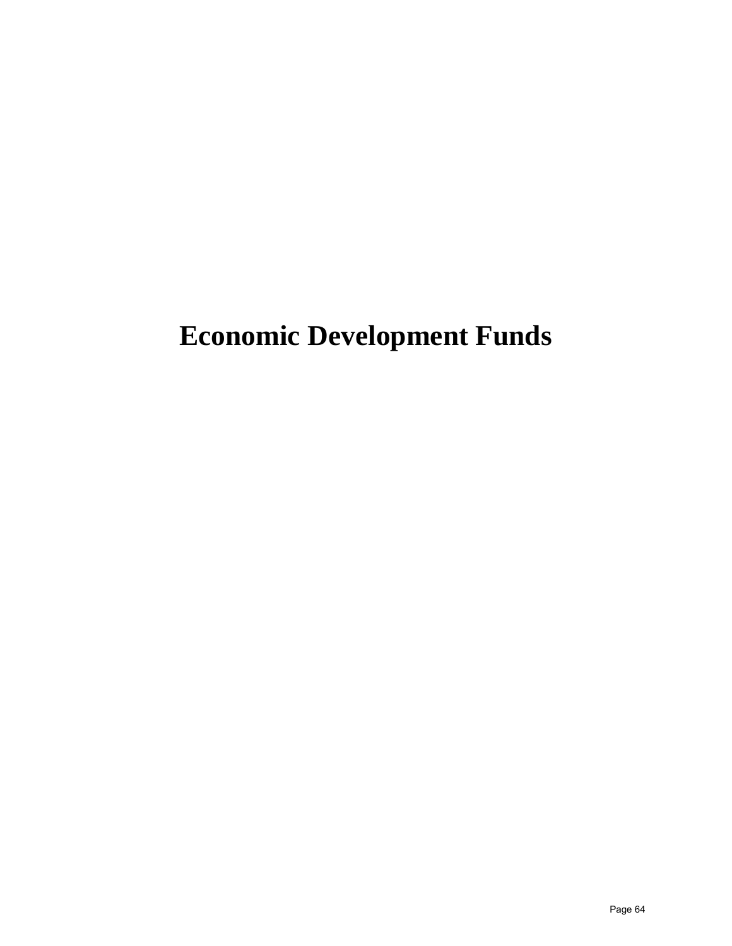# **Economic Development Funds**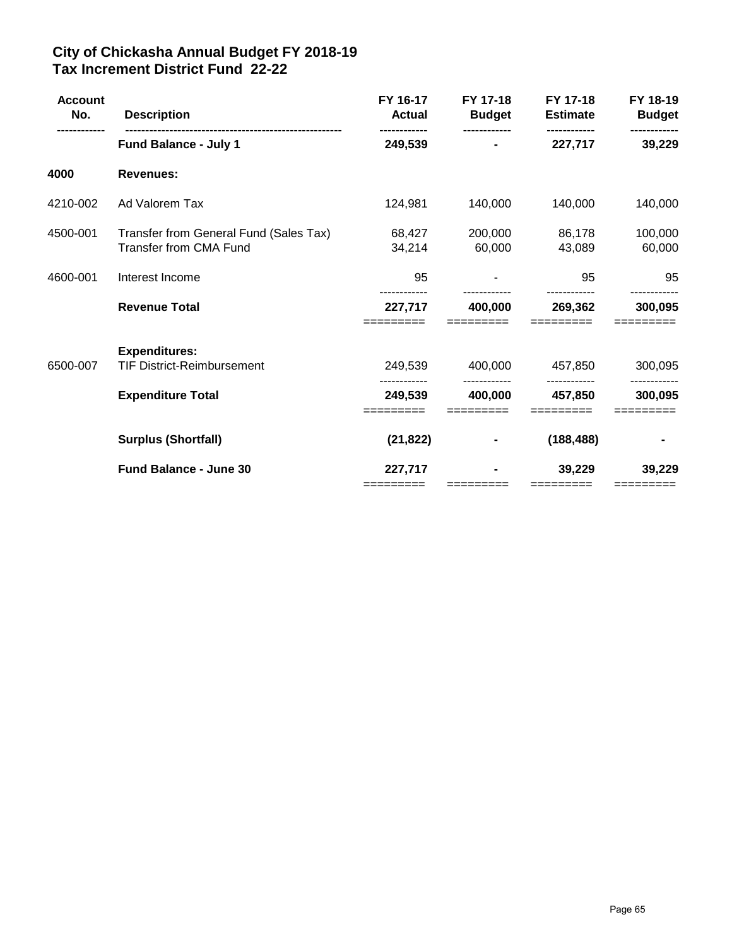# **City of Chickasha Annual Budget FY 2018-19 Tax Increment District Fund 22-22**

| <b>Account</b><br>No. | <b>Description</b>                                               | FY 16-17<br><b>Actual</b> | FY 17-18<br><b>Budget</b> | FY 17-18<br><b>Estimate</b> | FY 18-19<br><b>Budget</b> |
|-----------------------|------------------------------------------------------------------|---------------------------|---------------------------|-----------------------------|---------------------------|
|                       | <b>Fund Balance - July 1</b>                                     | 249,539                   |                           | 227,717                     | 39,229                    |
| 4000                  | <b>Revenues:</b>                                                 |                           |                           |                             |                           |
| 4210-002              | Ad Valorem Tax                                                   | 124,981                   | 140,000                   | 140,000                     | 140,000                   |
| 4500-001              | Transfer from General Fund (Sales Tax)<br>Transfer from CMA Fund | 68,427<br>34,214          | 200,000<br>60,000         | 86,178<br>43,089            | 100,000<br>60,000         |
| 4600-001              | Interest Income                                                  | 95                        |                           | 95                          | 95                        |
|                       | <b>Revenue Total</b>                                             | 227,717                   | 400,000                   | 269,362                     | 300,095                   |
|                       | <b>Expenditures:</b>                                             |                           |                           |                             |                           |
| 6500-007              | <b>TIF District-Reimbursement</b>                                | 249,539                   | 400,000                   | 457,850                     | 300,095                   |
|                       | <b>Expenditure Total</b>                                         | 249,539                   | 400,000                   | 457,850                     | 300,095                   |
|                       | <b>Surplus (Shortfall)</b>                                       | (21, 822)                 |                           | (188, 488)                  |                           |
|                       | <b>Fund Balance - June 30</b>                                    | 227,717<br>=========      |                           | 39,229                      | 39,229                    |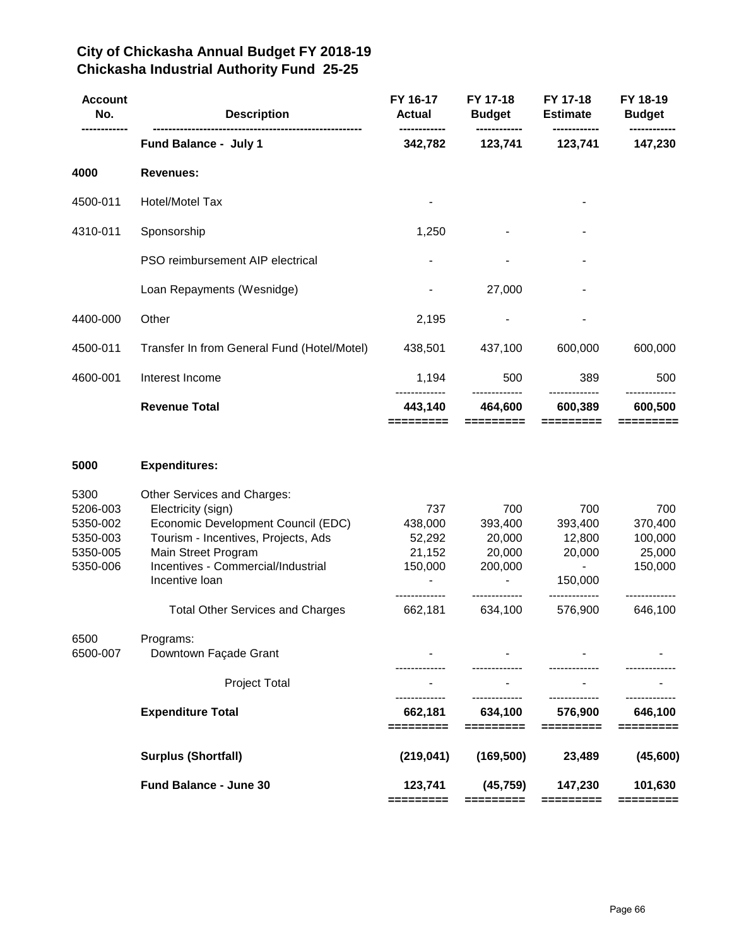# **City of Chickasha Annual Budget FY 2018-19 Chickasha Industrial Authority Fund 25-25**

|                                                                                                                                                                                                               |                                                             |                                                                | <b>Estimate</b>                                                      | <b>Budget</b>                                                 |
|---------------------------------------------------------------------------------------------------------------------------------------------------------------------------------------------------------------|-------------------------------------------------------------|----------------------------------------------------------------|----------------------------------------------------------------------|---------------------------------------------------------------|
| Fund Balance - July 1                                                                                                                                                                                         | 342,782                                                     | 123,741                                                        | 123,741                                                              | 147,230                                                       |
| <b>Revenues:</b>                                                                                                                                                                                              |                                                             |                                                                |                                                                      |                                                               |
| Hotel/Motel Tax                                                                                                                                                                                               |                                                             |                                                                |                                                                      |                                                               |
| Sponsorship                                                                                                                                                                                                   | 1,250                                                       |                                                                |                                                                      |                                                               |
| PSO reimbursement AIP electrical                                                                                                                                                                              |                                                             |                                                                |                                                                      |                                                               |
| Loan Repayments (Wesnidge)                                                                                                                                                                                    |                                                             | 27,000                                                         |                                                                      |                                                               |
| Other                                                                                                                                                                                                         | 2,195                                                       |                                                                |                                                                      |                                                               |
| Transfer In from General Fund (Hotel/Motel)                                                                                                                                                                   | 438,501                                                     | 437,100                                                        | 600,000                                                              | 600,000                                                       |
| Interest Income                                                                                                                                                                                               | 1,194                                                       | 500                                                            | 389                                                                  | 500                                                           |
| <b>Revenue Total</b>                                                                                                                                                                                          | 443,140<br>=========                                        | 464,600<br>=========                                           | 600,389<br>=========                                                 | 600,500<br>=========                                          |
| <b>Expenditures:</b>                                                                                                                                                                                          |                                                             |                                                                |                                                                      |                                                               |
| Other Services and Charges:<br>Electricity (sign)<br>Economic Development Council (EDC)<br>Tourism - Incentives, Projects, Ads<br>Main Street Program<br>Incentives - Commercial/Industrial<br>Incentive loan | 737<br>438,000<br>52,292<br>21,152<br>150,000<br>---------- | 700<br>393,400<br>20,000<br>20,000<br>200,000<br>------------- | 700<br>393,400<br>12,800<br>20,000<br>$\blacksquare$<br>150,000<br>. | 700<br>370,400<br>100,000<br>25,000<br>150,000<br>----------- |
|                                                                                                                                                                                                               |                                                             |                                                                |                                                                      | 646,100                                                       |
| Programs:<br>Downtown Façade Grant                                                                                                                                                                            |                                                             |                                                                |                                                                      |                                                               |
| Project Total                                                                                                                                                                                                 |                                                             |                                                                |                                                                      |                                                               |
| <b>Expenditure Total</b>                                                                                                                                                                                      | 662,181<br>=========                                        | 634,100<br>=========                                           | 576,900<br>=========                                                 | 646,100<br>=========                                          |
| <b>Surplus (Shortfall)</b>                                                                                                                                                                                    | (219, 041)                                                  | (169, 500)                                                     | 23,489                                                               | (45, 600)                                                     |
| Fund Balance - June 30                                                                                                                                                                                        | 123,741                                                     | (45, 759)                                                      | 147,230                                                              | 101,630                                                       |
|                                                                                                                                                                                                               | <b>Total Other Services and Charges</b>                     | ----<br>662,181                                                | -------------<br>634,100                                             | -------------<br>576,900                                      |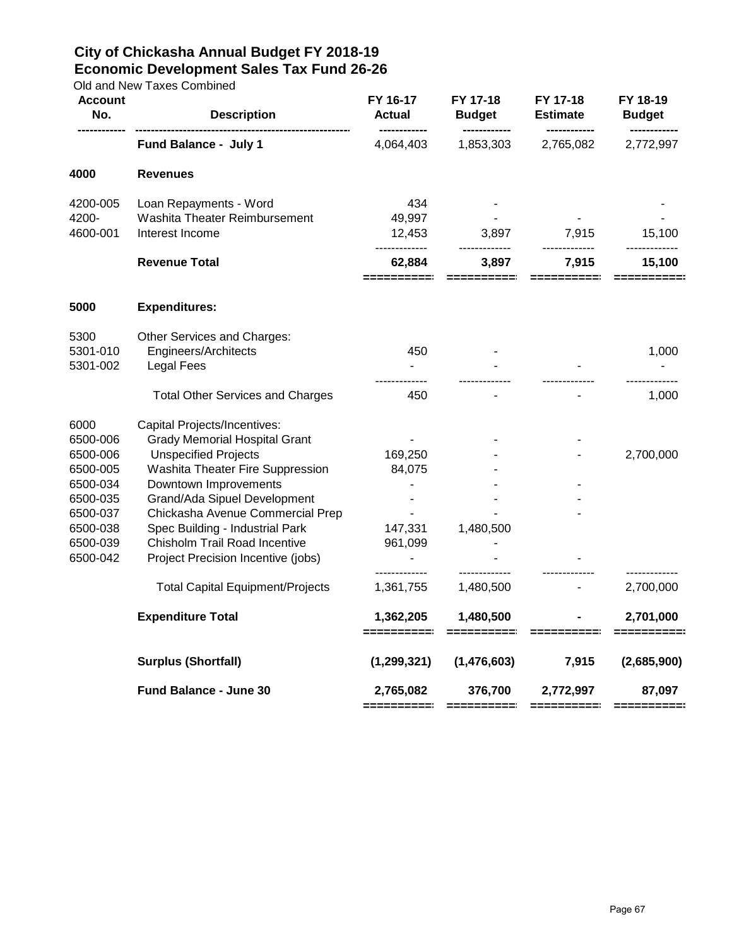# **City of Chickasha Annual Budget FY 2018-19 Economic Development Sales Tax Fund 26-26**

Old and New Taxes Combined

| <b>Account</b><br>No. | <b>Description</b>                      | FY 16-17<br><b>Actual</b><br>------------ | FY 17-18<br><b>Budget</b> | FY 17-18<br><b>Estimate</b> | FY 18-19<br><b>Budget</b> |
|-----------------------|-----------------------------------------|-------------------------------------------|---------------------------|-----------------------------|---------------------------|
|                       | Fund Balance - July 1                   | 4,064,403                                 | 1,853,303                 | 2,765,082                   | 2,772,997                 |
| 4000                  | <b>Revenues</b>                         |                                           |                           |                             |                           |
| 4200-005              | Loan Repayments - Word                  | 434                                       |                           |                             |                           |
| 4200-                 | Washita Theater Reimbursement           | 49,997                                    |                           |                             |                           |
| 4600-001              | Interest Income                         | 12,453                                    | 3,897                     | 7,915<br>-------------      | 15,100                    |
|                       | <b>Revenue Total</b>                    | 62,884<br>=========                       | 3,897<br>==========       | 7,915<br>==========         | 15,100                    |
| 5000                  | <b>Expenditures:</b>                    |                                           |                           |                             |                           |
| 5300                  | Other Services and Charges:             |                                           |                           |                             |                           |
| 5301-010              | Engineers/Architects                    | 450                                       |                           |                             | 1,000                     |
| 5301-002              | <b>Legal Fees</b>                       |                                           |                           |                             |                           |
|                       | <b>Total Other Services and Charges</b> | 450                                       |                           |                             | 1,000                     |
| 6000                  | Capital Projects/Incentives:            |                                           |                           |                             |                           |
| 6500-006              | <b>Grady Memorial Hospital Grant</b>    |                                           |                           |                             |                           |
| 6500-006              | <b>Unspecified Projects</b>             | 169,250                                   |                           |                             | 2,700,000                 |
| 6500-005              | Washita Theater Fire Suppression        | 84,075                                    |                           |                             |                           |
| 6500-034              | Downtown Improvements                   |                                           |                           |                             |                           |
| 6500-035              | Grand/Ada Sipuel Development            |                                           |                           |                             |                           |
| 6500-037              | Chickasha Avenue Commercial Prep        |                                           |                           |                             |                           |
| 6500-038              | Spec Building - Industrial Park         | 147,331                                   | 1,480,500                 |                             |                           |
| 6500-039              | Chisholm Trail Road Incentive           | 961,099                                   |                           |                             |                           |
| 6500-042              | Project Precision Incentive (jobs)      | $\blacksquare$<br>-------------           |                           |                             |                           |
|                       | <b>Total Capital Equipment/Projects</b> | 1,361,755                                 | 1,480,500                 |                             | 2,700,000                 |
|                       | <b>Expenditure Total</b>                | 1,362,205<br>==========                   | 1,480,500<br>==========   |                             | 2,701,000<br>==========:  |
|                       | <b>Surplus (Shortfall)</b>              | (1, 299, 321)                             | (1,476,603)               | 7,915                       | (2,685,900)               |
|                       |                                         |                                           |                           |                             |                           |
|                       | Fund Balance - June 30                  | 2,765,082<br>==========                   | 376,700<br>==========     | 2,772,997<br>==========     | 87,097<br>===========     |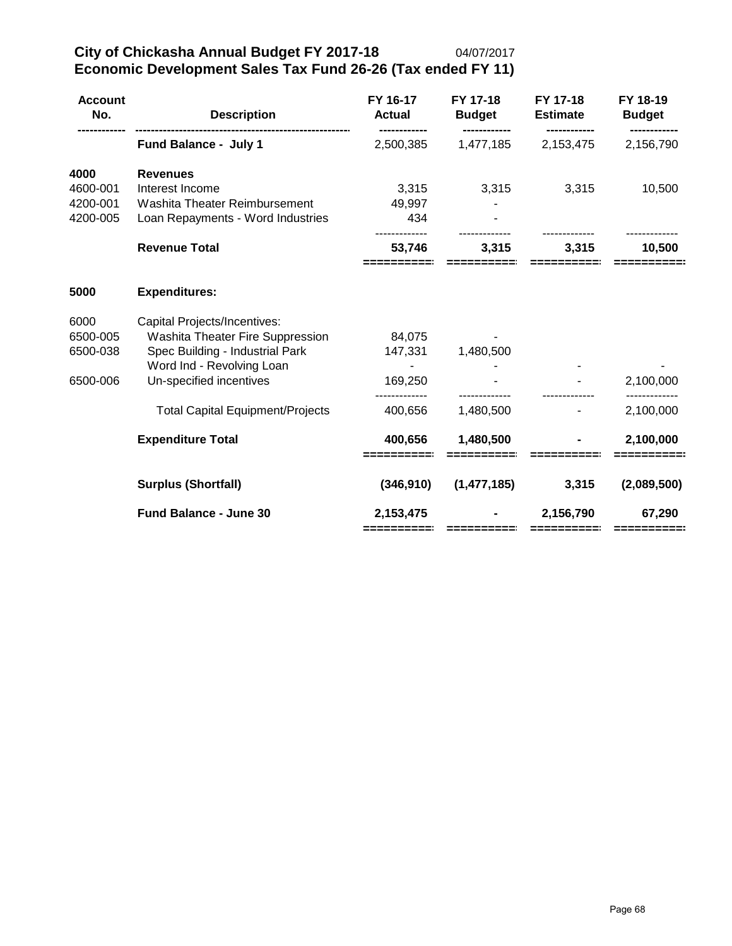| <b>Account</b><br>No.                    | <b>Description</b>                                                                                                                                          | FY 16-17<br><b>Actual</b>    | FY 17-18<br><b>Budget</b> | FY 17-18<br><b>Estimate</b> | FY 18-19<br><b>Budget</b> |
|------------------------------------------|-------------------------------------------------------------------------------------------------------------------------------------------------------------|------------------------------|---------------------------|-----------------------------|---------------------------|
|                                          | Fund Balance - July 1                                                                                                                                       | 2,500,385                    | 1,477,185                 | 2,153,475                   | 2,156,790                 |
| 4000<br>4600-001<br>4200-001             | <b>Revenues</b><br>Interest Income<br>Washita Theater Reimbursement                                                                                         | 3,315<br>49,997              | 3,315                     | 3,315                       | 10,500                    |
| 4200-005                                 | Loan Repayments - Word Industries<br><b>Revenue Total</b>                                                                                                   | 434<br>53,746<br>========    | 3,315                     | 3,315                       | 10,500                    |
| 5000                                     | <b>Expenditures:</b>                                                                                                                                        |                              |                           |                             |                           |
| 6000<br>6500-005<br>6500-038<br>6500-006 | Capital Projects/Incentives:<br>Washita Theater Fire Suppression<br>Spec Building - Industrial Park<br>Word Ind - Revolving Loan<br>Un-specified incentives | 84,075<br>147,331<br>169,250 | 1,480,500                 |                             | 2,100,000                 |
|                                          | <b>Total Capital Equipment/Projects</b>                                                                                                                     | 400,656                      | 1,480,500                 |                             | 2,100,000                 |
|                                          | <b>Expenditure Total</b>                                                                                                                                    | 400,656<br>========          | 1,480,500<br>=========    |                             | 2,100,000                 |
|                                          | <b>Surplus (Shortfall)</b>                                                                                                                                  | (346, 910)                   | (1,477,185)               | 3,315                       | (2,089,500)               |
|                                          | <b>Fund Balance - June 30</b>                                                                                                                               | 2,153,475<br>==========      |                           | 2,156,790                   | 67,290<br>==========      |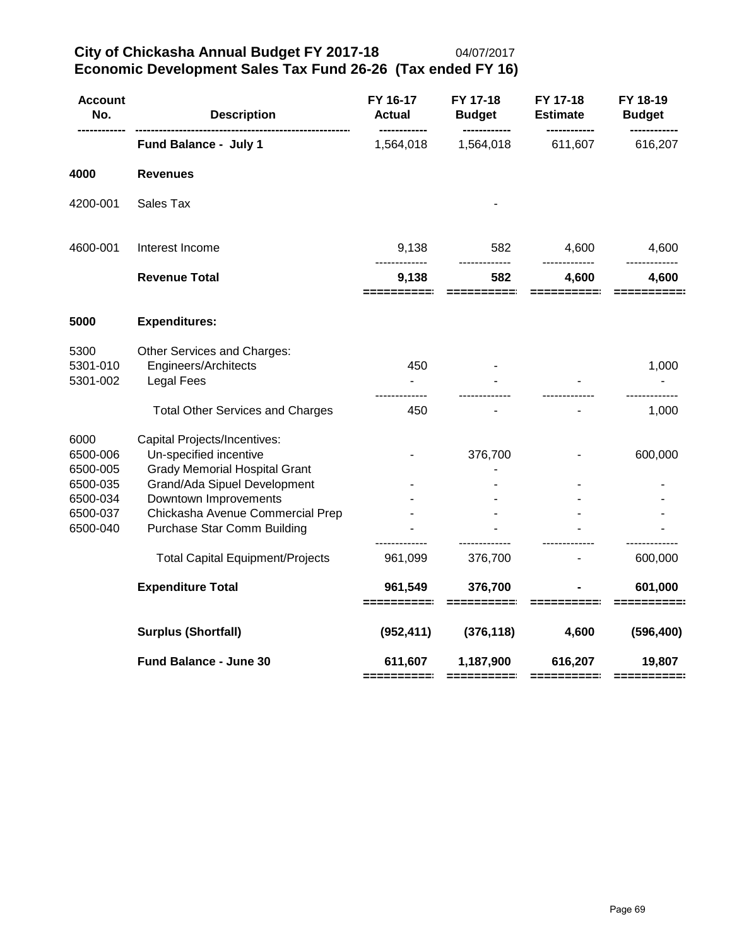**City of Chickasha Annual Budget FY 2017-18** 04/07/2017 **Economic Development Sales Tax Fund 26-26 (Tax ended FY 16)**

| <b>Description</b>                                                                                                                                                                                                         | FY 16-17<br><b>Actual</b> | FY 17-18<br><b>Budget</b> | FY 17-18<br><b>Estimate</b> | FY 18-19<br><b>Budget</b> |
|----------------------------------------------------------------------------------------------------------------------------------------------------------------------------------------------------------------------------|---------------------------|---------------------------|-----------------------------|---------------------------|
| Fund Balance - July 1                                                                                                                                                                                                      | 1,564,018                 | 1,564,018                 | 611,607                     | 616,207                   |
| <b>Revenues</b>                                                                                                                                                                                                            |                           |                           |                             |                           |
| Sales Tax                                                                                                                                                                                                                  |                           |                           |                             |                           |
| Interest Income                                                                                                                                                                                                            | 9,138                     | 582                       | 4,600                       | 4,600                     |
| <b>Revenue Total</b>                                                                                                                                                                                                       | 9,138<br>========         | 582                       | 4,600                       | 4,600                     |
| <b>Expenditures:</b>                                                                                                                                                                                                       |                           |                           |                             |                           |
| Other Services and Charges:<br>Engineers/Architects<br><b>Legal Fees</b>                                                                                                                                                   | 450<br>$\blacksquare$     |                           |                             | 1,000                     |
| <b>Total Other Services and Charges</b>                                                                                                                                                                                    | 450                       |                           |                             | 1,000                     |
| Capital Projects/Incentives:<br>Un-specified incentive<br><b>Grady Memorial Hospital Grant</b><br>Grand/Ada Sipuel Development<br>Downtown Improvements<br>Chickasha Avenue Commercial Prep<br>Purchase Star Comm Building |                           | 376,700                   |                             | 600,000                   |
| <b>Total Capital Equipment/Projects</b>                                                                                                                                                                                    | 961,099                   | 376,700                   |                             | 600,000                   |
| <b>Expenditure Total</b>                                                                                                                                                                                                   | 961,549<br>==========     | 376,700                   |                             | 601,000<br>=======        |
| <b>Surplus (Shortfall)</b>                                                                                                                                                                                                 | (952, 411)                | (376, 118)                | 4,600                       | (596, 400)                |
| Fund Balance - June 30                                                                                                                                                                                                     | 611,607                   | 1,187,900                 | 616,207                     | 19,807                    |
|                                                                                                                                                                                                                            |                           |                           |                             |                           |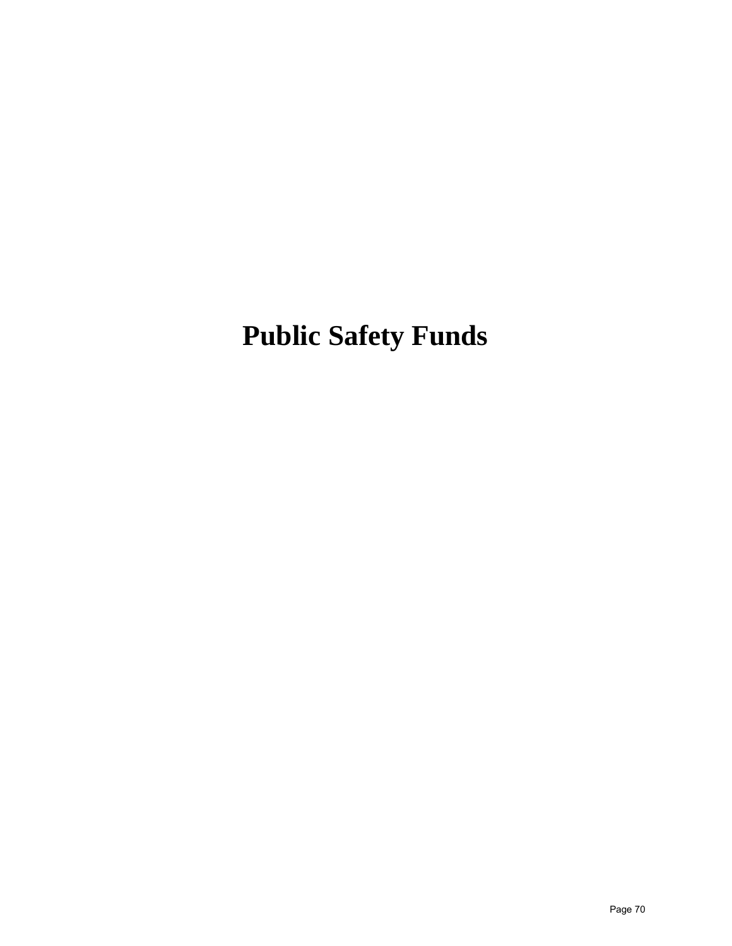**Public Safety Funds**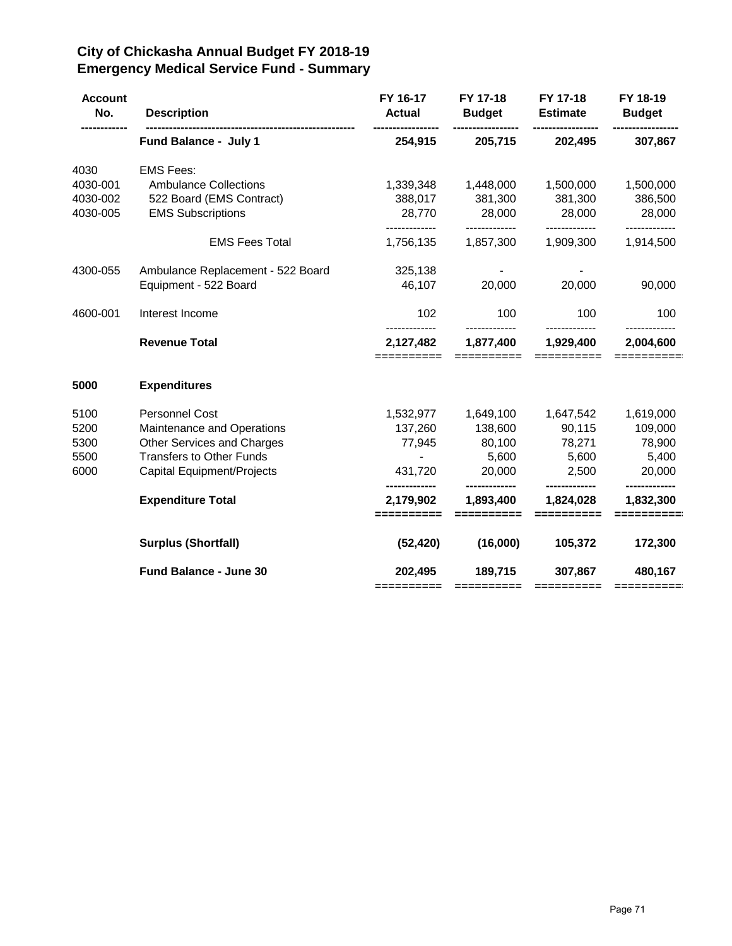# **City of Chickasha Annual Budget FY 2018-19 Emergency Medical Service Fund - Summary**

| <b>Account</b><br>No. | <b>Description</b>                | FY 16-17<br><b>Actual</b>                | FY 17-18<br><b>Budget</b> | FY 17-18<br><b>Estimate</b> | FY 18-19<br><b>Budget</b> |
|-----------------------|-----------------------------------|------------------------------------------|---------------------------|-----------------------------|---------------------------|
|                       | Fund Balance - July 1             | 254,915                                  | 205,715                   | 202,495                     | 307,867                   |
| 4030                  | <b>EMS Fees:</b>                  |                                          |                           |                             |                           |
| 4030-001              | <b>Ambulance Collections</b>      | 1,339,348                                | 1,448,000                 | 1,500,000                   | 1,500,000                 |
| 4030-002              | 522 Board (EMS Contract)          | 388,017                                  | 381,300                   | 381,300                     | 386,500                   |
| 4030-005              | <b>EMS Subscriptions</b>          | 28,770                                   | 28,000                    | 28,000                      | 28,000                    |
|                       | <b>EMS Fees Total</b>             | 1,756,135                                | 1,857,300                 | 1,909,300                   | 1,914,500                 |
| 4300-055              | Ambulance Replacement - 522 Board | 325,138                                  |                           |                             |                           |
|                       | Equipment - 522 Board             | 46,107                                   | 20,000                    | 20,000                      | 90,000                    |
| 4600-001              | Interest Income                   | 102<br>-------------                     | 100<br>-------------      | 100<br>-------------        | 100                       |
|                       | <b>Revenue Total</b>              | 2,127,482<br>==========                  | 1,877,400<br>==========   | 1,929,400<br>==========     | 2,004,600<br>==========   |
| 5000                  | <b>Expenditures</b>               |                                          |                           |                             |                           |
| 5100                  | <b>Personnel Cost</b>             | 1,532,977                                | 1,649,100                 | 1,647,542                   | 1,619,000                 |
| 5200                  | Maintenance and Operations        | 137,260                                  | 138,600                   | 90,115                      | 109,000                   |
| 5300                  | Other Services and Charges        | 77,945                                   | 80,100                    | 78,271                      | 78,900                    |
| 5500                  | <b>Transfers to Other Funds</b>   | $\overline{\phantom{a}}$                 | 5,600                     | 5,600                       | 5,400                     |
| 6000                  | Capital Equipment/Projects        | 431,720                                  | 20,000                    | 2,500                       | 20,000                    |
|                       | <b>Expenditure Total</b>          | -------------<br>2,179,902<br>========== | 1,893,400                 | 1,824,028<br>=========      | 1,832,300                 |
|                       | <b>Surplus (Shortfall)</b>        | (52, 420)                                | (16,000)                  | 105,372                     | 172,300                   |
|                       | Fund Balance - June 30            | 202,495                                  | 189,715                   | 307,867                     | 480,167                   |
|                       |                                   |                                          |                           |                             |                           |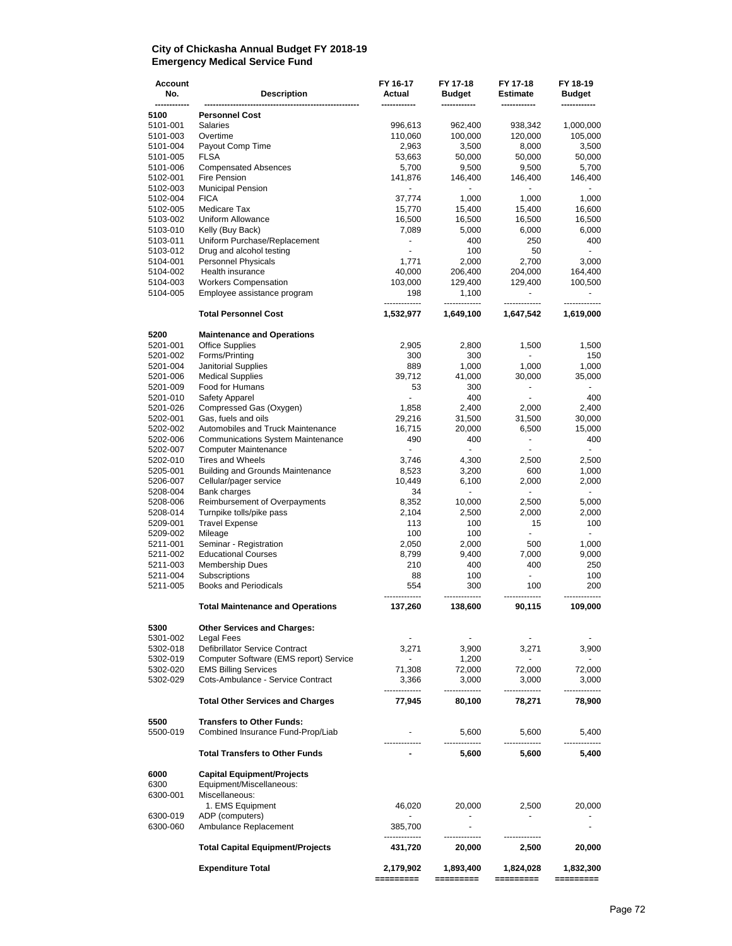#### **City of Chickasha Annual Budget FY 2018-19 Emergency Medical Service Fund**

| Account<br>No.       | <b>Description</b>                                                              | FY 16-17<br>Actual       | FY 17-18<br><b>Budget</b> | FY 17-18<br>Estimate                      | FY 18-19<br><b>Budget</b> |
|----------------------|---------------------------------------------------------------------------------|--------------------------|---------------------------|-------------------------------------------|---------------------------|
| 5100                 | <b>Personnel Cost</b>                                                           |                          |                           |                                           |                           |
| 5101-001             | Salaries                                                                        | 996,613                  | 962,400                   | 938,342                                   | 1,000,000                 |
| 5101-003             | Overtime                                                                        | 110,060                  | 100,000                   | 120,000                                   | 105,000                   |
| 5101-004             | Payout Comp Time                                                                | 2,963                    | 3,500                     | 8,000                                     | 3,500                     |
| 5101-005             | <b>FLSA</b>                                                                     | 53,663                   | 50,000                    | 50,000                                    | 50,000                    |
| 5101-006             | <b>Compensated Absences</b>                                                     | 5,700                    | 9,500                     | 9,500                                     | 5,700                     |
| 5102-001             | Fire Pension                                                                    | 141,876                  | 146,400                   | 146,400                                   | 146,400                   |
| 5102-003<br>5102-004 | <b>Municipal Pension</b><br><b>FICA</b>                                         | 37,774                   | 1,000                     | 1,000                                     | 1,000                     |
| 5102-005             | Medicare Tax                                                                    | 15,770                   | 15,400                    | 15,400                                    | 16,600                    |
| 5103-002             | Uniform Allowance                                                               | 16,500                   | 16,500                    | 16,500                                    | 16,500                    |
| 5103-010             | Kelly (Buy Back)                                                                | 7,089                    | 5,000                     | 6,000                                     | 6,000                     |
| 5103-011             | Uniform Purchase/Replacement                                                    | $\blacksquare$           | 400                       | 250                                       | 400                       |
| 5103-012             | Drug and alcohol testing                                                        | $\sim$                   | 100                       | 50                                        | $\blacksquare$            |
| 5104-001             | Personnel Physicals                                                             | 1,771                    | 2,000                     | 2,700                                     | 3,000                     |
| 5104-002             | Health insurance                                                                | 40,000                   | 206,400                   | 204,000                                   | 164,400                   |
| 5104-003             | <b>Workers Compensation</b>                                                     | 103,000                  | 129,400                   | 129,400                                   | 100,500                   |
| 5104-005             | Employee assistance program                                                     | 198                      | 1,100                     | $\overline{\phantom{a}}$<br>------------- | $\overline{\phantom{0}}$  |
|                      | <b>Total Personnel Cost</b>                                                     | 1,532,977                | 1,649,100                 | 1,647,542                                 | 1,619,000                 |
| 5200                 | <b>Maintenance and Operations</b>                                               |                          |                           |                                           |                           |
| 5201-001             | <b>Office Supplies</b>                                                          | 2,905                    | 2,800                     | 1,500                                     | 1,500                     |
| 5201-002<br>5201-004 | Forms/Printing<br><b>Janitorial Supplies</b>                                    | 300<br>889               | 300<br>1,000              | 1,000                                     | 150<br>1,000              |
| 5201-006             | <b>Medical Supplies</b>                                                         | 39,712                   | 41,000                    | 30,000                                    | 35,000                    |
| 5201-009             | Food for Humans                                                                 | 53                       | 300                       | $\blacksquare$                            |                           |
| 5201-010             | Safety Apparel                                                                  | $\blacksquare$           | 400                       | $\blacksquare$                            | 400                       |
| 5201-026             | Compressed Gas (Oxygen)                                                         | 1,858                    | 2,400                     | 2,000                                     | 2,400                     |
| 5202-001             | Gas, fuels and oils                                                             | 29,216                   | 31,500                    | 31,500                                    | 30,000                    |
| 5202-002             | Automobiles and Truck Maintenance                                               | 16,715                   | 20,000                    | 6,500                                     | 15,000                    |
| 5202-006             | <b>Communications System Maintenance</b>                                        | 490                      | 400                       | $\blacksquare$                            | 400                       |
| 5202-007             | <b>Computer Maintenance</b>                                                     | $\overline{\phantom{a}}$ | $\overline{\phantom{a}}$  |                                           | $\overline{\phantom{a}}$  |
| 5202-010             | <b>Tires and Wheels</b>                                                         | 3,746                    | 4,300                     | 2,500                                     | 2,500                     |
| 5205-001<br>5206-007 | <b>Building and Grounds Maintenance</b>                                         | 8,523<br>10,449          | 3,200<br>6,100            | 600<br>2,000                              | 1,000<br>2,000            |
| 5208-004             | Cellular/pager service<br><b>Bank charges</b>                                   | 34                       | ٠                         | $\blacksquare$                            | $\overline{\phantom{a}}$  |
| 5208-006             | Reimbursement of Overpayments                                                   | 8,352                    | 10,000                    | 2,500                                     | 5,000                     |
| 5208-014             | Turnpike tolls/pike pass                                                        | 2,104                    | 2,500                     | 2,000                                     | 2,000                     |
| 5209-001             | <b>Travel Expense</b>                                                           | 113                      | 100                       | 15                                        | 100                       |
| 5209-002             | Mileage                                                                         | 100                      | 100                       | $\blacksquare$                            | ÷.                        |
| 5211-001             | Seminar - Registration                                                          | 2,050                    | 2,000                     | 500                                       | 1,000                     |
| 5211-002             | <b>Educational Courses</b>                                                      | 8,799                    | 9,400                     | 7,000                                     | 9,000                     |
| 5211-003             | <b>Membership Dues</b>                                                          | 210                      | 400                       | 400                                       | 250                       |
| 5211-004             | Subscriptions                                                                   | 88                       | 100                       | $\overline{\phantom{a}}$                  | 100                       |
| 5211-005             | <b>Books and Periodicals</b>                                                    | 554                      | 300                       | 100                                       | 200                       |
|                      | <b>Total Maintenance and Operations</b>                                         | 137,260                  | 138,600                   | 90,115                                    | 109,000                   |
| 5300<br>5301-002     | <b>Other Services and Charges:</b><br>Legal Fees                                | $\overline{\phantom{a}}$ |                           |                                           | $\overline{\phantom{a}}$  |
| 5302-018             | Defibrillator Service Contract                                                  | 3,271                    | 3,900                     | 3,271                                     | 3,900                     |
| 5302-019             | Computer Software (EMS report) Service                                          | $\sim$                   | 1,200                     | $\sim$                                    | $\overline{\phantom{a}}$  |
| 5302-020             | <b>EMS Billing Services</b>                                                     | 71,308                   | 72,000                    | 72,000                                    | 72,000                    |
| 5302-029             | Cots-Ambulance - Service Contract                                               | 3,366                    | 3,000<br>---------        | 3,000                                     | 3,000                     |
|                      | <b>Total Other Services and Charges</b>                                         | 77,945                   | 80,100                    | 78,271                                    | 78,900                    |
| 5500                 | <b>Transfers to Other Funds:</b>                                                |                          |                           |                                           |                           |
| 5500-019             | Combined Insurance Fund-Prop/Liab                                               |                          | 5,600                     | 5,600                                     | 5,400                     |
|                      | <b>Total Transfers to Other Funds</b>                                           |                          | 5,600                     | 5,600                                     | 5,400                     |
| 6000<br>6300         | <b>Capital Equipment/Projects</b><br>Equipment/Miscellaneous:<br>Miscellaneous: |                          |                           |                                           |                           |
| 6300-001             | 1. EMS Equipment                                                                | 46,020                   | 20,000                    | 2,500                                     | 20,000                    |
| 6300-019             | ADP (computers)                                                                 |                          | $\overline{\phantom{0}}$  | $\overline{\phantom{a}}$                  |                           |
| 6300-060             | Ambulance Replacement                                                           | 385,700<br>              | ٠                         |                                           | $\overline{\phantom{m}}$  |
|                      | <b>Total Capital Equipment/Projects</b>                                         | 431,720                  | 20,000                    | 2,500                                     | 20,000                    |
|                      | <b>Expenditure Total</b>                                                        | 2,179,902<br>=========   | 1,893,400<br>=========    | 1,824,028<br>=========                    | 1,832,300<br>:=======     |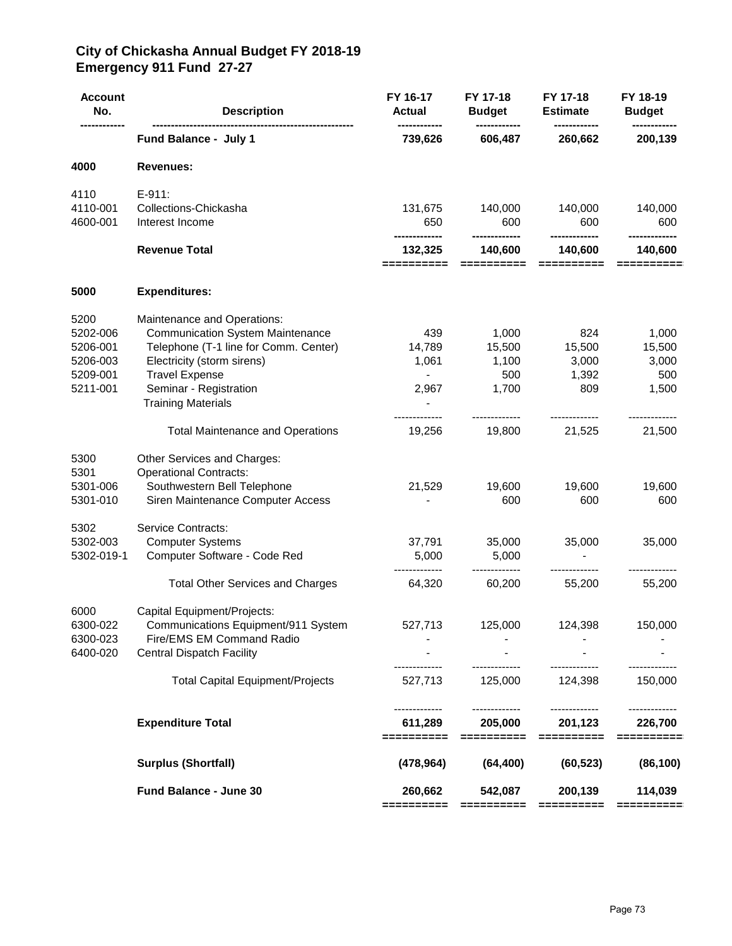### **City of Chickasha Annual Budget FY 2018-19 Emergency 911 Fund 27-27**

| <b>Account</b><br>No. | <b>Description</b>                                               | FY 16-17<br><b>Actual</b> | FY 17-18<br><b>Budget</b>                                                                                                                                                                                                                                                                                                                                                                                                                                                                         | FY 17-18<br><b>Estimate</b> | FY 18-19<br><b>Budget</b> |
|-----------------------|------------------------------------------------------------------|---------------------------|---------------------------------------------------------------------------------------------------------------------------------------------------------------------------------------------------------------------------------------------------------------------------------------------------------------------------------------------------------------------------------------------------------------------------------------------------------------------------------------------------|-----------------------------|---------------------------|
|                       | Fund Balance - July 1                                            | 739,626                   | 606,487                                                                                                                                                                                                                                                                                                                                                                                                                                                                                           | 260,662                     | 200,139                   |
| 4000                  | <b>Revenues:</b>                                                 |                           |                                                                                                                                                                                                                                                                                                                                                                                                                                                                                                   |                             |                           |
| 4110                  | $E-911:$                                                         |                           |                                                                                                                                                                                                                                                                                                                                                                                                                                                                                                   |                             |                           |
| 4110-001              | Collections-Chickasha                                            | 131,675                   | 140,000                                                                                                                                                                                                                                                                                                                                                                                                                                                                                           | 140,000                     | 140,000                   |
| 4600-001              | Interest Income                                                  | 650<br>-------------      | 600<br>-------------                                                                                                                                                                                                                                                                                                                                                                                                                                                                              | 600<br>-------------        | 600<br>-------------      |
|                       | <b>Revenue Total</b>                                             | 132,325<br>==========     | 140,600<br>$\begin{array}{cccccccccc} \multicolumn{2}{c}{} & \multicolumn{2}{c}{} & \multicolumn{2}{c}{} & \multicolumn{2}{c}{} & \multicolumn{2}{c}{} & \multicolumn{2}{c}{} & \multicolumn{2}{c}{} & \multicolumn{2}{c}{} & \multicolumn{2}{c}{} & \multicolumn{2}{c}{} & \multicolumn{2}{c}{} & \multicolumn{2}{c}{} & \multicolumn{2}{c}{} & \multicolumn{2}{c}{} & \multicolumn{2}{c}{} & \multicolumn{2}{c}{} & \multicolumn{2}{c}{} & \multicolumn{2}{c}{} & \multicolumn{2}{c}{} & \mult$ | 140,600<br>==========       | 140,600<br>==========     |
| 5000                  | <b>Expenditures:</b>                                             |                           |                                                                                                                                                                                                                                                                                                                                                                                                                                                                                                   |                             |                           |
| 5200                  | Maintenance and Operations:                                      |                           |                                                                                                                                                                                                                                                                                                                                                                                                                                                                                                   |                             |                           |
| 5202-006              | <b>Communication System Maintenance</b>                          | 439                       | 1,000                                                                                                                                                                                                                                                                                                                                                                                                                                                                                             | 824                         | 1,000                     |
| 5206-001              | Telephone (T-1 line for Comm. Center)                            | 14,789                    | 15,500                                                                                                                                                                                                                                                                                                                                                                                                                                                                                            | 15,500                      | 15,500                    |
| 5206-003              | Electricity (storm sirens)                                       | 1,061                     | 1,100                                                                                                                                                                                                                                                                                                                                                                                                                                                                                             | 3,000                       | 3,000                     |
| 5209-001              | <b>Travel Expense</b>                                            |                           | 500                                                                                                                                                                                                                                                                                                                                                                                                                                                                                               | 1,392                       | 500                       |
| 5211-001              | Seminar - Registration                                           | 2,967                     | 1,700                                                                                                                                                                                                                                                                                                                                                                                                                                                                                             | 809                         | 1,500                     |
|                       | <b>Training Materials</b>                                        |                           |                                                                                                                                                                                                                                                                                                                                                                                                                                                                                                   |                             |                           |
|                       | <b>Total Maintenance and Operations</b>                          | ---------<br>19,256       | -------------<br>19,800                                                                                                                                                                                                                                                                                                                                                                                                                                                                           | -------------<br>21,525     | ----------<br>21,500      |
| 5300                  | Other Services and Charges:                                      |                           |                                                                                                                                                                                                                                                                                                                                                                                                                                                                                                   |                             |                           |
| 5301                  | <b>Operational Contracts:</b>                                    |                           |                                                                                                                                                                                                                                                                                                                                                                                                                                                                                                   |                             |                           |
| 5301-006              | Southwestern Bell Telephone                                      | 21,529                    | 19,600                                                                                                                                                                                                                                                                                                                                                                                                                                                                                            | 19,600                      | 19,600                    |
| 5301-010              | Siren Maintenance Computer Access                                |                           | 600                                                                                                                                                                                                                                                                                                                                                                                                                                                                                               | 600                         | 600                       |
| 5302                  | Service Contracts:                                               |                           |                                                                                                                                                                                                                                                                                                                                                                                                                                                                                                   |                             |                           |
| 5302-003              | <b>Computer Systems</b>                                          | 37,791                    | 35,000                                                                                                                                                                                                                                                                                                                                                                                                                                                                                            | 35,000                      | 35,000                    |
| 5302-019-1            | Computer Software - Code Red                                     | 5,000                     | 5,000                                                                                                                                                                                                                                                                                                                                                                                                                                                                                             |                             |                           |
|                       | <b>Total Other Services and Charges</b>                          | 64,320                    | 60,200                                                                                                                                                                                                                                                                                                                                                                                                                                                                                            | 55,200                      | 55,200                    |
|                       |                                                                  |                           |                                                                                                                                                                                                                                                                                                                                                                                                                                                                                                   |                             |                           |
| 6000                  | Capital Equipment/Projects:                                      |                           |                                                                                                                                                                                                                                                                                                                                                                                                                                                                                                   |                             |                           |
| 6300-022              | Communications Equipment/911 System<br>Fire/EMS EM Command Radio | 527,713                   | 125,000                                                                                                                                                                                                                                                                                                                                                                                                                                                                                           | 124,398                     | 150,000                   |
| 6300-023<br>6400-020  | <b>Central Dispatch Facility</b>                                 |                           |                                                                                                                                                                                                                                                                                                                                                                                                                                                                                                   |                             |                           |
|                       | <b>Total Capital Equipment/Projects</b>                          | 527,713                   | 125,000                                                                                                                                                                                                                                                                                                                                                                                                                                                                                           | 124,398                     | 150,000                   |
|                       |                                                                  |                           |                                                                                                                                                                                                                                                                                                                                                                                                                                                                                                   |                             |                           |
|                       | <b>Expenditure Total</b>                                         | 611,289<br>==========     | 205,000<br>==========                                                                                                                                                                                                                                                                                                                                                                                                                                                                             | 201,123<br>==========       | 226,700<br>==========     |
|                       | <b>Surplus (Shortfall)</b>                                       | (478, 964)                | (64, 400)                                                                                                                                                                                                                                                                                                                                                                                                                                                                                         | (60, 523)                   | (86, 100)                 |
|                       | Fund Balance - June 30                                           | 260,662                   | 542,087                                                                                                                                                                                                                                                                                                                                                                                                                                                                                           | 200,139                     | 114,039                   |
|                       |                                                                  | ==========                |                                                                                                                                                                                                                                                                                                                                                                                                                                                                                                   | ==========                  |                           |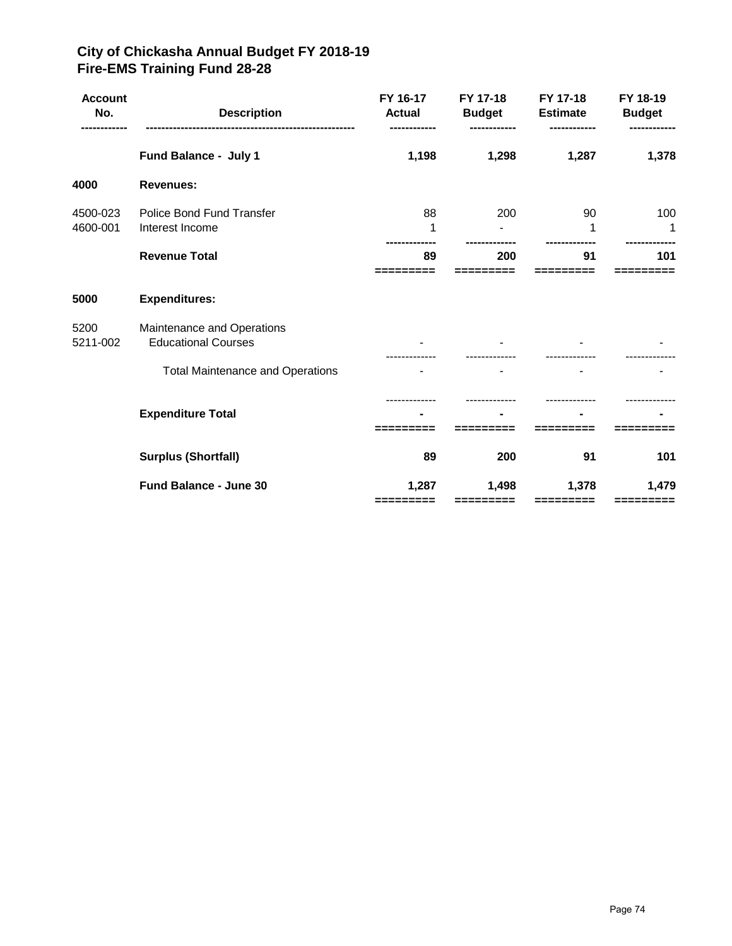# **City of Chickasha Annual Budget FY 2018-19 Fire-EMS Training Fund 28-28**

| <b>Account</b><br>No. | <b>Description</b>                                       | FY 16-17<br><b>Actual</b> | FY 17-18<br><b>Budget</b> | FY 17-18<br><b>Estimate</b> | FY 18-19<br><b>Budget</b> |
|-----------------------|----------------------------------------------------------|---------------------------|---------------------------|-----------------------------|---------------------------|
|                       | Fund Balance - July 1                                    | 1,198                     | 1,298                     | 1,287                       | 1,378                     |
| 4000                  | <b>Revenues:</b>                                         |                           |                           |                             |                           |
| 4500-023<br>4600-001  | <b>Police Bond Fund Transfer</b><br>Interest Income      | 88<br>1                   | 200                       | 90<br>1                     | 100<br>1                  |
|                       | <b>Revenue Total</b>                                     | 89                        | 200                       | 91                          | 101                       |
| 5000                  | <b>Expenditures:</b>                                     |                           |                           |                             |                           |
| 5200<br>5211-002      | Maintenance and Operations<br><b>Educational Courses</b> |                           |                           |                             |                           |
|                       | <b>Total Maintenance and Operations</b>                  |                           |                           |                             |                           |
|                       | <b>Expenditure Total</b>                                 |                           |                           |                             |                           |
|                       | <b>Surplus (Shortfall)</b>                               | 89                        | 200                       | 91                          | 101                       |
|                       | <b>Fund Balance - June 30</b>                            | 1,287<br>=========        | 1,498                     | 1,378                       | 1,479                     |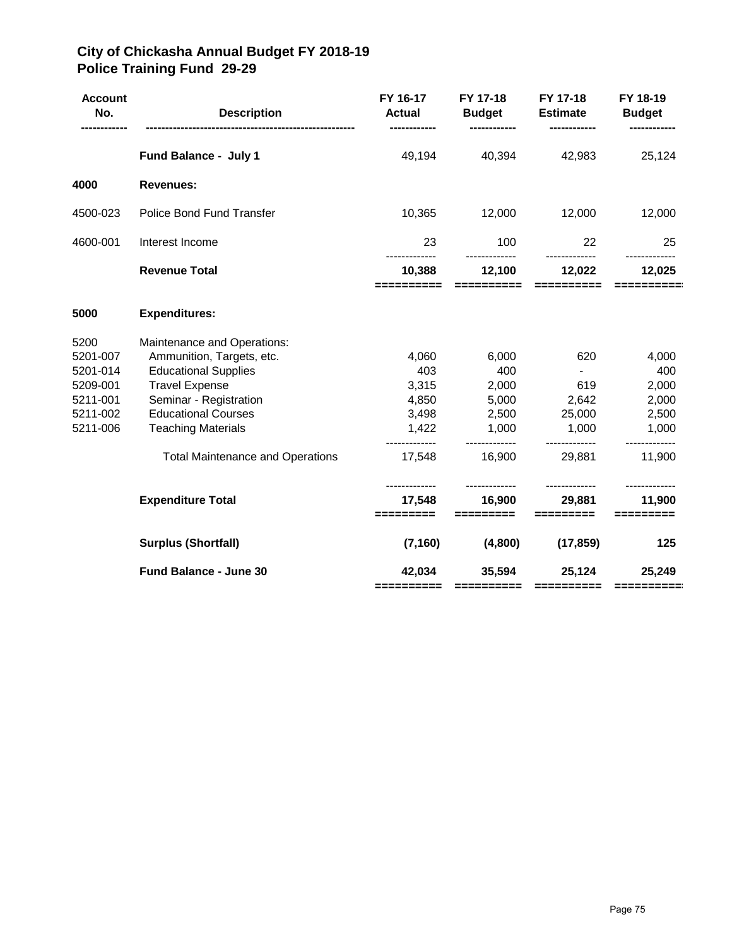# **City of Chickasha Annual Budget FY 2018-19 Police Training Fund 29-29**

| <b>Account</b><br>No. | <b>Description</b>                      | FY 16-17<br>Actual<br>------------   | FY 17-18<br><b>Budget</b><br>------------ | FY 17-18<br><b>Estimate</b><br>------------ | FY 18-19<br><b>Budget</b><br>------------ |
|-----------------------|-----------------------------------------|--------------------------------------|-------------------------------------------|---------------------------------------------|-------------------------------------------|
|                       | Fund Balance - July 1                   | 49,194                               | 40,394                                    | 42,983                                      | 25,124                                    |
| 4000                  | <b>Revenues:</b>                        |                                      |                                           |                                             |                                           |
| 4500-023              | Police Bond Fund Transfer               | 10,365                               | 12,000                                    | 12,000                                      | 12,000                                    |
| 4600-001              | Interest Income                         | 23<br>-------------                  | 100                                       | 22<br>-------------                         | 25                                        |
|                       | <b>Revenue Total</b>                    | 10,388<br>==========                 | 12,100<br>==========                      | 12,022<br>==========                        | 12,025                                    |
| 5000                  | <b>Expenditures:</b>                    |                                      |                                           |                                             |                                           |
| 5200                  | Maintenance and Operations:             |                                      |                                           |                                             |                                           |
| 5201-007              | Ammunition, Targets, etc.               | 4,060                                | 6,000                                     | 620                                         | 4,000                                     |
| 5201-014              | <b>Educational Supplies</b>             | 403                                  | 400                                       | $\sim 100$                                  | 400                                       |
| 5209-001              | <b>Travel Expense</b>                   | 3,315                                | 2,000                                     | 619                                         | 2,000                                     |
| 5211-001              | Seminar - Registration                  | 4,850                                | 5,000                                     | 2,642                                       | 2,000                                     |
| 5211-002              | <b>Educational Courses</b>              | 3,498                                | 2,500                                     | 25,000                                      | 2,500                                     |
| 5211-006              | <b>Teaching Materials</b>               | 1,422<br>---------                   | 1,000<br>-------------                    | 1,000<br>-------------                      | 1,000<br>-------------                    |
|                       | <b>Total Maintenance and Operations</b> | 17,548                               | 16,900                                    | 29,881                                      | 11,900                                    |
|                       | <b>Expenditure Total</b>                | -------------<br>17,548<br>========= | -------------<br>16,900<br>=========      | -------------<br>29,881<br>=========        | -------------<br>11,900<br>=========      |
|                       | <b>Surplus (Shortfall)</b>              | (7, 160)                             | (4,800)                                   | (17, 859)                                   | 125                                       |
|                       | Fund Balance - June 30                  | 42,034<br>==========                 | 35,594                                    | 25,124<br>=====================             | 25,249<br>$=$ = = = = = = = = =           |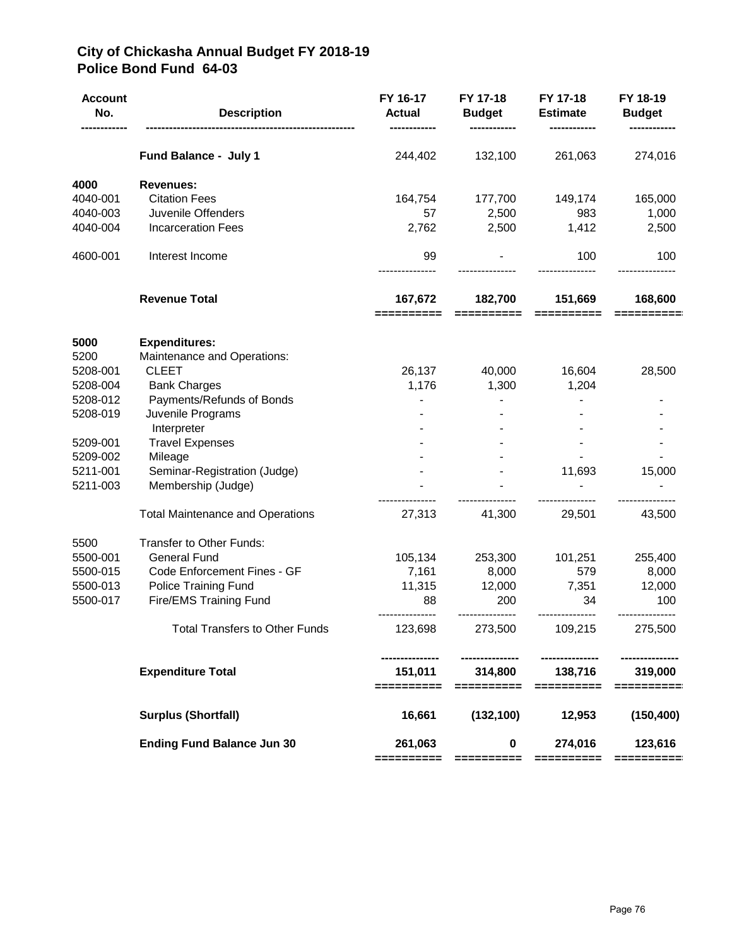# **City of Chickasha Annual Budget FY 2018-19 Police Bond Fund 64-03**

| <b>Account</b><br>No. | <b>Description</b>                                 | FY 16-17<br><b>Actual</b> | FY 17-18<br><b>Budget</b>                | FY 17-18<br><b>Estimate</b>              | FY 18-19<br><b>Budget</b> |
|-----------------------|----------------------------------------------------|---------------------------|------------------------------------------|------------------------------------------|---------------------------|
|                       | Fund Balance - July 1                              | 244,402                   | 132,100                                  | 261,063                                  | 274,016                   |
| 4000                  | <b>Revenues:</b>                                   |                           |                                          |                                          |                           |
| 4040-001              | <b>Citation Fees</b>                               | 164,754                   | 177,700                                  | 149,174                                  | 165,000                   |
| 4040-003              | Juvenile Offenders                                 | 57                        | 2,500                                    | 983                                      | 1,000                     |
| 4040-004              | <b>Incarceration Fees</b>                          | 2,762                     | 2,500                                    | 1,412                                    | 2,500                     |
| 4600-001              | Interest Income                                    | 99                        |                                          | 100                                      | 100                       |
|                       | <b>Revenue Total</b>                               | 167,672<br>==========     | 182,700<br>==========                    | 151,669<br>==========                    | 168,600<br>==========     |
| 5000                  | <b>Expenditures:</b>                               |                           |                                          |                                          |                           |
| 5200                  | Maintenance and Operations:                        |                           |                                          |                                          |                           |
| 5208-001              | <b>CLEET</b>                                       | 26,137                    | 40,000                                   | 16,604                                   | 28,500                    |
| 5208-004              | <b>Bank Charges</b>                                | 1,176                     | 1,300                                    | 1,204                                    |                           |
| 5208-012              | Payments/Refunds of Bonds                          |                           |                                          |                                          |                           |
| 5208-019              | Juvenile Programs                                  |                           |                                          |                                          |                           |
|                       | Interpreter                                        |                           |                                          |                                          |                           |
| 5209-001              | <b>Travel Expenses</b>                             |                           |                                          |                                          |                           |
| 5209-002              | Mileage                                            |                           |                                          |                                          |                           |
| 5211-001<br>5211-003  | Seminar-Registration (Judge)<br>Membership (Judge) |                           |                                          | 11,693                                   | 15,000                    |
|                       |                                                    |                           |                                          |                                          |                           |
|                       | <b>Total Maintenance and Operations</b>            | 27,313                    | 41,300                                   | 29,501                                   | 43,500                    |
| 5500                  | Transfer to Other Funds:                           |                           |                                          |                                          |                           |
| 5500-001              | <b>General Fund</b>                                | 105,134                   | 253,300                                  | 101,251                                  | 255,400                   |
| 5500-015              | Code Enforcement Fines - GF                        | 7,161                     | 8,000                                    | 579                                      | 8,000                     |
| 5500-013              | Police Training Fund                               | 11,315                    | 12,000                                   | 7,351                                    | 12,000                    |
| 5500-017              | Fire/EMS Training Fund                             | 88                        | 200                                      | 34                                       | 100                       |
|                       | <b>Total Transfers to Other Funds</b>              | 123,698                   | 273,500                                  | 109,215                                  | 275,500                   |
|                       | <b>Expenditure Total</b>                           | <br>151,011<br>========== | ---------------<br>314,800<br>========== | ---------------<br>138,716<br>========== | <br>319,000<br>========== |
|                       | <b>Surplus (Shortfall)</b>                         | 16,661                    | (132, 100)                               | 12,953                                   | (150, 400)                |
|                       | <b>Ending Fund Balance Jun 30</b>                  | 261,063                   | 0                                        | 274,016                                  | 123,616                   |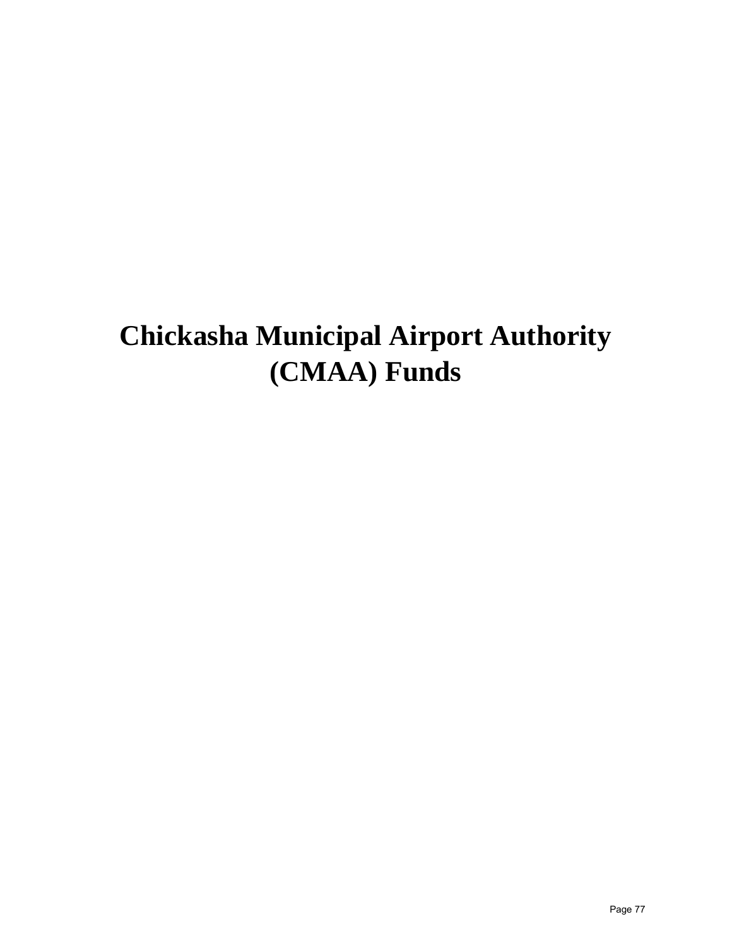# **Chickasha Municipal Airport Authority (CMAA) Funds**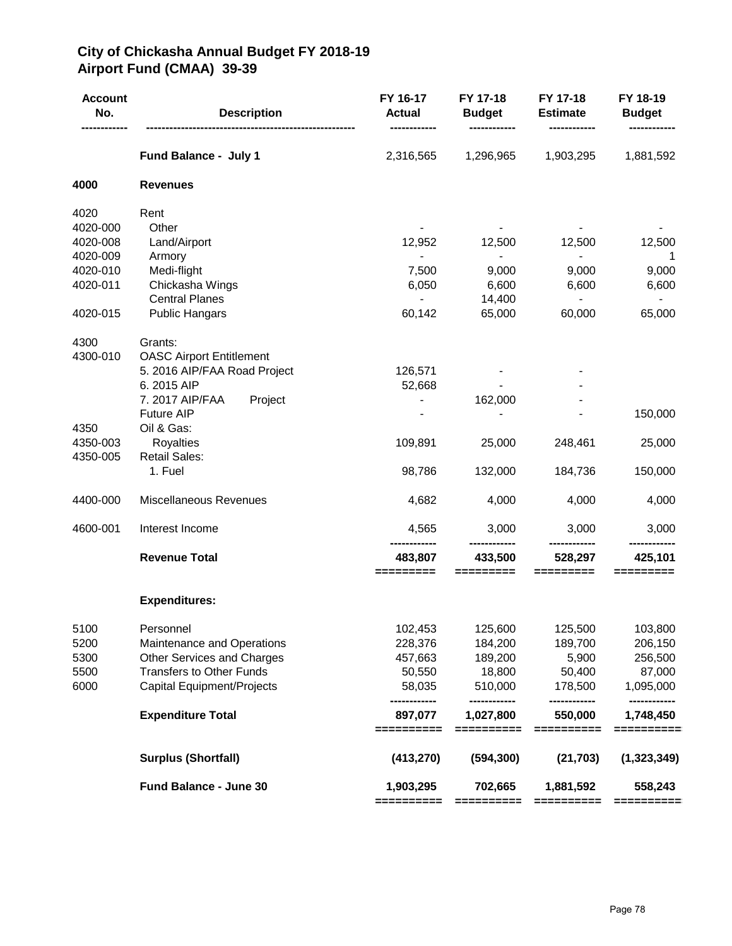# **City of Chickasha Annual Budget FY 2018-19 Airport Fund (CMAA) 39-39**

| <b>Account</b><br>No. | <b>Description</b>                | FY 16-17<br><b>Actual</b> | FY 17-18<br><b>Budget</b> | FY 17-18<br><b>Estimate</b> | FY 18-19<br><b>Budget</b> |
|-----------------------|-----------------------------------|---------------------------|---------------------------|-----------------------------|---------------------------|
|                       | Fund Balance - July 1             | 2,316,565                 | 1,296,965                 | 1,903,295                   | 1,881,592                 |
| 4000                  | <b>Revenues</b>                   |                           |                           |                             |                           |
| 4020                  | Rent                              |                           |                           |                             |                           |
| 4020-000              | Other                             |                           |                           |                             |                           |
| 4020-008              | Land/Airport                      | 12,952                    | 12,500                    | 12,500                      | 12,500                    |
| 4020-009              | Armory                            | $\overline{\phantom{a}}$  | $\sim$                    | $\blacksquare$              | 1                         |
| 4020-010              | Medi-flight                       | 7,500                     | 9,000                     | 9,000                       | 9,000                     |
| 4020-011              | Chickasha Wings                   | 6,050                     | 6,600                     | 6,600                       | 6,600                     |
|                       | <b>Central Planes</b>             | $\overline{\phantom{0}}$  | 14,400                    | $\overline{\phantom{a}}$    | $\overline{\phantom{a}}$  |
| 4020-015              | <b>Public Hangars</b>             | 60,142                    | 65,000                    | 60,000                      | 65,000                    |
| 4300                  | Grants:                           |                           |                           |                             |                           |
| 4300-010              | <b>OASC Airport Entitlement</b>   |                           |                           |                             |                           |
|                       | 5. 2016 AIP/FAA Road Project      | 126,571                   |                           |                             |                           |
|                       | 6.2015 AIP                        | 52,668                    |                           |                             |                           |
|                       | 7. 2017 AIP/FAA<br>Project        |                           | 162,000                   |                             |                           |
|                       | <b>Future AIP</b>                 |                           |                           |                             | 150,000                   |
| 4350                  | Oil & Gas:                        |                           |                           |                             |                           |
| 4350-003              | <b>Royalties</b>                  | 109,891                   | 25,000                    | 248,461                     | 25,000                    |
| 4350-005              | <b>Retail Sales:</b>              |                           |                           |                             |                           |
|                       | 1. Fuel                           | 98,786                    | 132,000                   | 184,736                     | 150,000                   |
| 4400-000              | Miscellaneous Revenues            | 4,682                     | 4,000                     | 4,000                       | 4,000                     |
| 4600-001              | Interest Income                   | 4,565                     | 3,000                     | 3,000                       | 3,000                     |
|                       | <b>Revenue Total</b>              | 483,807                   | 433,500                   | 528,297                     | 425,101                   |
|                       |                                   | =========                 | =========                 | =========                   | =======                   |
|                       | <b>Expenditures:</b>              |                           |                           |                             |                           |
| 5100                  | Personnel                         | 102,453                   | 125,600                   | 125,500                     | 103,800                   |
| 5200                  | Maintenance and Operations        | 228,376                   | 184,200                   | 189,700                     | 206,150                   |
| 5300                  | Other Services and Charges        | 457,663                   | 189,200                   | 5,900                       | 256,500                   |
| 5500                  | <b>Transfers to Other Funds</b>   | 50,550                    | 18,800                    | 50,400                      | 87,000                    |
| 6000                  | <b>Capital Equipment/Projects</b> | 58,035<br>                | 510,000<br>-------------  | 178,500<br>------------     | 1,095,000<br>------------ |
|                       | <b>Expenditure Total</b>          | 897,077<br>==========     | 1,027,800<br>==========   | 550,000<br>==========       | 1,748,450<br>==========   |
|                       | <b>Surplus (Shortfall)</b>        | (413, 270)                | (594, 300)                | (21, 703)                   | (1,323,349)               |
|                       | Fund Balance - June 30            | 1,903,295                 | 702,665                   | 1,881,592                   | 558,243                   |
|                       |                                   | ==========                | ==========                | ==========                  | ==========                |